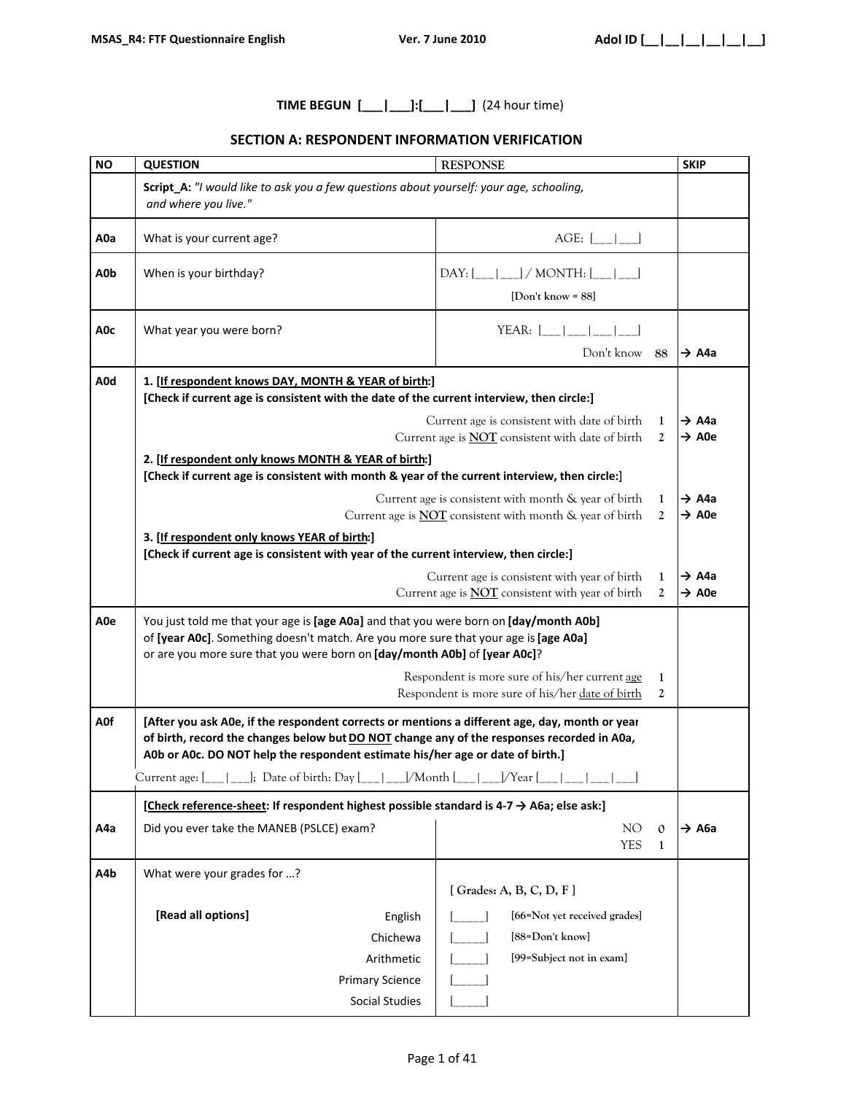# **TIME BEGUN [\_\_\_|\_\_\_]:[\_\_\_|\_\_\_]** (24 hour time)

## **SECTION A: RESPONDENT INFORMATION VERIFICATION**

| <b>NO</b> | <b>QUESTION</b>                                                                                                                                                                                                                                                                | <b>RESPONSE</b>                                                                                                         |                              | <b>SKIP</b>                |
|-----------|--------------------------------------------------------------------------------------------------------------------------------------------------------------------------------------------------------------------------------------------------------------------------------|-------------------------------------------------------------------------------------------------------------------------|------------------------------|----------------------------|
|           | Script_A: "I would like to ask you a few questions about yourself: your age, schooling,<br>and where you live."                                                                                                                                                                |                                                                                                                         |                              |                            |
| A0a       | What is your current age?                                                                                                                                                                                                                                                      | AGE: [                                                                                                                  |                              |                            |
| A0b       | When is your birthday?                                                                                                                                                                                                                                                         | [Don't know = $88$ ]                                                                                                    |                              |                            |
| A0c       | What year you were born?                                                                                                                                                                                                                                                       | YEAR: $[\_$  __ __ __<br>Don't know 88                                                                                  |                              | $\rightarrow$ A4a          |
| A0d       | 1. [If respondent knows DAY, MONTH & YEAR of birth:]<br>[Check if current age is consistent with the date of the current interview, then circle:]                                                                                                                              |                                                                                                                         |                              |                            |
|           |                                                                                                                                                                                                                                                                                | Current age is consistent with date of birth<br>Current age is <b>NOT</b> consistent with date of birth                 | 1<br>2                       | → A4a<br>$\rightarrow$ A0e |
|           | 2. [If respondent only knows MONTH & YEAR of birth:]<br>[Check if current age is consistent with month & year of the current interview, then circle:]                                                                                                                          |                                                                                                                         |                              |                            |
|           |                                                                                                                                                                                                                                                                                | Current age is consistent with month & year of birth<br>Current age is <b>NOT</b> consistent with month & year of birth | 1<br>2                       | → A4a<br>$\rightarrow$ A0e |
|           | 3. [If respondent only knows YEAR of birth:]<br>[Check if current age is consistent with year of the current interview, then circle:]                                                                                                                                          |                                                                                                                         |                              |                            |
|           |                                                                                                                                                                                                                                                                                | Current age is consistent with year of birth<br>Current age is <b>NOT</b> consistent with year of birth                 | 1<br>2                       | → A4a<br>$\rightarrow$ A0e |
| A0e       | You just told me that your age is [age A0a] and that you were born on [day/month A0b]<br>of [year AOc]. Something doesn't match. Are you more sure that your age is [age AOa]<br>or are you more sure that you were born on [day/month A0b] of [year A0c]?                     |                                                                                                                         |                              |                            |
|           |                                                                                                                                                                                                                                                                                | Respondent is more sure of his/her current age<br>Respondent is more sure of his/her date of birth                      | 1<br>2                       |                            |
| A0f       | [After you ask A0e, if the respondent corrects or mentions a different age, day, month or year<br>of birth, record the changes below but DO NOT change any of the responses recorded in A0a,<br>A0b or A0c. DO NOT help the respondent estimate his/her age or date of birth.] |                                                                                                                         |                              |                            |
|           | Current age: [___  ___]; Date of birth: Day [___   ___]/Month [___   ___]/Year [___   ___   ___  <br>[Check reference-sheet: If respondent highest possible standard is 4-7 $\rightarrow$ A6a; else ask:]                                                                      |                                                                                                                         |                              |                            |
| A4a       | Did you ever take the MANEB (PSLCE) exam?                                                                                                                                                                                                                                      | NO.<br><b>YES</b>                                                                                                       | $\mathbf{0}$<br>$\mathbf{1}$ | → А6а                      |
| A4b       | What were your grades for ?                                                                                                                                                                                                                                                    | [ $Grades: A, B, C, D, F$ ]                                                                                             |                              |                            |
|           | [Read all options]<br>English<br>Chichewa<br>Arithmetic<br><b>Primary Science</b><br>Social Studies                                                                                                                                                                            | [66=Not yet received grades]<br>[88=Don't know]<br>[99=Subject not in exam]                                             |                              |                            |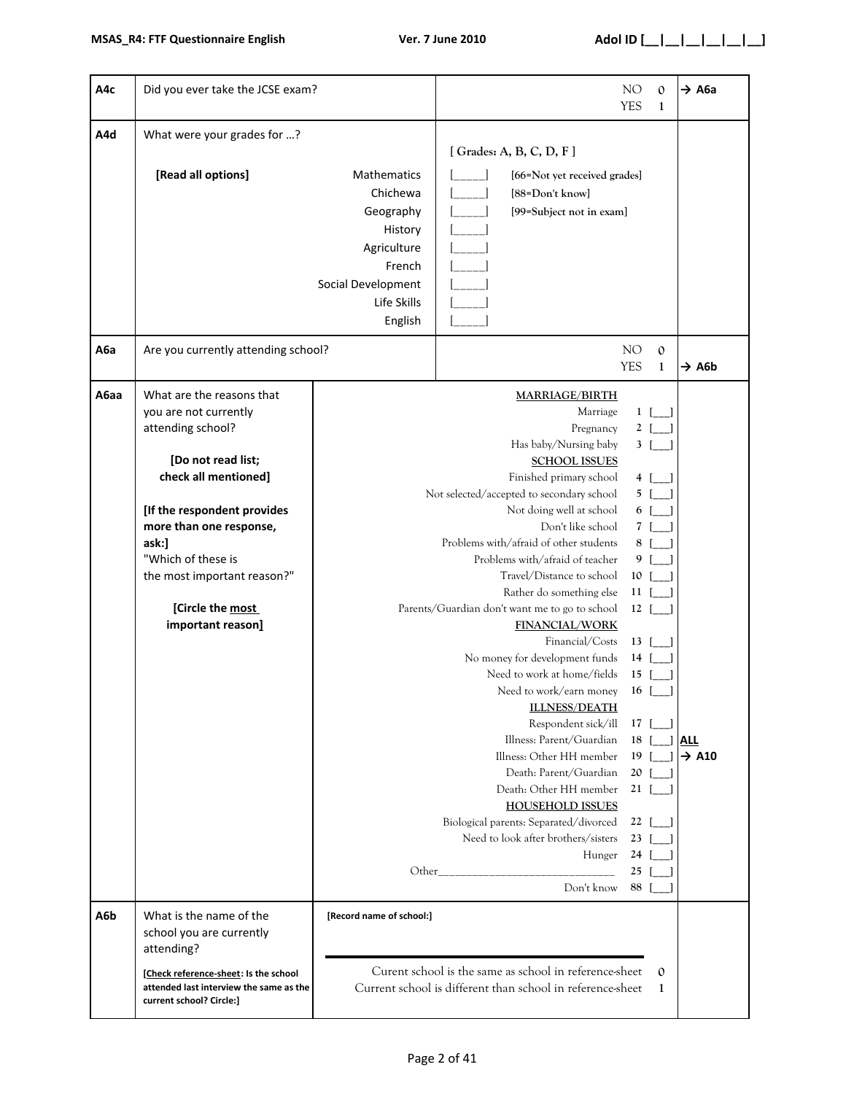| A4c  | Did you ever take the JCSE exam?                                                                                                                                                                                                                                                       |                                                                                                                          |                                                                                                                                                                                                                                                                                                                                                                                                                                                                                                                                                                                                                                                                                                                                                                                                                                                                                                                                                                                                                                                                                                                        | NO<br><b>YES</b> | $\mathbf{0}$<br>1 | → А6а                           |
|------|----------------------------------------------------------------------------------------------------------------------------------------------------------------------------------------------------------------------------------------------------------------------------------------|--------------------------------------------------------------------------------------------------------------------------|------------------------------------------------------------------------------------------------------------------------------------------------------------------------------------------------------------------------------------------------------------------------------------------------------------------------------------------------------------------------------------------------------------------------------------------------------------------------------------------------------------------------------------------------------------------------------------------------------------------------------------------------------------------------------------------------------------------------------------------------------------------------------------------------------------------------------------------------------------------------------------------------------------------------------------------------------------------------------------------------------------------------------------------------------------------------------------------------------------------------|------------------|-------------------|---------------------------------|
| A4d  | What were your grades for ?<br>[Read all options]                                                                                                                                                                                                                                      | Mathematics<br>Chichewa<br>Geography<br>History<br>Agriculture<br>French<br>Social Development<br>Life Skills<br>English | [Grades: A, B, C, D, F]<br>[66=Not yet received grades]<br>[88=Don't know]<br>[99=Subject not in exam]                                                                                                                                                                                                                                                                                                                                                                                                                                                                                                                                                                                                                                                                                                                                                                                                                                                                                                                                                                                                                 |                  |                   |                                 |
| А6а  | Are you currently attending school?                                                                                                                                                                                                                                                    |                                                                                                                          |                                                                                                                                                                                                                                                                                                                                                                                                                                                                                                                                                                                                                                                                                                                                                                                                                                                                                                                                                                                                                                                                                                                        | NO<br><b>YES</b> | $\mathbf{O}$<br>1 | $\rightarrow$ A6b               |
| A6aa | What are the reasons that<br>you are not currently<br>attending school?<br>[Do not read list;<br>check all mentioned]<br>[If the respondent provides<br>more than one response,<br>ask:]<br>"Which of these is<br>the most important reason?"<br>[Circle the most<br>important reason] |                                                                                                                          | <b>MARRIAGE/BIRTH</b><br>Marriage<br>$1$ [ ]<br>$2$ [_]<br>Pregnancy<br>Has baby/Nursing baby<br>$3 \mid$<br><b>SCHOOL ISSUES</b><br>Finished primary school<br>4 [ ]<br>Not selected/accepted to secondary school<br>5 [<br>Not doing well at school<br>6 [<br>Don't like school<br>7 [<br>Problems with/afraid of other students<br>8<br>Problems with/afraid of teacher<br>9<br>Travel/Distance to school<br>10<br>Rather do something else<br>$11$ [<br>Parents/Guardian don't want me to go to school<br>$12$ [<br><b>FINANCIAL/WORK</b><br>Financial/Costs<br>$13$ [<br>No money for development funds<br>14<br>Need to work at home/fields<br>15<br>Need to work/earn money<br>16<br><b>ILLNESS/DEATH</b><br>Respondent sick/ill<br>$17$ [ ]<br>Illness: Parent/Guardian<br>$18-1$<br>Illness: Other HH member<br>19 <sup>°</sup><br>Death: Parent/Guardian<br>20 <sub>1</sub><br>Death: Other HH member<br>$21 \vert$<br><b>HOUSEHOLD ISSUES</b><br>Biological parents: Separated/divorced<br>$22 \mid$<br>Need to look after brothers/sisters<br>$23 \mid$<br>Hunger<br>24<br>25<br>Other<br>Don't know<br>88 |                  |                   | <b>ALL</b><br>$\rightarrow$ A10 |
| A6b  | What is the name of the<br>school you are currently<br>attending?<br>[Check reference-sheet: Is the school<br>attended last interview the same as the<br>current school? Circle:]                                                                                                      | [Record name of school:]                                                                                                 | Curent school is the same as school in reference-sheet<br>Current school is different than school in reference-sheet                                                                                                                                                                                                                                                                                                                                                                                                                                                                                                                                                                                                                                                                                                                                                                                                                                                                                                                                                                                                   |                  | $\mathbf 0$<br>1  |                                 |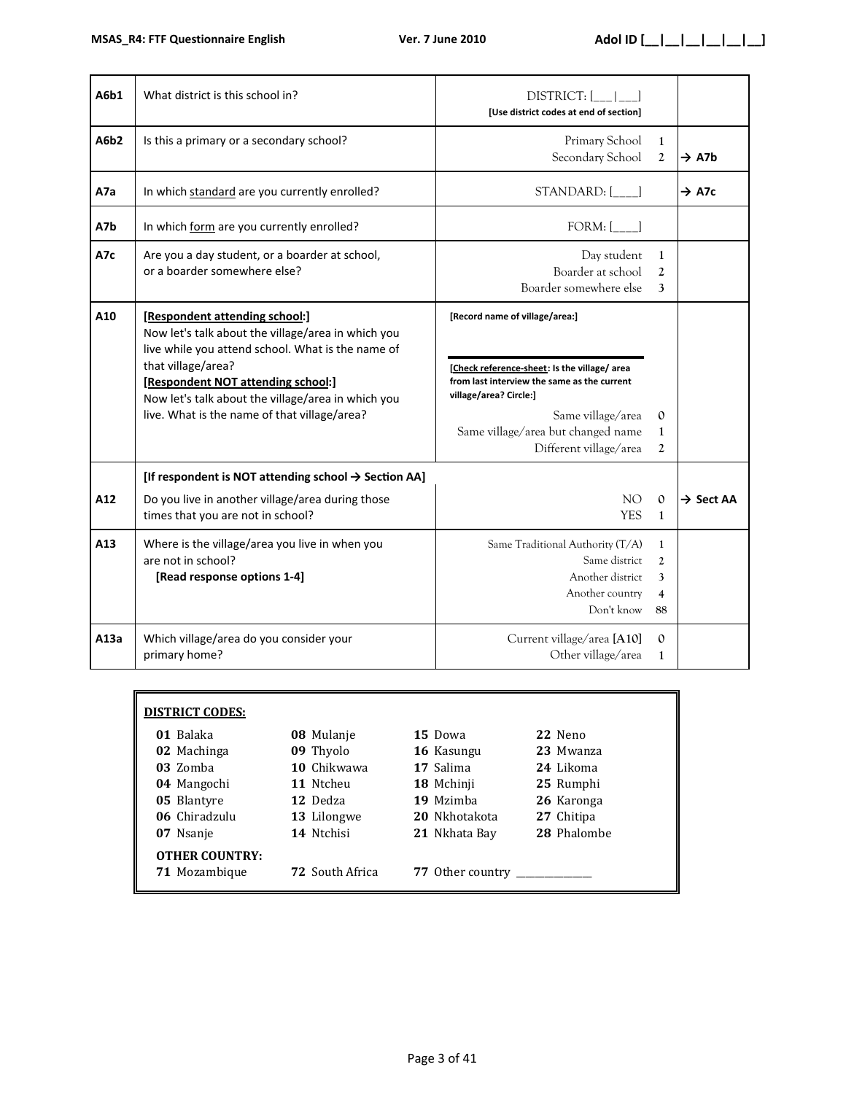| A6b1 | What district is this school in?                                                                                                                                                                                                                                                                            | <b>DISTRICT:</b><br>[Use district codes at end of section]                                                                                                                                                                                   |                                   |                       |
|------|-------------------------------------------------------------------------------------------------------------------------------------------------------------------------------------------------------------------------------------------------------------------------------------------------------------|----------------------------------------------------------------------------------------------------------------------------------------------------------------------------------------------------------------------------------------------|-----------------------------------|-----------------------|
| A6b2 | Is this a primary or a secondary school?                                                                                                                                                                                                                                                                    | Primary School<br>Secondary School                                                                                                                                                                                                           | $\mathbf{1}$<br>$\mathfrak{2}$    | $\rightarrow$ A7b     |
| A7a  | In which standard are you currently enrolled?                                                                                                                                                                                                                                                               | STANDARD: [ ]                                                                                                                                                                                                                                |                                   | $\rightarrow$ A7c     |
| A7b  | In which form are you currently enrolled?                                                                                                                                                                                                                                                                   | $FORM:$ [                                                                                                                                                                                                                                    |                                   |                       |
| A7c  | Are you a day student, or a boarder at school,<br>or a boarder somewhere else?                                                                                                                                                                                                                              | Day student<br>Boarder at school<br>Boarder somewhere else                                                                                                                                                                                   | $\mathbf{1}$<br>2<br>3            |                       |
| A10  | [Respondent attending school:]<br>Now let's talk about the village/area in which you<br>live while you attend school. What is the name of<br>that village/area?<br>[Respondent NOT attending school:]<br>Now let's talk about the village/area in which you<br>live. What is the name of that village/area? | [Record name of village/area:]<br>[Check reference-sheet: Is the village/ area<br>from last interview the same as the current<br>village/area? Circle:]<br>Same village/area<br>Same village/area but changed name<br>Different village/area | $\mathbf{0}$<br>1<br>2            |                       |
| A12  | [If respondent is NOT attending school $\rightarrow$ Section AA]<br>Do you live in another village/area during those<br>times that you are not in school?                                                                                                                                                   | NO <sub>1</sub><br><b>YES</b>                                                                                                                                                                                                                |                                   | $\rightarrow$ Sect AA |
| A13  | Where is the village/area you live in when you<br>are not in school?<br>[Read response options 1-4]                                                                                                                                                                                                         | Same Traditional Authority (T/A)<br>Same district<br>Another district<br>Another country<br>Don't know                                                                                                                                       | $\mathbf{1}$<br>2<br>3<br>4<br>88 |                       |
| A13a | Which village/area do you consider your<br>primary home?                                                                                                                                                                                                                                                    | Current village/area [A10]<br>Other village/area                                                                                                                                                                                             | $\mathbf{O}$<br>$\mathbf{1}$      |                       |

| <b>DISTRICT CODES:</b>                 |                        |                  |             |
|----------------------------------------|------------------------|------------------|-------------|
| 01 Balaka                              | 08 Mulanje             | 15 Dowa          | 22 Neno     |
| 02 Machinga                            | 09 Thyolo              | 16 Kasungu       | 23 Mwanza   |
| 03 Zomba                               | 10 Chikwawa            | 17 Salima        | 24 Likoma   |
| 04 Mangochi                            | 11 Ntcheu              | 18 Mchinji       | 25 Rumphi   |
| 05 Blantyre                            | 12 Dedza               | 19 Mzimba        | 26 Karonga  |
| 06 Chiradzulu                          | 13 Lilongwe            | 20 Nkhotakota    | 27 Chitipa  |
| 07 Nsanje                              | 14 Ntchisi             | 21 Nkhata Bay    | 28 Phalombe |
| <b>OTHER COUNTRY:</b><br>71 Mozambique | <b>72</b> South Africa | 77 Other country |             |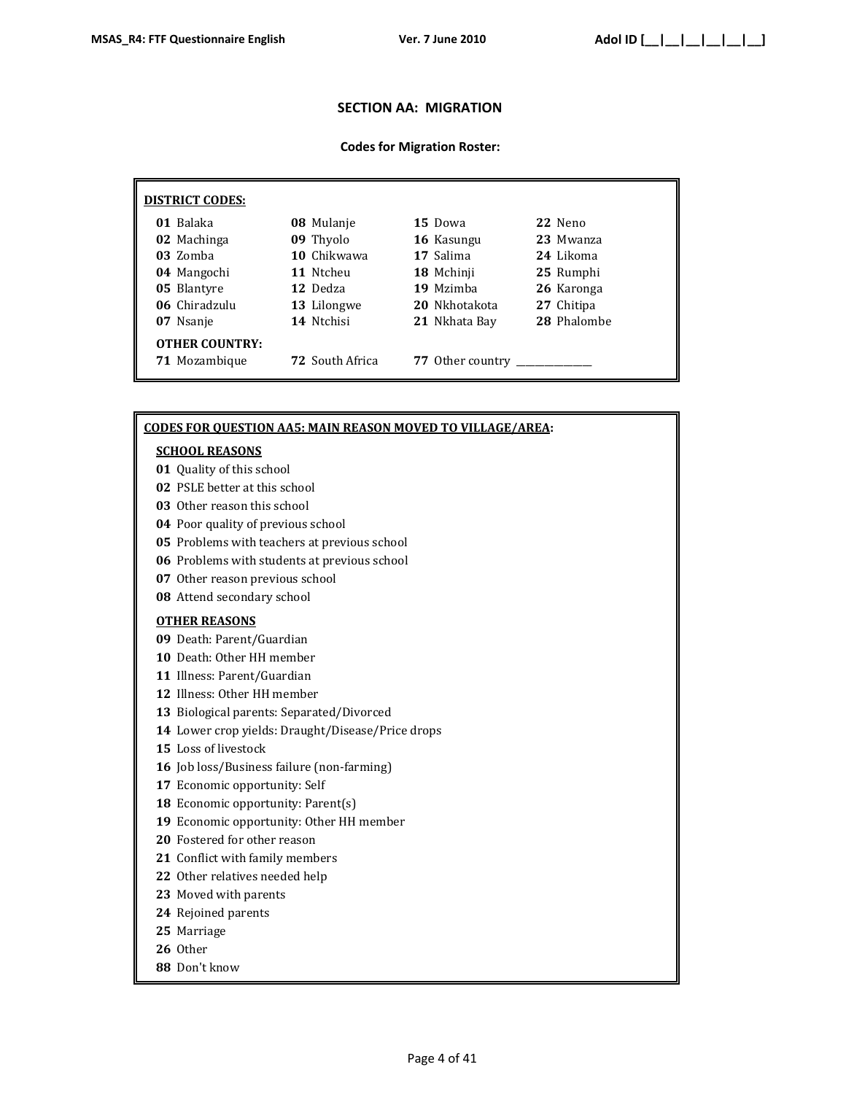### **SECTION AA: MIGRATION**

#### **Codes for Migration Roster:**

| <b>DISTRICT CODES:</b>                 |                        |                  |             |
|----------------------------------------|------------------------|------------------|-------------|
| 01 Balaka                              | 08 Mulanje             | 15 Dowa          | 22 Neno     |
| 02 Machinga                            | 09 Thyolo              | 16 Kasungu       | 23 Mwanza   |
| 03 Zomba                               | 10 Chikwawa            | 17 Salima        | 24 Likoma   |
| 04 Mangochi                            | 11 Ntcheu              | 18 Mchinji       | 25 Rumphi   |
| 05 Blantyre                            | 12 Dedza               | 19 Mzimba        | 26 Karonga  |
| 06 Chiradzulu                          | 13 Lilongwe            | 20 Nkhotakota    | 27 Chitipa  |
| 07 Nsanje                              | 14 Ntchisi             | 21 Nkhata Bay    | 28 Phalombe |
| <b>OTHER COUNTRY:</b><br>71 Mozambique | <b>72</b> South Africa | 77 Other country |             |
|                                        |                        |                  |             |

#### **CODES FOR QUESTION AA5: MAIN REASON MOVED TO VILLAGE/AREA:**

#### **SCHOOL REASONS**

- Quality of this school
- PSLE better at this school
- Other reason this school
- Poor quality of previous school
- Problems with teachers at previous school
- Problems with students at previous school
- Other reason previous school
- Attend secondary school

#### **OTHER REASONS**

- Death: Parent/Guardian
- Death: Other HH member
- Illness: Parent/Guardian
- Illness: Other HH member
- Biological parents: Separated/Divorced
- Lower crop yields: Draught/Disease/Price drops
- Loss of livestock
- Job loss/Business failure (non-farming)
- Economic opportunity: Self
- 18 Economic opportunity: Parent(s)
- Economic opportunity: Other HH member
- Fostered for other reason
- Conflict with family members
- Other relatives needed help
- Moved with parents
- Rejoined parents
- Marriage
- Other
- Don't know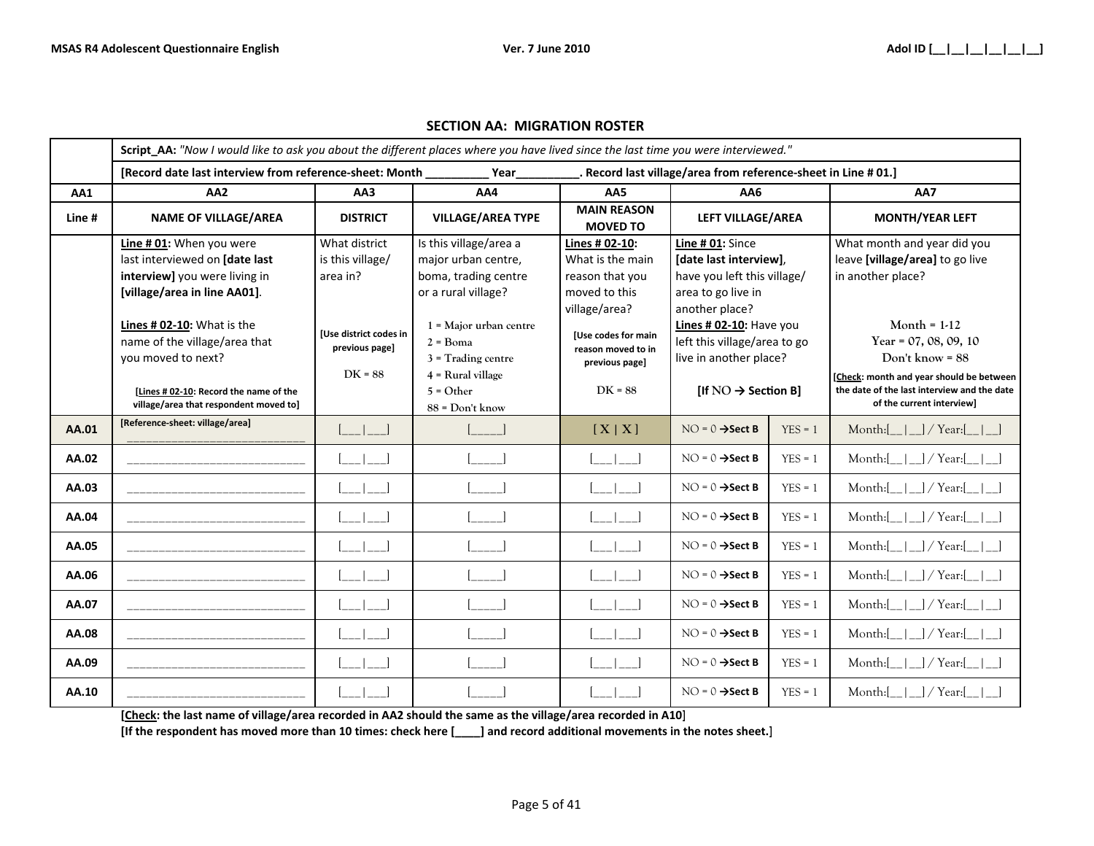|        | Script_AA: "Now I would like to ask you about the different places where you have lived since the last time you were interviewed." |                                                              |                                                                                              |                                                                                         |                                                                                                 |           |                                                                          |  |                                                                                                            |  |  |  |                        |
|--------|------------------------------------------------------------------------------------------------------------------------------------|--------------------------------------------------------------|----------------------------------------------------------------------------------------------|-----------------------------------------------------------------------------------------|-------------------------------------------------------------------------------------------------|-----------|--------------------------------------------------------------------------|--|------------------------------------------------------------------------------------------------------------|--|--|--|------------------------|
|        | [Record date last interview from reference-sheet: Month<br>Record last village/area from reference-sheet in Line #01.]<br>Year     |                                                              |                                                                                              |                                                                                         |                                                                                                 |           |                                                                          |  |                                                                                                            |  |  |  |                        |
| AA1    | AA <sub>2</sub>                                                                                                                    | AA3                                                          | AA4                                                                                          | AA5                                                                                     | AA6                                                                                             |           | AA7                                                                      |  |                                                                                                            |  |  |  |                        |
| Line # | <b>NAME OF VILLAGE/AREA</b>                                                                                                        | <b>DISTRICT</b>                                              | <b>VILLAGE/AREA TYPE</b>                                                                     | <b>MAIN REASON</b><br><b>MOVED TO</b>                                                   | LEFT VILLAGE/AREA                                                                               |           |                                                                          |  |                                                                                                            |  |  |  | <b>MONTH/YEAR LEFT</b> |
|        | Line # 01: When you were<br>last interviewed on [date last<br>interview] you were living in<br>[village/area in line AA01].        | What district<br>is this village/<br>area in?                | Is this village/area a<br>major urban centre,<br>boma, trading centre<br>or a rural village? | Lines # 02-10:<br>What is the main<br>reason that you<br>moved to this<br>village/area? | Line # 01: Since<br>[date last interview],<br>have you left this village/<br>area to go live in |           | another place?                                                           |  | What month and year did you<br>leave [village/area] to go live<br>in another place?                        |  |  |  |                        |
|        | Lines # 02-10: What is the<br>name of the village/area that<br>you moved to next?                                                  | <b>IUse district codes in</b><br>previous page]<br>$DK = 88$ | $1$ = Major urban centre<br>$2 = \text{Boma}$<br>$3$ = Trading centre<br>$4$ = Rural village | <b>[Use codes for main</b><br>reason moved to in<br>previous page]                      | Lines # 02-10: Have you<br>left this village/area to go<br>live in another place?               |           |                                                                          |  | Month = $1-12$<br>Year = $07, 08, 09, 10$<br>Don't know = $88$<br>[Check: month and year should be between |  |  |  |                        |
|        | [Lines # 02-10: Record the name of the<br>village/area that respondent moved to]                                                   |                                                              | $5 = Other$<br>$88 = Don't know$                                                             | $DK = 88$                                                                               | [If $NO \rightarrow$ Section B]                                                                 |           | the date of the last interview and the date<br>of the current interview] |  |                                                                                                            |  |  |  |                        |
| AA.01  | [Reference-sheet: village/area]                                                                                                    | $\sim$ 1 $\sim$ 1                                            |                                                                                              | [X X]                                                                                   | $NO = 0 \rightarrow Sect B$                                                                     | $YES = 1$ | Month: $[\_$  _  $]$ / Year: $[\_$                                       |  |                                                                                                            |  |  |  |                        |
| AA.02  |                                                                                                                                    |                                                              |                                                                                              |                                                                                         | $NO = 0 \rightarrow Sect B$                                                                     | $YES = 1$ | Month: $[\_   \_ ]$ / Year: $[$                                          |  |                                                                                                            |  |  |  |                        |
| AA.03  |                                                                                                                                    |                                                              |                                                                                              |                                                                                         | $NO = 0 \rightarrow Sect B$                                                                     | $YES = 1$ | Month: $[\_   \_ ]$ / Year: $[$                                          |  |                                                                                                            |  |  |  |                        |
| AA.04  |                                                                                                                                    |                                                              |                                                                                              |                                                                                         | $NO = 0 \rightarrow Sect B$                                                                     | $YES = 1$ | Month: $\vert$ $\vert$ $\vert$ / Year:                                   |  |                                                                                                            |  |  |  |                        |
| AA.05  |                                                                                                                                    |                                                              |                                                                                              |                                                                                         | $NO = 0 \rightarrow Sect B$                                                                     | $YES = 1$ | Month: $\vert$ $\vert$ $\vert$ / Year: $\vert$ $\vert$                   |  |                                                                                                            |  |  |  |                        |
| AA.06  |                                                                                                                                    |                                                              |                                                                                              |                                                                                         | $NO = 0 \rightarrow Sect B$                                                                     | $YES = 1$ | Month: $[\_   \_ ]$ / Year: $[$                                          |  |                                                                                                            |  |  |  |                        |
| AA.07  |                                                                                                                                    |                                                              |                                                                                              |                                                                                         | $NO = 0 \rightarrow Sect B$                                                                     | $YES = 1$ | Month: $[\_   \_ ]$ / Year: $[$                                          |  |                                                                                                            |  |  |  |                        |
| AA.08  |                                                                                                                                    |                                                              |                                                                                              |                                                                                         | $NO = 0 \rightarrow Sect B$                                                                     | $YES = 1$ | Month: $[\_   \_ ]$ / Year: $[$                                          |  |                                                                                                            |  |  |  |                        |
| AA.09  |                                                                                                                                    |                                                              |                                                                                              |                                                                                         | $NO = 0 \rightarrow Sect B$                                                                     | $YES = 1$ | Month: $[\_   \_ ]$ / Year: $[$                                          |  |                                                                                                            |  |  |  |                        |
| AA.10  |                                                                                                                                    |                                                              |                                                                                              |                                                                                         | $NO = 0 \rightarrow Sect B$                                                                     | $YES = 1$ | Month: $[\_   \_ ]$ / Year:                                              |  |                                                                                                            |  |  |  |                        |

#### **SECTION AA: MIGRATION ROSTER**

**[Check: the last name of village/area recorded in AA2 should the same as the village/area recorded in A10]**

**[If the respondent has moved more than 10 times: check here [\_\_\_\_] and record additional movements in the notes sheet.]**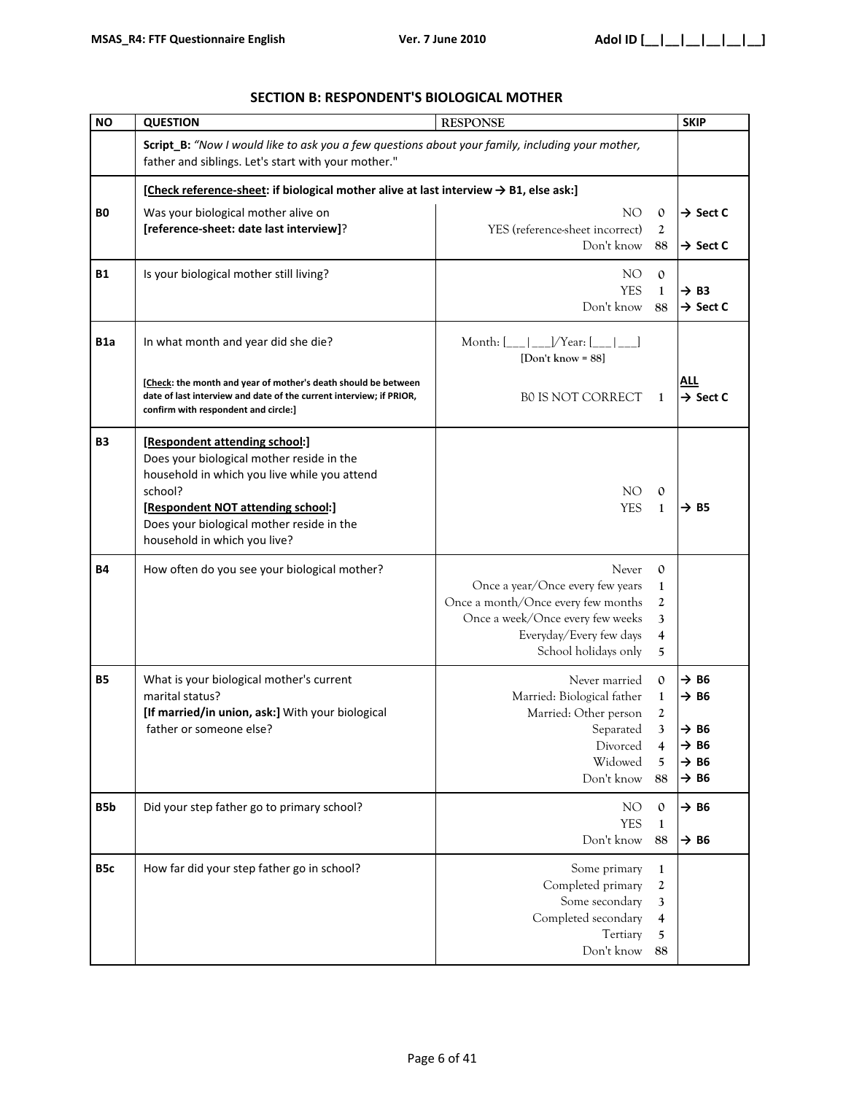| <b>NO</b>        | <b>QUESTION</b><br><b>RESPONSE</b>                                                                                                                                                                                                                        |                                                                                                                                                                                                                                                    |                                                                                                          |
|------------------|-----------------------------------------------------------------------------------------------------------------------------------------------------------------------------------------------------------------------------------------------------------|----------------------------------------------------------------------------------------------------------------------------------------------------------------------------------------------------------------------------------------------------|----------------------------------------------------------------------------------------------------------|
|                  | Script_B: "Now I would like to ask you a few questions about your family, including your mother,<br>father and siblings. Let's start with your mother."                                                                                                   |                                                                                                                                                                                                                                                    |                                                                                                          |
|                  | [Check reference-sheet: if biological mother alive at last interview → B1, else ask:]                                                                                                                                                                     |                                                                                                                                                                                                                                                    |                                                                                                          |
| BO.              | Was your biological mother alive on<br>[reference-sheet: date last interview]?                                                                                                                                                                            | NO.<br>$\mathbf{0}$<br>YES (reference-sheet incorrect)<br>2<br>Don't know<br>88                                                                                                                                                                    | $\rightarrow$ Sect C<br>$\rightarrow$ Sect C                                                             |
| <b>B1</b>        | Is your biological mother still living?                                                                                                                                                                                                                   | NO<br>$\mathbf{0}$<br><b>YES</b><br>$\mathbf{1}$<br>Don't know<br>88                                                                                                                                                                               | $\rightarrow$ B3<br>$\rightarrow$ Sect C                                                                 |
| B1a              | In what month and year did she die?<br>[Check: the month and year of mother's death should be between                                                                                                                                                     | Month: $[\_ \_ ]\_ \_V$ Year: $[\_ \_ ]$<br>[Don't know = $88$ ]                                                                                                                                                                                   | ALL                                                                                                      |
|                  | date of last interview and date of the current interview; if PRIOR,<br>confirm with respondent and circle:]                                                                                                                                               | <b>BO IS NOT CORRECT</b><br>1                                                                                                                                                                                                                      | $\rightarrow$ Sect C                                                                                     |
| B3               | [Respondent attending school:]<br>Does your biological mother reside in the<br>household in which you live while you attend<br>school?<br>[Respondent NOT attending school:]<br>Does your biological mother reside in the<br>household in which you live? | NO.<br>$\mathbf{0}$<br><b>YES</b><br>1                                                                                                                                                                                                             | $\rightarrow$ B5                                                                                         |
| <b>B4</b>        | How often do you see your biological mother?                                                                                                                                                                                                              | Never<br>$\mathbf{O}$<br>Once a year/Once every few years<br>$\mathbf{1}$<br>Once a month/Once every few months<br>$\mathbf{2}$<br>Once a week/Once every few weeks<br>3<br>Everyday/Every few days<br>$\overline{4}$<br>School holidays only<br>5 |                                                                                                          |
| <b>B5</b>        | What is your biological mother's current<br>marital status?<br>[If married/in union, ask:] With your biological<br>father or someone else?                                                                                                                | Never married<br>$\mathbf{0}$<br>Married: Biological father<br>$\mathbf{1}$<br>Married: Other person<br>2<br>3<br>Separated<br>Divorced<br>4<br>Widowed<br>5<br>Don't know<br>88                                                                   | $\rightarrow$ B6<br>→ B6<br>$\rightarrow$ B6<br>$\rightarrow$ B6<br>$\rightarrow$ B6<br>$\rightarrow$ B6 |
| B <sub>5</sub> b | Did your step father go to primary school?                                                                                                                                                                                                                | NO<br>$\mathbf{0}$<br><b>YES</b><br>$\mathbf{1}$<br>Don't know<br>88                                                                                                                                                                               | $\rightarrow$ B6<br>$\rightarrow$ B6                                                                     |
| B <sub>5</sub> c | How far did your step father go in school?                                                                                                                                                                                                                | Some primary<br>$\mathbf{1}$<br>Completed primary<br>2<br>Some secondary<br>3<br>Completed secondary<br>4<br>Tertiary<br>5<br>Don't know<br>88                                                                                                     |                                                                                                          |

### **SECTION B: RESPONDENT'S BIOLOGICAL MOTHER**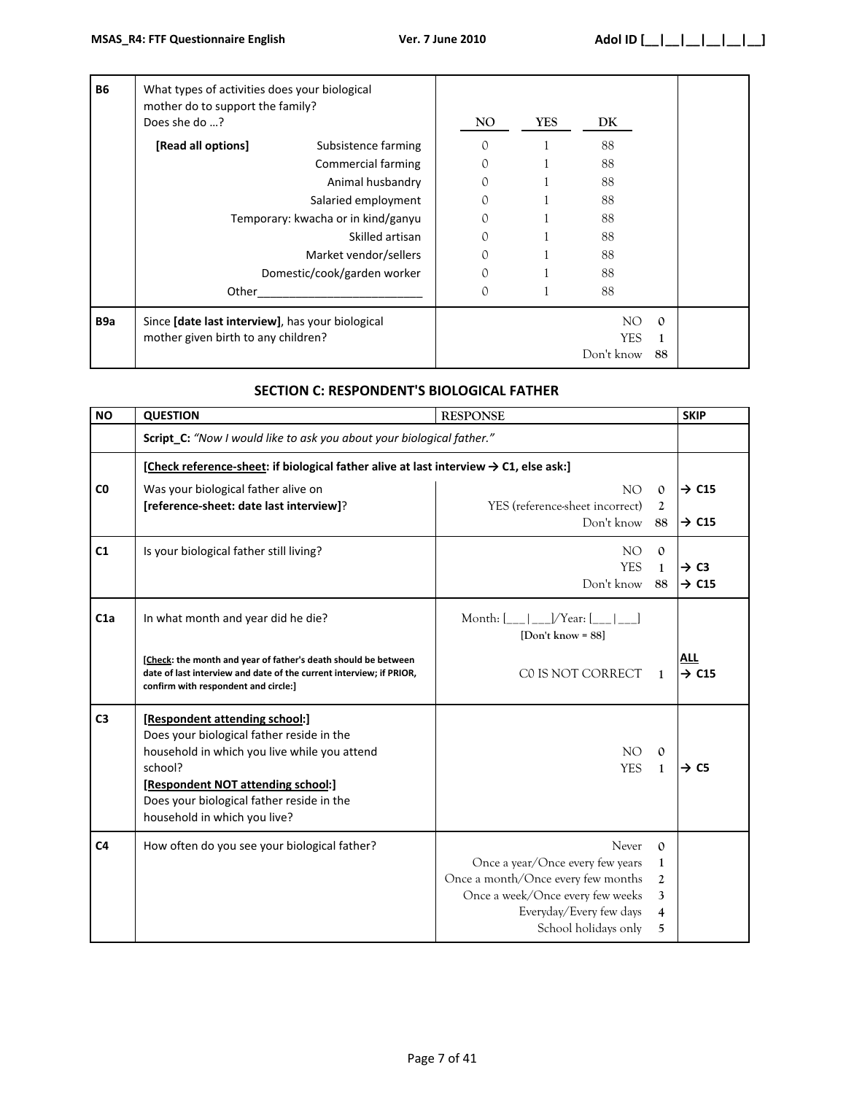| <b>B6</b>        | What types of activities does your biological<br>mother do to support the family?<br>Does she do ? |                                    | NO. | YES | DK                        |                |
|------------------|----------------------------------------------------------------------------------------------------|------------------------------------|-----|-----|---------------------------|----------------|
|                  | [Read all options]                                                                                 | Subsistence farming                | 0   |     | 88                        |                |
|                  |                                                                                                    | <b>Commercial farming</b>          | 0   |     | 88                        |                |
|                  |                                                                                                    | Animal husbandry                   | 0   |     | 88                        |                |
|                  |                                                                                                    | Salaried employment                | 0   |     | 88                        |                |
|                  |                                                                                                    | Temporary: kwacha or in kind/ganyu | 0   |     | 88                        |                |
|                  |                                                                                                    | Skilled artisan                    | 0   |     | 88                        |                |
|                  |                                                                                                    | Market vendor/sellers              | 0   |     | 88                        |                |
|                  |                                                                                                    | Domestic/cook/garden worker        | 0   |     | 88                        |                |
|                  | Other                                                                                              |                                    | 0   |     | 88                        |                |
| B <sub>9</sub> a | Since [date last interview], has your biological<br>mother given birth to any children?            |                                    |     |     | NO.<br>YES.<br>Don't know | $\Omega$<br>88 |

# **SECTION C: RESPONDENT'S BIOLOGICAL FATHER**

| <b>NO</b>      | <b>QUESTION</b>                                                                                                                                                                                                                                           | <b>RESPONSE</b>                                                                                                                                                        |                                                                    | <b>SKIP</b>                            |
|----------------|-----------------------------------------------------------------------------------------------------------------------------------------------------------------------------------------------------------------------------------------------------------|------------------------------------------------------------------------------------------------------------------------------------------------------------------------|--------------------------------------------------------------------|----------------------------------------|
|                | Script_C: "Now I would like to ask you about your biological father."                                                                                                                                                                                     |                                                                                                                                                                        |                                                                    |                                        |
|                | [Check reference-sheet: if biological father alive at last interview $\rightarrow$ C1, else ask:]                                                                                                                                                         |                                                                                                                                                                        |                                                                    |                                        |
| C <sub>0</sub> | Was your biological father alive on<br>[reference-sheet: date last interview]?                                                                                                                                                                            | NO<br>YES (reference-sheet incorrect)<br>Don't know                                                                                                                    | $\mathbf{0}$<br>$\overline{2}$<br>88                               | $\rightarrow$ C15<br>$\rightarrow$ C15 |
| C1             | Is your biological father still living?                                                                                                                                                                                                                   | NO <sub>1</sub><br><b>YES</b><br>Don't know                                                                                                                            | $\mathbf{0}$<br>$\mathbf{1}$<br>88                                 | $\rightarrow$ C3<br>$\rightarrow$ C15  |
| C1a            | In what month and year did he die?                                                                                                                                                                                                                        | Month: $ $   $ $ /Year: $ $  <br>[Don't know = $88$ ]                                                                                                                  |                                                                    |                                        |
|                | [Check: the month and year of father's death should be between<br>date of last interview and date of the current interview; if PRIOR,<br>confirm with respondent and circle:]                                                                             | CO IS NOT CORRECT                                                                                                                                                      | 1                                                                  | ALL<br>$\rightarrow$ C15               |
| C <sub>3</sub> | [Respondent attending school:]<br>Does your biological father reside in the<br>household in which you live while you attend<br>school?<br>[Respondent NOT attending school:]<br>Does your biological father reside in the<br>household in which you live? | NO<br><b>YES</b>                                                                                                                                                       | $\mathbf{0}$<br>$\mathbf{1}$                                       | → C5                                   |
| C <sub>4</sub> | How often do you see your biological father?                                                                                                                                                                                                              | Never<br>Once a year/Once every few years<br>Once a month/Once every few months<br>Once a week/Once every few weeks<br>Everyday/Every few days<br>School holidays only | $\Omega$<br>$\mathbf{1}$<br>2<br>3<br>$\overline{\mathbf{4}}$<br>5 |                                        |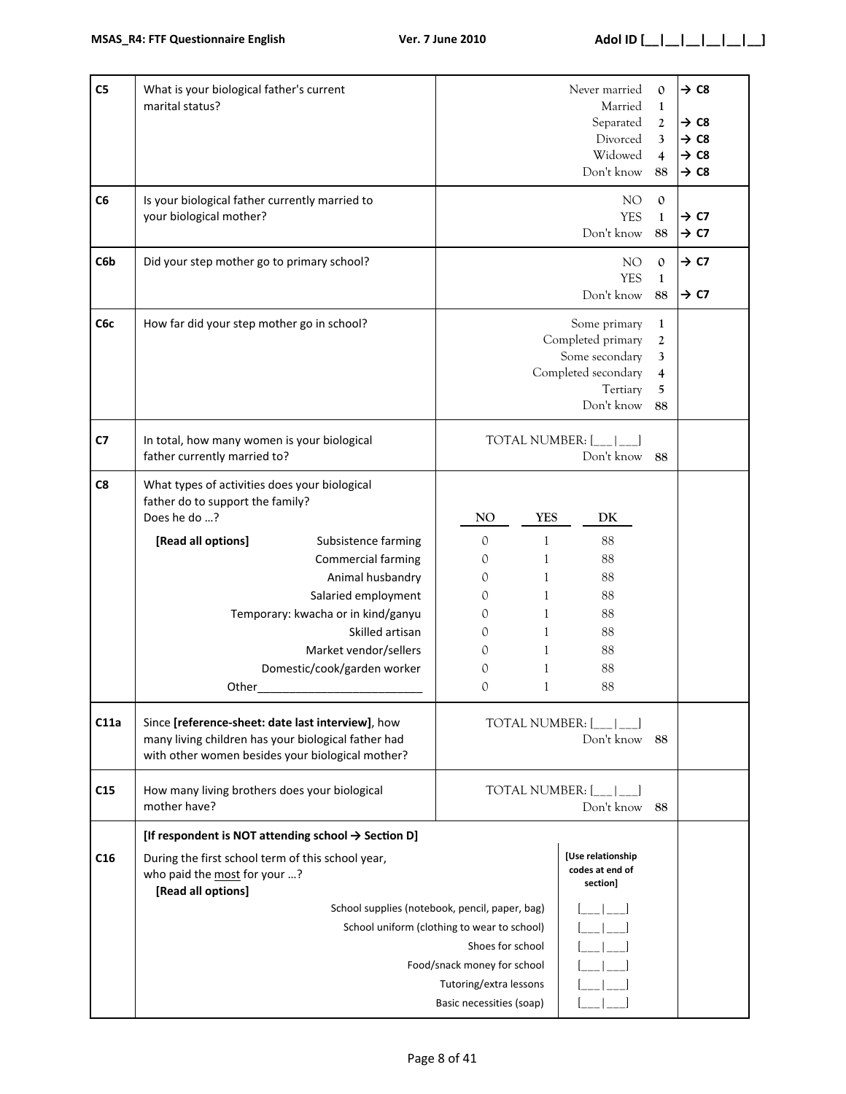| C5              | What is your biological father's current<br>marital status?                                                                                                                                                                 |                                                                                                                                                       | Never married<br>Married<br>Separated<br>Divorced<br>Widowed<br>Don't know                           | $\mathbf{O}$<br>$\mathbf{1}$<br>2<br>3<br>4<br>88 | $\rightarrow$ C8<br>$\rightarrow$ C8<br>$\rightarrow$ C8<br>$\rightarrow$ C8<br>$\rightarrow$ C8 |
|-----------------|-----------------------------------------------------------------------------------------------------------------------------------------------------------------------------------------------------------------------------|-------------------------------------------------------------------------------------------------------------------------------------------------------|------------------------------------------------------------------------------------------------------|---------------------------------------------------|--------------------------------------------------------------------------------------------------|
| C <sub>6</sub>  | Is your biological father currently married to<br>your biological mother?                                                                                                                                                   |                                                                                                                                                       | NO<br><b>YES</b><br>Don't know                                                                       | $\boldsymbol{0}$<br>$\mathbf{1}$<br>88            | $\rightarrow$ C7<br>$\rightarrow$ C7                                                             |
| C6b             | Did your step mother go to primary school?                                                                                                                                                                                  |                                                                                                                                                       | NO <sub>1</sub><br><b>YES</b><br>Don't know                                                          | $\mathbf{O}$<br>$\mathbf{1}$<br>88                | $\rightarrow$ C7<br>$\rightarrow$ C7                                                             |
| C6c             | How far did your step mother go in school?                                                                                                                                                                                  |                                                                                                                                                       | Some primary<br>Completed primary<br>Some secondary<br>Completed secondary<br>Tertiary<br>Don't know | $\mathbf{1}$<br>2<br>3<br>4<br>5<br>88            |                                                                                                  |
| C7              | In total, how many women is your biological<br>father currently married to?                                                                                                                                                 | <b>TOTAL NUMBER: [</b>                                                                                                                                | Don't know                                                                                           | 88                                                |                                                                                                  |
| C8              | What types of activities does your biological<br>father do to support the family?<br>Does he do ?                                                                                                                           | NO<br><b>YES</b>                                                                                                                                      | DK                                                                                                   |                                                   |                                                                                                  |
|                 | [Read all options]<br>Subsistence farming<br>Commercial farming<br>Animal husbandry<br>Salaried employment<br>Temporary: kwacha or in kind/ganyu<br>Skilled artisan<br>Market vendor/sellers<br>Domestic/cook/garden worker | $\mathbf{0}$<br>1<br>0<br>1<br>$\mathcal{O}$<br>1<br>1<br>0<br>$\mathbf{1}$<br>0<br>1<br>0<br>1<br>$\Omega$<br>0<br>1<br>$\mathbf{0}$<br>$\mathbf{1}$ | 88<br>88<br>88<br>88<br>88<br>88<br>88<br>88<br>88                                                   |                                                   |                                                                                                  |
| C11a            | Other<br>Since [reference-sheet: date last interview], how<br>many living children has your biological father had<br>with other women besides your biological mother?                                                       | <b>TOTAL NUMBER: [</b>                                                                                                                                | Don't know                                                                                           | 88                                                |                                                                                                  |
| C15             | How many living brothers does your biological<br>mother have?                                                                                                                                                               | TOTAL NUMBER: [                                                                                                                                       | Don't know                                                                                           | 88                                                |                                                                                                  |
| C <sub>16</sub> | [If respondent is NOT attending school $\rightarrow$ Section D]<br>During the first school term of this school year,<br>who paid the most for your ?<br>[Read all options]                                                  | School supplies (notebook, pencil, paper, bag)                                                                                                        | [Use relationship<br>codes at end of<br>section]                                                     |                                                   |                                                                                                  |
|                 | School uniform (clothing to wear to school)<br>Shoes for school<br>Food/snack money for school<br>Tutoring/extra lessons<br>Basic necessities (soap)                                                                        |                                                                                                                                                       |                                                                                                      |                                                   |                                                                                                  |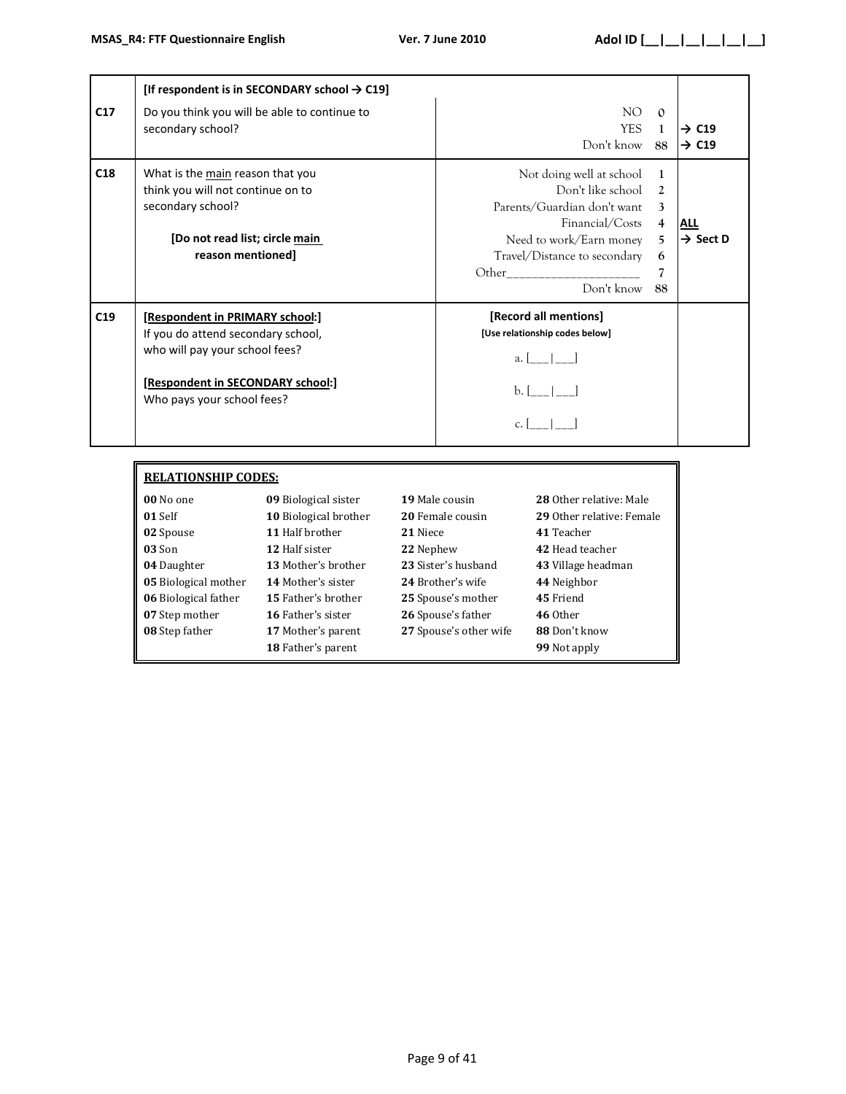|     | [If respondent is in SECONDARY school $\rightarrow$ C19]                                                                                                                   |                                                                                                                                                                                                                                                                                                                                                                                                            |                                                            |                                        |
|-----|----------------------------------------------------------------------------------------------------------------------------------------------------------------------------|------------------------------------------------------------------------------------------------------------------------------------------------------------------------------------------------------------------------------------------------------------------------------------------------------------------------------------------------------------------------------------------------------------|------------------------------------------------------------|----------------------------------------|
| C17 | Do you think you will be able to continue to<br>secondary school?                                                                                                          | NO.<br><b>YES</b><br>Don't know                                                                                                                                                                                                                                                                                                                                                                            | $\Omega$<br>$\mathbf{1}$<br>88                             | $\rightarrow$ C19<br>$\rightarrow$ C19 |
| C18 | What is the main reason that you<br>think you will not continue on to<br>secondary school?<br>[Do not read list; circle main<br>reason mentioned]                          | Not doing well at school<br>Don't like school<br>Parents/Guardian don't want<br>Financial/Costs<br>Need to work/Earn money<br>Travel/Distance to secondary<br>Other the contract of the contract of the contract of the contract of the contract of the contract of the contract of the contract of the contract of the contract of the contract of the contract of the contract of the cont<br>Don't know | 1<br>$\mathfrak{D}$<br>3<br>$\overline{4}$<br>5<br>6<br>88 | <b>ALL</b><br>$\rightarrow$ Sect D     |
| C19 | [Respondent in PRIMARY school:]<br>If you do attend secondary school,<br>who will pay your school fees?<br>[Respondent in SECONDARY school:]<br>Who pays your school fees? | [Record all mentions]<br>[Use relationship codes below]<br>a. $\lfloor -\rfloor$<br>$b.$ $\lfloor -\rfloor$                                                                                                                                                                                                                                                                                                |                                                            |                                        |

| <b>RELATIONSHIP CODES:</b> |                       |                        |                           |  |  |
|----------------------------|-----------------------|------------------------|---------------------------|--|--|
| 00 No one                  | 09 Biological sister  | 19 Male cousin         | 28 Other relative: Male   |  |  |
| 01 Self                    | 10 Biological brother | 20 Female cousin       | 29 Other relative: Female |  |  |
| 02 Spouse                  | 11 Half brother       | 21 Niece               | 41 Teacher                |  |  |
| 03 Son                     | 12 Half sister        | 22 Nephew              | 42 Head teacher           |  |  |
| 04 Daughter                | 13 Mother's brother   | 23 Sister's husband    | 43 Village headman        |  |  |
| 05 Biological mother       | 14 Mother's sister    | 24 Brother's wife      | 44 Neighbor               |  |  |
| 06 Biological father       | 15 Father's brother   | 25 Spouse's mother     | 45 Friend                 |  |  |
| 07 Step mother             | 16 Father's sister    | 26 Spouse's father     | 46 Other                  |  |  |
| 08 Step father             | 17 Mother's parent    | 27 Spouse's other wife | 88 Don't know             |  |  |
|                            | 18 Father's parent    |                        | 99 Not apply              |  |  |

### Page 9 of 41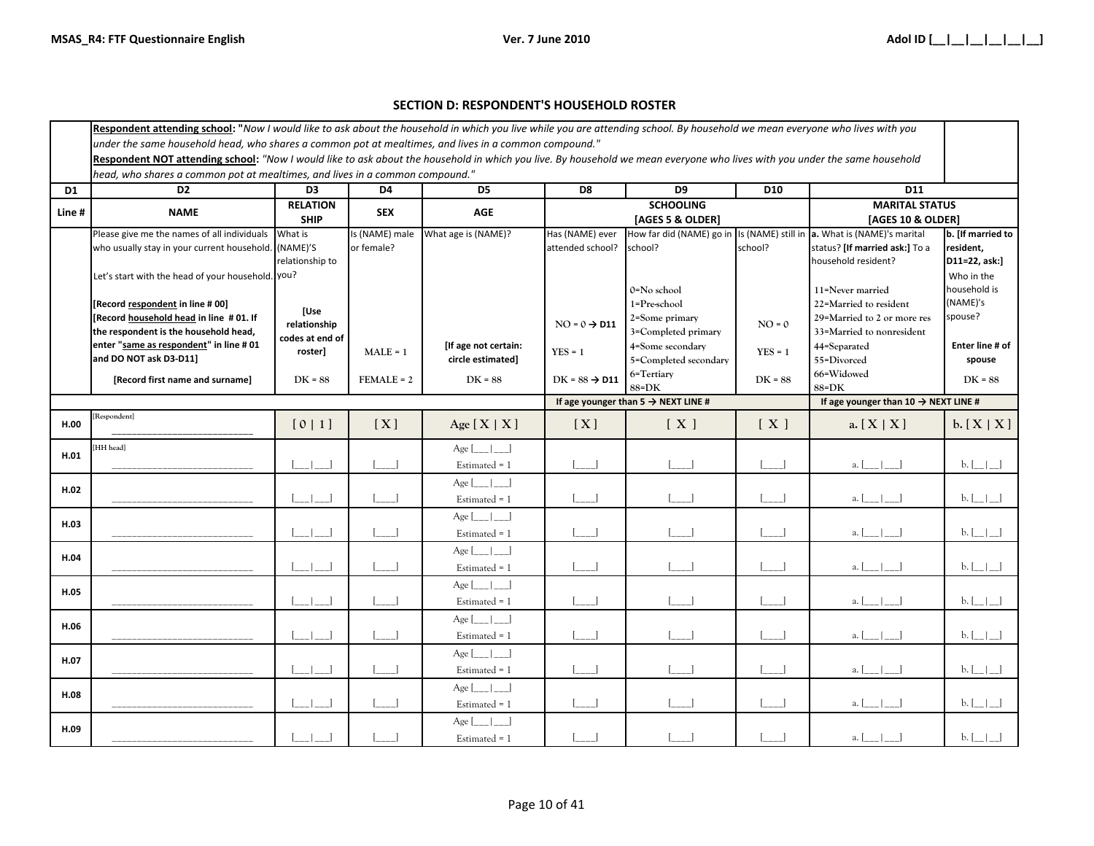#### **SECTION D: RESPONDENT'S HOUSEHOLD ROSTER**

| Respondent attending school: "Now I would like to ask about the household in which you live while you are attending school. By household we mean everyone who lives with you |                                                                                                                                                                            |                 |                                                |                               |                           |                                                 |                 |                                                                         |                            |
|------------------------------------------------------------------------------------------------------------------------------------------------------------------------------|----------------------------------------------------------------------------------------------------------------------------------------------------------------------------|-----------------|------------------------------------------------|-------------------------------|---------------------------|-------------------------------------------------|-----------------|-------------------------------------------------------------------------|----------------------------|
|                                                                                                                                                                              | under the same household head, who shares a common pot at mealtimes, and lives in a common compound."                                                                      |                 |                                                |                               |                           |                                                 |                 |                                                                         |                            |
|                                                                                                                                                                              | Respondent NOT attending school: "Now I would like to ask about the household in which you live. By household we mean everyone who lives with you under the same household |                 |                                                |                               |                           |                                                 |                 |                                                                         |                            |
|                                                                                                                                                                              | head, who shares a common pot at mealtimes, and lives in a common compound."                                                                                               |                 |                                                |                               |                           |                                                 |                 |                                                                         |                            |
| D <sub>1</sub>                                                                                                                                                               | D <sub>2</sub>                                                                                                                                                             | D <sub>3</sub>  | D4                                             | D <sub>5</sub>                | D8                        | D9                                              | D <sub>10</sub> | D11                                                                     |                            |
| Line#                                                                                                                                                                        | <b>NAME</b>                                                                                                                                                                | <b>RELATION</b> | <b>SEX</b>                                     | <b>AGE</b>                    |                           | <b>SCHOOLING</b>                                |                 | <b>MARITAL STATUS</b>                                                   |                            |
|                                                                                                                                                                              |                                                                                                                                                                            | <b>SHIP</b>     |                                                |                               |                           | [AGES 5 & OLDER]                                |                 | [AGES 10 & OLDER]                                                       |                            |
|                                                                                                                                                                              | Please give me the names of all individuals                                                                                                                                | What is         | Is (NAME) male                                 | What age is (NAME)?           | Has (NAME) ever           |                                                 |                 | How far did (NAME) go in Is (NAME) still in a. What is (NAME)'s marital | b. [If married to          |
|                                                                                                                                                                              | who usually stay in your current household. (NAME)'S                                                                                                                       |                 | or female?                                     |                               | attended school?          | school?                                         | school?         | status? [If married ask:] To a                                          | resident,                  |
|                                                                                                                                                                              |                                                                                                                                                                            | relationship to |                                                |                               |                           |                                                 |                 | household resident?                                                     | D11=22, ask:]              |
|                                                                                                                                                                              | Let's start with the head of your household. you?                                                                                                                          |                 |                                                |                               |                           |                                                 |                 |                                                                         | Who in the<br>household is |
|                                                                                                                                                                              | [Record respondent in line #00]                                                                                                                                            |                 |                                                |                               |                           | 0=No school<br>1=Pre-school                     |                 | 11=Never married<br>22=Married to resident                              | (NAME)'s                   |
|                                                                                                                                                                              | [Record household head in line #01. If                                                                                                                                     | [Use            |                                                |                               |                           | 2=Some primary                                  |                 | 29=Married to 2 or more res                                             | spouse?                    |
|                                                                                                                                                                              | the respondent is the household head,                                                                                                                                      | relationship    |                                                |                               | $NO = 0 \rightarrow D11$  | 3=Completed primary                             | $NO = 0$        | 33=Married to nonresident                                               |                            |
|                                                                                                                                                                              | enter "same as respondent" in line # 01                                                                                                                                    | codes at end of |                                                | [If age not certain:          |                           | 4=Some secondary                                |                 | 44=Separated                                                            | Enter line # of            |
|                                                                                                                                                                              | and DO NOT ask D3-D11]                                                                                                                                                     | roster]         | $MALE = 1$                                     | circle estimated]             | $YES = 1$                 | 5=Completed secondary                           | $YES = 1$       | 55=Divorced                                                             | spouse                     |
|                                                                                                                                                                              | [Record first name and surname]                                                                                                                                            | $DK = 88$       | $FEMALE = 2$                                   | $DK = 88$                     | $DK = 88 \rightarrow D11$ | 6=Tertiary                                      | $DK = 88$       | 66=Widowed                                                              | $DK = 88$                  |
|                                                                                                                                                                              |                                                                                                                                                                            |                 |                                                |                               |                           | $88 = DK$                                       |                 | 88=DK                                                                   |                            |
|                                                                                                                                                                              |                                                                                                                                                                            |                 |                                                |                               |                           | If age younger than 5 $\rightarrow$ NEXT LINE # |                 | If age younger than $10 \rightarrow \text{NEXT}$ LINE #                 |                            |
| H.00                                                                                                                                                                         | Respondent]                                                                                                                                                                | $[0 1]$         | [X]                                            | Age $[X   X]$                 | [X]                       | [X]                                             | [X]             | a. $[X   X]$                                                            | b. [X   X]                 |
|                                                                                                                                                                              | HH head]                                                                                                                                                                   |                 |                                                | $Age$ $\vert$ $\vert$ $\vert$ |                           |                                                 |                 |                                                                         |                            |
| H.01                                                                                                                                                                         |                                                                                                                                                                            |                 | $\lfloor \_ \_$                                | Estimated = 1                 | $---1$                    |                                                 | $\Box$          | $a.$ $[ ] ]$                                                            | b. [                       |
|                                                                                                                                                                              |                                                                                                                                                                            |                 |                                                | $Age$ $\vert$ $\vert$ $\vert$ |                           |                                                 |                 |                                                                         |                            |
| H.02                                                                                                                                                                         |                                                                                                                                                                            |                 | $\Box$                                         | Estimated = 1                 | $\blacksquare$            |                                                 |                 | $a.$                                                                    | $b.$ $\lfloor -1 \rfloor$  |
|                                                                                                                                                                              |                                                                                                                                                                            |                 |                                                |                               |                           |                                                 |                 |                                                                         |                            |
| H.03                                                                                                                                                                         |                                                                                                                                                                            |                 |                                                | Age $[\_$ $[\_$               |                           |                                                 |                 |                                                                         |                            |
|                                                                                                                                                                              |                                                                                                                                                                            |                 | $\Box$                                         | Estimated = 1                 |                           |                                                 |                 | a.                                                                      | $b.$ [ $-$ ]               |
| H.04                                                                                                                                                                         |                                                                                                                                                                            |                 |                                                | $Age$ $\vert$ $\vert$ $\vert$ |                           |                                                 |                 |                                                                         |                            |
|                                                                                                                                                                              |                                                                                                                                                                            |                 | $\begin{bmatrix} 1 & 1 \\ 1 & 1 \end{bmatrix}$ | Estimated = 1                 | $\sim$ 1                  |                                                 |                 | $a \mid \cdot \cdot \cdot$                                              | $b.$ [ $\Box$ ]            |
| H.05                                                                                                                                                                         |                                                                                                                                                                            |                 |                                                | $Age$ $\vert$ $\vert$ $\vert$ |                           |                                                 |                 |                                                                         |                            |
|                                                                                                                                                                              |                                                                                                                                                                            |                 | $\Box$                                         | Estimated = 1                 | $\sim$ 1                  |                                                 |                 | a.                                                                      | $b.$ [ $\Box$ ]            |
|                                                                                                                                                                              |                                                                                                                                                                            |                 |                                                | $Age$                         |                           |                                                 |                 |                                                                         |                            |
| H.06                                                                                                                                                                         |                                                                                                                                                                            |                 |                                                | Estimated = 1                 |                           |                                                 |                 | a. [                                                                    | $b.$ [_ _]                 |
|                                                                                                                                                                              |                                                                                                                                                                            |                 |                                                | $Age$ $\vert$ $\vert$ $\vert$ |                           |                                                 |                 |                                                                         |                            |
| H.07                                                                                                                                                                         |                                                                                                                                                                            |                 |                                                | Estimated = 1                 |                           |                                                 |                 | a.                                                                      | b. [                       |
|                                                                                                                                                                              |                                                                                                                                                                            |                 |                                                |                               |                           |                                                 |                 |                                                                         |                            |
| H.08                                                                                                                                                                         |                                                                                                                                                                            |                 |                                                | $Age$ $\vert$ $\vert$ $\vert$ |                           |                                                 |                 |                                                                         |                            |
|                                                                                                                                                                              |                                                                                                                                                                            |                 |                                                | Estimated = 1                 |                           |                                                 |                 | a.                                                                      | $b.$ [_ _]                 |
| H.09                                                                                                                                                                         |                                                                                                                                                                            |                 |                                                | $Age$ $\vert$ $\vert$ $\vert$ |                           |                                                 |                 |                                                                         |                            |
|                                                                                                                                                                              |                                                                                                                                                                            |                 |                                                | Estimated = 1                 |                           |                                                 |                 | a.                                                                      | $b.$ $\lfloor -1 \rfloor$  |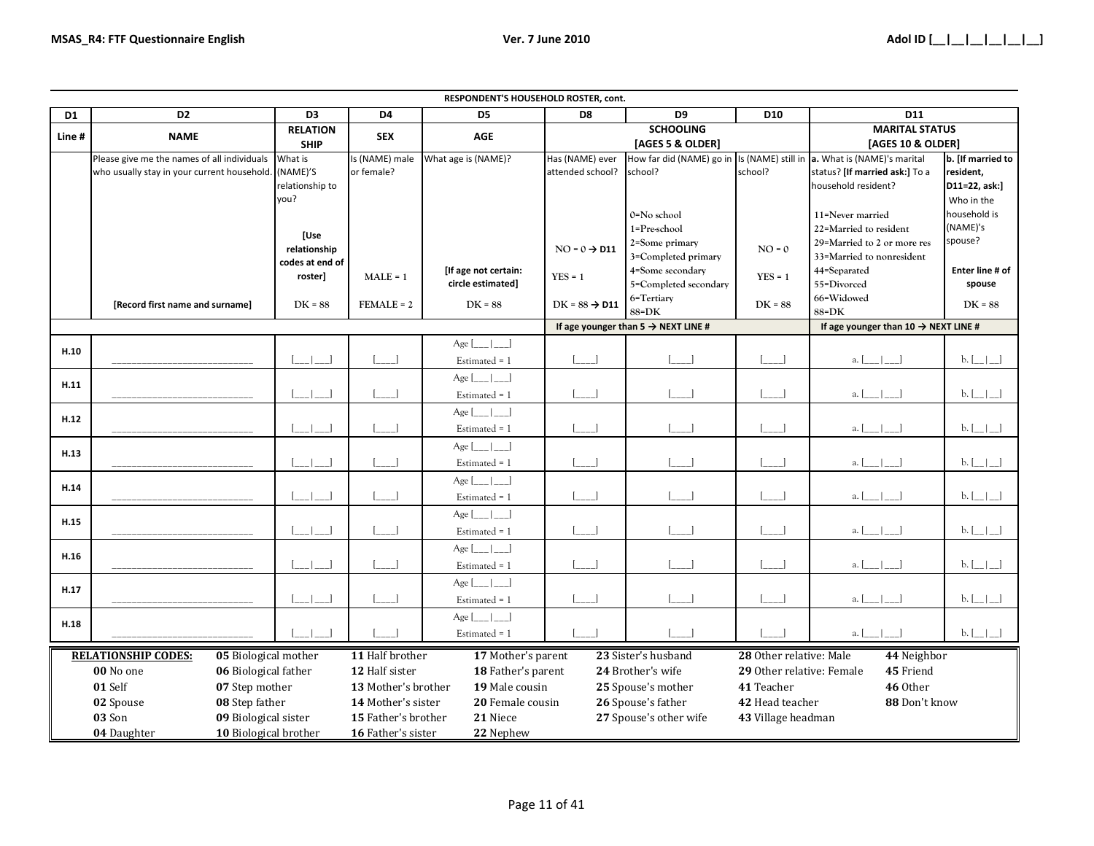|                |                                                      |                                   |                     | RESPONDENT'S HOUSEHOLD ROSTER, cont.      |                           |                                                 |                           |                                                  |                            |
|----------------|------------------------------------------------------|-----------------------------------|---------------------|-------------------------------------------|---------------------------|-------------------------------------------------|---------------------------|--------------------------------------------------|----------------------------|
| D <sub>1</sub> | D <sub>2</sub>                                       | D <sub>3</sub><br><b>RELATION</b> | D4                  | D <sub>5</sub>                            | D <sub>8</sub>            | D <sub>9</sub><br><b>SCHOOLING</b>              | D <sub>10</sub>           | D11<br><b>MARITAL STATUS</b>                     |                            |
| Line#          | <b>NAME</b>                                          | <b>SHIP</b>                       | <b>SEX</b>          | <b>AGE</b>                                |                           | [AGES 5 & OLDER]                                |                           | [AGES 10 & OLDER]                                |                            |
|                | Please give me the names of all individuals          | What is                           | Is (NAME) male      | What age is (NAME)?                       | Has (NAME) ever           | How far did (NAME) go in                        |                           | Is (NAME) still in a. What is (NAME)'s marital   | b. [If married to          |
|                | who usually stay in your current household. (NAME)'S |                                   | or female?          |                                           | attended school?          | school?                                         | school?                   | status? [If married ask:] To a                   | resident,                  |
|                |                                                      | relationship to                   |                     |                                           |                           |                                                 |                           | household resident?                              | D11=22, ask:]              |
|                |                                                      | you?                              |                     |                                           |                           |                                                 |                           |                                                  | Who in the                 |
|                |                                                      |                                   |                     |                                           |                           | 0=No school                                     |                           | 11=Never married                                 | household is               |
|                |                                                      | [Use                              |                     |                                           |                           | 1=Pre-school                                    |                           | 22=Married to resident                           | (NAME)'s                   |
|                |                                                      | relationship                      |                     |                                           | $NO = 0 \rightarrow D11$  | 2=Some primary                                  | $NO = 0$                  | 29=Married to 2 or more res                      | spouse?                    |
|                |                                                      | codes at end of                   |                     |                                           |                           | 3=Completed primary                             |                           | 33=Married to nonresident                        | Enter line # of            |
|                |                                                      | roster]                           | $MALE = 1$          | [If age not certain:<br>circle estimated] | $YES = 1$                 | 4=Some secondary<br>5=Completed secondary       | $YES = 1$                 | 44=Separated<br>55=Divorced                      | spouse                     |
|                |                                                      |                                   |                     |                                           |                           | 6=Tertiary                                      |                           | 66=Widowed                                       |                            |
|                | [Record first name and surname]                      | $DK = 88$                         | $FEMALE = 2$        | $DK = 88$                                 | $DK = 88 \rightarrow D11$ | $88 = DK$                                       | $DK = 88$                 | 88=DK                                            | $DK = 88$                  |
|                |                                                      |                                   |                     |                                           |                           | If age younger than $5 \rightarrow$ NEXT LINE # |                           | If age younger than 10 $\rightarrow$ NEXT LINE # |                            |
|                |                                                      |                                   |                     | Age [                                     |                           |                                                 |                           |                                                  |                            |
| H.10           |                                                      |                                   |                     | Estimated = 1                             |                           |                                                 |                           | $a.$ $\lfloor$                                   | $b.$ $\lfloor - \rfloor$   |
| H.11           |                                                      |                                   |                     | Age<br>$\Box$                             |                           |                                                 |                           |                                                  |                            |
|                |                                                      |                                   |                     | Estimated = 1                             |                           |                                                 |                           | a.                                               | $b.$ [_]_                  |
| H.12           |                                                      |                                   |                     | Age<br>-1                                 |                           |                                                 |                           |                                                  |                            |
|                |                                                      |                                   |                     | Estimated = 1                             |                           |                                                 |                           | a.                                               | $b.$ $\lfloor - \rfloor -$ |
| H.13           |                                                      |                                   |                     | Age                                       |                           |                                                 |                           |                                                  |                            |
|                |                                                      |                                   |                     | Estimated = 1                             |                           |                                                 |                           | a.                                               | $b.$ $\lfloor - \rfloor -$ |
| H.14           |                                                      |                                   |                     | Age                                       |                           |                                                 |                           |                                                  |                            |
|                |                                                      |                                   |                     | Estimated = 1                             |                           |                                                 |                           | a.                                               | $b.$ $\lfloor - \rfloor$   |
| H.15           |                                                      |                                   |                     | Age                                       |                           |                                                 |                           |                                                  |                            |
|                |                                                      |                                   |                     | Estimated = 1                             |                           |                                                 |                           | $a.$ $\lfloor$                                   | $b.$ [ $_{\_}$ ]           |
| H.16           |                                                      |                                   |                     | Age                                       |                           |                                                 |                           |                                                  |                            |
|                |                                                      |                                   |                     | Estimated = 1                             |                           |                                                 |                           | a.                                               | $b.$ $\Box$                |
| H.17           |                                                      |                                   |                     | Age                                       |                           |                                                 |                           |                                                  |                            |
|                |                                                      |                                   |                     | Estimated = 1                             |                           |                                                 |                           | $a.$ [                                           | $b.$ [ $_{\_}$ ]           |
| H.18           |                                                      |                                   |                     | Age [                                     |                           |                                                 |                           |                                                  |                            |
|                |                                                      |                                   |                     | Estimated = 1                             |                           |                                                 |                           | $a.$ [                                           | $b.$ [ $\Box$ ]            |
|                | <b>RELATIONSHIP CODES:</b><br>05 Biological mother   |                                   | 11 Half brother     | 17 Mother's parent                        |                           | 23 Sister's husband                             | 28 Other relative: Male   | 44 Neighbor                                      |                            |
|                | 00 No one<br>06 Biological father                    |                                   | 12 Half sister      | 18 Father's parent                        |                           | 24 Brother's wife                               | 29 Other relative: Female | 45 Friend                                        |                            |
|                | 01 Self<br>07 Step mother                            |                                   | 13 Mother's brother | 19 Male cousin                            |                           | 25 Spouse's mother                              | 41 Teacher                | 46 Other                                         |                            |
|                | 02 Spouse<br>08 Step father                          |                                   |                     | 14 Mother's sister<br>20 Female cousin    |                           | 26 Spouse's father                              |                           | 42 Head teacher<br>88 Don't know                 |                            |
|                | 03 Son<br>09 Biological sister                       |                                   | 15 Father's brother | 21 Niece                                  |                           | 27 Spouse's other wife                          | 43 Village headman        |                                                  |                            |
|                | 10 Biological brother<br>04 Daughter                 |                                   | 16 Father's sister  | 22 Nephew                                 |                           |                                                 |                           |                                                  |                            |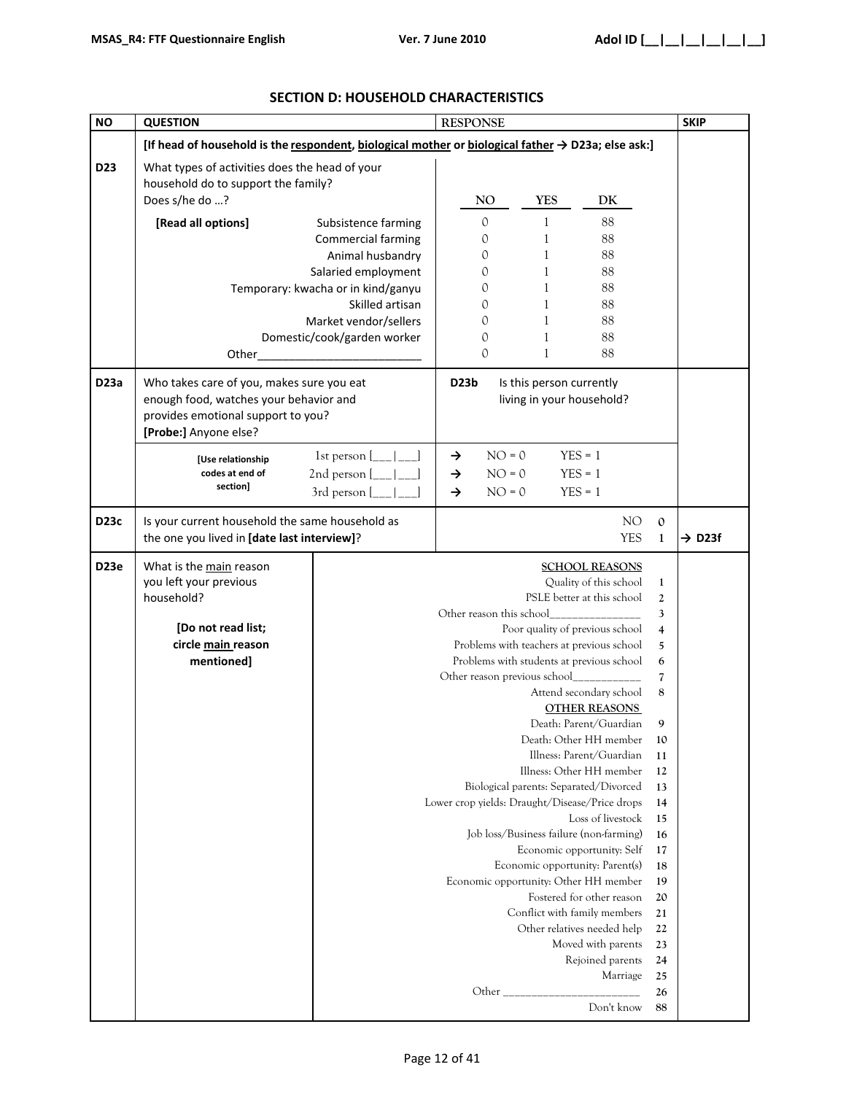| ΝO              | <b>QUESTION</b>                                                                                                                                    |                                                                                                               | <b>RESPONSE</b>                                                                     |                                                                                                                                                                                                                                                                                                                                                                             |                                                                                                                                                                                                                                                                                                                                                                                                                                 |                                                                                                                                                                                        | <b>SKIP</b>        |
|-----------------|----------------------------------------------------------------------------------------------------------------------------------------------------|---------------------------------------------------------------------------------------------------------------|-------------------------------------------------------------------------------------|-----------------------------------------------------------------------------------------------------------------------------------------------------------------------------------------------------------------------------------------------------------------------------------------------------------------------------------------------------------------------------|---------------------------------------------------------------------------------------------------------------------------------------------------------------------------------------------------------------------------------------------------------------------------------------------------------------------------------------------------------------------------------------------------------------------------------|----------------------------------------------------------------------------------------------------------------------------------------------------------------------------------------|--------------------|
|                 | [If head of household is the respondent, biological mother or biological father $\rightarrow$ D23a; else ask:]                                     |                                                                                                               |                                                                                     |                                                                                                                                                                                                                                                                                                                                                                             |                                                                                                                                                                                                                                                                                                                                                                                                                                 |                                                                                                                                                                                        |                    |
| D <sub>23</sub> | What types of activities does the head of your<br>household do to support the family?<br>Does s/he do ?                                            |                                                                                                               | NO <sub>1</sub>                                                                     | <b>YES</b>                                                                                                                                                                                                                                                                                                                                                                  | DK                                                                                                                                                                                                                                                                                                                                                                                                                              |                                                                                                                                                                                        |                    |
|                 | [Read all options]                                                                                                                                 | Subsistence farming<br>Commercial farming<br>Animal husbandry<br>Salaried employment                          | $\mathbf{0}$<br>0<br>0<br>0                                                         | 1<br>$\mathbf{1}$<br>$\mathbf{1}$<br>1                                                                                                                                                                                                                                                                                                                                      | 88<br>88<br>88<br>88                                                                                                                                                                                                                                                                                                                                                                                                            |                                                                                                                                                                                        |                    |
|                 | Other_                                                                                                                                             | Temporary: kwacha or in kind/ganyu<br>Skilled artisan<br>Market vendor/sellers<br>Domestic/cook/garden worker | 0<br>0<br>0<br>0<br>0                                                               | 1<br>1<br>1<br>1<br>1                                                                                                                                                                                                                                                                                                                                                       | 88<br>88<br>88<br>88<br>88                                                                                                                                                                                                                                                                                                                                                                                                      |                                                                                                                                                                                        |                    |
| <b>D23a</b>     | Who takes care of you, makes sure you eat<br>enough food, watches your behavior and<br>provides emotional support to you?<br>[Probe:] Anyone else? |                                                                                                               | D <sub>23</sub> b<br>Is this person currently<br>living in your household?          |                                                                                                                                                                                                                                                                                                                                                                             |                                                                                                                                                                                                                                                                                                                                                                                                                                 |                                                                                                                                                                                        |                    |
|                 | [Use relationship<br>codes at end of<br>section]                                                                                                   | 1st person [<br>2nd person [<br>3rd person [                                                                  | $NO = 0$<br>$\rightarrow$<br>$\rightarrow$<br>$NO = 0$<br>$NO = 0$<br>$\rightarrow$ |                                                                                                                                                                                                                                                                                                                                                                             | $YES = 1$<br>$YES = 1$<br>$YES = 1$                                                                                                                                                                                                                                                                                                                                                                                             |                                                                                                                                                                                        |                    |
| <b>D23c</b>     | Is your current household the same household as<br>the one you lived in [date last interview]?                                                     |                                                                                                               |                                                                                     |                                                                                                                                                                                                                                                                                                                                                                             | NO<br><b>YES</b>                                                                                                                                                                                                                                                                                                                                                                                                                | $\mathbf{0}$<br>$\mathbf{1}$                                                                                                                                                           | $\rightarrow$ D23f |
| <b>D23e</b>     | What is the main reason<br>you left your previous<br>household?<br>[Do not read list;<br>circle main reason<br>mentioned]                          |                                                                                                               | Other reason this school<br>Lower crop yields: Draught/Disease/Price drops          | Poor quality of previous school<br>Problems with teachers at previous school<br>Problems with students at previous school<br>Other reason previous school________<br>Biological parents: Separated/Divorced<br>Job loss/Business failure (non-farming)<br>Economic opportunity: Parent(s)<br>Economic opportunity: Other HH member<br>Conflict with family members<br>Other | <b>SCHOOL REASONS</b><br>Quality of this school<br>PSLE better at this school<br>Attend secondary school<br><b>OTHER REASONS</b><br>Death: Parent/Guardian<br>Death: Other HH member<br>Illness: Parent/Guardian<br>Illness: Other HH member<br>Loss of livestock<br>Economic opportunity: Self<br>Fostered for other reason<br>Other relatives needed help<br>Moved with parents<br>Rejoined parents<br>Marriage<br>Don't know | $\mathbf{1}$<br>2<br>3<br>$\overline{\mathbf{4}}$<br>5<br>6<br>7<br>8<br>9<br>10<br>11<br>12<br>13<br>14<br>15<br>16<br>17<br>18<br>19<br>20<br>21<br>22<br>23<br>24<br>25<br>26<br>88 |                    |

## **SECTION D: HOUSEHOLD CHARACTERISTICS**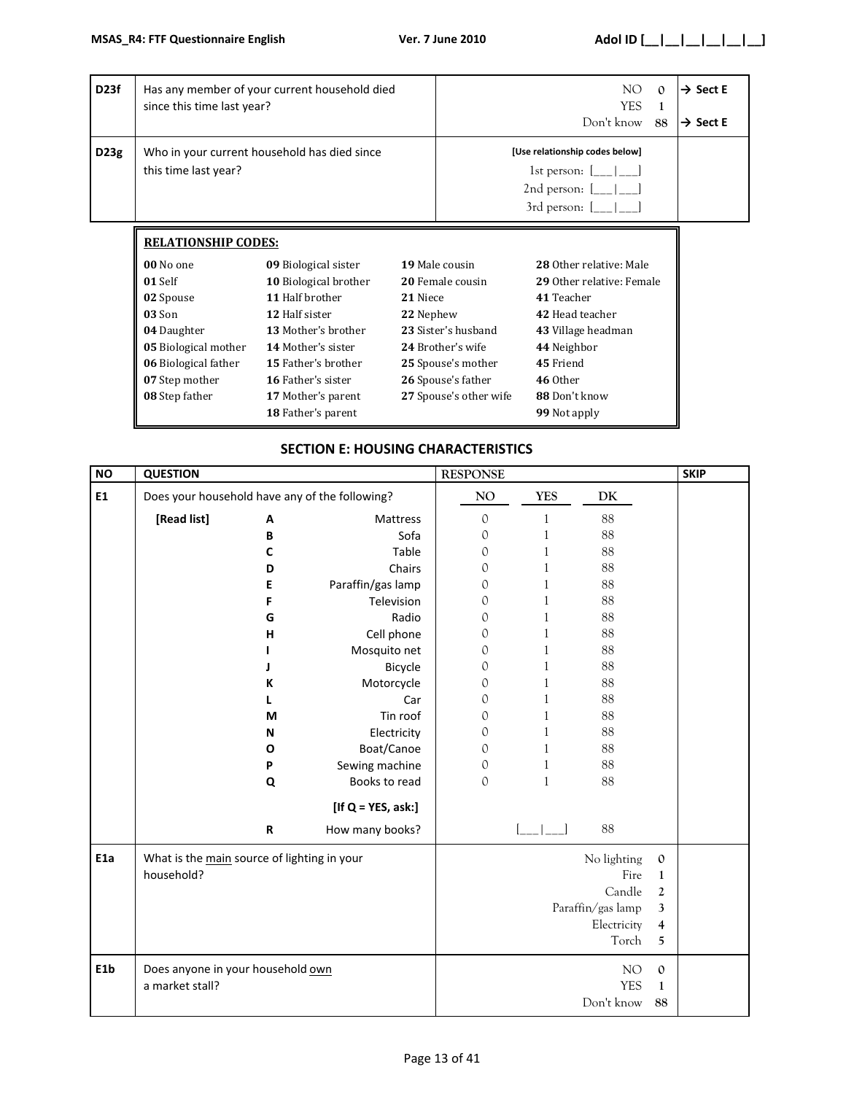|      |                                                                                                                                                                              | Has any member of your current household died<br>since this time last year?                                                                                                                                      |                       |                                                                                                                                                      | NO.<br><b>YES</b><br>Don't know                                                                                                                                      | $\Omega$<br>1<br>88 | $\rightarrow$ Sect E<br>$\rightarrow$ Sect E |
|------|------------------------------------------------------------------------------------------------------------------------------------------------------------------------------|------------------------------------------------------------------------------------------------------------------------------------------------------------------------------------------------------------------|-----------------------|------------------------------------------------------------------------------------------------------------------------------------------------------|----------------------------------------------------------------------------------------------------------------------------------------------------------------------|---------------------|----------------------------------------------|
| D23g | Who in your current household has died since<br>this time last year?                                                                                                         |                                                                                                                                                                                                                  |                       |                                                                                                                                                      | [Use relationship codes below]<br>1st person: $[\_\_\_\_\_\_\_\_\$<br>2nd person: $[\_\_\_\_\_\_\_\_\$<br>3rd person: $[\_ \_ ]_{\_ \_ ]}$                           |                     |                                              |
|      | <b>RELATIONSHIP CODES:</b><br>00 No one<br>01 Self<br>02 Spouse<br>03 Son<br>04 Daughter<br>05 Biological mother<br>06 Biological father<br>07 Step mother<br>08 Step father | 09 Biological sister<br>10 Biological brother<br>11 Half brother<br>12 Half sister<br>13 Mother's brother<br><b>14 Mother's sister</b><br><b>15 Father's brother</b><br>16 Father's sister<br>17 Mother's parent | 21 Niece<br>22 Nephew | 19 Male cousin<br>20 Female cousin<br>23 Sister's husband<br>24 Brother's wife<br>25 Spouse's mother<br>26 Spouse's father<br>27 Spouse's other wife | 28 Other relative: Male<br>29 Other relative: Female<br>41 Teacher<br>42 Head teacher<br>43 Village headman<br>44 Neighbor<br>45 Friend<br>46 Other<br>88 Don't know |                     |                                              |

### **SECTION E: HOUSING CHARACTERISTICS**

| <b>NO</b>        | <b>QUESTION</b>                                           |           |                       | <b>RESPONSE</b> |              |                                                                            |                                                                           | <b>SKIP</b> |
|------------------|-----------------------------------------------------------|-----------|-----------------------|-----------------|--------------|----------------------------------------------------------------------------|---------------------------------------------------------------------------|-------------|
| E1               | Does your household have any of the following?            |           |                       | NO              | <b>YES</b>   | DK                                                                         |                                                                           |             |
|                  | [Read list]                                               | A         | Mattress              | $\mathbf 0$     | 1            | 88                                                                         |                                                                           |             |
|                  |                                                           | B         | Sofa                  | $\mathcal{O}$   | $\mathbf{1}$ | 88                                                                         |                                                                           |             |
|                  |                                                           | C         | Table                 | $\mathcal{O}$   | $\mathbf{1}$ | 88                                                                         |                                                                           |             |
|                  |                                                           | D         | Chairs                | 0               | $\mathbf{1}$ | 88                                                                         |                                                                           |             |
|                  |                                                           | E         | Paraffin/gas lamp     | 0               | $\mathbf{1}$ | 88                                                                         |                                                                           |             |
|                  |                                                           | F         | Television            | 0               | $\mathbf{1}$ | 88                                                                         |                                                                           |             |
|                  |                                                           | G         | Radio                 | 0               | 1            | 88                                                                         |                                                                           |             |
|                  |                                                           | н         | Cell phone            | 0               | $\mathbf{1}$ | 88                                                                         |                                                                           |             |
|                  |                                                           |           | Mosquito net          | 0               | 1            | 88                                                                         |                                                                           |             |
|                  |                                                           |           | Bicycle               | 0               | $\mathbf{1}$ | 88                                                                         |                                                                           |             |
|                  |                                                           | K         | Motorcycle            | 0               | $\,1$        | 88                                                                         |                                                                           |             |
|                  |                                                           |           | Car                   | $\mathcal{O}$   | $\mathbf{1}$ | 88                                                                         |                                                                           |             |
|                  |                                                           | M         | Tin roof              | 0               | $\mathbf{1}$ | 88                                                                         |                                                                           |             |
|                  |                                                           | N         | Electricity           | 0               | $\mathbf{1}$ | 88                                                                         |                                                                           |             |
|                  |                                                           | O         | Boat/Canoe            | $\mathbf{O}$    | $\mathbf{1}$ | 88                                                                         |                                                                           |             |
|                  |                                                           | P         | Sewing machine        | $\mathbf 0$     | $\mathbf{1}$ | 88                                                                         |                                                                           |             |
|                  |                                                           | Q         | Books to read         | $\mathcal{O}$   | $\mathbf{1}$ | 88                                                                         |                                                                           |             |
|                  |                                                           |           | [If $Q = YES$ , ask:] |                 |              |                                                                            |                                                                           |             |
|                  |                                                           | ${\sf R}$ | How many books?       |                 |              | 88                                                                         |                                                                           |             |
| E <sub>1a</sub>  | What is the main source of lighting in your<br>household? |           |                       |                 |              | No lighting<br>Fire<br>Candle<br>Paraffin/gas lamp<br>Electricity<br>Torch | $\mathbf 0$<br>$\mathbf{1}$<br>$\boldsymbol{2}$<br>$\mathbf{3}$<br>4<br>5 |             |
| E <sub>1</sub> b | Does anyone in your household own<br>a market stall?      |           |                       |                 |              | NO<br><b>YES</b><br>Don't know                                             | $\mathbf 0$<br>1<br>88                                                    |             |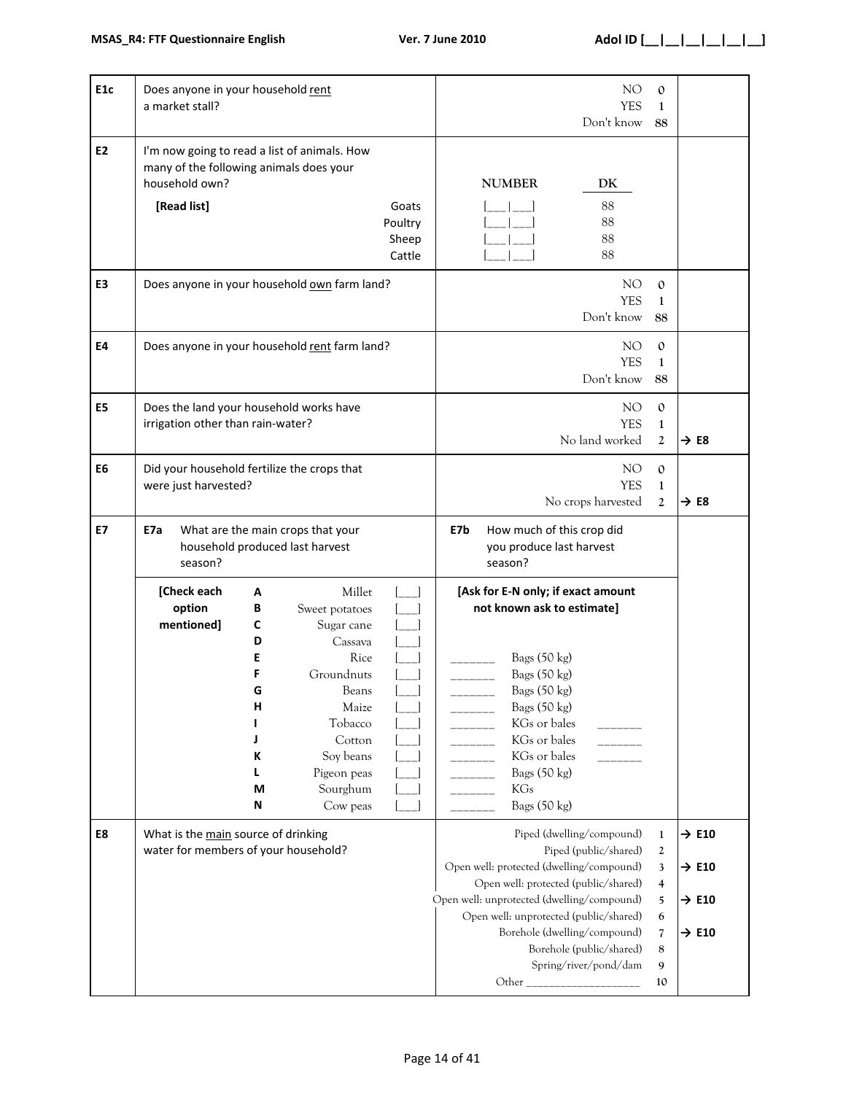| E <sub>1c</sub> | Does anyone in your household rent<br>a market stall?                                                                    |                                                          |                                                                                                                                                                    |                                     |                                                                                                                                                                                                                                | NO<br>YES<br>Don't know                                                                                                                                              | $\mathbf{0}$<br>1<br>88                      |                                                                                  |
|-----------------|--------------------------------------------------------------------------------------------------------------------------|----------------------------------------------------------|--------------------------------------------------------------------------------------------------------------------------------------------------------------------|-------------------------------------|--------------------------------------------------------------------------------------------------------------------------------------------------------------------------------------------------------------------------------|----------------------------------------------------------------------------------------------------------------------------------------------------------------------|----------------------------------------------|----------------------------------------------------------------------------------|
| <b>E2</b>       | I'm now going to read a list of animals. How<br>many of the following animals does your<br>household own?<br>[Read list] |                                                          |                                                                                                                                                                    | Goats<br>Poultry<br>Sheep<br>Cattle | <b>NUMBER</b>                                                                                                                                                                                                                  | DK<br>88<br>88<br>88<br>88                                                                                                                                           |                                              |                                                                                  |
| E <sub>3</sub>  |                                                                                                                          |                                                          | Does anyone in your household own farm land?                                                                                                                       |                                     |                                                                                                                                                                                                                                | NO<br><b>YES</b><br>Don't know                                                                                                                                       | $\mathbf{0}$<br>1<br>88                      |                                                                                  |
| <b>E4</b>       |                                                                                                                          |                                                          | Does anyone in your household rent farm land?                                                                                                                      |                                     |                                                                                                                                                                                                                                | NO<br><b>YES</b><br>Don't know                                                                                                                                       | $\mathbf{0}$<br>1<br>88                      |                                                                                  |
| E <sub>5</sub>  | Does the land your household works have<br>irrigation other than rain-water?                                             |                                                          |                                                                                                                                                                    |                                     |                                                                                                                                                                                                                                | NO<br><b>YES</b><br>No land worked                                                                                                                                   | $\mathbf{0}$<br>$\mathbf{1}$<br>2            | $\rightarrow$ E8                                                                 |
| E <sub>6</sub>  | Did your household fertilize the crops that<br>were just harvested?                                                      |                                                          |                                                                                                                                                                    |                                     |                                                                                                                                                                                                                                | NO.<br><b>YES</b><br>No crops harvested                                                                                                                              | $\mathbf{0}$<br>$\mathbf{1}$<br>$\mathbf{2}$ | $\rightarrow$ E8                                                                 |
| <b>E7</b>       | What are the main crops that your<br>E7a<br>household produced last harvest<br>season?                                   |                                                          |                                                                                                                                                                    |                                     | E7b<br>season?                                                                                                                                                                                                                 | How much of this crop did<br>you produce last harvest                                                                                                                |                                              |                                                                                  |
|                 | [Check each<br>option<br>mentioned]                                                                                      | А<br>В<br>С<br>D<br>E<br>G<br>Н<br>J<br>К<br>L<br>M<br>N | Millet<br>Sweet potatoes<br>Sugar cane<br>Cassava<br>Rice<br>Groundnuts<br>Beans<br>Maize<br>Tobacco<br>Cotton<br>Soy beans<br>Pigeon peas<br>Sourghum<br>Cow peas |                                     | [Ask for E-N only; if exact amount<br>not known ask to estimate]<br>Bags (50 kg)<br>Bags (50 kg)<br>Bags (50 kg)<br>Bags (50 kg)<br>KGs or bales<br>KGs or bales<br>KGs or bales<br>Bags (50 kg)<br><b>KGs</b><br>Bags (50 kg) |                                                                                                                                                                      |                                              |                                                                                  |
| E8              | What is the main source of drinking<br>water for members of your household?                                              |                                                          |                                                                                                                                                                    |                                     | Open well: protected (dwelling/compound)<br>Open well: unprotected (dwelling/compound)                                                                                                                                         | Piped (dwelling/compound)<br>Piped (public/shared)<br>Open well: protected (public/shared)<br>Open well: unprotected (public/shared)<br>Borehole (dwelling/compound) | $\mathbf{1}$<br>2<br>3<br>4<br>5<br>6        | $\rightarrow$ E10<br>$\rightarrow$ E10<br>$\rightarrow$ E10<br>$\rightarrow$ E10 |
|                 |                                                                                                                          |                                                          |                                                                                                                                                                    |                                     |                                                                                                                                                                                                                                | Borehole (public/shared)<br>Spring/river/pond/dam                                                                                                                    | $\sqrt{ }$<br>8                              |                                                                                  |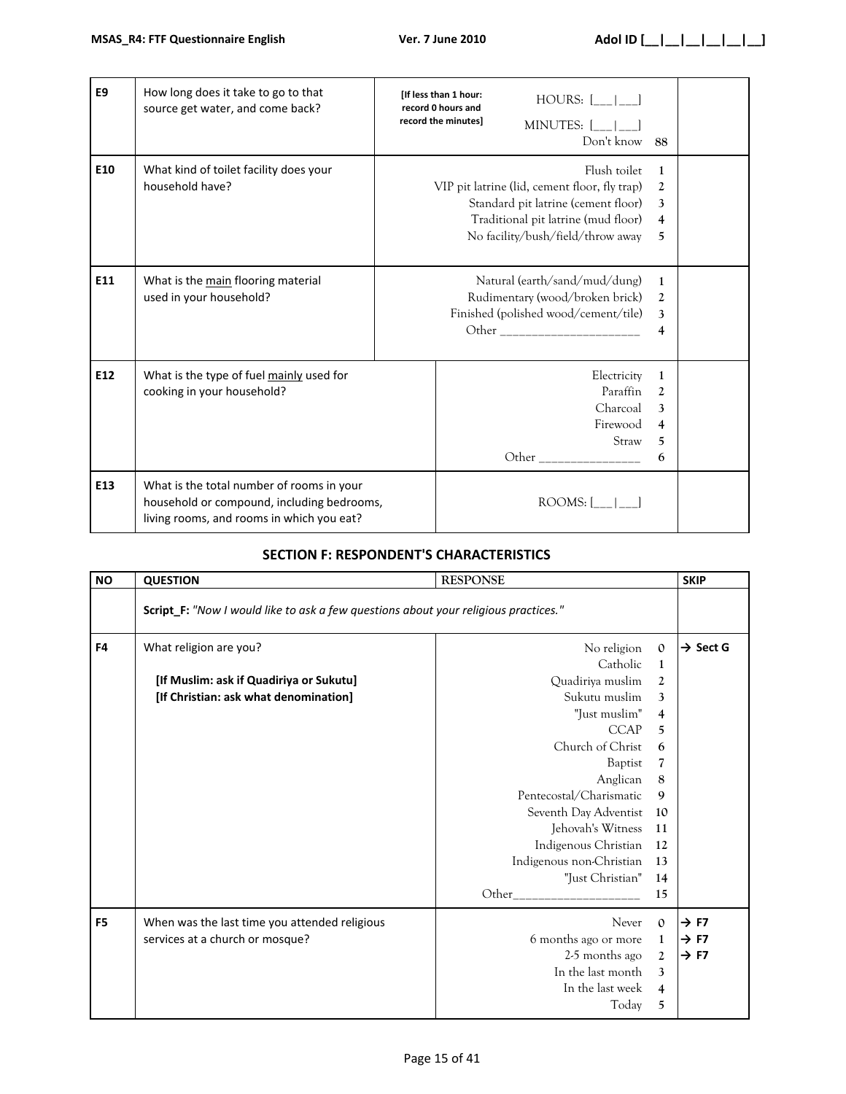| E <sub>9</sub> | How long does it take to go to that<br>source get water, and come back?                                                              | <b>If less than 1 hour:</b><br>$HOURS:$ $[\_$ $[\_$ $]\_$<br>record 0 hours and<br>record the minutes]<br>MINUTES: [  <br>Don't know<br>- 88                                                                             |  |
|----------------|--------------------------------------------------------------------------------------------------------------------------------------|--------------------------------------------------------------------------------------------------------------------------------------------------------------------------------------------------------------------------|--|
| E10            | What kind of toilet facility does your<br>household have?                                                                            | Flush toilet<br>1<br>VIP pit latrine (lid, cement floor, fly trap)<br>$\boldsymbol{2}$<br>Standard pit latrine (cement floor)<br>3<br>Traditional pit latrine (mud floor)<br>4<br>No facility/bush/field/throw away<br>5 |  |
| E11            | What is the main flooring material<br>used in your household?                                                                        | Natural (earth/sand/mud/dung)<br>1<br>Rudimentary (wood/broken brick)<br>2<br>Finished (polished wood/cement/tile)<br>3<br>Other _________________________<br>4                                                          |  |
| E12            | What is the type of fuel mainly used for<br>cooking in your household?                                                               | Electricity<br>$\mathbf{1}$<br>Paraffin<br>$\mathfrak{2}$<br>Charcoal<br>3<br>Firewood<br>4<br>Straw<br>5<br>Other __________________<br>6                                                                               |  |
| E13            | What is the total number of rooms in your<br>household or compound, including bedrooms,<br>living rooms, and rooms in which you eat? | ROOMS: 1                                                                                                                                                                                                                 |  |

## **SECTION F: RESPONDENT'S CHARACTERISTICS**

| <b>NO</b>      | <b>QUESTION</b>                                                                     | <b>RESPONSE</b>          |                          | <b>SKIP</b>          |
|----------------|-------------------------------------------------------------------------------------|--------------------------|--------------------------|----------------------|
|                | Script_F: "Now I would like to ask a few questions about your religious practices." |                          |                          |                      |
| F <sub>4</sub> | What religion are you?                                                              | No religion              | $\mathbf{0}$             | $\rightarrow$ Sect G |
|                |                                                                                     | Catholic                 | $\mathbf{1}$             |                      |
|                | [If Muslim: ask if Quadiriya or Sukutu]                                             | Quadiriya muslim         | $\boldsymbol{2}$         |                      |
|                | [If Christian: ask what denomination]                                               | Sukutu muslim            | $\mathbf{3}$             |                      |
|                |                                                                                     | "Just muslim"            | $\overline{\mathcal{L}}$ |                      |
|                |                                                                                     | <b>CCAP</b>              | 5                        |                      |
|                |                                                                                     | Church of Christ         | 6                        |                      |
|                |                                                                                     | Baptist                  | 7                        |                      |
|                |                                                                                     | Anglican                 | 8                        |                      |
|                |                                                                                     | Pentecostal/Charismatic  | 9                        |                      |
|                |                                                                                     | Seventh Day Adventist    | 10                       |                      |
|                |                                                                                     | Jehovah's Witness        | 11                       |                      |
|                |                                                                                     | Indigenous Christian     | 12                       |                      |
|                |                                                                                     | Indigenous non-Christian | 13                       |                      |
|                |                                                                                     | "Just Christian"         | 14                       |                      |
|                |                                                                                     |                          | 15                       |                      |
| F <sub>5</sub> | When was the last time you attended religious                                       | Never                    | $\Omega$                 | $\rightarrow$ F7     |
|                | services at a church or mosque?                                                     | 6 months ago or more     | $\mathbf{1}$             | $\rightarrow$ F7     |
|                |                                                                                     | 2-5 months ago           | $\boldsymbol{2}$         | $\rightarrow$ F7     |
|                |                                                                                     | In the last month        | 3                        |                      |
|                |                                                                                     | In the last week         | $\overline{4}$           |                      |
|                |                                                                                     | Today                    | 5                        |                      |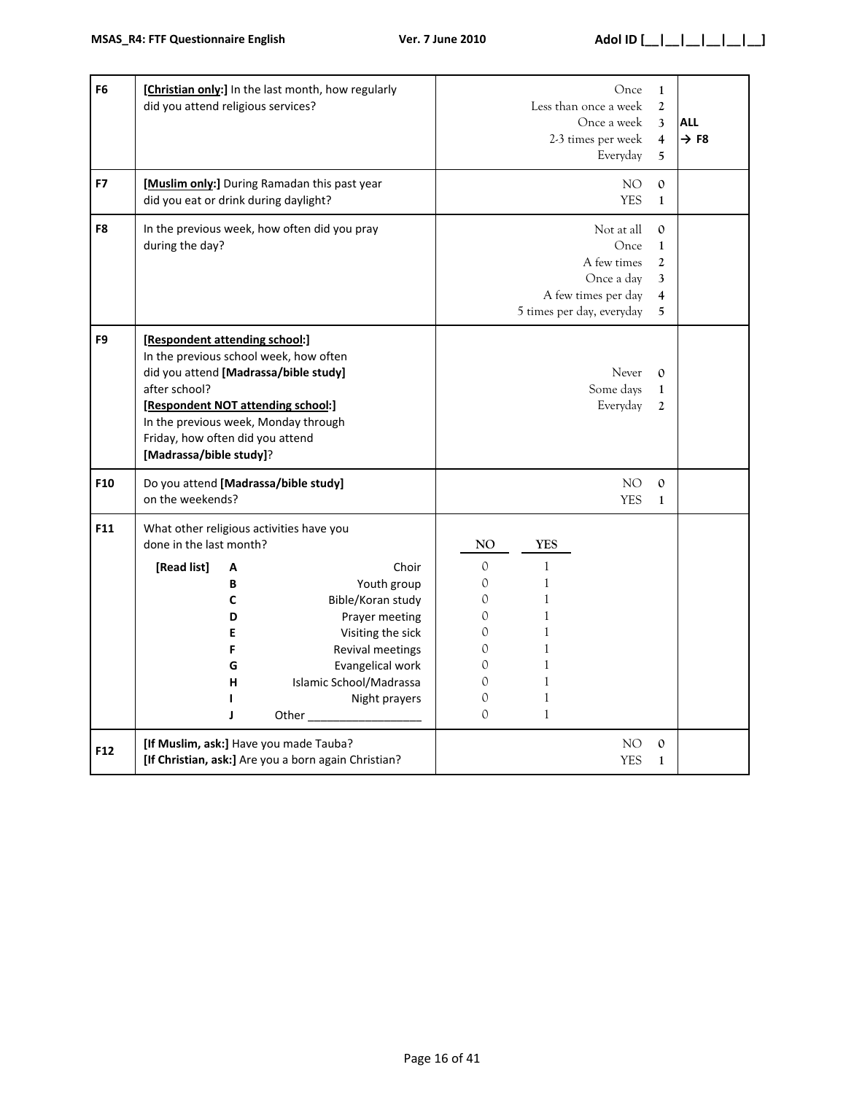| F <sub>6</sub> | [Christian only:] In the last month, how regularly<br>did you attend religious services?                                                                                                                                                                                        |                                                                                                                                           |                                                                                                 | Less than once a week                                                                                                                     | Once<br>Once a week<br>2-3 times per week<br>Everyday                  | $\mathbf{1}$<br>$\mathfrak{2}$<br>3<br>$\overline{4}$<br>5    | <b>ALL</b><br>$\rightarrow$ F8 |
|----------------|---------------------------------------------------------------------------------------------------------------------------------------------------------------------------------------------------------------------------------------------------------------------------------|-------------------------------------------------------------------------------------------------------------------------------------------|-------------------------------------------------------------------------------------------------|-------------------------------------------------------------------------------------------------------------------------------------------|------------------------------------------------------------------------|---------------------------------------------------------------|--------------------------------|
| F7             | [Muslim only:] During Ramadan this past year<br>did you eat or drink during daylight?                                                                                                                                                                                           |                                                                                                                                           |                                                                                                 |                                                                                                                                           | NO.<br><b>YES</b>                                                      | $\mathbf{O}$<br>$\mathbf{1}$                                  |                                |
| F8             | In the previous week, how often did you pray<br>during the day?                                                                                                                                                                                                                 |                                                                                                                                           |                                                                                                 | 5 times per day, everyday                                                                                                                 | Not at all<br>Once<br>A few times<br>Once a day<br>A few times per day | $\mathbf{0}$<br>$\mathbf{1}$<br>$\overline{2}$<br>3<br>4<br>5 |                                |
| F <sub>9</sub> | [Respondent attending school:]<br>In the previous school week, how often<br>did you attend [Madrassa/bible study]<br>after school?<br>[Respondent NOT attending school:]<br>In the previous week, Monday through<br>Friday, how often did you attend<br>[Madrassa/bible study]? |                                                                                                                                           |                                                                                                 |                                                                                                                                           | Never<br>Some days<br>Everyday                                         | $\mathbf{O}$<br>$\mathbf{1}$<br>$\mathbf{2}$                  |                                |
| F10            | Do you attend [Madrassa/bible study]<br>on the weekends?                                                                                                                                                                                                                        |                                                                                                                                           |                                                                                                 |                                                                                                                                           | NO<br><b>YES</b>                                                       | $\mathbf{O}$<br>$\mathbf{1}$                                  |                                |
| F11            | What other religious activities have you<br>done in the last month?<br>[Read list]<br>А<br>В<br>C<br>D<br>E<br>F<br>G<br>Islamic School/Madrassa<br>н<br>L<br>J                                                                                                                 | Choir<br>Youth group<br>Bible/Koran study<br>Prayer meeting<br>Visiting the sick<br>Revival meetings<br>Evangelical work<br>Night prayers | NO.<br>$\mathbf{0}$<br>0<br>$\mathcal{O}$<br>0<br>0<br>0<br>$\Omega$<br>0<br>0<br>$\mathcal{O}$ | <b>YES</b><br>$\mathbf{1}$<br>$\mathbf{1}$<br>$\mathbf{1}$<br>1<br>1<br>$\mathbf{1}$<br>$\mathbf{1}$<br>$\mathbf{1}$<br>1<br>$\mathbf{1}$ |                                                                        |                                                               |                                |
| F12            | [If Muslim, ask:] Have you made Tauba?<br>[If Christian, ask:] Are you a born again Christian?                                                                                                                                                                                  |                                                                                                                                           |                                                                                                 |                                                                                                                                           | NO.<br><b>YES</b>                                                      | $\mathbf{0}$<br>$\mathbf{1}$                                  |                                |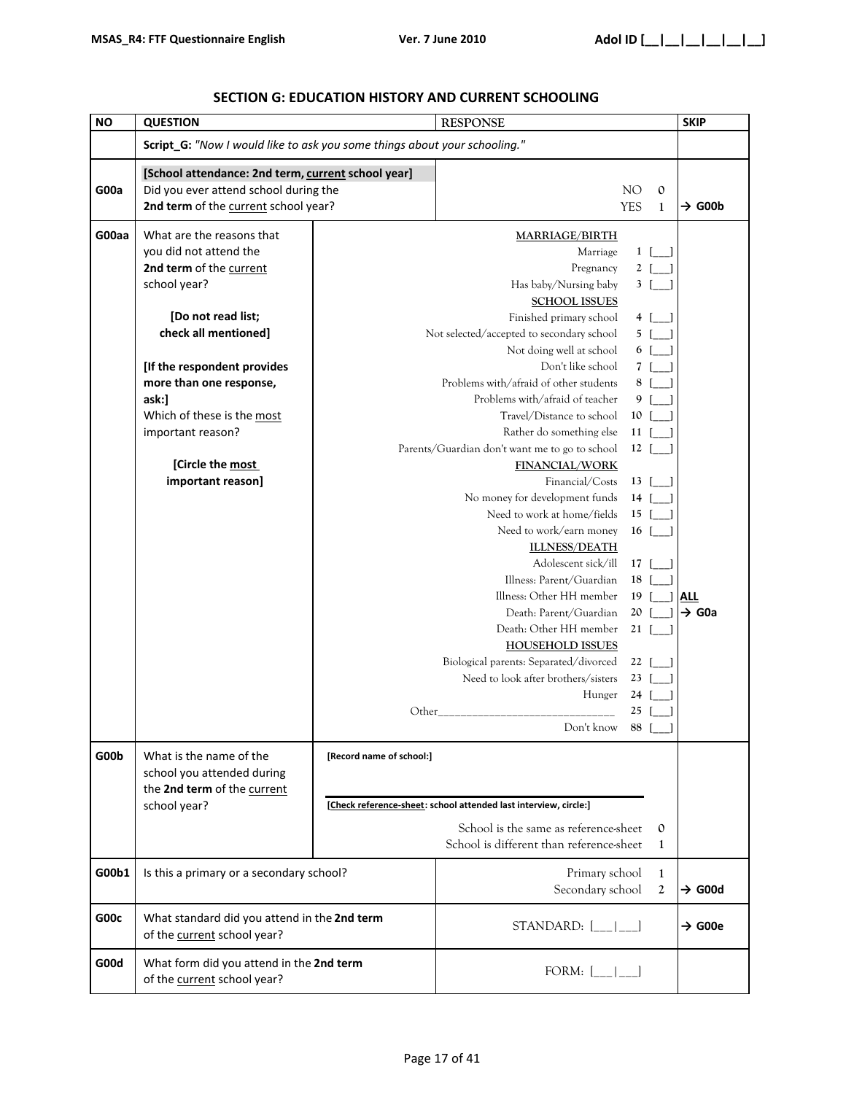| <b>NO</b> | <b>QUESTION</b>                                                           |                          | <b>RESPONSE</b>                                                                     |                |                | <b>SKIP</b>        |
|-----------|---------------------------------------------------------------------------|--------------------------|-------------------------------------------------------------------------------------|----------------|----------------|--------------------|
|           | Script_G: "Now I would like to ask you some things about your schooling." |                          |                                                                                     |                |                |                    |
|           | [School attendance: 2nd term, current school year]                        |                          |                                                                                     |                |                |                    |
| G00a      | Did you ever attend school during the                                     |                          |                                                                                     | NO.            | $\mathbf{O}$   |                    |
|           | 2nd term of the current school year?                                      |                          |                                                                                     | <b>YES</b>     | $\mathbf{1}$   | $\rightarrow$ G00b |
| G00aa     | What are the reasons that                                                 |                          | <b>MARRIAGE/BIRTH</b>                                                               |                |                |                    |
|           | you did not attend the                                                    |                          | Marriage                                                                            | $1 \vert$      |                |                    |
|           | 2nd term of the current                                                   |                          | Pregnancy                                                                           | $\mathbf{2}$   |                |                    |
|           | school year?                                                              |                          | Has baby/Nursing baby                                                               | $\mathbf{3}$   |                |                    |
|           |                                                                           |                          | <b>SCHOOL ISSUES</b>                                                                |                |                |                    |
|           | [Do not read list;                                                        |                          | Finished primary school                                                             | 4              |                |                    |
|           | check all mentioned]                                                      |                          | Not selected/accepted to secondary school                                           | 5 I            |                |                    |
|           |                                                                           |                          | Not doing well at school                                                            | 6 I            |                |                    |
|           | [If the respondent provides                                               |                          | Don't like school                                                                   | $\overline{7}$ |                |                    |
|           | more than one response,                                                   |                          | Problems with/afraid of other students                                              | 8              |                |                    |
|           | ask:]                                                                     |                          | Problems with/afraid of teacher                                                     | 9              |                |                    |
|           | Which of these is the most                                                |                          | Travel/Distance to school                                                           | 10             |                |                    |
|           | important reason?                                                         |                          | Rather do something else                                                            | 11             |                |                    |
|           |                                                                           |                          | Parents/Guardian don't want me to go to school                                      | $12-1$         |                |                    |
|           | [Circle the most                                                          |                          | <b>FINANCIAL/WORK</b>                                                               |                |                |                    |
|           | important reason]                                                         |                          | Financial/Costs                                                                     | 13             |                |                    |
|           |                                                                           |                          | No money for development funds                                                      | 14             |                |                    |
|           |                                                                           |                          | Need to work at home/fields                                                         | 15             |                |                    |
|           |                                                                           |                          | Need to work/earn money                                                             | 16             |                |                    |
|           |                                                                           |                          | <b>ILLNESS/DEATH</b>                                                                |                |                |                    |
|           |                                                                           |                          | Adolescent sick/ill                                                                 | 17             |                |                    |
|           |                                                                           |                          | Illness: Parent/Guardian                                                            | 18             |                |                    |
|           |                                                                           |                          | Illness: Other HH member                                                            | 19             |                | <b>ALL</b>         |
|           |                                                                           |                          | Death: Parent/Guardian                                                              | 20<br>21       |                | $\rightarrow$ G0a  |
|           |                                                                           |                          | Death: Other HH member                                                              |                |                |                    |
|           |                                                                           |                          | <b>HOUSEHOLD ISSUES</b><br>Biological parents: Separated/divorced                   | 22             |                |                    |
|           |                                                                           |                          | Need to look after brothers/sisters                                                 | 23             |                |                    |
|           |                                                                           |                          | Hunger                                                                              | 24             |                |                    |
|           |                                                                           | Other                    |                                                                                     | 25             |                |                    |
|           |                                                                           |                          | Don't know 88 [_]                                                                   |                |                |                    |
|           |                                                                           |                          |                                                                                     |                |                |                    |
| G00b      | What is the name of the                                                   | [Record name of school:] |                                                                                     |                |                |                    |
|           | school you attended during                                                |                          |                                                                                     |                |                |                    |
|           | the 2nd term of the current<br>school year?                               |                          | [Check reference-sheet: school attended last interview, circle:]                    |                |                |                    |
|           |                                                                           |                          |                                                                                     |                |                |                    |
|           |                                                                           |                          | School is the same as reference-sheet                                               |                | $\mathbf{0}$   |                    |
|           |                                                                           |                          | School is different than reference-sheet                                            |                | 1              |                    |
| G00b1     | Is this a primary or a secondary school?                                  |                          | Primary school                                                                      |                | 1              |                    |
|           |                                                                           |                          | Secondary school                                                                    |                | $\overline{2}$ | $\rightarrow$ G00d |
| G00c      | What standard did you attend in the 2nd term                              |                          | STANDARD: $[\_\_]\_\_$                                                              |                |                | $\rightarrow$ G00e |
|           | of the current school year?                                               |                          |                                                                                     |                |                |                    |
| G00d      | What form did you attend in the 2nd term<br>of the current school year?   |                          | FORM: $[\underline{\hspace{1cm}} \underline{\hspace{1cm}} \underline{\hspace{1cm}}$ |                |                |                    |

### **SECTION G: EDUCATION HISTORY AND CURRENT SCHOOLING**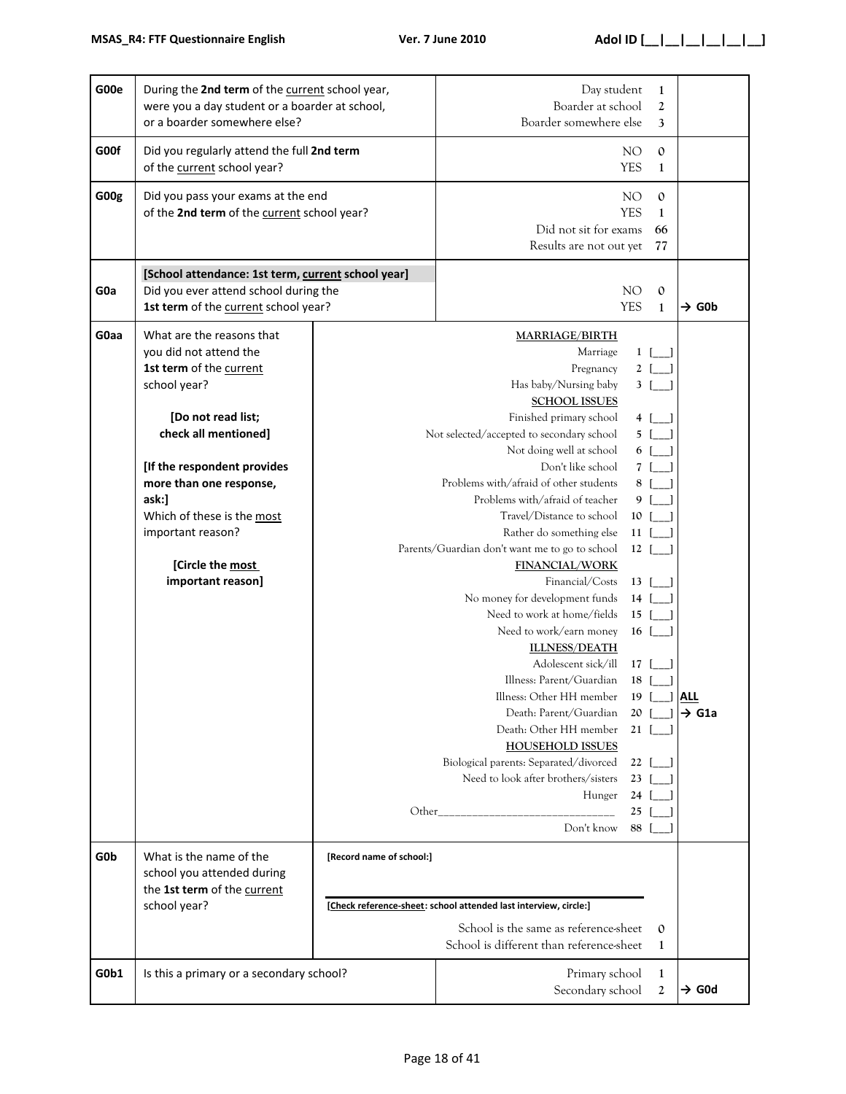| G00e | During the 2nd term of the current school year,<br>were you a day student or a boarder at school,<br>or a boarder somewhere else?                                                                                                                                                                           |                          | Day student<br>Boarder at school<br>Boarder somewhere else                                                                                                                                                                                                                                                                                                                                                                                                                                                                                                                                                                                                                                                                                                                                                                                              | $\mathbf{1}$<br>$\boldsymbol{2}$<br>3                                                                                                                                                                                                                        |                                  |
|------|-------------------------------------------------------------------------------------------------------------------------------------------------------------------------------------------------------------------------------------------------------------------------------------------------------------|--------------------------|---------------------------------------------------------------------------------------------------------------------------------------------------------------------------------------------------------------------------------------------------------------------------------------------------------------------------------------------------------------------------------------------------------------------------------------------------------------------------------------------------------------------------------------------------------------------------------------------------------------------------------------------------------------------------------------------------------------------------------------------------------------------------------------------------------------------------------------------------------|--------------------------------------------------------------------------------------------------------------------------------------------------------------------------------------------------------------------------------------------------------------|----------------------------------|
| G00f | Did you regularly attend the full 2nd term<br>of the current school year?                                                                                                                                                                                                                                   |                          | NO.<br>$\mathbf{0}$<br><b>YES</b><br>1                                                                                                                                                                                                                                                                                                                                                                                                                                                                                                                                                                                                                                                                                                                                                                                                                  |                                                                                                                                                                                                                                                              |                                  |
| G00g | Did you pass your exams at the end<br>of the 2nd term of the current school year?                                                                                                                                                                                                                           |                          | Did not sit for exams<br>Results are not out yet                                                                                                                                                                                                                                                                                                                                                                                                                                                                                                                                                                                                                                                                                                                                                                                                        | NO<br>$\mathbf{0}$<br><b>YES</b><br>$\mathbf{1}$<br>66<br>77                                                                                                                                                                                                 |                                  |
| G0a  | [School attendance: 1st term, current school year]<br>Did you ever attend school during the<br>1st term of the current school year?                                                                                                                                                                         |                          |                                                                                                                                                                                                                                                                                                                                                                                                                                                                                                                                                                                                                                                                                                                                                                                                                                                         | NO.<br>$\mathbf{0}$<br><b>YES</b><br>1                                                                                                                                                                                                                       | $\rightarrow$ G0b                |
| G0aa | What are the reasons that<br>you did not attend the<br>1st term of the current<br>school year?<br>[Do not read list;<br>check all mentioned]<br>[If the respondent provides<br>more than one response,<br>ask:]<br>Which of these is the most<br>important reason?<br>[Circle the most<br>important reason] |                          | <b>MARRIAGE/BIRTH</b><br>Marriage<br>Pregnancy<br>Has baby/Nursing baby<br><b>SCHOOL ISSUES</b><br>Finished primary school<br>Not selected/accepted to secondary school<br>Not doing well at school<br>Don't like school<br>Problems with/afraid of other students<br>Problems with/afraid of teacher<br>Travel/Distance to school<br>Rather do something else<br>Parents/Guardian don't want me to go to school<br><b>FINANCIAL/WORK</b><br>Financial/Costs<br>No money for development funds<br>Need to work at home/fields<br>Need to work/earn money<br><b>ILLNESS/DEATH</b><br>Adolescent sick/ill<br>Illness: Parent/Guardian<br>Illness: Other HH member<br>Death: Parent/Guardian<br>Death: Other HH member<br><b>HOUSEHOLD ISSUES</b><br>Biological parents: Separated/divorced<br>Need to look after brothers/sisters<br>Hunger<br>Don't know | $1$ [ ]<br>2 [<br>3 I<br>4 [ ]<br>$5$ [ ]<br>6 [ ]<br>7 I<br>8 [ ]<br>9<br>$\lceil \cdot \rceil$<br>10 [<br>$11$ [ ]<br>$12$ [ ]<br>$13$ [ ]<br>$14$ [ ]<br>$15$ [ ]<br>$16$ [ ]<br>17 I<br>$18-1$<br>19<br>20<br>$21 \vert$<br>22<br>23<br>24<br>25<br>88 [ | <u> All</u><br>$\rightarrow$ G1a |
| G0b  | What is the name of the<br>school you attended during<br>the 1st term of the current<br>school year?                                                                                                                                                                                                        | [Record name of school:] | [Check reference-sheet: school attended last interview, circle:]<br>School is the same as reference-sheet<br>School is different than reference-sheet                                                                                                                                                                                                                                                                                                                                                                                                                                                                                                                                                                                                                                                                                                   | $\mathbf 0$<br>$\mathbf{1}$                                                                                                                                                                                                                                  |                                  |
| G0b1 | Is this a primary or a secondary school?                                                                                                                                                                                                                                                                    |                          | Primary school<br>Secondary school                                                                                                                                                                                                                                                                                                                                                                                                                                                                                                                                                                                                                                                                                                                                                                                                                      | 1<br>2                                                                                                                                                                                                                                                       | $\rightarrow$ G0d                |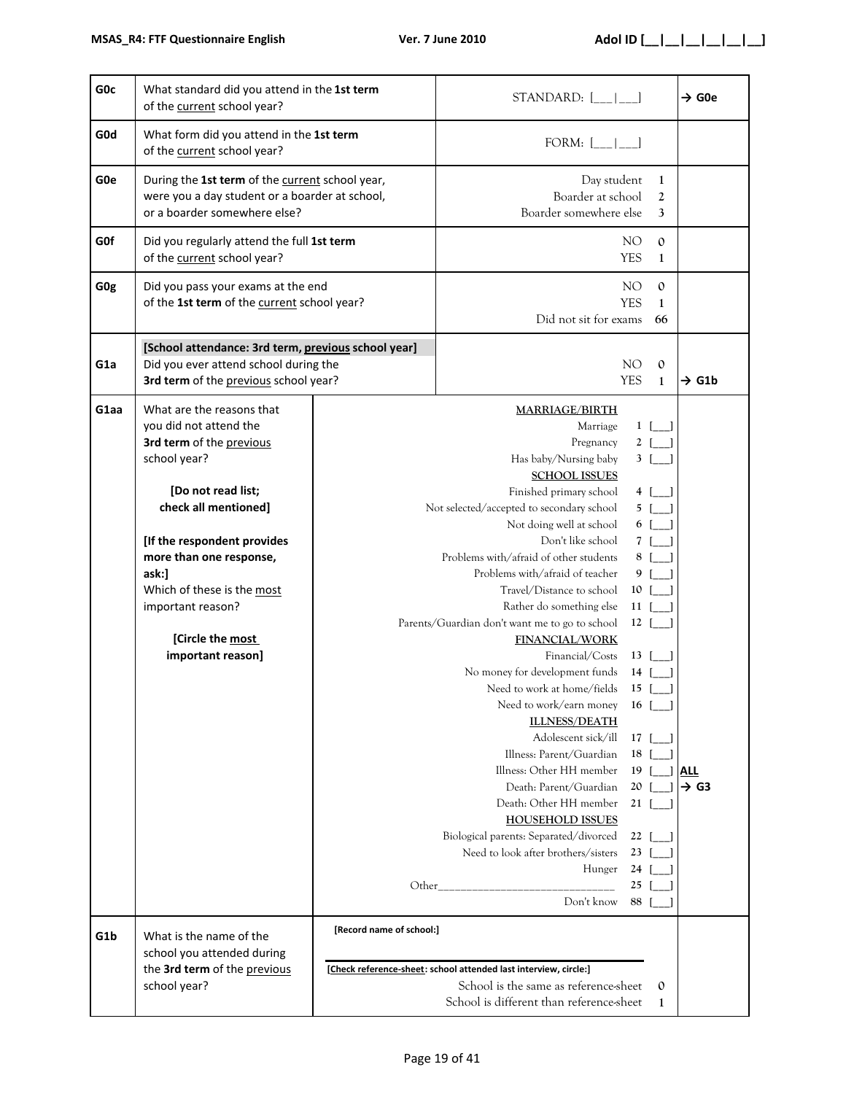| G <sub>O</sub> c | What standard did you attend in the 1st term<br>of the current school year?                                                                                                                                                                                                                                  |                                                               | $STANDARD:$ $[\_$ $[\_$                                                                                                                                                                                                                                                                                                                                                                                                                                                                                                                                                                                                                                                                                                                                                                                                                                 |                                                                                                                                                                                                                                          | $\rightarrow$ G0e              |
|------------------|--------------------------------------------------------------------------------------------------------------------------------------------------------------------------------------------------------------------------------------------------------------------------------------------------------------|---------------------------------------------------------------|---------------------------------------------------------------------------------------------------------------------------------------------------------------------------------------------------------------------------------------------------------------------------------------------------------------------------------------------------------------------------------------------------------------------------------------------------------------------------------------------------------------------------------------------------------------------------------------------------------------------------------------------------------------------------------------------------------------------------------------------------------------------------------------------------------------------------------------------------------|------------------------------------------------------------------------------------------------------------------------------------------------------------------------------------------------------------------------------------------|--------------------------------|
| G <sub>0</sub> d | What form did you attend in the 1st term<br>of the current school year?                                                                                                                                                                                                                                      |                                                               | FORM: $\begin{bmatrix} \_ \_ \_ \_ \_ \_ \_ \end{bmatrix}$                                                                                                                                                                                                                                                                                                                                                                                                                                                                                                                                                                                                                                                                                                                                                                                              |                                                                                                                                                                                                                                          |                                |
| G <sub>0e</sub>  | During the 1st term of the current school year,<br>were you a day student or a boarder at school,<br>or a boarder somewhere else?                                                                                                                                                                            |                                                               | Day student<br>Boarder at school<br>Boarder somewhere else                                                                                                                                                                                                                                                                                                                                                                                                                                                                                                                                                                                                                                                                                                                                                                                              | $\mathbf{1}$<br>2<br>3                                                                                                                                                                                                                   |                                |
| <b>GOf</b>       | Did you regularly attend the full 1st term<br>of the current school year?                                                                                                                                                                                                                                    |                                                               |                                                                                                                                                                                                                                                                                                                                                                                                                                                                                                                                                                                                                                                                                                                                                                                                                                                         | NO <sub>1</sub><br>$\mathbf{0}$<br><b>YES</b><br>$\mathbf{1}$                                                                                                                                                                            |                                |
| G <sub>Og</sub>  | Did you pass your exams at the end<br>of the 1st term of the current school year?                                                                                                                                                                                                                            |                                                               | Did not sit for exams                                                                                                                                                                                                                                                                                                                                                                                                                                                                                                                                                                                                                                                                                                                                                                                                                                   | NO <sub>1</sub><br>$\mathbf{0}$<br><b>YES</b><br>1<br>66                                                                                                                                                                                 |                                |
| G <sub>1</sub> a | [School attendance: 3rd term, previous school year]<br>Did you ever attend school during the<br>3rd term of the previous school year?                                                                                                                                                                        | NO <sub>1</sub><br>$\mathbf{0}$<br><b>YES</b><br>$\mathbf{1}$ |                                                                                                                                                                                                                                                                                                                                                                                                                                                                                                                                                                                                                                                                                                                                                                                                                                                         |                                                                                                                                                                                                                                          | $\rightarrow$ G1b              |
| G1aa             | What are the reasons that<br>you did not attend the<br>3rd term of the previous<br>school year?<br>[Do not read list;<br>check all mentioned]<br>[If the respondent provides<br>more than one response,<br>ask:]<br>Which of these is the most<br>important reason?<br>[Circle the most<br>important reason] | Other_                                                        | <b>MARRIAGE/BIRTH</b><br>Marriage<br>Pregnancy<br>Has baby/Nursing baby<br><b>SCHOOL ISSUES</b><br>Finished primary school<br>Not selected/accepted to secondary school<br>Not doing well at school<br>Don't like school<br>Problems with/afraid of other students<br>Problems with/afraid of teacher<br>Travel/Distance to school<br>Rather do something else<br>Parents/Guardian don't want me to go to school<br><b>FINANCIAL/WORK</b><br>Financial/Costs<br>No money for development funds<br>Need to work at home/fields<br>Need to work/earn money<br><b>ILLNESS/DEATH</b><br>Adolescent sick/ill<br>Illness: Parent/Guardian<br>Illness: Other HH member<br>Death: Parent/Guardian<br>Death: Other HH member<br><b>HOUSEHOLD ISSUES</b><br>Biological parents: Separated/divorced<br>Need to look after brothers/sisters<br>Hunger<br>Don't know | $1 \quad \Box$<br>$2$ [ ]<br>3 [<br>4 [ ]<br>$5$ $\vert$ $\rvert$<br>6 [ ]<br>7 [<br>8<br>9<br>$10$ [ ]<br>$11$ [ ]<br>$12$ [<br>$13 \mid$  <br>$14$ [<br>$15$ [<br>$16$ [<br>17 I<br>18<br>19<br>20<br>21<br>22<br>23<br>24<br>25<br>88 | <b>ALL</b><br>$\rightarrow$ G3 |
| G <sub>1</sub> b | What is the name of the<br>school you attended during<br>the 3rd term of the previous<br>school year?                                                                                                                                                                                                        | [Record name of school:]                                      | [Check reference-sheet: school attended last interview, circle:]<br>School is the same as reference-sheet<br>School is different than reference-sheet                                                                                                                                                                                                                                                                                                                                                                                                                                                                                                                                                                                                                                                                                                   | $\mathbf{0}$<br>1                                                                                                                                                                                                                        |                                |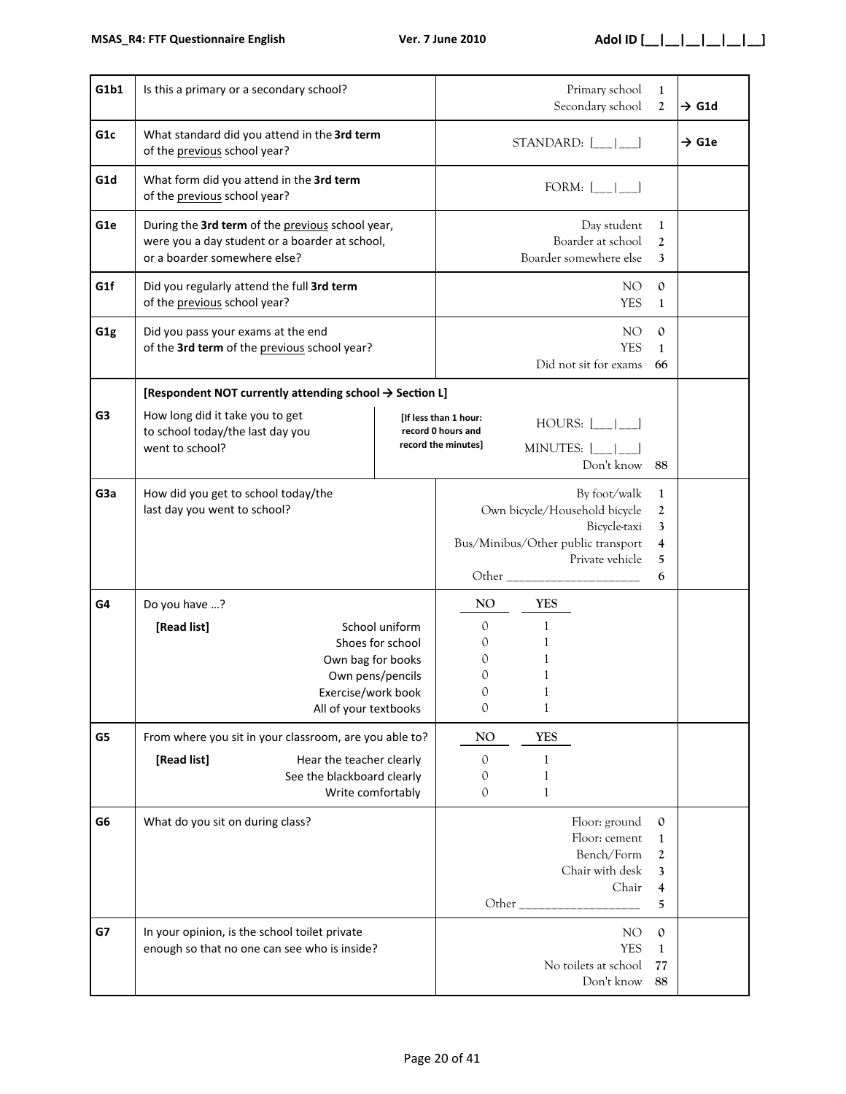| G1b1             | Is this a primary or a secondary school?                                                                                           |                                                        |                                                                    |                                                                | Primary school<br>Secondary school                                                                                     | $\mathbf{1}$<br>$\mathbf{2}$                                    | $\rightarrow$ G1d |
|------------------|------------------------------------------------------------------------------------------------------------------------------------|--------------------------------------------------------|--------------------------------------------------------------------|----------------------------------------------------------------|------------------------------------------------------------------------------------------------------------------------|-----------------------------------------------------------------|-------------------|
| G <sub>1c</sub>  | What standard did you attend in the 3rd term<br>of the previous school year?                                                       |                                                        |                                                                    |                                                                | STANDARD: $[\_$ $[\_$ $]$                                                                                              |                                                                 | $\rightarrow$ G1e |
| G1d              | What form did you attend in the 3rd term<br>of the previous school year?                                                           |                                                        |                                                                    |                                                                | FORM: $[\underline{\hspace{1cm}} \underline{\hspace{1cm}}$                                                             |                                                                 |                   |
| G <sub>1e</sub>  | During the 3rd term of the previous school year,<br>were you a day student or a boarder at school,<br>or a boarder somewhere else? |                                                        |                                                                    |                                                                | Day student<br>Boarder at school<br>Boarder somewhere else                                                             | 1<br>$\mathfrak{2}$<br>3                                        |                   |
| G1f              | Did you regularly attend the full 3rd term<br>of the previous school year?                                                         |                                                        |                                                                    |                                                                | NO.<br><b>YES</b>                                                                                                      | $\mathbf{0}$<br>1                                               |                   |
| G <sub>1g</sub>  | Did you pass your exams at the end<br>of the 3rd term of the previous school year?                                                 |                                                        |                                                                    |                                                                | NO.<br><b>YES</b><br>Did not sit for exams                                                                             | $\mathbf{O}$<br>1<br>66                                         |                   |
|                  | [Respondent NOT currently attending school → Section L]                                                                            |                                                        |                                                                    |                                                                |                                                                                                                        |                                                                 |                   |
| G <sub>3</sub>   | How long did it take you to get<br>to school today/the last day you<br>went to school?                                             |                                                        | [If less than 1 hour:<br>record 0 hours and<br>record the minutes] | $HOURS:$ $[\_$<br>MINUTES: $\left[\_\_\_\right]$<br>Don't know |                                                                                                                        |                                                                 |                   |
| G <sub>3</sub> a | How did you get to school today/the<br>last day you went to school?                                                                |                                                        |                                                                    |                                                                | By foot/walk<br>Own bicycle/Household bicycle<br>Bicycle-taxi<br>Bus/Minibus/Other public transport<br>Private vehicle | 1<br>$\boldsymbol{2}$<br>3<br>$\overline{\mathbf{4}}$<br>5<br>6 |                   |
| G4               | Do you have ?                                                                                                                      |                                                        | NO.                                                                | <b>YES</b>                                                     |                                                                                                                        |                                                                 |                   |
|                  | [Read list]<br>Own bag for books<br>Exercise/work book<br>All of your textbooks                                                    | School uniform<br>Shoes for school<br>Own pens/pencils | $\mathcal{O}$<br>0<br>0<br>0<br>0<br>$\mathbf{0}$                  | 1<br>1<br>1<br>1<br>$\mathbf{1}$                               |                                                                                                                        |                                                                 |                   |
| G5               | From where you sit in your classroom, are you able to?                                                                             |                                                        | NO                                                                 | <b>YES</b>                                                     |                                                                                                                        |                                                                 |                   |
|                  | [Read list]<br>Hear the teacher clearly<br>See the blackboard clearly<br>Write comfortably                                         |                                                        | $\circ$<br>$\mathcal{O}$<br>$\theta$                               | 1<br>1<br>1                                                    |                                                                                                                        |                                                                 |                   |
| G <sub>6</sub>   | What do you sit on during class?                                                                                                   |                                                        |                                                                    |                                                                | Floor: ground<br>Floor: cement<br>Bench/Form<br>Chair with desk<br>Chair                                               | $\mathbf{0}$<br>$\mathbf{1}$<br>2<br>3<br>4<br>5                |                   |
| G7               | In your opinion, is the school toilet private<br>enough so that no one can see who is inside?                                      |                                                        |                                                                    |                                                                | NO<br><b>YES</b><br>No toilets at school<br>Don't know                                                                 | $\mathbf{0}$<br>1<br>77<br>88                                   |                   |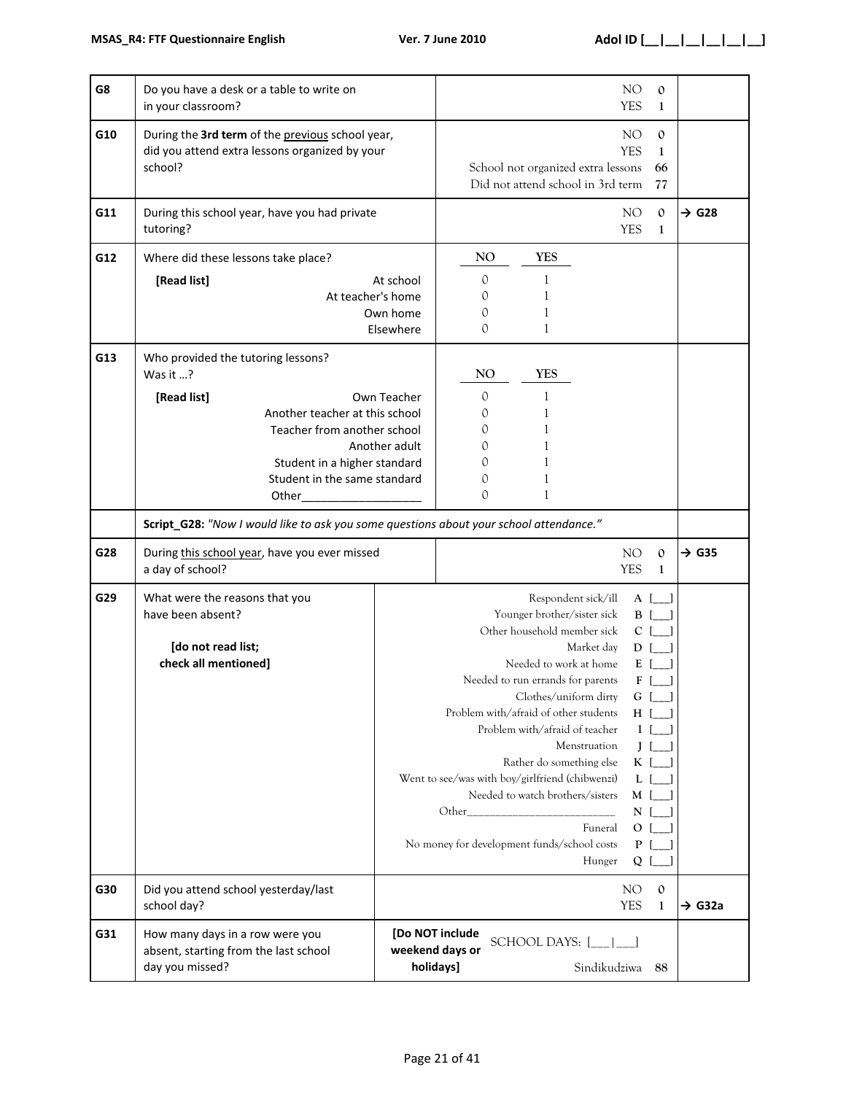| G8  | Do you have a desk or a table to write on<br>in your classroom?                                                                                                                                                                                                                                      |                                                         |                                                          |                                                                                                                                                                                                                                                                                                                                                                                                                        |                                                 | NO<br><b>YES</b>                                                                                                 | $\mathbf{0}$<br>1                                                        |                    |
|-----|------------------------------------------------------------------------------------------------------------------------------------------------------------------------------------------------------------------------------------------------------------------------------------------------------|---------------------------------------------------------|----------------------------------------------------------|------------------------------------------------------------------------------------------------------------------------------------------------------------------------------------------------------------------------------------------------------------------------------------------------------------------------------------------------------------------------------------------------------------------------|-------------------------------------------------|------------------------------------------------------------------------------------------------------------------|--------------------------------------------------------------------------|--------------------|
| G10 | During the 3rd term of the previous school year,<br>did you attend extra lessons organized by your<br>school?                                                                                                                                                                                        |                                                         |                                                          | School not organized extra lessons<br>Did not attend school in 3rd term                                                                                                                                                                                                                                                                                                                                                |                                                 | NO.<br><b>YES</b>                                                                                                | $\mathbf{0}$<br>1<br>66<br>77                                            |                    |
| G11 | During this school year, have you had private<br>tutoring?                                                                                                                                                                                                                                           |                                                         |                                                          |                                                                                                                                                                                                                                                                                                                                                                                                                        |                                                 | NO.<br><b>YES</b>                                                                                                | $\mathbf{0}$<br>$\mathbf{1}$                                             | $\rightarrow$ G28  |
| G12 | Where did these lessons take place?<br>[Read list]                                                                                                                                                                                                                                                   | At school<br>At teacher's home<br>Own home<br>Elsewhere | N <sub>O</sub><br>$\mathcal{O}$<br>0<br>0<br>0           | <b>YES</b><br>1<br>1<br>1                                                                                                                                                                                                                                                                                                                                                                                              |                                                 |                                                                                                                  |                                                                          |                    |
| G13 | Who provided the tutoring lessons?<br>Was it $?$<br>[Read list]<br>Another teacher at this school<br>Teacher from another school<br>Student in a higher standard<br>Student in the same standard<br>Other_<br>Script_G28: "Now I would like to ask you some questions about your school attendance." | Own Teacher<br>Another adult                            | NO<br>$\mathcal{O}$<br>0<br>0<br>$\Omega$<br>0<br>0<br>0 | <b>YES</b><br>1<br>1<br>1<br>1                                                                                                                                                                                                                                                                                                                                                                                         |                                                 |                                                                                                                  |                                                                          |                    |
| G28 | During this school year, have you ever missed<br>a day of school?                                                                                                                                                                                                                                    |                                                         |                                                          |                                                                                                                                                                                                                                                                                                                                                                                                                        |                                                 | NO.<br><b>YES</b>                                                                                                | $\mathbf{0}$<br>$\mathbf{1}$                                             | $\rightarrow$ G35  |
| G29 | What were the reasons that you<br>have been absent?<br>[do not read list;<br>check all mentioned]                                                                                                                                                                                                    |                                                         |                                                          | Respondent sick/ill<br>Younger brother/sister sick<br>Other household member sick<br>Needed to work at home<br>Needed to run errands for parents<br>Clothes/uniform dirty<br>Problem with/afraid of other students<br>Problem with/afraid of teacher<br>Rather do something else<br>Went to see/was with boy/girlfriend (chibwenzi)<br>Needed to watch brothers/sisters<br>No money for development funds/school costs | Market day<br>Menstruation<br>Funeral<br>Hunger | $D$ [<br>$E$ [<br>F [<br>G<br>$I \mid$<br>$J$ [<br>K [<br>$L$ [<br>$M \mid$<br>$N$ [<br>O <sub>1</sub><br>P<br>Q | $A$ [_]<br>$B$ [ ]<br>$C$ [ $\Box$ ]<br>$\boxed{\phantom{1}}$<br>$H$ [ ] |                    |
| G30 | Did you attend school yesterday/last<br>school day?                                                                                                                                                                                                                                                  |                                                         |                                                          |                                                                                                                                                                                                                                                                                                                                                                                                                        |                                                 | NO<br><b>YES</b>                                                                                                 | $\mathbf 0$<br>$\mathbf{1}$                                              | $\rightarrow$ G32a |
| G31 | How many days in a row were you<br>absent, starting from the last school<br>day you missed?                                                                                                                                                                                                          |                                                         | [Do NOT include<br>weekend days or<br>holidays]          | SCHOOL DAYS: $[\_$ $[\_$ $\_$                                                                                                                                                                                                                                                                                                                                                                                          | Sindikudziwa                                    |                                                                                                                  | 88                                                                       |                    |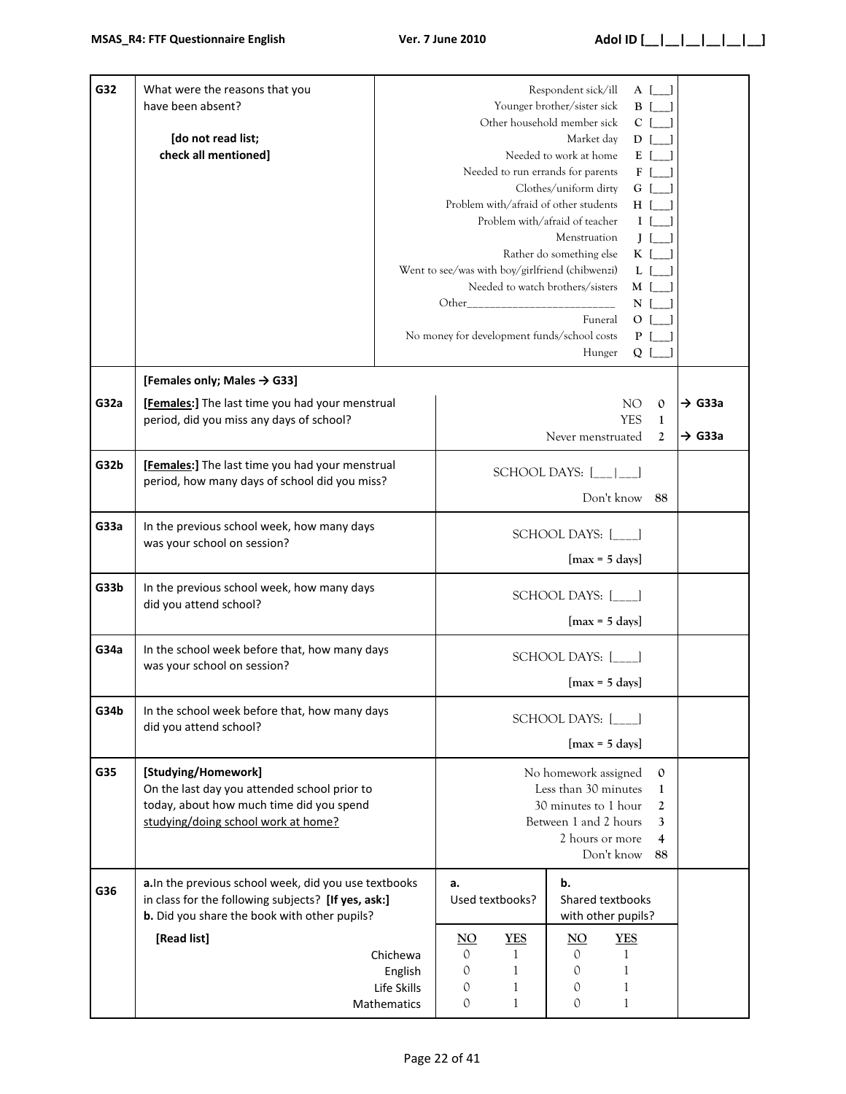| G32  | What were the reasons that you<br>have been absent?<br>[do not read list;<br>check all mentioned]                                                                   | Respondent sick/ill<br>A [<br>Younger brother/sister sick<br>B [<br>Other household member sick<br>$C$ [<br>Market day<br>$D$ [<br>Needed to work at home<br>ΕI<br>Needed to run errands for parents<br>F<br>Clothes/uniform dirty<br>G  <br>Problem with/afraid of other students<br>ΗI<br>Problem with/afraid of teacher<br>$\mathbf{I}$<br>Menstruation<br>JΙ<br>Rather do something else<br>Kſ<br>Went to see/was with boy/girlfriend (chibwenzi)<br>L I<br>Needed to watch brothers/sisters<br>M [<br>N<br>Funeral<br>O <sub>1</sub><br>No money for development funds/school costs<br>P <sub>1</sub><br>Hunger<br>Q |                                                                                                                                                                                       |                                |                                                 |                                           |                                                |                                          |
|------|---------------------------------------------------------------------------------------------------------------------------------------------------------------------|---------------------------------------------------------------------------------------------------------------------------------------------------------------------------------------------------------------------------------------------------------------------------------------------------------------------------------------------------------------------------------------------------------------------------------------------------------------------------------------------------------------------------------------------------------------------------------------------------------------------------|---------------------------------------------------------------------------------------------------------------------------------------------------------------------------------------|--------------------------------|-------------------------------------------------|-------------------------------------------|------------------------------------------------|------------------------------------------|
| G32a | [Females only; Males $\rightarrow$ G33]<br>[Females:] The last time you had your menstrual<br>period, did you miss any days of school?                              |                                                                                                                                                                                                                                                                                                                                                                                                                                                                                                                                                                                                                           |                                                                                                                                                                                       |                                | Never menstruated                               | NO.<br><b>YES</b>                         | $\mathbf{0}$<br>$\mathbf{1}$<br>$\mathfrak{D}$ | $\rightarrow$ G33a<br>$\rightarrow$ G33a |
| G32b | [Females:] The last time you had your menstrual<br>period, how many days of school did you miss?                                                                    |                                                                                                                                                                                                                                                                                                                                                                                                                                                                                                                                                                                                                           |                                                                                                                                                                                       |                                | SCHOOL DAYS: $[\_$ $[\_$ $]\_$<br>Don't know 88 |                                           |                                                |                                          |
| G33a | In the previous school week, how many days<br>was your school on session?                                                                                           |                                                                                                                                                                                                                                                                                                                                                                                                                                                                                                                                                                                                                           | SCHOOL DAYS: [___]<br>$[max = 5 days]$                                                                                                                                                |                                |                                                 |                                           |                                                |                                          |
| G33b | In the previous school week, how many days<br>did you attend school?                                                                                                |                                                                                                                                                                                                                                                                                                                                                                                                                                                                                                                                                                                                                           |                                                                                                                                                                                       |                                | SCHOOL DAYS: [___]<br>$[max = 5 days]$          |                                           |                                                |                                          |
| G34a | In the school week before that, how many days<br>was your school on session?                                                                                        |                                                                                                                                                                                                                                                                                                                                                                                                                                                                                                                                                                                                                           |                                                                                                                                                                                       |                                | SCHOOL DAYS: [ ]<br>$[max = 5 days]$            |                                           |                                                |                                          |
| G34b | In the school week before that, how many days<br>did you attend school?                                                                                             |                                                                                                                                                                                                                                                                                                                                                                                                                                                                                                                                                                                                                           |                                                                                                                                                                                       |                                | SCHOOL DAYS: [ ]<br>$[max = 5 days]$            |                                           |                                                |                                          |
| G35  | [Studying/Homework]<br>On the last day you attended school prior to<br>today, about how much time did you spend<br>studying/doing school work at home?              |                                                                                                                                                                                                                                                                                                                                                                                                                                                                                                                                                                                                                           | No homework assigned<br>$\mathbf{0}$<br>Less than 30 minutes<br>1<br>30 minutes to 1 hour<br>$\overline{2}$<br>Between 1 and 2 hours<br>3<br>2 hours or more<br>4<br>Don't know<br>88 |                                |                                                 |                                           |                                                |                                          |
| G36  | a. In the previous school week, did you use textbooks<br>in class for the following subjects? [If yes, ask:]<br><b>b.</b> Did you share the book with other pupils? |                                                                                                                                                                                                                                                                                                                                                                                                                                                                                                                                                                                                                           | a.                                                                                                                                                                                    | Used textbooks?                | b.<br>Shared textbooks<br>with other pupils?    |                                           |                                                |                                          |
|      | [Read list]                                                                                                                                                         | Chichewa<br>English<br>Life Skills<br>Mathematics                                                                                                                                                                                                                                                                                                                                                                                                                                                                                                                                                                         | $\underline{NO}$<br>$\mathcal{O}$<br>0<br>0<br>0                                                                                                                                      | <b>YES</b><br>1<br>1<br>1<br>1 | $\overline{NO}$<br>$\mathcal{O}$<br>0<br>0<br>0 | <b>YES</b><br>1<br>1<br>1<br>$\mathbf{1}$ |                                                |                                          |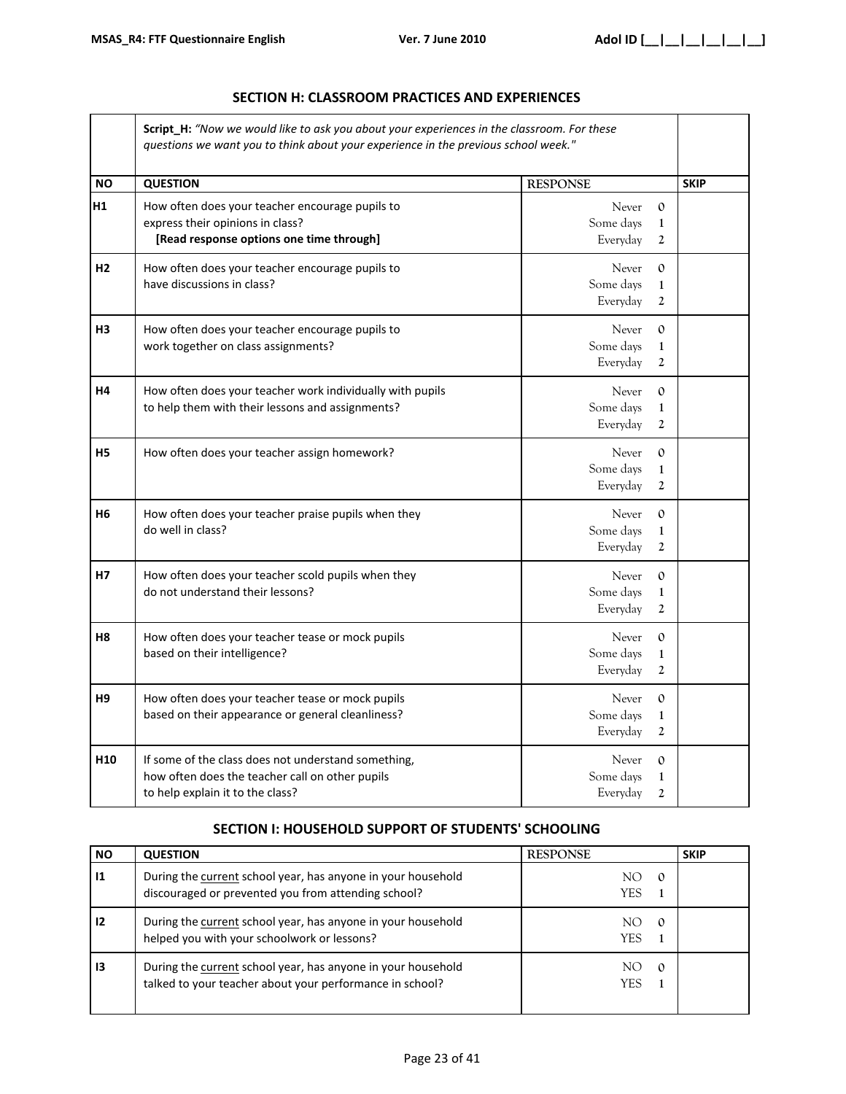| <b>Script H:</b> "Now we would like to ask you about your experiences in the classroom. For these<br>questions we want you to think about your experience in the previous school week." |                                                                                     |                           |  |             |  |
|-----------------------------------------------------------------------------------------------------------------------------------------------------------------------------------------|-------------------------------------------------------------------------------------|---------------------------|--|-------------|--|
| <b>NO</b>                                                                                                                                                                               | <b>QUESTION</b>                                                                     | <b>RESPONSE</b>           |  | <b>SKIP</b> |  |
| H1                                                                                                                                                                                      | How often does your teacher encourage pupils to<br>express their opinions in class? | <b>Never</b><br>Some days |  |             |  |
|                                                                                                                                                                                         | [Read response options one time through]                                            | Everyday                  |  |             |  |

#### **SECTION H: CLASSROOM PRACTICES AND EXPERIENCES**

|                 | [Read response options one time through]                                                                                                   | Everyday<br>$\overline{2}$                                                     |  |
|-----------------|--------------------------------------------------------------------------------------------------------------------------------------------|--------------------------------------------------------------------------------|--|
| H2              | How often does your teacher encourage pupils to<br>have discussions in class?                                                              | Never<br>$\Omega$<br>Some days<br>$\mathbf{1}$<br>Everyday<br>$\boldsymbol{2}$ |  |
| H <sub>3</sub>  | How often does your teacher encourage pupils to<br>work together on class assignments?                                                     | Never<br>$\Omega$<br>Some days<br>$\mathbf{1}$<br>Everyday<br>$\mathbf{2}$     |  |
| H <sub>4</sub>  | How often does your teacher work individually with pupils<br>to help them with their lessons and assignments?                              | Never<br>$\Omega$<br>Some days<br>$\mathbf 1$<br>Everyday<br>$\overline{2}$    |  |
| <b>H5</b>       | How often does your teacher assign homework?                                                                                               | Never<br>$\Omega$<br>Some days<br>1<br>Everyday<br>$\overline{2}$              |  |
| <b>H6</b>       | How often does your teacher praise pupils when they<br>do well in class?                                                                   | Never<br>$\Omega$<br>Some days<br>1<br>Everyday<br>$\overline{2}$              |  |
| <b>H7</b>       | How often does your teacher scold pupils when they<br>do not understand their lessons?                                                     | Never<br>$\Omega$<br>Some days<br>$\mathbf 1$<br>Everyday<br>2                 |  |
| H <sub>8</sub>  | How often does your teacher tease or mock pupils<br>based on their intelligence?                                                           | Never<br>$\Omega$<br>Some days<br>1<br>Everyday<br>$\overline{2}$              |  |
| H <sub>9</sub>  | How often does your teacher tease or mock pupils<br>based on their appearance or general cleanliness?                                      | Never<br>$\Omega$<br>Some days<br>$\mathbf{1}$<br>Everyday<br>2                |  |
| H <sub>10</sub> | If some of the class does not understand something,<br>how often does the teacher call on other pupils<br>to help explain it to the class? | Never<br>$\Omega$<br>Some days<br>1<br>Everyday<br>2                           |  |

## **SECTION I: HOUSEHOLD SUPPORT OF STUDENTS' SCHOOLING**

| NO.          | <b>QUESTION</b>                                                                                                          | <b>RESPONSE</b> | <b>SKIP</b> |
|--------------|--------------------------------------------------------------------------------------------------------------------------|-----------------|-------------|
| $\mathbf{I}$ | During the current school year, has anyone in your household<br>discouraged or prevented you from attending school?      | YES             |             |
| 12           | During the current school year, has anyone in your household<br>helped you with your schoolwork or lessons?              | YES             |             |
| 13           | During the current school year, has anyone in your household<br>talked to your teacher about your performance in school? | YES             |             |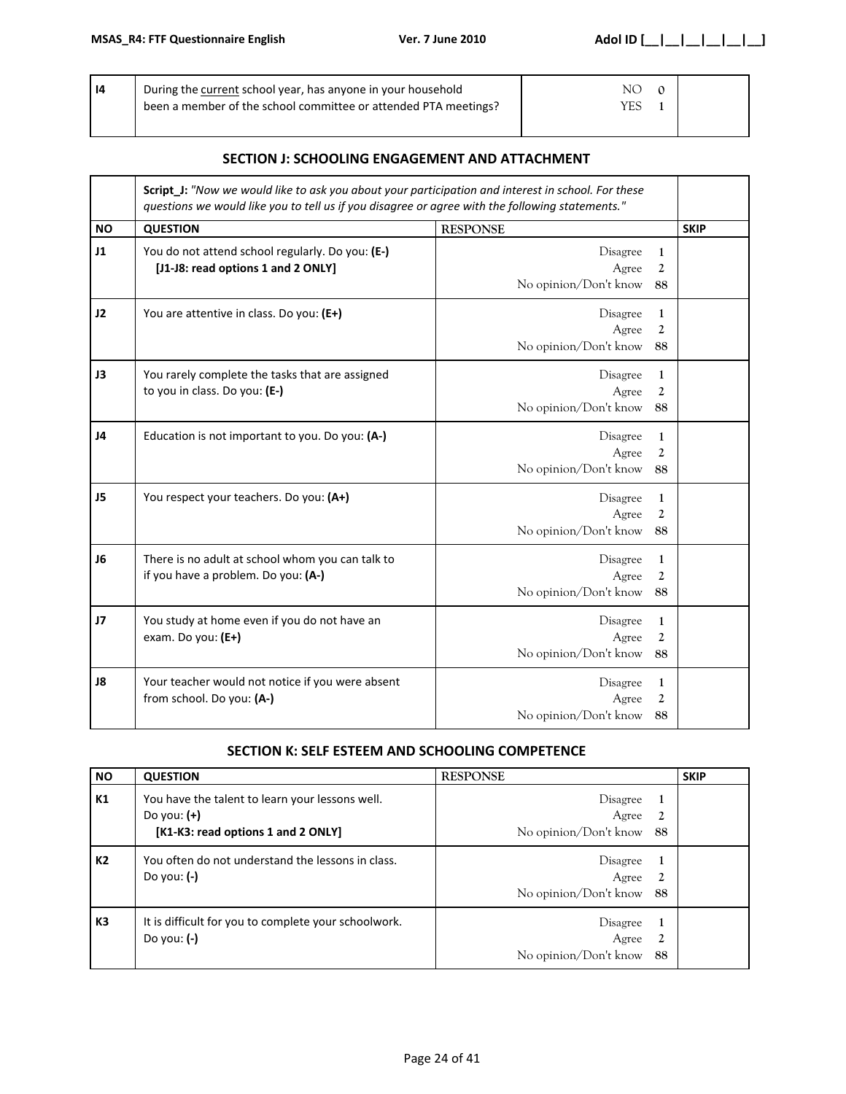| l 14 | During the current school year, has anyone in your household    | NО  |  |
|------|-----------------------------------------------------------------|-----|--|
|      | been a member of the school committee or attended PTA meetings? | YES |  |
|      |                                                                 |     |  |

## **SECTION J: SCHOOLING ENGAGEMENT AND ATTACHMENT**

|                | Script_J: "Now we would like to ask you about your participation and interest in school. For these<br>questions we would like you to tell us if you disagree or agree with the following statements." |                                            |                           |             |  |  |
|----------------|-------------------------------------------------------------------------------------------------------------------------------------------------------------------------------------------------------|--------------------------------------------|---------------------------|-------------|--|--|
| <b>NO</b>      | <b>QUESTION</b>                                                                                                                                                                                       | <b>RESPONSE</b>                            |                           | <b>SKIP</b> |  |  |
| 11             | You do not attend school regularly. Do you: (E-)<br>[J1-J8: read options 1 and 2 ONLY]                                                                                                                | Disagree<br>Agree<br>No opinion/Don't know | $\mathbf{1}$<br>2<br>88   |             |  |  |
| 12             | You are attentive in class. Do you: (E+)                                                                                                                                                              | Disagree<br>Agree<br>No opinion/Don't know | 1<br>$\mathfrak{2}$<br>88 |             |  |  |
| J3             | You rarely complete the tasks that are assigned<br>to you in class. Do you: (E-)                                                                                                                      | Disagree<br>Agree<br>No opinion/Don't know | 1<br>2<br>88              |             |  |  |
| J4             | Education is not important to you. Do you: (A-)                                                                                                                                                       | Disagree<br>Agree<br>No opinion/Don't know | 1<br>$\mathfrak{2}$<br>88 |             |  |  |
| J5             | You respect your teachers. Do you: (A+)                                                                                                                                                               | Disagree<br>Agree<br>No opinion/Don't know | 1<br>2<br>88              |             |  |  |
| J6             | There is no adult at school whom you can talk to<br>if you have a problem. Do you: (A-)                                                                                                               | Disagree<br>Agree<br>No opinion/Don't know | $\mathbf{1}$<br>2<br>88   |             |  |  |
| J <sub>7</sub> | You study at home even if you do not have an<br>exam. Do you: (E+)                                                                                                                                    | Disagree<br>Agree<br>No opinion/Don't know | 1<br>2<br>88              |             |  |  |
| J8             | Your teacher would not notice if you were absent<br>from school. Do you: (A-)                                                                                                                         | Disagree<br>Agree<br>No opinion/Don't know | $\mathbf{1}$<br>2<br>88   |             |  |  |

## **SECTION K: SELF ESTEEM AND SCHOOLING COMPETENCE**

| <b>NO</b>      | <b>QUESTION</b>                                                                                        | <b>RESPONSE</b>                                    | <b>SKIP</b> |
|----------------|--------------------------------------------------------------------------------------------------------|----------------------------------------------------|-------------|
| K1             | You have the talent to learn your lessons well.<br>Do you: $(+)$<br>[K1-K3: read options 1 and 2 ONLY] | Disagree<br>Agree<br>No opinion/Don't know<br>88   |             |
| К2             | You often do not understand the lessons in class.<br>Do you: $(-)$                                     | Disagree<br>Agree<br>2<br>No opinion/Don't know 88 |             |
| K <sub>3</sub> | It is difficult for you to complete your schoolwork.<br>Do you: $(-)$                                  | Disagree<br>Agree<br>No opinion/Don't know<br>88   |             |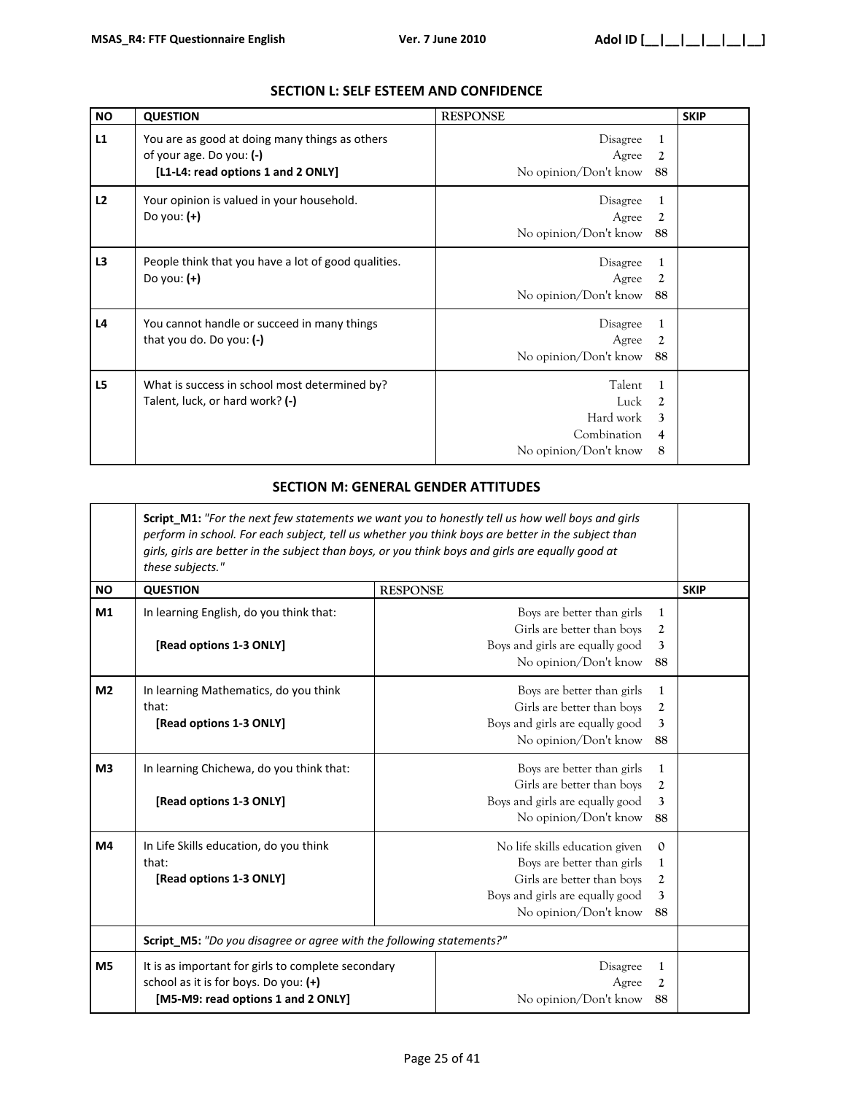| <b>NO</b>      | <b>QUESTION</b>                                                                                                    | <b>RESPONSE</b>                                                     |                                                                                | <b>SKIP</b> |
|----------------|--------------------------------------------------------------------------------------------------------------------|---------------------------------------------------------------------|--------------------------------------------------------------------------------|-------------|
| L1             | You are as good at doing many things as others<br>of your age. Do you: $(-)$<br>[L1-L4: read options 1 and 2 ONLY] | <b>Disagree</b><br>Agree<br>No opinion/Don't know                   | 1<br>2<br>88                                                                   |             |
| L2             | Your opinion is valued in your household.<br>Do you: $(+)$                                                         | Disagree<br>Agree<br>No opinion/Don't know                          | 1<br>2<br>88                                                                   |             |
| L <sub>3</sub> | People think that you have a lot of good qualities.<br>Do you: $(+)$                                               | Disagree<br>Agree<br>No opinion/Don't know                          | 1<br>2<br>88                                                                   |             |
| L4             | You cannot handle or succeed in many things<br>that you do. Do you: $(-)$                                          | Disagree<br>Agree<br>No opinion/Don't know                          | 1<br>2<br>88                                                                   |             |
| L5             | What is success in school most determined by?<br>Talent, luck, or hard work? (-)                                   | Talent<br>Luck<br>Hard work<br>Combination<br>No opinion/Don't know | $\mathbf{1}$<br>$\mathfrak{D}$<br>$\mathbf{3}$<br>$\overline{\mathbf{4}}$<br>8 |             |

## **SECTION L: SELF ESTEEM AND CONFIDENCE**

# **SECTION M: GENERAL GENDER ATTITUDES**

|                | Script_M1: "For the next few statements we want you to honestly tell us how well boys and girls<br>perform in school. For each subject, tell us whether you think boys are better in the subject than<br>girls, girls are better in the subject than boys, or you think boys and girls are equally good at<br>these subjects." |                                                                                                                                                                                             |                                                                                                                                           |              |  |  |
|----------------|--------------------------------------------------------------------------------------------------------------------------------------------------------------------------------------------------------------------------------------------------------------------------------------------------------------------------------|---------------------------------------------------------------------------------------------------------------------------------------------------------------------------------------------|-------------------------------------------------------------------------------------------------------------------------------------------|--------------|--|--|
| <b>NO</b>      | <b>QUESTION</b>                                                                                                                                                                                                                                                                                                                |                                                                                                                                                                                             | <b>RESPONSE</b>                                                                                                                           |              |  |  |
| M1             | In learning English, do you think that:<br>[Read options 1-3 ONLY]                                                                                                                                                                                                                                                             |                                                                                                                                                                                             | Boys are better than girls<br>1<br>Girls are better than boys<br>2<br>Boys and girls are equally good<br>3<br>No opinion/Don't know<br>88 |              |  |  |
| M <sub>2</sub> | In learning Mathematics, do you think<br>that:<br>[Read options 1-3 ONLY]                                                                                                                                                                                                                                                      | Boys are better than girls<br>$\mathbf{1}$<br>Girls are better than boys<br>2<br>Boys and girls are equally good<br>3<br>No opinion/Don't know<br>88                                        |                                                                                                                                           |              |  |  |
| M <sub>3</sub> | In learning Chichewa, do you think that:<br>[Read options 1-3 ONLY]                                                                                                                                                                                                                                                            | Boys are better than girls<br>1<br>Girls are better than boys<br>2<br>Boys and girls are equally good<br>3<br>No opinion/Don't know<br>88                                                   |                                                                                                                                           |              |  |  |
| M4             | In Life Skills education, do you think<br>that:<br>[Read options 1-3 ONLY]                                                                                                                                                                                                                                                     | No life skills education given<br>$\mathbf{0}$<br>Boys are better than girls<br>1<br>Girls are better than boys<br>2<br>Boys and girls are equally good<br>3<br>No opinion/Don't know<br>88 |                                                                                                                                           |              |  |  |
|                | Script_M5: "Do you disagree or agree with the following statements?"                                                                                                                                                                                                                                                           |                                                                                                                                                                                             |                                                                                                                                           |              |  |  |
| M <sub>5</sub> | It is as important for girls to complete secondary<br>school as it is for boys. Do you: (+)<br>[M5-M9: read options 1 and 2 ONLY]                                                                                                                                                                                              |                                                                                                                                                                                             | Disagree<br>Agree<br>No opinion/Don't know                                                                                                | 1<br>2<br>88 |  |  |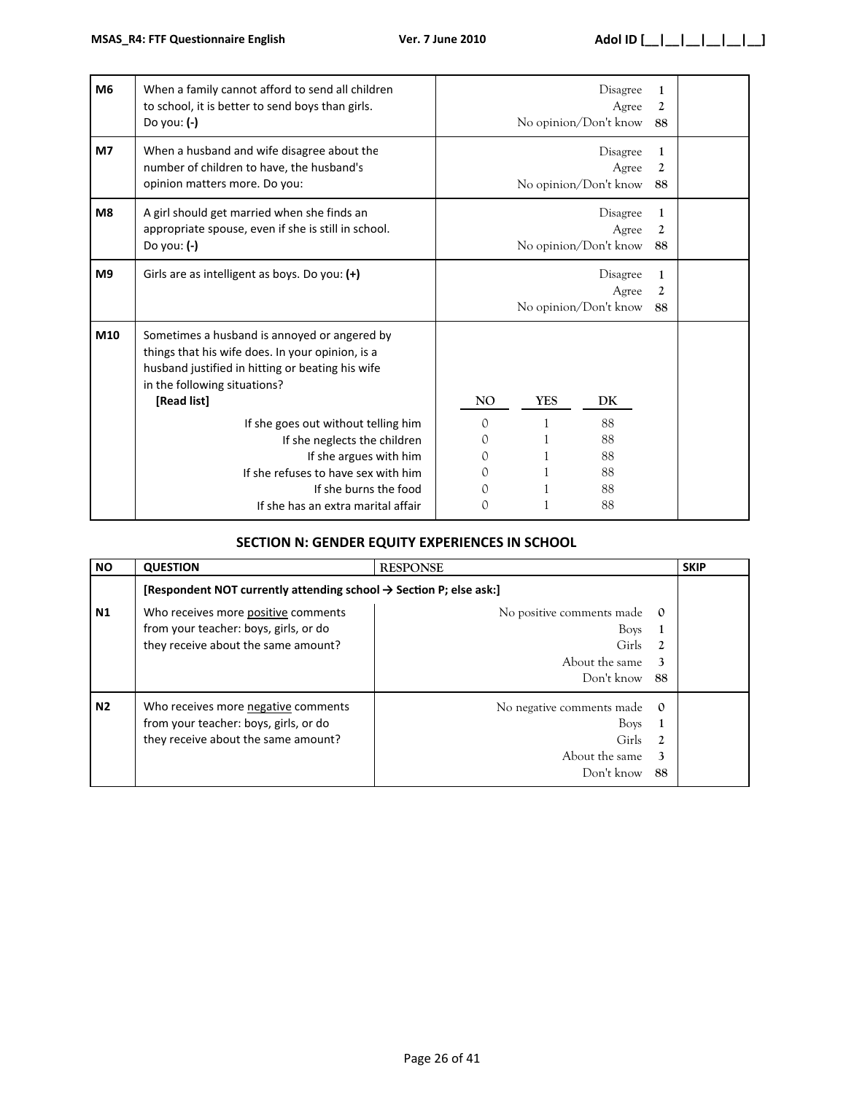| <b>M6</b>      | When a family cannot afford to send all children<br>to school, it is better to send boys than girls.<br>Do you: $(-)$                                                                               |                                            |            | Disagree<br>Agree<br>No opinion/Don't know | 1<br>2<br>88              |  |
|----------------|-----------------------------------------------------------------------------------------------------------------------------------------------------------------------------------------------------|--------------------------------------------|------------|--------------------------------------------|---------------------------|--|
| M <sub>7</sub> | When a husband and wife disagree about the<br>number of children to have, the husband's<br>opinion matters more. Do you:                                                                            |                                            |            | Disagree<br>Agree<br>No opinion/Don't know | 1<br>$\mathfrak{D}$<br>88 |  |
| M8             | A girl should get married when she finds an<br>appropriate spouse, even if she is still in school.<br>Do you: (-)                                                                                   | Disagree<br>Agree<br>No opinion/Don't know |            |                                            | 1<br>2<br>88              |  |
| M <sub>9</sub> | Girls are as intelligent as boys. Do you: (+)                                                                                                                                                       |                                            |            | Disagree<br>Agree<br>No opinion/Don't know | 1<br>2<br>88              |  |
| M10            | Sometimes a husband is annoyed or angered by<br>things that his wife does. In your opinion, is a<br>husband justified in hitting or beating his wife<br>in the following situations?<br>[Read list] | <b>NO</b>                                  | <b>YES</b> | DK                                         |                           |  |
|                | If she goes out without telling him<br>If she neglects the children<br>If she argues with him<br>If she refuses to have sex with him<br>If she burns the food<br>If she has an extra marital affair | $\Omega$<br>0<br>$\Omega$<br>0<br>0<br>0   |            | 88<br>88<br>88<br>88<br>88<br>88           |                           |  |

# **SECTION N: GENDER EQUITY EXPERIENCES IN SCHOOL**

| <b>NO</b>      | <b>QUESTION</b>                                                                                                     | <b>RESPONSE</b>                                                                       |                | <b>SKIP</b> |
|----------------|---------------------------------------------------------------------------------------------------------------------|---------------------------------------------------------------------------------------|----------------|-------------|
|                | [Respondent NOT currently attending school $\rightarrow$ Section P; else ask:]                                      |                                                                                       |                |             |
| <b>N1</b>      | Who receives more positive comments<br>from your teacher: boys, girls, or do<br>they receive about the same amount? | No positive comments made<br><b>Boys</b><br>Girls:<br>About the same<br>Don't know 88 | $\mathbf{0}$   |             |
| N <sub>2</sub> | Who receives more negative comments<br>from your teacher: boys, girls, or do<br>they receive about the same amount? | No negative comments made<br><b>Boys</b><br>Girls<br>About the same<br>Don't know     | $\Omega$<br>88 |             |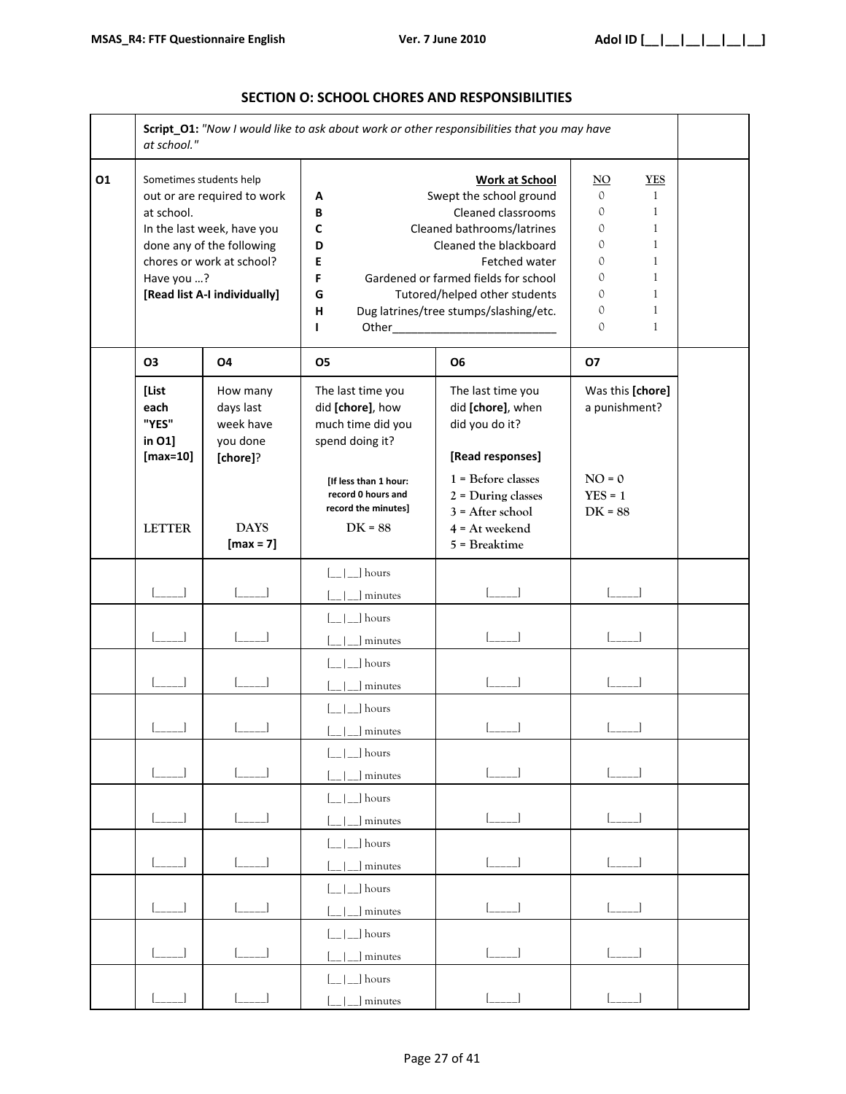|    | at school."                                                                                                                                                                                                |                                                      |                                                                                                                                                                                                                                                                                                                           | Script_O1: "Now I would like to ask about work or other responsibilities that you may have                                    |                                         |  |  |  |  |
|----|------------------------------------------------------------------------------------------------------------------------------------------------------------------------------------------------------------|------------------------------------------------------|---------------------------------------------------------------------------------------------------------------------------------------------------------------------------------------------------------------------------------------------------------------------------------------------------------------------------|-------------------------------------------------------------------------------------------------------------------------------|-----------------------------------------|--|--|--|--|
| 01 | Sometimes students help<br>out or are required to work<br>at school.<br>In the last week, have you<br>done any of the following<br>chores or work at school?<br>Have you ?<br>[Read list A-I individually] |                                                      | <b>Work at School</b><br>Swept the school ground<br>Α<br>Cleaned classrooms<br>В<br>Cleaned bathrooms/latrines<br>C<br>Cleaned the blackboard<br>D<br>Fetched water<br>Е<br>F<br>Gardened or farmed fields for school<br>G<br>Tutored/helped other students<br>Dug latrines/tree stumps/slashing/etc.<br>н<br>Other_<br>L |                                                                                                                               |                                         |  |  |  |  |
|    | <b>O3</b><br>[List<br>each<br>"YES"<br>in 01]                                                                                                                                                              | 04<br>How many<br>days last<br>week have<br>you done | 05<br>The last time you<br>did [chore], how<br>much time did you<br>spend doing it?                                                                                                                                                                                                                                       | <b>O6</b><br>The last time you<br>did [chore], when<br>did you do it?                                                         | 07<br>Was this [chore]<br>a punishment? |  |  |  |  |
|    | $[max=10]$<br><b>LETTER</b>                                                                                                                                                                                | [chore]?<br><b>DAYS</b><br>$[max = 7]$               | [If less than 1 hour:<br>record 0 hours and<br>record the minutes]<br>$DK = 88$                                                                                                                                                                                                                                           | [Read responses]<br>$1$ = Before classes<br>$2$ = During classes<br>$3 =$ After school<br>$4 = At$ weekend<br>$5$ = Breaktime | $NO = 0$<br>$YES = 1$<br>$DK = 88$      |  |  |  |  |
|    |                                                                                                                                                                                                            |                                                      | hours<br>minutes                                                                                                                                                                                                                                                                                                          |                                                                                                                               |                                         |  |  |  |  |
|    |                                                                                                                                                                                                            |                                                      | ] hours<br>minutes                                                                                                                                                                                                                                                                                                        |                                                                                                                               |                                         |  |  |  |  |
|    |                                                                                                                                                                                                            |                                                      | _] hours<br>minutes                                                                                                                                                                                                                                                                                                       |                                                                                                                               |                                         |  |  |  |  |
|    |                                                                                                                                                                                                            |                                                      | hours<br>] minutes                                                                                                                                                                                                                                                                                                        |                                                                                                                               |                                         |  |  |  |  |
|    |                                                                                                                                                                                                            |                                                      | $\lfloor$ $\lfloor$ $\rfloor$ hours<br>minutes                                                                                                                                                                                                                                                                            |                                                                                                                               |                                         |  |  |  |  |
|    |                                                                                                                                                                                                            |                                                      | $\Box$ hours<br>minutes                                                                                                                                                                                                                                                                                                   |                                                                                                                               |                                         |  |  |  |  |
|    |                                                                                                                                                                                                            |                                                      | $\Box$ hours<br>minutes                                                                                                                                                                                                                                                                                                   |                                                                                                                               |                                         |  |  |  |  |
|    |                                                                                                                                                                                                            |                                                      | _] hours<br>minutes                                                                                                                                                                                                                                                                                                       |                                                                                                                               |                                         |  |  |  |  |
|    |                                                                                                                                                                                                            |                                                      | hours<br>minutes                                                                                                                                                                                                                                                                                                          | $\begin{bmatrix} 1 & 1 \\ 1 & 1 \end{bmatrix}$                                                                                |                                         |  |  |  |  |
|    |                                                                                                                                                                                                            |                                                      | ] hours                                                                                                                                                                                                                                                                                                                   |                                                                                                                               |                                         |  |  |  |  |

#### **SECTION O: SCHOOL CHORES AND RESPONSIBILITIES**

[\_\_|\_\_] minutes [\_\_\_\_\_] [\_\_\_\_\_] [\_\_\_\_\_] [\_\_\_\_\_]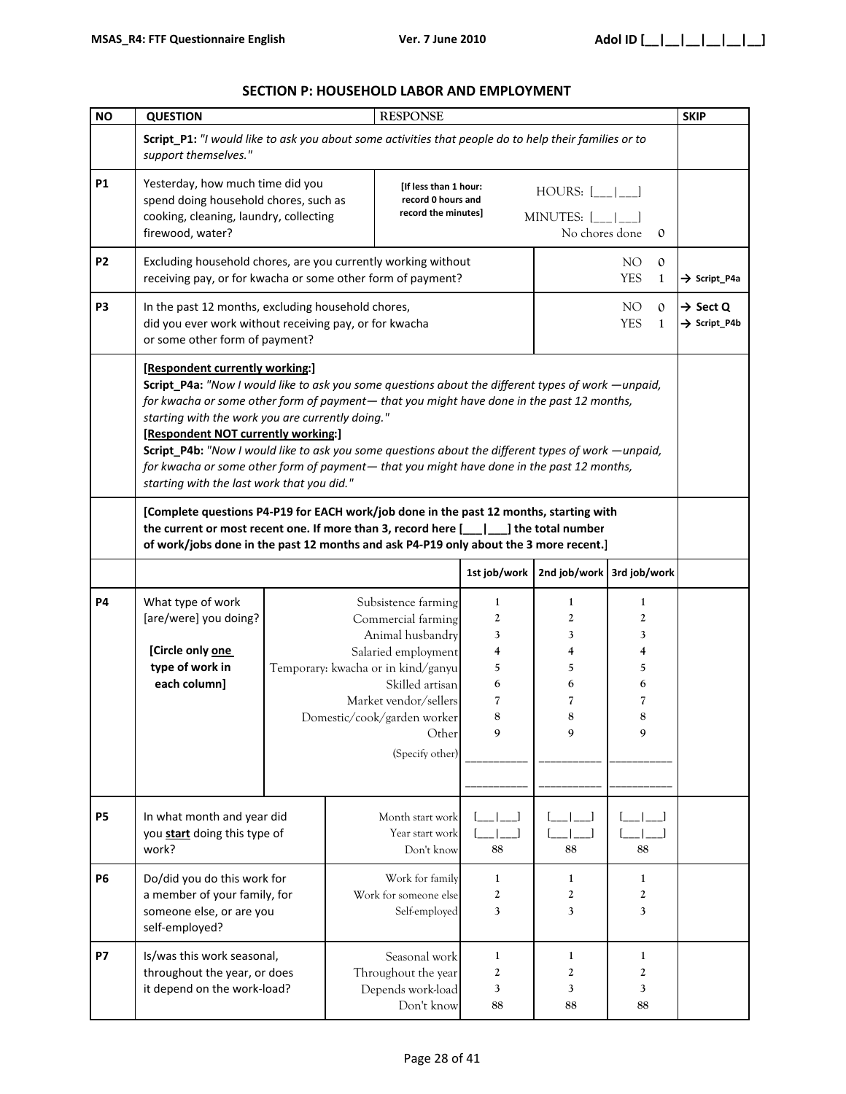#### **SECTION P: HOUSEHOLD LABOR AND EMPLOYMENT**

| <b>NO</b>      | <b>QUESTION</b>                                                                                                                                                                                                                                                               |                                                                                                                                                                                                                                                                                                                                                                                                                                                                                                                                                                                |  | <b>RESPONSE</b>                                                                                                                                                                                                                   |                                                      |                                                      |                                                                     |                              | <b>SKIP</b>                                      |
|----------------|-------------------------------------------------------------------------------------------------------------------------------------------------------------------------------------------------------------------------------------------------------------------------------|--------------------------------------------------------------------------------------------------------------------------------------------------------------------------------------------------------------------------------------------------------------------------------------------------------------------------------------------------------------------------------------------------------------------------------------------------------------------------------------------------------------------------------------------------------------------------------|--|-----------------------------------------------------------------------------------------------------------------------------------------------------------------------------------------------------------------------------------|------------------------------------------------------|------------------------------------------------------|---------------------------------------------------------------------|------------------------------|--------------------------------------------------|
|                | Script_P1: "I would like to ask you about some activities that people do to help their families or to<br>support themselves."                                                                                                                                                 |                                                                                                                                                                                                                                                                                                                                                                                                                                                                                                                                                                                |  |                                                                                                                                                                                                                                   |                                                      |                                                      |                                                                     |                              |                                                  |
| <b>P1</b>      | Yesterday, how much time did you<br>spend doing household chores, such as<br>cooking, cleaning, laundry, collecting<br>firewood, water?                                                                                                                                       |                                                                                                                                                                                                                                                                                                                                                                                                                                                                                                                                                                                |  | [If less than 1 hour:<br>record 0 hours and<br>record the minutes]                                                                                                                                                                |                                                      | $HOURS:$ $\vert$<br>MINUTES: [<br>No chores done     |                                                                     | $\mathbf{0}$                 |                                                  |
| P <sub>2</sub> | Excluding household chores, are you currently working without<br>receiving pay, or for kwacha or some other form of payment?                                                                                                                                                  |                                                                                                                                                                                                                                                                                                                                                                                                                                                                                                                                                                                |  |                                                                                                                                                                                                                                   |                                                      |                                                      | NO.<br><b>YES</b>                                                   | $\mathbf{0}$<br>1            | $\rightarrow$ Script P4a                         |
| P <sub>3</sub> | In the past 12 months, excluding household chores,<br>did you ever work without receiving pay, or for kwacha<br>or some other form of payment?                                                                                                                                |                                                                                                                                                                                                                                                                                                                                                                                                                                                                                                                                                                                |  |                                                                                                                                                                                                                                   |                                                      |                                                      | NO <sub>1</sub><br><b>YES</b>                                       | $\mathbf{0}$<br>$\mathbf{1}$ | $\rightarrow$ Sect Q<br>$\rightarrow$ Script_P4b |
|                |                                                                                                                                                                                                                                                                               | [Respondent currently working:]<br>Script_P4a: "Now I would like to ask you some questions about the different types of work —unpaid,<br>for kwacha or some other form of payment— that you might have done in the past 12 months,<br>starting with the work you are currently doing."<br>[Respondent NOT currently working:]<br>Script_P4b: "Now I would like to ask you some questions about the different types of work —unpaid,<br>for kwacha or some other form of payment— that you might have done in the past 12 months,<br>starting with the last work that you did." |  |                                                                                                                                                                                                                                   |                                                      |                                                      |                                                                     |                              |                                                  |
|                | [Complete questions P4-P19 for EACH work/job done in the past 12 months, starting with<br>the current or most recent one. If more than 3, record here $[\_\_\_\_\]$ the total number<br>of work/jobs done in the past 12 months and ask P4-P19 only about the 3 more recent.] |                                                                                                                                                                                                                                                                                                                                                                                                                                                                                                                                                                                |  |                                                                                                                                                                                                                                   |                                                      |                                                      |                                                                     |                              |                                                  |
|                |                                                                                                                                                                                                                                                                               |                                                                                                                                                                                                                                                                                                                                                                                                                                                                                                                                                                                |  |                                                                                                                                                                                                                                   | 1st job/work                                         | 2nd job/work 3rd job/work                            |                                                                     |                              |                                                  |
| <b>P4</b>      | What type of work<br>[are/were] you doing?<br>[Circle only one<br>type of work in<br>each column]                                                                                                                                                                             |                                                                                                                                                                                                                                                                                                                                                                                                                                                                                                                                                                                |  | Subsistence farming<br>Commercial farming<br>Animal husbandry<br>Salaried employment<br>Temporary: kwacha or in kind/ganyu<br>Skilled artisan<br>Market vendor/sellers<br>Domestic/cook/garden worker<br>Other<br>(Specify other) | $\mathbf{1}$<br>2<br>3<br>4<br>5<br>6<br>7<br>8<br>9 | $\mathbf{1}$<br>2<br>3<br>4<br>5<br>6<br>7<br>8<br>9 | $\mathbf{1}$<br>$\boldsymbol{2}$<br>3<br>4<br>5<br>6<br>7<br>8<br>9 |                              |                                                  |
| <b>P5</b>      | In what month and year did<br>you start doing this type of<br>work?                                                                                                                                                                                                           |                                                                                                                                                                                                                                                                                                                                                                                                                                                                                                                                                                                |  | Month start work<br>Year start work<br>Don't know                                                                                                                                                                                 | 88                                                   | 88                                                   | 88                                                                  |                              |                                                  |
| <b>P6</b>      | Do/did you do this work for<br>a member of your family, for<br>someone else, or are you<br>self-employed?                                                                                                                                                                     |                                                                                                                                                                                                                                                                                                                                                                                                                                                                                                                                                                                |  | Work for family<br>Work for someone else<br>Self-employed                                                                                                                                                                         | 1<br>2<br>3                                          | 1<br>2<br>3                                          | 1<br>$\boldsymbol{2}$<br>3                                          |                              |                                                  |
| <b>P7</b>      | Is/was this work seasonal,<br>throughout the year, or does<br>it depend on the work-load?                                                                                                                                                                                     |                                                                                                                                                                                                                                                                                                                                                                                                                                                                                                                                                                                |  | Seasonal work<br>Throughout the year<br>Depends work-load<br>Don't know                                                                                                                                                           | 1<br>2<br>3<br>88                                    | 1<br>2<br>3<br>88                                    | 1<br>$\boldsymbol{2}$<br>3<br>88                                    |                              |                                                  |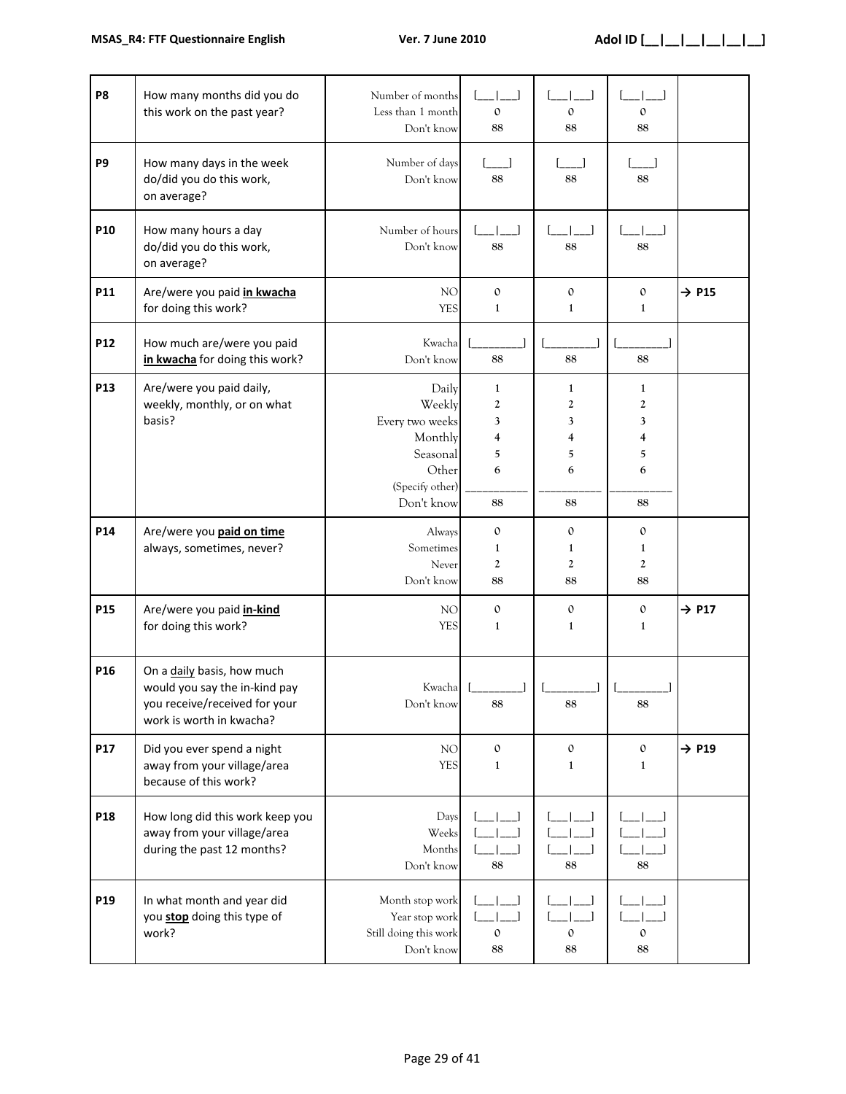| P <sub>8</sub> | How many months did you do<br>this work on the past year?                                                                | Number of months<br>Less than 1 month<br>Don't know                                                 | $\mathbf{0}$<br>88                             | $\mathbf 0$<br>88                           | $\mathbf{0}$<br>88                        |                   |
|----------------|--------------------------------------------------------------------------------------------------------------------------|-----------------------------------------------------------------------------------------------------|------------------------------------------------|---------------------------------------------|-------------------------------------------|-------------------|
| P <sub>9</sub> | How many days in the week<br>do/did you do this work,<br>on average?                                                     | Number of days<br>Don't know                                                                        | $\begin{bmatrix} 1 & 1 \end{bmatrix}$<br>88    | 88                                          | 88                                        |                   |
| P10            | How many hours a day<br>do/did you do this work,<br>on average?                                                          | Number of hours<br>Don't know                                                                       | 88                                             | 88                                          | 88                                        |                   |
| P11            | Are/were you paid in kwacha<br>for doing this work?                                                                      | NO<br><b>YES</b>                                                                                    | $\mathbf 0$<br>$\mathbf{1}$                    | $\mathbf{0}$<br>$\mathbf{1}$                | $\mathbf{O}$<br>$\mathbf{1}$              | $\rightarrow$ P15 |
| P12            | How much are/were you paid<br>in kwacha for doing this work?                                                             | Kwacha<br>Don't know                                                                                | 88                                             | 88                                          | 88                                        |                   |
| P13            | Are/were you paid daily,<br>weekly, monthly, or on what<br>basis?                                                        | Daily<br>Weekly<br>Every two weeks<br>Monthly<br>Seasonal<br>Other<br>(Specify other)<br>Don't know | $\mathbf{1}$<br>2<br>3<br>4<br>5<br>6<br>88    | $\mathbf{1}$<br>2<br>3<br>4<br>5<br>6<br>88 | 1<br>2<br>3<br>4<br>5<br>6<br>88          |                   |
| P14            | Are/were you <b>paid on time</b><br>always, sometimes, never?                                                            | Always<br>Sometimes<br>Never<br>Don't know                                                          | $\mathbf{O}$<br>1<br>$\mathbf{2}$<br>88        | $\mathbf{0}$<br>1<br>2<br>88                | $\mathbf{O}$<br>1<br>$\overline{2}$<br>88 |                   |
| P15            | Are/were you paid <i>in-kind</i><br>for doing this work?                                                                 | NO <sub>1</sub><br><b>YES</b>                                                                       | $\mathbf{0}$<br>$\mathbf{1}$                   | $\mathbf{0}$<br>$\mathbf{1}$                | $\mathbf{O}$<br>$\mathbf{1}$              | $\rightarrow$ P17 |
| P16            | On a daily basis, how much<br>would you say the in-kind pay<br>you receive/received for your<br>work is worth in kwacha? | Kwacha<br>Don't know                                                                                | 88                                             | 88                                          | 88                                        |                   |
| P17            | Did you ever spend a night<br>away from your village/area<br>because of this work?                                       | NO<br><b>YES</b>                                                                                    | $\mathbf 0$<br>$\mathbf{1}$                    | $\boldsymbol{0}$<br>$\mathbf{1}$            | $\mathbf{O}$<br>$\mathbf{1}$              | $\rightarrow$ P19 |
| P18            | How long did this work keep you<br>away from your village/area<br>during the past 12 months?                             | Days<br>Weeks<br>Months<br>Don't know                                                               | 88                                             | 88                                          | 88                                        |                   |
| P19            | In what month and year did<br>you stop doing this type of<br>work?                                                       | Month stop work<br>Year stop work<br>Still doing this work<br>Don't know                            | $\overline{\phantom{a}}$<br>$\mathbf{O}$<br>88 | $\mathbf{0}$<br>$88\,$                      | $\mathbf{0}$<br>88                        |                   |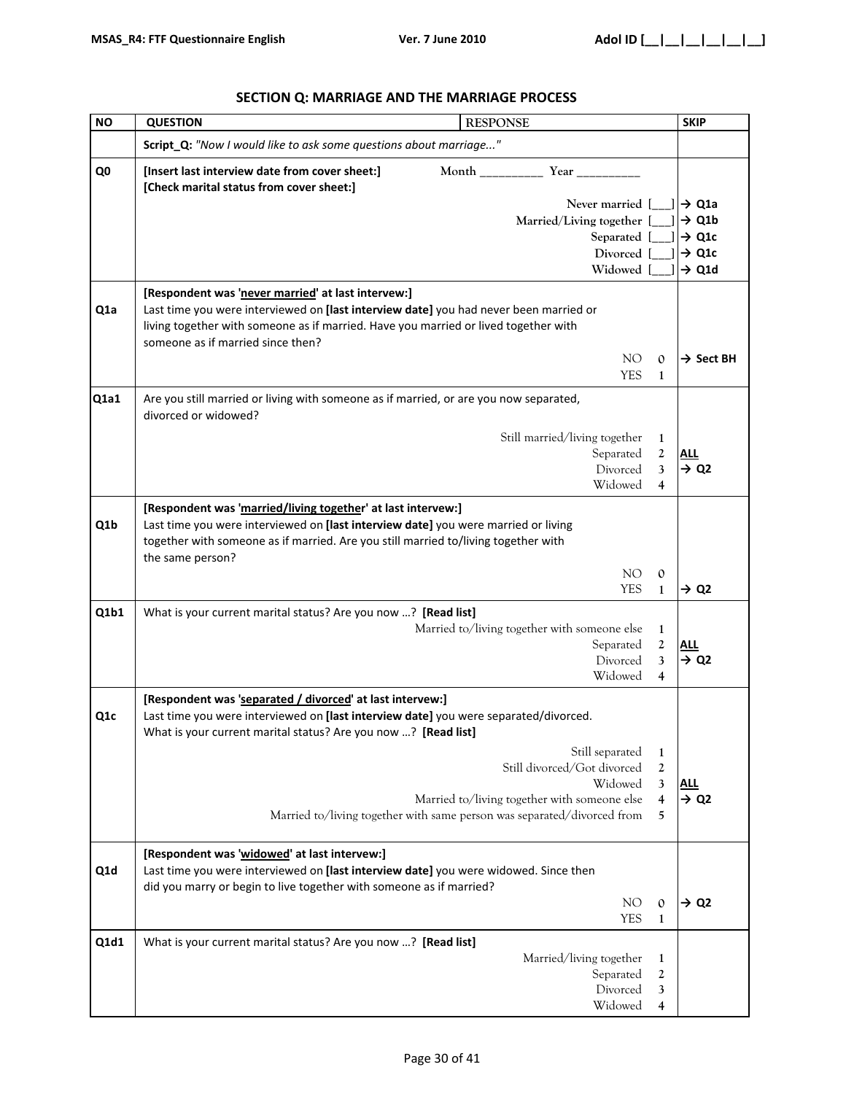| <b>NO</b>        | <b>RESPONSE</b><br><b>SKIP</b><br><b>QUESTION</b>                                                                                                                                                                                                            |                                        |  |  |
|------------------|--------------------------------------------------------------------------------------------------------------------------------------------------------------------------------------------------------------------------------------------------------------|----------------------------------------|--|--|
|                  | Script_Q: "Now I would like to ask some questions about marriage"                                                                                                                                                                                            |                                        |  |  |
| Q <sub>0</sub>   | [Insert last interview date from cover sheet:]<br>Month __________ Year _________<br>[Check marital status from cover sheet:]                                                                                                                                |                                        |  |  |
|                  | Never married [                                                                                                                                                                                                                                              | $\rightarrow$ Q1a                      |  |  |
|                  | Married/Living together [                                                                                                                                                                                                                                    | $\rightarrow$ Q1b                      |  |  |
|                  | Separated [<br>Divorced [                                                                                                                                                                                                                                    | $\rightarrow$ Q1c<br>$\rightarrow$ Q1c |  |  |
|                  | Widowed [                                                                                                                                                                                                                                                    | $\rightarrow$ Q1d                      |  |  |
|                  | [Respondent was 'never married' at last intervew:]                                                                                                                                                                                                           |                                        |  |  |
| Q <sub>1</sub> a | Last time you were interviewed on [last interview date] you had never been married or<br>living together with someone as if married. Have you married or lived together with<br>someone as if married since then?                                            |                                        |  |  |
|                  | NO <sub>1</sub><br>0                                                                                                                                                                                                                                         | $\rightarrow$ Sect BH                  |  |  |
|                  | <b>YES</b><br>$\mathbf{1}$                                                                                                                                                                                                                                   |                                        |  |  |
| Q1a1             | Are you still married or living with someone as if married, or are you now separated,<br>divorced or widowed?                                                                                                                                                |                                        |  |  |
|                  | Still married/living together<br>1                                                                                                                                                                                                                           |                                        |  |  |
|                  | Separated<br>$\mathbf{2}$                                                                                                                                                                                                                                    | ALL                                    |  |  |
|                  | Divorced<br>3                                                                                                                                                                                                                                                | $\rightarrow$ Q2                       |  |  |
|                  | Widowed<br>4                                                                                                                                                                                                                                                 |                                        |  |  |
| Q1b              | [Respondent was 'married/living together' at last intervew:]<br>Last time you were interviewed on [last interview date] you were married or living<br>together with someone as if married. Are you still married to/living together with<br>the same person? |                                        |  |  |
|                  | NO <sub>1</sub><br>$\mathbf{0}$<br><b>YES</b><br>$\mathbf{1}$                                                                                                                                                                                                | $\rightarrow$ Q2                       |  |  |
| Q1b1             | What is your current marital status? Are you now ? [Read list]                                                                                                                                                                                               |                                        |  |  |
|                  | Married to/living together with someone else<br>1                                                                                                                                                                                                            |                                        |  |  |
|                  | Separated<br>$\mathbf{2}$<br>Divorced                                                                                                                                                                                                                        | <b>ALL</b>                             |  |  |
|                  | 3<br>Widowed<br>4                                                                                                                                                                                                                                            | $\rightarrow$ Q2                       |  |  |
|                  | [Respondent was 'separated / divorced' at last intervew:]                                                                                                                                                                                                    |                                        |  |  |
| Q <sub>1</sub> c | Last time you were interviewed on [last interview date] you were separated/divorced.<br>What is your current marital status? Are you now ? [Read list]                                                                                                       |                                        |  |  |
|                  | Still separated<br>$\mathbf{1}$                                                                                                                                                                                                                              |                                        |  |  |
|                  | Still divorced/Got divorced<br>$\boldsymbol{2}$                                                                                                                                                                                                              |                                        |  |  |
|                  | Widowed<br>3                                                                                                                                                                                                                                                 | <u>ALL</u>                             |  |  |
|                  | Married to/living together with someone else<br>$\overline{4}$<br>Married to/living together with same person was separated/divorced from<br>5                                                                                                               | $\rightarrow$ Q2                       |  |  |
| Q1d              | [Respondent was 'widowed' at last intervew:]<br>Last time you were interviewed on [last interview date] you were widowed. Since then                                                                                                                         |                                        |  |  |
|                  | did you marry or begin to live together with someone as if married?                                                                                                                                                                                          |                                        |  |  |
|                  | NO <sub>1</sub><br>$\mathbf{O}$                                                                                                                                                                                                                              | $\rightarrow$ Q2                       |  |  |
|                  | <b>YES</b><br>$\mathbf{1}$                                                                                                                                                                                                                                   |                                        |  |  |
| Q1d1             | What is your current marital status? Are you now ? [Read list]                                                                                                                                                                                               |                                        |  |  |
|                  | Married/living together<br>$\mathbf{1}$                                                                                                                                                                                                                      |                                        |  |  |
|                  | Separated<br>2<br>Divorced<br>3                                                                                                                                                                                                                              |                                        |  |  |
|                  | Widowed<br>4                                                                                                                                                                                                                                                 |                                        |  |  |

# **SECTION Q: MARRIAGE AND THE MARRIAGE PROCESS**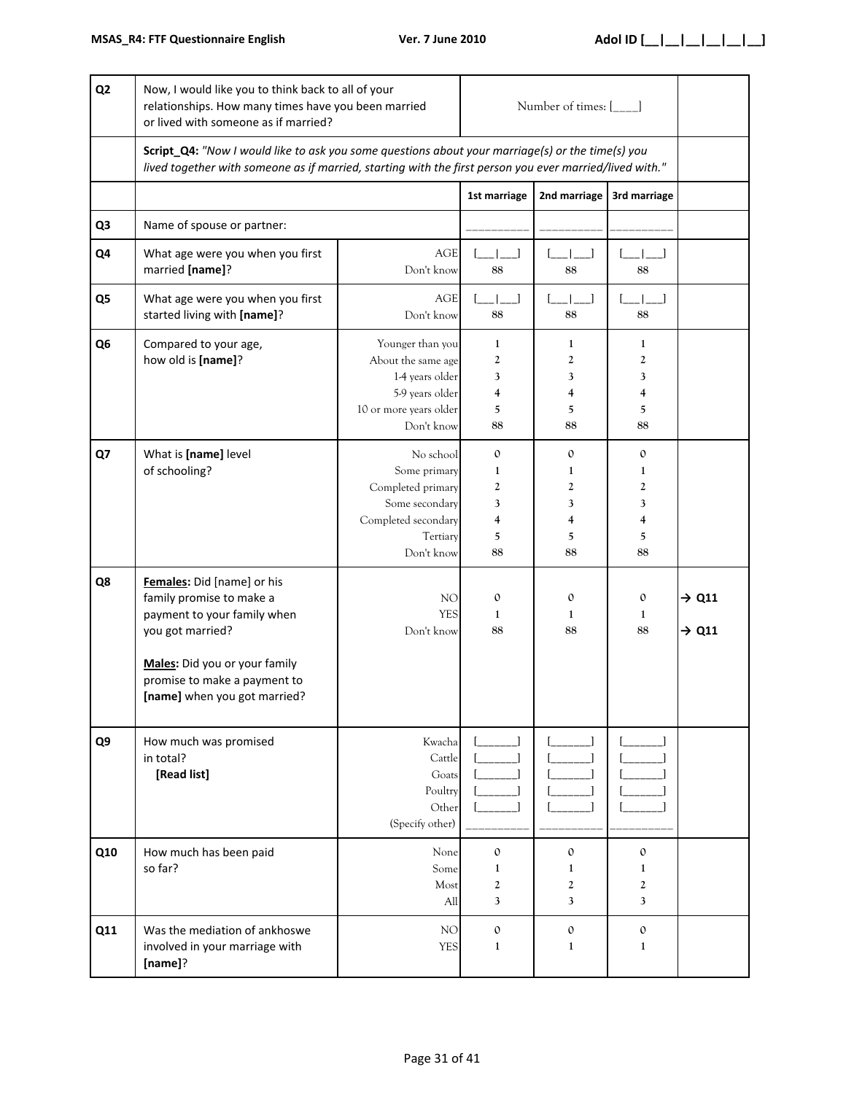| Q <sub>2</sub> | Now, I would like you to think back to all of your<br>relationships. How many times have you been married<br>or lived with someone as if married?                                                          | Number of times: [___]                                                                                               |                                             |                                                                                                                                       |                                                      |                                        |
|----------------|------------------------------------------------------------------------------------------------------------------------------------------------------------------------------------------------------------|----------------------------------------------------------------------------------------------------------------------|---------------------------------------------|---------------------------------------------------------------------------------------------------------------------------------------|------------------------------------------------------|----------------------------------------|
|                | Script_Q4: "Now I would like to ask you some questions about your marriage(s) or the time(s) you                                                                                                           | lived together with someone as if married, starting with the first person you ever married/lived with."              |                                             |                                                                                                                                       |                                                      |                                        |
|                |                                                                                                                                                                                                            |                                                                                                                      | 1st marriage                                | 2nd marriage                                                                                                                          | 3rd marriage                                         |                                        |
| Q <sub>3</sub> | Name of spouse or partner:                                                                                                                                                                                 |                                                                                                                      |                                             |                                                                                                                                       |                                                      |                                        |
| Q4             | What age were you when you first<br>married [name]?                                                                                                                                                        | <b>AGE</b><br>Don't know                                                                                             | $-1$ $-1$<br>88                             | $\begin{array}{cc} \begin{array}{cc} \end{array} & \begin{array}{cc} \end{array} & \begin{array}{cc} \ \end{array} \end{array}$<br>88 | $\begin{bmatrix} 1 & 1 \\ 1 & 1 \end{bmatrix}$<br>88 |                                        |
| Q5             | What age were you when you first<br>started living with [name]?                                                                                                                                            | AGE<br>Don't know                                                                                                    | لـــاـ<br>88                                | 88                                                                                                                                    | 88                                                   |                                        |
| Q <sub>6</sub> | Compared to your age,<br>how old is [name]?                                                                                                                                                                | Younger than you<br>About the same age<br>1-4 years older<br>5-9 years older<br>10 or more years older<br>Don't know | $\mathbf{1}$<br>2<br>3<br>4<br>5<br>88      | 1<br>2<br>3<br>4<br>5<br>88                                                                                                           | $\mathbf{1}$<br>2<br>3<br>4<br>5<br>88               |                                        |
| Q7             | What is [name] level<br>of schooling?                                                                                                                                                                      | No school<br>Some primary<br>Completed primary<br>Some secondary<br>Completed secondary<br>Tertiary<br>Don't know    | $\mathbf{0}$<br>1<br>2<br>3<br>4<br>5<br>88 | 0<br>1<br>2<br>3<br>4<br>5<br>88                                                                                                      | $\mathfrak{o}$<br>1<br>2<br>3<br>4<br>5<br>88        |                                        |
| Q8             | Females: Did [name] or his<br>family promise to make a<br>payment to your family when<br>you got married?<br>Males: Did you or your family<br>promise to make a payment to<br>[name] when you got married? | NO <sub>1</sub><br><b>YES</b><br>Don't know                                                                          | $\mathbf{O}$<br>1<br>88                     | $\mathbf{0}$<br>1<br>88                                                                                                               | $\mathbf{0}$<br>1<br>88                              | $\rightarrow$ Q11<br>$\rightarrow$ Q11 |
| Q9             | How much was promised<br>in total?<br>[Read list]                                                                                                                                                          | Kwacha<br>Cattle<br>Goats<br>Poultry<br>Other<br>(Specify other)                                                     |                                             |                                                                                                                                       |                                                      |                                        |
| Q10            | How much has been paid<br>so far?                                                                                                                                                                          | None<br>Some<br>Most<br>All                                                                                          | $\mathbf{0}$<br>1<br>2<br>3                 | $\mathbf 0$<br>1<br>2<br>3                                                                                                            | $\mathbf{0}$<br>1<br>2<br>3                          |                                        |
| Q11            | Was the mediation of ankhoswe<br>involved in your marriage with<br>[name]?                                                                                                                                 | NO<br><b>YES</b>                                                                                                     | $\mathbf{0}$<br>$\mathbf{1}$                | $\mathbf 0$<br>1                                                                                                                      | $\mathbf 0$<br>$\mathbf{1}$                          |                                        |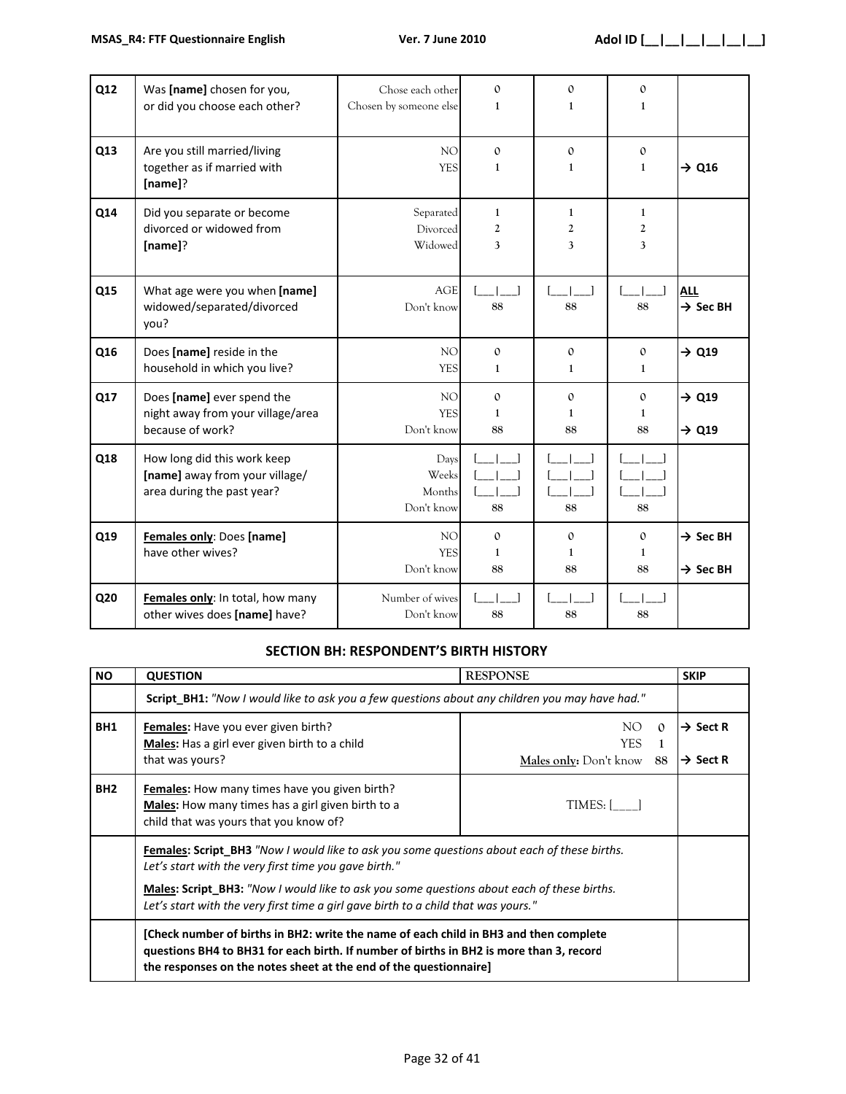| Q12 | Was [name] chosen for you,<br>or did you choose each other?                                 | Chose each other<br>Chosen by someone else  | $\mathbf{0}$<br>1                  | $\Omega$<br>$\mathbf{1}$           | $\mathbf{0}$<br>$\mathbf{1}$ |                                              |
|-----|---------------------------------------------------------------------------------------------|---------------------------------------------|------------------------------------|------------------------------------|------------------------------|----------------------------------------------|
| Q13 | Are you still married/living<br>together as if married with<br>[name]?                      | NO <sub>1</sub><br><b>YES</b>               | $\mathbf{0}$<br>1                  | $\mathbf{O}$<br>$\mathbf{1}$       | $\mathbf{O}$<br>$\mathbf{1}$ | $\rightarrow$ Q16                            |
| Q14 | Did you separate or become<br>divorced or widowed from<br>[name]?                           | Separated<br>Divorced<br>Widowed            | 1<br>$\overline{c}$<br>3           | 1<br>2<br>3                        | 1<br>2<br>3                  |                                              |
| Q15 | What age were you when [name]<br>widowed/separated/divorced<br>you?                         | <b>AGE</b><br>Don't know                    | 88                                 | 88                                 | 88                           | <b>ALL</b><br>$\rightarrow$ Sec BH           |
| Q16 | Does [name] reside in the<br>household in which you live?                                   | NO <sub>1</sub><br><b>YES</b>               | $\mathbf{0}$<br>1                  | $\mathbf{O}$<br>$\mathbf{1}$       | $\mathbf{0}$<br>1            | $\rightarrow$ Q19                            |
| Q17 | Does [name] ever spend the<br>night away from your village/area<br>because of work?         | NO <sub>1</sub><br><b>YES</b><br>Don't know | $\mathbf{0}$<br>1<br>88            | $\mathbf{0}$<br>1<br>88            | $\Omega$<br>1<br>88          | $\rightarrow$ Q19<br>$\rightarrow$ Q19       |
| Q18 | How long did this work keep<br>[name] away from your village/<br>area during the past year? | Days<br>Weeks<br>Months<br>Don't know       | 88                                 | 88                                 | 88                           |                                              |
| Q19 | Females only: Does [name]<br>have other wives?                                              | NO <sub>1</sub><br><b>YES</b><br>Don't know | $\mathbf{0}$<br>$\mathbf{1}$<br>88 | $\mathbf{O}$<br>$\mathbf{1}$<br>88 | $\mathbf{O}$<br>1<br>88      | $\rightarrow$ Sec BH<br>$\rightarrow$ Sec BH |
| Q20 | Females only: In total, how many<br>other wives does [name] have?                           | Number of wives<br>Don't know               | 88                                 | 88                                 | 88                           |                                              |

## **SECTION BH: RESPONDENT'S BIRTH HISTORY**

| <b>NO</b>       | <b>QUESTION</b><br><b>RESPONSE</b>                                                                                                                                                                                                                                                                                                              |                                                          |                                              |  |  |  |
|-----------------|-------------------------------------------------------------------------------------------------------------------------------------------------------------------------------------------------------------------------------------------------------------------------------------------------------------------------------------------------|----------------------------------------------------------|----------------------------------------------|--|--|--|
|                 | Script_BH1: "Now I would like to ask you a few questions about any children you may have had."                                                                                                                                                                                                                                                  |                                                          |                                              |  |  |  |
| BH1             | <b>Females:</b> Have you ever given birth?<br>Males: Has a girl ever given birth to a child<br>that was yours?                                                                                                                                                                                                                                  | NO.<br>$\Omega$<br>YES.<br>Males only: Don't know<br>-88 | $\rightarrow$ Sect R<br>$\rightarrow$ Sect R |  |  |  |
| BH <sub>2</sub> | <b>Females:</b> How many times have you given birth?<br>Males: How many times has a girl given birth to a<br>child that was yours that you know of?                                                                                                                                                                                             | TIMES: [                                                 |                                              |  |  |  |
|                 | Females: Script_BH3 "Now I would like to ask you some questions about each of these births.<br>Let's start with the very first time you gave birth."<br><b>Males: Script BH3:</b> "Now I would like to ask you some questions about each of these births.<br>Let's start with the very first time a girl gave birth to a child that was yours." |                                                          |                                              |  |  |  |
|                 | [Check number of births in BH2: write the name of each child in BH3 and then complete<br>questions BH4 to BH31 for each birth. If number of births in BH2 is more than 3, record<br>the responses on the notes sheet at the end of the questionnaire]                                                                                           |                                                          |                                              |  |  |  |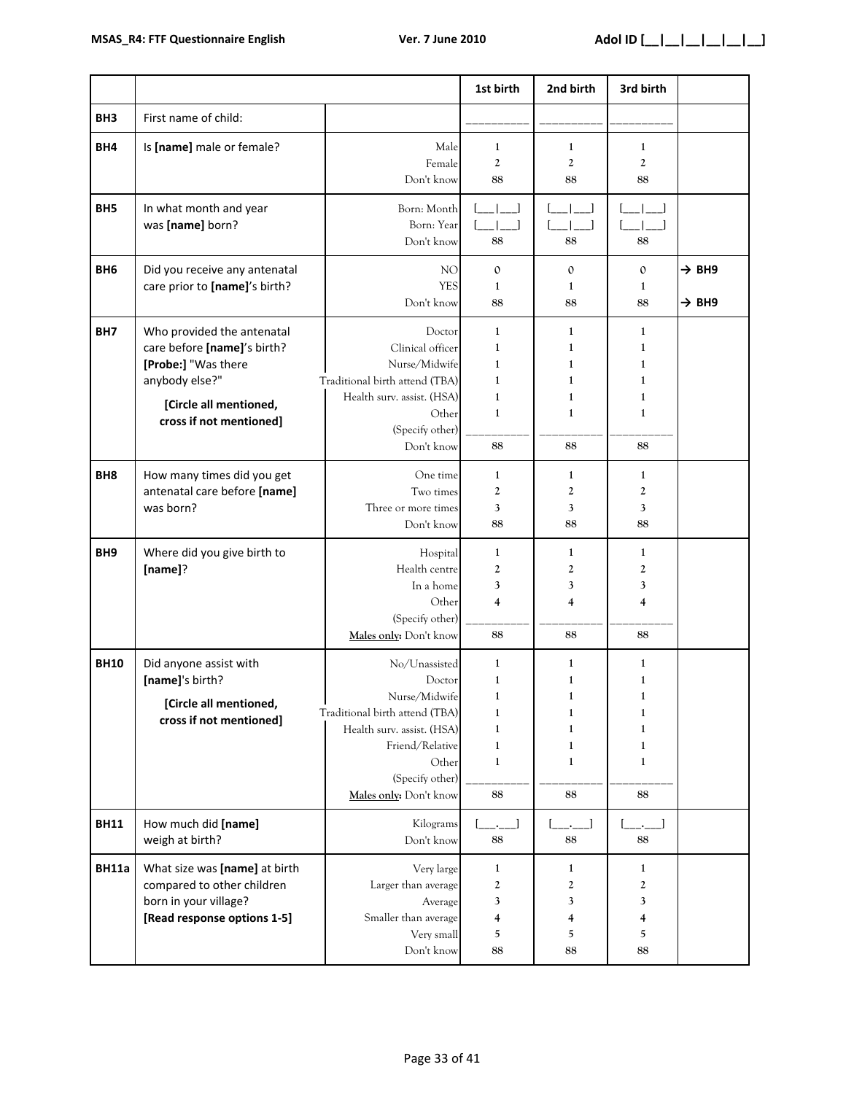|                 |                                                                                                                                                         |                                                                                                                                                                                   | 1st birth                                                                                    | 2nd birth                                                   | 3rd birth                                                                                          |                                        |
|-----------------|---------------------------------------------------------------------------------------------------------------------------------------------------------|-----------------------------------------------------------------------------------------------------------------------------------------------------------------------------------|----------------------------------------------------------------------------------------------|-------------------------------------------------------------|----------------------------------------------------------------------------------------------------|----------------------------------------|
| BH <sub>3</sub> | First name of child:                                                                                                                                    |                                                                                                                                                                                   |                                                                                              |                                                             |                                                                                                    |                                        |
| BH4             | Is [name] male or female?                                                                                                                               | Male<br>Female<br>Don't know                                                                                                                                                      | $\mathbf{1}$<br>$\boldsymbol{2}$<br>88                                                       | 1<br>$\overline{2}$<br>88                                   | $\mathbf{1}$<br>$\boldsymbol{2}$<br>88                                                             |                                        |
| BH <sub>5</sub> | In what month and year<br>was [name] born?                                                                                                              | Born: Month<br>Born: Year<br>Don't know                                                                                                                                           | 88                                                                                           | 88                                                          | 88                                                                                                 |                                        |
| BH <sub>6</sub> | Did you receive any antenatal<br>care prior to [name]'s birth?                                                                                          | NO<br><b>YES</b><br>Don't know                                                                                                                                                    | $\mathbf{O}$<br>1<br>88                                                                      | $\mathbf{O}$<br>1<br>88                                     | $\mathbf{0}$<br>1<br>88                                                                            | $\rightarrow$ BH9<br>$\rightarrow$ BH9 |
| BH7             | Who provided the antenatal<br>care before [name]'s birth?<br>[Probe:] "Was there<br>anybody else?"<br>[Circle all mentioned,<br>cross if not mentioned] | Doctor<br>Clinical officer<br>Nurse/Midwife<br>Traditional birth attend (TBA)<br>Health surv. assist. (HSA)<br>Other<br>(Specify other)<br>Don't know                             | $\mathbf{1}$<br>1<br>1<br>1<br>1<br>$\mathbf{1}$<br>88                                       | $\mathbf{1}$<br>1<br>1<br>1<br>1<br>1<br>88                 | $\mathbf{1}$<br>$\mathbf{1}$<br>$\mathbf{1}$<br>$\mathbf{1}$<br>$\mathbf{1}$<br>$\mathbf{1}$<br>88 |                                        |
| BH <sub>8</sub> | How many times did you get<br>antenatal care before [name]<br>was born?                                                                                 | One time<br>Two times<br>Three or more times<br>Don't know                                                                                                                        | 1<br>2<br>3<br>88                                                                            | 1<br>2<br>3<br>88                                           | 1<br>$\boldsymbol{2}$<br>3<br>88                                                                   |                                        |
| BH <sub>9</sub> | Where did you give birth to<br>[name]?                                                                                                                  | Hospital<br>Health centre<br>In a home<br>Other<br>(Specify other)<br>Males only: Don't know                                                                                      | $\mathbf{1}$<br>2<br>3<br>4<br>88                                                            | 1<br>2<br>3<br>4<br>88                                      | 1<br>$\boldsymbol{2}$<br>3<br>$\overline{4}$<br>88                                                 |                                        |
| <b>BH10</b>     | Did anyone assist with<br>[name]'s birth?<br>[Circle all mentioned,<br>cross if not mentioned]                                                          | No/Unassisted<br>Doctor<br>Nurse/Midwife<br>Traditional birth attend (TBA)<br>Health surv. assist. (HSA)<br>Friend/Relative<br>Other<br>(Specify other)<br>Males only: Don't know | 1<br>1<br>$\mathbf{1}$<br>$\mathbf{1}$<br>$\mathbf{1}$<br>$\mathbf{1}$<br>$\mathbf{1}$<br>88 | 1<br>$\mathbf{1}$<br>1<br>1<br>$\mathbf{1}$<br>1<br>1<br>88 | 1<br>1<br>$\mathbf{1}$<br>$\mathbf{1}$<br>$\mathbf{1}$<br>$\mathbf{1}$<br>1<br>88                  |                                        |
| <b>BH11</b>     | How much did [name]<br>weigh at birth?                                                                                                                  | Kilograms<br>Don't know                                                                                                                                                           | 88                                                                                           | 88                                                          | 88                                                                                                 |                                        |
| <b>BH11a</b>    | What size was [name] at birth<br>compared to other children<br>born in your village?<br>[Read response options 1-5]                                     | Very large<br>Larger than average<br>Average<br>Smaller than average<br>Very small<br>Don't know                                                                                  | 1<br>$\boldsymbol{2}$<br>3<br>4<br>5<br>88                                                   | 1<br>2<br>3<br>4<br>5<br>88                                 | 1<br>$\boldsymbol{2}$<br>3<br>4<br>5<br>88                                                         |                                        |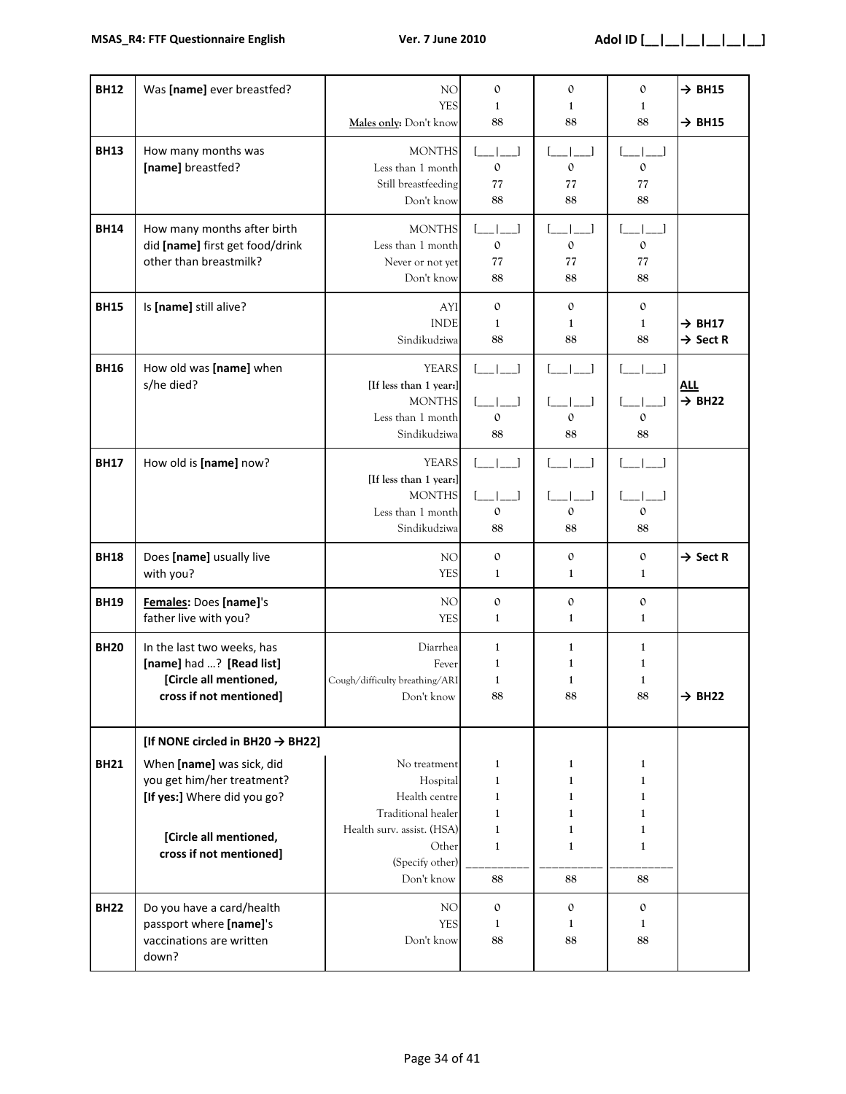| <b>BH12</b> | Was [name] ever breastfed?                                                                                                                                                                  | NO<br><b>YES</b><br>Males only: Don't know                                                                                              | $\mathbf 0$<br>$\mathbf{1}$<br>88                                 | $\mathbf 0$<br>1<br>88                                                       | $\mathbf 0$<br>1<br>88                                                                  | $\rightarrow$ BH15<br>$\rightarrow$ BH15   |
|-------------|---------------------------------------------------------------------------------------------------------------------------------------------------------------------------------------------|-----------------------------------------------------------------------------------------------------------------------------------------|-------------------------------------------------------------------|------------------------------------------------------------------------------|-----------------------------------------------------------------------------------------|--------------------------------------------|
| <b>BH13</b> | How many months was<br>[name] breastfed?                                                                                                                                                    | <b>MONTHS</b><br>Less than 1 month<br>Still breastfeeding<br>Don't know                                                                 | $\mathbf{0}$<br>77<br>88                                          | $\mathbf 0$<br>77<br>88                                                      | $\mathbf 0$<br>77<br>88                                                                 |                                            |
| <b>BH14</b> | How many months after birth<br>did [name] first get food/drink<br>other than breastmilk?                                                                                                    | <b>MONTHS</b><br>Less than 1 month<br>Never or not yet<br>Don't know                                                                    | $\begin{array}{ccc} \end{array}$<br>$\mathbf 0$<br>77<br>88       | $\mathbf{0}$<br>77<br>88                                                     | $\mathbf{0}$<br>77<br>88                                                                |                                            |
| <b>BH15</b> | Is [name] still alive?                                                                                                                                                                      | AYI<br><b>INDE</b><br>Sindikudziwa                                                                                                      | $\mathbf{0}$<br>1<br>88                                           | $\mathbf{0}$<br>1<br>88                                                      | $\mathbf{O}$<br>$\mathbf{1}$<br>88                                                      | $\rightarrow$ BH17<br>$\rightarrow$ Sect R |
| <b>BH16</b> | How old was [name] when<br>s/he died?                                                                                                                                                       | <b>YEARS</b><br>[If less than 1 year:]<br><b>MONTHS</b><br>Less than 1 month<br>Sindikudziwa                                            | $\begin{array}{ccc} \end{array}$<br>الصداحة<br>$\mathbf{0}$<br>88 | $\mathbf{O}$<br>88                                                           | $\mathbf{I}$<br>$\mathbf{0}$<br>88                                                      | <b>ALL</b><br>$\rightarrow$ BH22           |
| <b>BH17</b> | How old is [name] now?                                                                                                                                                                      | <b>YEARS</b><br>[If less than 1 year:]<br><b>MONTHS</b><br>Less than 1 month<br>Sindikudziwa                                            | $\Box$<br>$\mathbf{0}$<br>88                                      | $\mathbf{0}$<br>88                                                           | $\mathbf 0$<br>88                                                                       |                                            |
| <b>BH18</b> | Does [name] usually live<br>with you?                                                                                                                                                       | NO<br><b>YES</b>                                                                                                                        | $\mathfrak{o}$<br>1                                               | $\mathbf 0$<br>1                                                             | $\mathbf{0}$<br>1                                                                       | $\rightarrow$ Sect R                       |
| <b>BH19</b> | Females: Does [name]'s<br>father live with you?                                                                                                                                             | NO<br><b>YES</b>                                                                                                                        | $\mathfrak{o}$<br>$\mathbf{1}$                                    | $\mathfrak o$<br>$\mathbf{1}$                                                | $\mathbf{O}$<br>$\mathbf{1}$                                                            |                                            |
| <b>BH20</b> | In the last two weeks, has<br>[name] had ? [Read list]<br>[Circle all mentioned,<br>cross if not mentioned]                                                                                 | Diarrhea<br>Fever<br>Cough/difficulty breathing/ARI<br>Don't know                                                                       | 1<br>1<br>1<br>88                                                 | $\mathbf{1}$<br>1<br>1<br>88                                                 | 1<br>1<br>1<br>88                                                                       | $\rightarrow$ BH22                         |
| <b>BH21</b> | [If NONE circled in BH20 $\rightarrow$ BH22]<br>When [name] was sick, did<br>you get him/her treatment?<br>[If yes:] Where did you go?<br>[Circle all mentioned,<br>cross if not mentioned] | No treatment<br>Hospital<br>Health centre<br>Traditional healer<br>Health surv. assist. (HSA)<br>Other<br>(Specify other)<br>Don't know | 1<br>1<br>1<br>1<br>1<br>$\mathbf{1}$<br>88                       | 1<br>1<br>$\mathbf{1}$<br>$\mathbf{1}$<br>$\mathbf{1}$<br>$\mathbf{1}$<br>88 | 1<br>$\mathbf{1}$<br>$\mathbf{1}$<br>$\mathbf{1}$<br>$\mathbf{1}$<br>$\mathbf{1}$<br>88 |                                            |
| <b>BH22</b> | Do you have a card/health<br>passport where [name]'s<br>vaccinations are written<br>down?                                                                                                   | NO<br><b>YES</b><br>Don't know                                                                                                          | $\mathbf{O}$<br>1<br>88                                           | $\mathbf{0}$<br>1<br>88                                                      | $\mathbf{0}$<br>1<br>88                                                                 |                                            |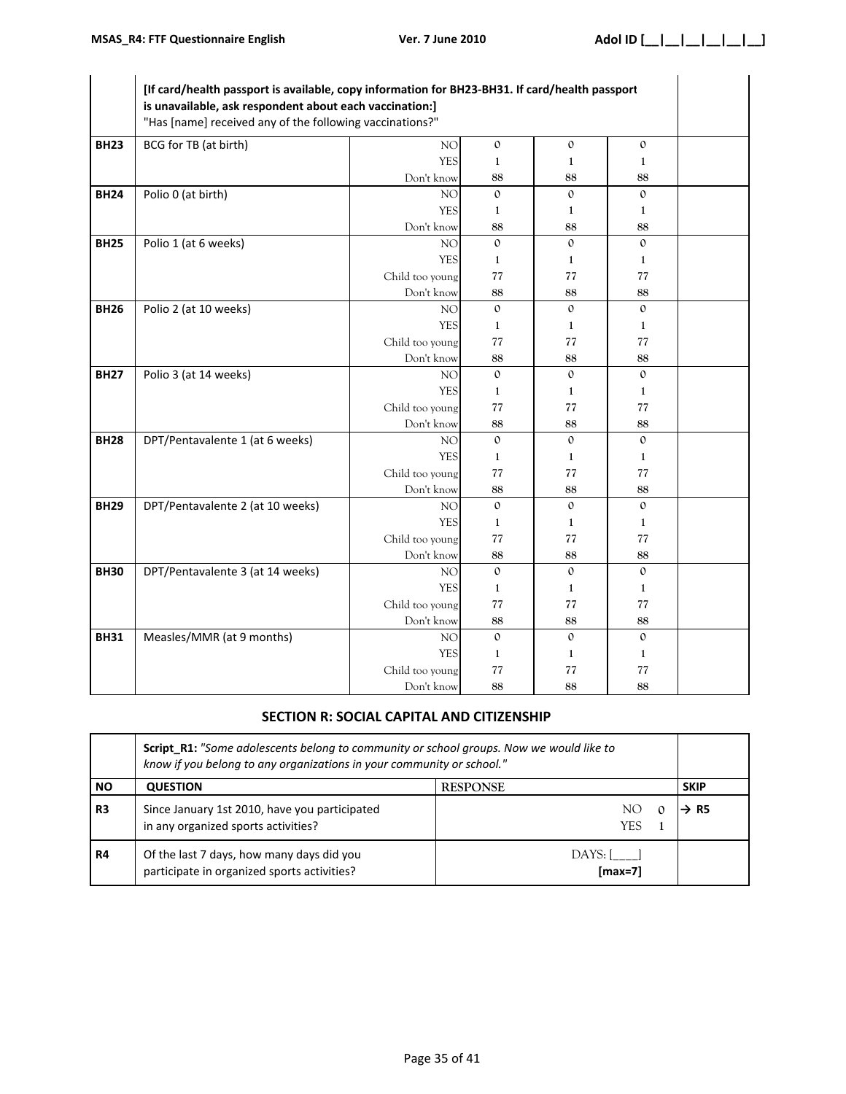|             | [If card/health passport is available, copy information for BH23-BH31. If card/health passport<br>is unavailable, ask respondent about each vaccination:]<br>"Has [name] received any of the following vaccinations?" |                 |                |              |              |  |
|-------------|-----------------------------------------------------------------------------------------------------------------------------------------------------------------------------------------------------------------------|-----------------|----------------|--------------|--------------|--|
| <b>BH23</b> | BCG for TB (at birth)                                                                                                                                                                                                 | NO              | $\mathbf{0}$   | $\mathbf{0}$ | $\mathbf{O}$ |  |
|             |                                                                                                                                                                                                                       | <b>YES</b>      | $\mathbf{1}$   | $\mathbf{1}$ | $\mathbf{1}$ |  |
|             |                                                                                                                                                                                                                       | Don't know      | 88             | 88           | 88           |  |
| <b>BH24</b> | Polio 0 (at birth)                                                                                                                                                                                                    | NO              | $\mathbf{O}$   | $\mathbf{O}$ | $\mathbf{O}$ |  |
|             |                                                                                                                                                                                                                       | <b>YES</b>      | $\mathbf{1}$   | 1            | 1            |  |
|             |                                                                                                                                                                                                                       | Don't know      | 88             | 88           | 88           |  |
| <b>BH25</b> | Polio 1 (at 6 weeks)                                                                                                                                                                                                  | NO              | $\mathbf{0}$   | $\mathbf{O}$ | $\mathbf{0}$ |  |
|             |                                                                                                                                                                                                                       | <b>YES</b>      | $\mathbf{1}$   | 1            | 1            |  |
|             |                                                                                                                                                                                                                       | Child too young | 77             | 77           | 77           |  |
|             |                                                                                                                                                                                                                       | Don't know      | 88             | 88           | 88           |  |
| <b>BH26</b> | Polio 2 (at 10 weeks)                                                                                                                                                                                                 | NO              | $\Omega$       | $\Omega$     | $\Omega$     |  |
|             |                                                                                                                                                                                                                       | <b>YES</b>      | 1              | 1            | 1            |  |
|             |                                                                                                                                                                                                                       | Child too young | 77             | 77           | 77           |  |
|             |                                                                                                                                                                                                                       | Don't know      | 88             | 88           | 88           |  |
| <b>BH27</b> | Polio 3 (at 14 weeks)                                                                                                                                                                                                 | NO              | $\Omega$       | $\Omega$     | $\Omega$     |  |
|             |                                                                                                                                                                                                                       | <b>YES</b>      | 1              | 1            | 1            |  |
|             |                                                                                                                                                                                                                       | Child too young | 77             | 77           | 77           |  |
|             |                                                                                                                                                                                                                       | Don't know      | 88             | 88           | 88           |  |
| <b>BH28</b> | DPT/Pentavalente 1 (at 6 weeks)                                                                                                                                                                                       | NO              | $\mathbf{0}$   | $\Omega$     | $\mathbf{O}$ |  |
|             |                                                                                                                                                                                                                       | <b>YES</b>      | $\mathbf{1}$   | $\mathbf{1}$ | $\mathbf{1}$ |  |
|             |                                                                                                                                                                                                                       | Child too young | 77             | 77           | 77           |  |
|             |                                                                                                                                                                                                                       | Don't know      | 88             | 88           | 88           |  |
| <b>BH29</b> | DPT/Pentavalente 2 (at 10 weeks)                                                                                                                                                                                      | NO              | $\mathfrak{0}$ | $\mathbf{O}$ | $\mathbf{O}$ |  |
|             |                                                                                                                                                                                                                       | <b>YES</b>      | 1              | 1            | 1            |  |
|             |                                                                                                                                                                                                                       | Child too young | 77             | 77           | 77           |  |
|             |                                                                                                                                                                                                                       | Don't know      | 88             | 88           | 88           |  |
| <b>BH30</b> | DPT/Pentavalente 3 (at 14 weeks)                                                                                                                                                                                      | NO              | $\mathbf{O}$   | $\mathbf{O}$ | $\mathbf{O}$ |  |
|             |                                                                                                                                                                                                                       | <b>YES</b>      | 1              | 1            | 1            |  |
|             |                                                                                                                                                                                                                       | Child too young | 77             | 77           | 77           |  |
|             |                                                                                                                                                                                                                       | Don't know      | 88             | 88           | 88           |  |
| <b>BH31</b> | Measles/MMR (at 9 months)                                                                                                                                                                                             | NO              | $\mathbf{0}$   | $\mathbf{0}$ | $\mathbf{0}$ |  |
|             |                                                                                                                                                                                                                       | <b>YES</b>      | 1              | 1            | 1            |  |
|             |                                                                                                                                                                                                                       | Child too young | 77             | 77           | 77           |  |
|             |                                                                                                                                                                                                                       | Don't know      | 88             | 88           | 88           |  |

# **SECTION R: SOCIAL CAPITAL AND CITIZENSHIP**

|                | <b>Script R1:</b> "Some adolescents belong to community or school groups. Now we would like to<br>know if you belong to any organizations in your community or school." |                          |                  |  |
|----------------|-------------------------------------------------------------------------------------------------------------------------------------------------------------------------|--------------------------|------------------|--|
| <b>NO</b>      | <b>QUESTION</b>                                                                                                                                                         | <b>RESPONSE</b>          | <b>SKIP</b>      |  |
| R <sub>3</sub> | Since January 1st 2010, have you participated<br>in any organized sports activities?                                                                                    | NO.<br>YES               | $\rightarrow$ R5 |  |
| R4             | Of the last 7 days, how many days did you<br>participate in organized sports activities?                                                                                | $DAYS:$ $ $<br>$[max=7]$ |                  |  |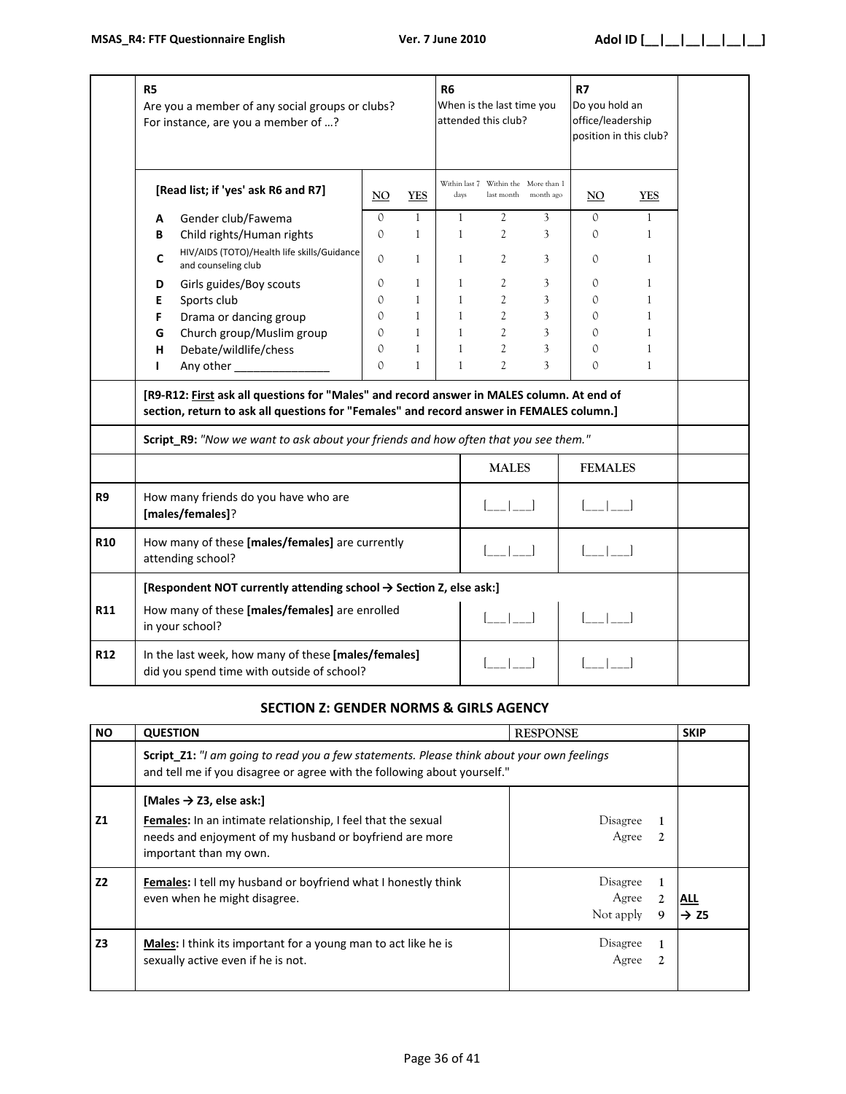|            | R <sub>5</sub><br>Are you a member of any social groups or clubs?<br>For instance, are you a member of ?                                                                              |                                                                                                   |               |                   | <b>R6</b><br>When is the last time you<br>attended this club? |                                                    | <b>R7</b><br>Do you hold an<br>office/leadership<br>position in this club? |                                                |                   |  |
|------------|---------------------------------------------------------------------------------------------------------------------------------------------------------------------------------------|---------------------------------------------------------------------------------------------------|---------------|-------------------|---------------------------------------------------------------|----------------------------------------------------|----------------------------------------------------------------------------|------------------------------------------------|-------------------|--|
|            |                                                                                                                                                                                       | [Read list; if 'yes' ask R6 and R7]                                                               | NO.           | <b>YES</b>        | days                                                          | Within last 7 Within the More than 1<br>last month | month ago                                                                  | NO.                                            | <b>YES</b>        |  |
|            | А<br>В                                                                                                                                                                                | Gender club/Fawema<br>Child rights/Human rights                                                   | $\Omega$<br>0 | $\mathbf{1}$<br>1 | $\mathbf{1}$<br>$\mathbf{1}$                                  | $\mathfrak{2}$<br>2                                | 3<br>3                                                                     | $\Omega$<br>$\Omega$                           | $\mathbf{1}$<br>1 |  |
|            | C                                                                                                                                                                                     | HIV/AIDS (TOTO)/Health life skills/Guidance<br>and counseling club                                | $\Omega$      | 1                 | $\mathbf{1}$                                                  | 2                                                  | 3                                                                          | $\circ$                                        | 1                 |  |
|            | D                                                                                                                                                                                     | Girls guides/Boy scouts                                                                           | $\Omega$      | $\mathbf{1}$      | $\mathbf{1}$                                                  | 2                                                  | 3                                                                          | $\Omega$                                       | $\mathbf{1}$      |  |
|            | E                                                                                                                                                                                     | Sports club                                                                                       | $\Omega$      | 1                 | 1                                                             | $\overline{c}$                                     | 3                                                                          | $\circ$                                        | $\mathbf{1}$      |  |
|            | F                                                                                                                                                                                     | Drama or dancing group                                                                            | $\Omega$      | $\mathbf{1}$      | $\mathbf{1}$                                                  | $\overline{c}$                                     | 3                                                                          | $\Omega$                                       | $\mathbf{1}$      |  |
|            | G                                                                                                                                                                                     | Church group/Muslim group                                                                         | 0             | $\mathbf{1}$      | 1                                                             | $\mathfrak{2}$                                     | 3                                                                          | $\mathcal{O}$                                  | $\mathbf{1}$      |  |
|            | н                                                                                                                                                                                     | Debate/wildlife/chess                                                                             | $\Omega$      | $\mathbf{1}$      | $\mathbf{1}$                                                  | $\overline{c}$                                     | 3                                                                          | $\mathcal{O}$                                  | $\mathbf{1}$      |  |
|            | ı                                                                                                                                                                                     | Any other                                                                                         | $\Omega$      | 1                 | $\mathbf{1}$                                                  | $\overline{2}$                                     | 3                                                                          | $\Omega$                                       | $\mathbf{1}$      |  |
|            | [R9-R12: First ask all questions for "Males" and record answer in MALES column. At end of<br>section, return to ask all questions for "Females" and record answer in FEMALES column.] |                                                                                                   |               |                   |                                                               |                                                    |                                                                            |                                                |                   |  |
|            |                                                                                                                                                                                       | Script_R9: "Now we want to ask about your friends and how often that you see them."               |               |                   |                                                               |                                                    |                                                                            |                                                |                   |  |
|            |                                                                                                                                                                                       |                                                                                                   |               |                   |                                                               | <b>MALES</b>                                       |                                                                            | <b>FEMALES</b>                                 |                   |  |
| R9         | How many friends do you have who are<br>[males/females]?                                                                                                                              |                                                                                                   |               |                   |                                                               |                                                    |                                                                            |                                                |                   |  |
| <b>R10</b> |                                                                                                                                                                                       | How many of these [males/females] are currently<br>attending school?                              |               |                   |                                                               |                                                    |                                                                            | $\begin{bmatrix} 1 & 1 \\ 1 & 1 \end{bmatrix}$ |                   |  |
|            |                                                                                                                                                                                       | [Respondent NOT currently attending school $\rightarrow$ Section Z, else ask:]                    |               |                   |                                                               |                                                    |                                                                            |                                                |                   |  |
| <b>R11</b> | How many of these [males/females] are enrolled<br>in your school?                                                                                                                     |                                                                                                   |               |                   |                                                               |                                                    |                                                                            |                                                |                   |  |
| <b>R12</b> |                                                                                                                                                                                       | In the last week, how many of these [males/females]<br>did you spend time with outside of school? |               |                   |                                                               |                                                    |                                                                            |                                                |                   |  |

#### **SECTION Z: GENDER NORMS & GIRLS AGENCY**

| <b>NO</b>      | <b>QUESTION</b>                                                                                                                                                                                 | <b>RESPONSE</b>                                       | <b>SKIP</b> |  |  |
|----------------|-------------------------------------------------------------------------------------------------------------------------------------------------------------------------------------------------|-------------------------------------------------------|-------------|--|--|
|                | Script_Z1: "I am going to read you a few statements. Please think about your own feelings<br>and tell me if you disagree or agree with the following about yourself."                           |                                                       |             |  |  |
| <b>Z1</b>      | [Males $\rightarrow$ Z3, else ask:]<br><b>Females:</b> In an intimate relationship, I feel that the sexual<br>needs and enjoyment of my husband or boyfriend are more<br>important than my own. | Disagree<br>Agree<br>$\mathcal{L}$                    |             |  |  |
| Z <sub>2</sub> | <b>Females:</b> I tell my husband or boyfriend what I honestly think<br>even when he might disagree.                                                                                            | Disagree<br>Agree<br>$\overline{2}$<br>Not apply<br>9 | ALL<br>→ Z5 |  |  |
| Z <sub>3</sub> | <b>Males:</b> I think its important for a young man to act like he is<br>sexually active even if he is not.                                                                                     | Disagree<br>Agree<br>$\mathfrak{D}$                   |             |  |  |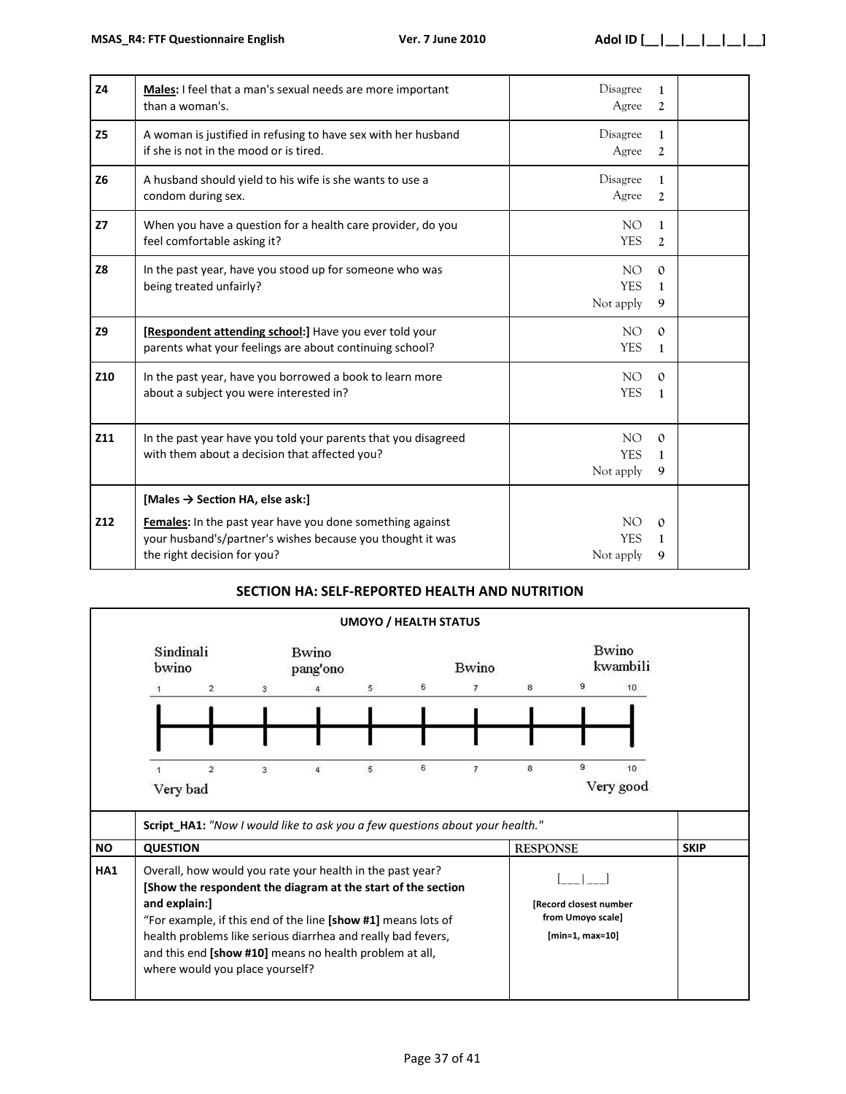| Z <sub>4</sub> | Males: I feel that a man's sexual needs are more important<br>than a woman's.                                                                          | Disagree<br>Agree              | $\mathbf{1}$<br>2        |  |
|----------------|--------------------------------------------------------------------------------------------------------------------------------------------------------|--------------------------------|--------------------------|--|
| <b>Z5</b>      | A woman is justified in refusing to have sex with her husband<br>if she is not in the mood or is tired.                                                | Disagree<br>Agree              | $\mathbf{1}$<br>2        |  |
| <b>Z6</b>      | A husband should yield to his wife is she wants to use a<br>condom during sex.                                                                         | Disagree<br>Agree              | $\mathbf{1}$<br>2        |  |
| Z <sub>7</sub> | When you have a question for a health care provider, do you<br>feel comfortable asking it?                                                             | NO.<br><b>YES</b>              | $\mathbf{1}$<br>2        |  |
| <b>Z8</b>      | In the past year, have you stood up for someone who was<br>being treated unfairly?                                                                     | NO.<br><b>YES</b><br>Not apply | $\Omega$<br>1<br>9       |  |
| <b>Z9</b>      | [Respondent attending school:] Have you ever told your<br>parents what your feelings are about continuing school?                                      | NO.<br><b>YES</b>              | $\Omega$<br>$\mathbf{1}$ |  |
| Z10            | In the past year, have you borrowed a book to learn more<br>about a subject you were interested in?                                                    | NO.<br><b>YES</b>              | $\Omega$<br>$\mathbf{1}$ |  |
| Z11            | In the past year have you told your parents that you disagreed<br>with them about a decision that affected you?                                        | NO.<br><b>YES</b><br>Not apply | $\Omega$<br>1<br>9       |  |
|                | [Males $\rightarrow$ Section HA, else ask:]                                                                                                            |                                |                          |  |
| Z12            | Females: In the past year have you done something against<br>your husband's/partner's wishes because you thought it was<br>the right decision for you? | NO.<br><b>YES</b><br>Not apply | $\mathbf{0}$<br>1<br>9   |  |

## **SECTION HA: SELF-REPORTED HEALTH AND NUTRITION**

|           |                                                                                                                                                                                                                                                                                                                                                                                                                                               |                                                                                     |                   |   |              | <b>UMOYO / HEALTH STATUS</b> |   |                          |   |           |             |
|-----------|-----------------------------------------------------------------------------------------------------------------------------------------------------------------------------------------------------------------------------------------------------------------------------------------------------------------------------------------------------------------------------------------------------------------------------------------------|-------------------------------------------------------------------------------------|-------------------|---|--------------|------------------------------|---|--------------------------|---|-----------|-------------|
|           | Sindinali<br>bwino                                                                                                                                                                                                                                                                                                                                                                                                                            |                                                                                     | Bwino<br>pang'ono |   | <b>Bwino</b> |                              |   | <b>Bwino</b><br>kwambili |   |           |             |
|           |                                                                                                                                                                                                                                                                                                                                                                                                                                               | $\overline{2}$                                                                      | 3                 |   | 5            | 6                            | 7 | 8                        | 9 | 10        |             |
|           |                                                                                                                                                                                                                                                                                                                                                                                                                                               |                                                                                     |                   |   |              |                              |   |                          |   |           |             |
|           |                                                                                                                                                                                                                                                                                                                                                                                                                                               |                                                                                     |                   |   |              |                              |   |                          |   |           |             |
|           |                                                                                                                                                                                                                                                                                                                                                                                                                                               | $\overline{2}$                                                                      | 3                 | 4 | 5            | 6                            | 7 | 8                        | 9 | 10        |             |
|           | Very bad                                                                                                                                                                                                                                                                                                                                                                                                                                      |                                                                                     |                   |   |              |                              |   |                          |   | Very good |             |
|           |                                                                                                                                                                                                                                                                                                                                                                                                                                               | <b>Script HA1:</b> "Now I would like to ask you a few questions about your health." |                   |   |              |                              |   |                          |   |           |             |
| <b>NO</b> | <b>QUESTION</b>                                                                                                                                                                                                                                                                                                                                                                                                                               |                                                                                     |                   |   |              |                              |   | <b>RESPONSE</b>          |   |           | <b>SKIP</b> |
| HA1       | Overall, how would you rate your health in the past year?<br>[Show the respondent the diagram at the start of the section<br>and explain:]<br>[Record closest number<br>from Umoyo scale]<br>"For example, if this end of the line [show #1] means lots of<br>health problems like serious diarrhea and really bad fevers,<br>$[min=1, max=10]$<br>and this end [show #10] means no health problem at all,<br>where would you place yourself? |                                                                                     |                   |   |              |                              |   |                          |   |           |             |
|           |                                                                                                                                                                                                                                                                                                                                                                                                                                               |                                                                                     |                   |   |              |                              |   |                          |   |           |             |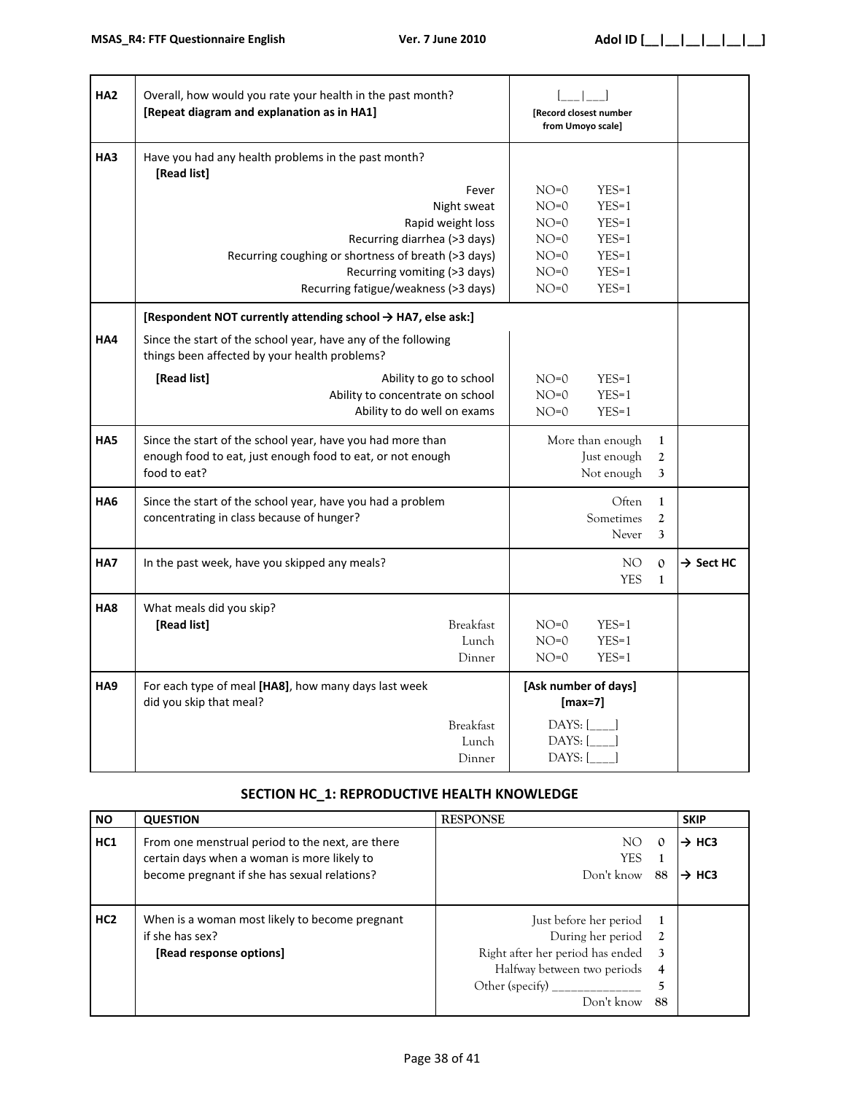| HA <sub>2</sub> | Overall, how would you rate your health in the past month?<br>[Repeat diagram and explanation as in HA1]                                                                                                 | [Record closest number<br>from Umoyo scale]                                                                                                     |                       |
|-----------------|----------------------------------------------------------------------------------------------------------------------------------------------------------------------------------------------------------|-------------------------------------------------------------------------------------------------------------------------------------------------|-----------------------|
| HA3             | Have you had any health problems in the past month?<br>[Read list]                                                                                                                                       |                                                                                                                                                 |                       |
|                 | Fever<br>Night sweat<br>Rapid weight loss<br>Recurring diarrhea (>3 days)<br>Recurring coughing or shortness of breath (>3 days)<br>Recurring vomiting (>3 days)<br>Recurring fatigue/weakness (>3 days) | $NO=0$<br>$YES=1$<br>$NO=0$<br>$YES=1$<br>$NO=0$<br>$YES=1$<br>$NO=0$<br>$YES=1$<br>$NO=0$<br>$YES=1$<br>$NO=0$<br>$YES=1$<br>$NO=0$<br>$YES=1$ |                       |
|                 | [Respondent NOT currently attending school → HA7, else ask:]                                                                                                                                             |                                                                                                                                                 |                       |
| HA4             | Since the start of the school year, have any of the following<br>things been affected by your health problems?                                                                                           |                                                                                                                                                 |                       |
|                 | [Read list]<br>Ability to go to school<br>Ability to concentrate on school<br>Ability to do well on exams                                                                                                | $NO=0$<br>$YES=1$<br>$NO=0$<br>$YES=1$<br>$NO=0$<br>$YES=1$                                                                                     |                       |
| HA5             | Since the start of the school year, have you had more than<br>enough food to eat, just enough food to eat, or not enough<br>food to eat?                                                                 | More than enough<br>$\mathbf{1}$<br>Just enough<br>$\boldsymbol{2}$<br>Not enough<br>3                                                          |                       |
| HA6             | Since the start of the school year, have you had a problem<br>concentrating in class because of hunger?                                                                                                  | Often<br>1<br>Sometimes<br>$\overline{2}$<br>3<br>Never                                                                                         |                       |
| HA7             | In the past week, have you skipped any meals?                                                                                                                                                            | NO.<br>$\mathbf{O}$<br><b>YES</b><br>$\mathbf{1}$                                                                                               | $\rightarrow$ Sect HC |
| HA <sub>8</sub> | What meals did you skip?<br>[Read list]<br><b>Breakfast</b><br>Lunch<br>Dinner                                                                                                                           | $NO=0$<br>$YES=1$<br>$NO=0$<br>$YES=1$<br>$NO=0$<br>$YES=1$                                                                                     |                       |
| HA <sub>9</sub> | For each type of meal [HA8], how many days last week<br>did you skip that meal?                                                                                                                          | [Ask number of days]<br>$[max=7]$                                                                                                               |                       |
|                 | <b>Breakfast</b><br>Lunch<br>Dinner                                                                                                                                                                      | $DAYS:$ $\begin{bmatrix} \_ \_ \_ \_ \end{bmatrix}$<br>DAYS: [<br>DAYS: [                                                                       |                       |

# **SECTION HC\_1: REPRODUCTIVE HEALTH KNOWLEDGE**

| <b>NO</b>       | <b>QUESTION</b>                                                                                                                                 | <b>RESPONSE</b>                                                                                                              |                         | <b>SKIP</b>                            |
|-----------------|-------------------------------------------------------------------------------------------------------------------------------------------------|------------------------------------------------------------------------------------------------------------------------------|-------------------------|----------------------------------------|
| HC1             | From one menstrual period to the next, are there<br>certain days when a woman is more likely to<br>become pregnant if she has sexual relations? | NO.<br><b>YES</b><br>Don't know                                                                                              | $\Omega$<br>88          | $\rightarrow$ HC3<br>$\rightarrow$ HC3 |
| HC <sub>2</sub> | When is a woman most likely to become pregnant<br>if she has sex?<br>[Read response options]                                                    | Just before her period<br>During her period<br>Right after her period has ended<br>Halfway between two periods<br>Don't know | $\mathbf{3}$<br>4<br>88 |                                        |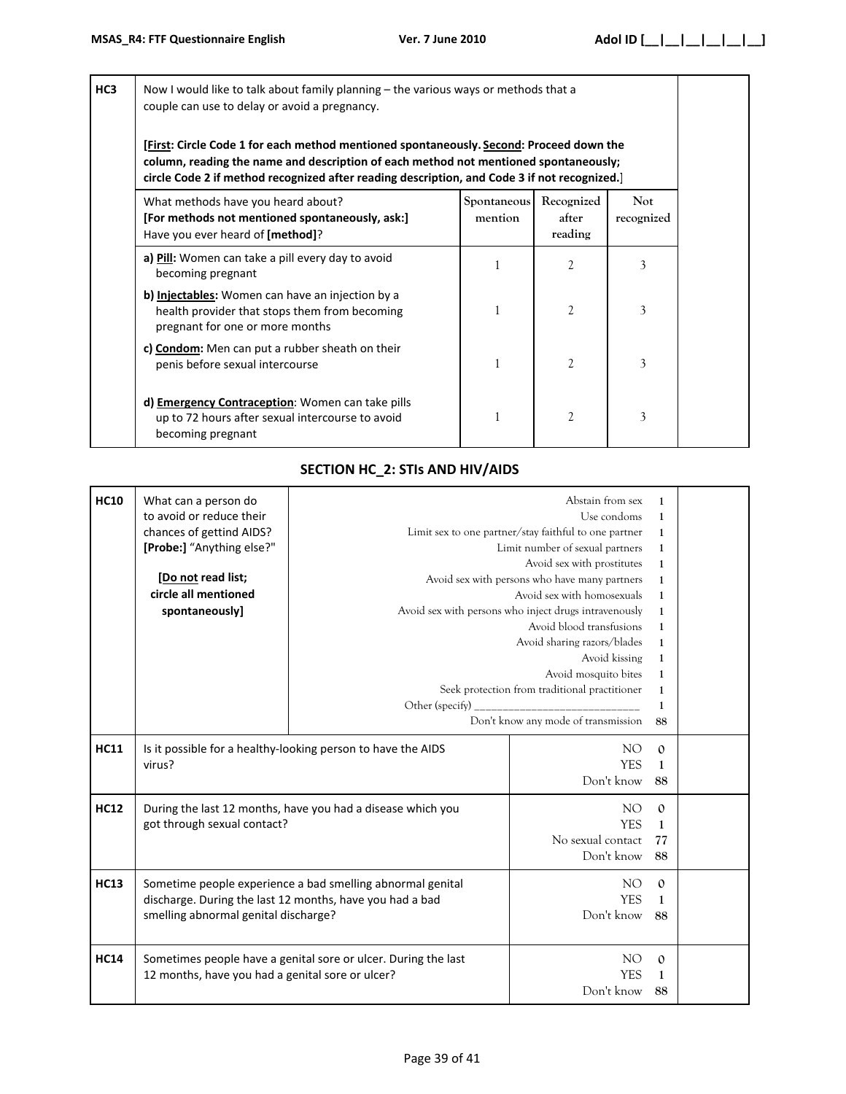| HC3 | Now I would like to talk about family planning - the various ways or methods that a<br>couple can use to delay or avoid a pregnancy.<br>[First: Circle Code 1 for each method mentioned spontaneously. Second: Proceed down the<br>column, reading the name and description of each method not mentioned spontaneously;<br>circle Code 2 if method recognized after reading description, and Code 3 if not recognized.] |                        |                                |                          |  |  |
|-----|-------------------------------------------------------------------------------------------------------------------------------------------------------------------------------------------------------------------------------------------------------------------------------------------------------------------------------------------------------------------------------------------------------------------------|------------------------|--------------------------------|--------------------------|--|--|
|     | What methods have you heard about?<br>[For methods not mentioned spontaneously, ask:]<br>Have you ever heard of [method]?                                                                                                                                                                                                                                                                                               | Spontaneous<br>mention | Recognized<br>after<br>reading | <b>Not</b><br>recognized |  |  |
|     | a) <b>Pill</b> : Women can take a pill every day to avoid<br>becoming pregnant                                                                                                                                                                                                                                                                                                                                          |                        | 2                              | 3                        |  |  |
|     | b) Injectables: Women can have an injection by a<br>health provider that stops them from becoming<br>pregnant for one or more months                                                                                                                                                                                                                                                                                    | 1                      | $\mathfrak{2}$                 | 3                        |  |  |
|     | c) Condom: Men can put a rubber sheath on their<br>penis before sexual intercourse                                                                                                                                                                                                                                                                                                                                      | $\mathbf{1}$           | $\overline{c}$                 | 3                        |  |  |
|     | d) <b>Emergency Contraception:</b> Women can take pills<br>up to 72 hours after sexual intercourse to avoid<br>becoming pregnant                                                                                                                                                                                                                                                                                        | 1                      | $\mathfrak{2}$                 | 3                        |  |  |

# **SECTION HC\_2: STIs AND HIV/AIDS**

| <b>HC10</b> | What can a person do<br>to avoid or reduce their<br>chances of gettind AIDS?<br>[Probe:] "Anything else?"<br>[Do not read list;<br>circle all mentioned<br>spontaneously] | Other (specify)                                                | Abstain from sex<br>Use condoms<br>Limit sex to one partner/stay faithful to one partner<br>Limit number of sexual partners<br>Avoid sex with prostitutes<br>Avoid sex with persons who have many partners<br>Avoid sex with homosexuals<br>Avoid sex with persons who inject drugs intravenously<br>Avoid blood transfusions<br>Avoid sharing razors/blades<br>Avoid kissing<br>Avoid mosquito bites<br>Seek protection from traditional practitioner | 1<br>1<br>$\mathbf{1}$<br>$\mathbf{1}$<br>$\mathbf{1}$<br>1<br>$\mathbf{1}$<br>$\mathbf{1}$<br>1<br>1<br>$\mathbf{1}$<br>1<br>1<br>$\mathbf{1}$ |  |
|-------------|---------------------------------------------------------------------------------------------------------------------------------------------------------------------------|----------------------------------------------------------------|--------------------------------------------------------------------------------------------------------------------------------------------------------------------------------------------------------------------------------------------------------------------------------------------------------------------------------------------------------------------------------------------------------------------------------------------------------|-------------------------------------------------------------------------------------------------------------------------------------------------|--|
|             |                                                                                                                                                                           |                                                                | Don't know any mode of transmission                                                                                                                                                                                                                                                                                                                                                                                                                    | 88                                                                                                                                              |  |
| <b>HC11</b> | Is it possible for a healthy-looking person to have the AIDS<br>virus?                                                                                                    |                                                                | NO.<br><b>YES</b><br>Don't know                                                                                                                                                                                                                                                                                                                                                                                                                        | $\mathbf{0}$<br>1<br>88                                                                                                                         |  |
| <b>HC12</b> | got through sexual contact?                                                                                                                                               | During the last 12 months, have you had a disease which you    | NO.<br><b>YES</b><br>No sexual contact<br>Don't know                                                                                                                                                                                                                                                                                                                                                                                                   | $\mathbf{0}$<br>$\mathbf{1}$<br>77<br>88                                                                                                        |  |
| <b>HC13</b> | Sometime people experience a bad smelling abnormal genital<br>discharge. During the last 12 months, have you had a bad<br>smelling abnormal genital discharge?            |                                                                | NO.<br><b>YES</b><br>Don't know                                                                                                                                                                                                                                                                                                                                                                                                                        | $\mathbf{0}$<br>1<br>88                                                                                                                         |  |
| <b>HC14</b> | 12 months, have you had a genital sore or ulcer?                                                                                                                          | Sometimes people have a genital sore or ulcer. During the last | NO <sub>1</sub><br><b>YES</b><br>Don't know                                                                                                                                                                                                                                                                                                                                                                                                            | $\mathbf{0}$<br>1<br>88                                                                                                                         |  |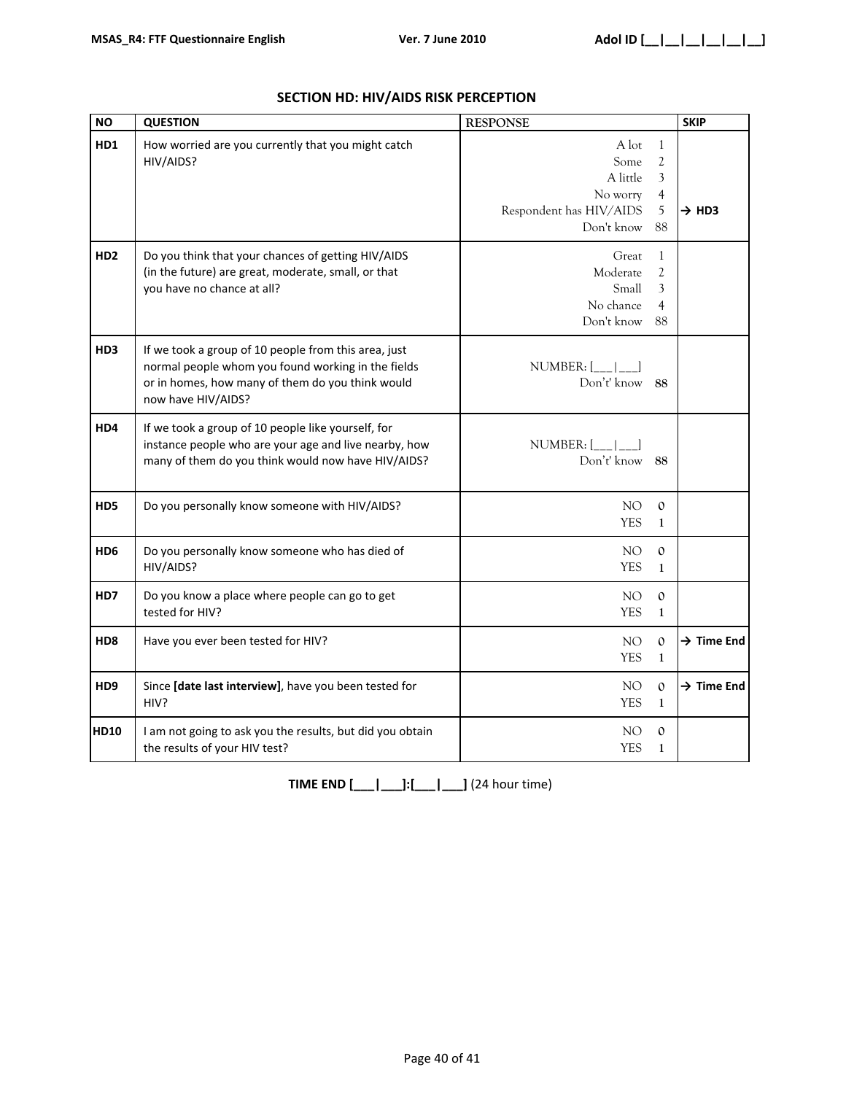| <b>NO</b>       | <b>QUESTION</b>                                                                                                                                                                      | <b>RESPONSE</b>                                                                |                                                                  | <b>SKIP</b>            |
|-----------------|--------------------------------------------------------------------------------------------------------------------------------------------------------------------------------------|--------------------------------------------------------------------------------|------------------------------------------------------------------|------------------------|
| HD1             | How worried are you currently that you might catch<br>HIV/AIDS?                                                                                                                      | A lot<br>Some<br>A little<br>No worry<br>Respondent has HIV/AIDS<br>Don't know | $\mathbf{1}$<br>$\mathfrak{2}$<br>3<br>$\overline{4}$<br>5<br>88 | $\rightarrow$ HD3      |
| HD <sub>2</sub> | Do you think that your chances of getting HIV/AIDS<br>(in the future) are great, moderate, small, or that<br>you have no chance at all?                                              | Great<br>Moderate<br>Small<br>No chance<br>Don't know                          | $\mathbf{1}$<br>$\mathfrak{2}$<br>3<br>4<br>88                   |                        |
| HD <sub>3</sub> | If we took a group of 10 people from this area, just<br>normal people whom you found working in the fields<br>or in homes, how many of them do you think would<br>now have HIV/AIDS? | NUMBER: $[\_\_\_\_\_\_\_\_\$<br>Don't' know 88                                 |                                                                  |                        |
| HD4             | If we took a group of 10 people like yourself, for<br>instance people who are your age and live nearby, how<br>many of them do you think would now have HIV/AIDS?                    | NUMBER: [<br>Don't' know 88                                                    |                                                                  |                        |
| HD5             | Do you personally know someone with HIV/AIDS?                                                                                                                                        | NO.<br><b>YES</b>                                                              | $\mathbf{O}$<br>$\mathbf{1}$                                     |                        |
| HD <sub>6</sub> | Do you personally know someone who has died of<br>HIV/AIDS?                                                                                                                          | NO<br><b>YES</b>                                                               | $\mathbf{0}$<br>$\mathbf{1}$                                     |                        |
| HD7             | Do you know a place where people can go to get<br>tested for HIV?                                                                                                                    | NO.<br><b>YES</b>                                                              | $\mathbf{0}$<br>$\mathbf{1}$                                     |                        |
| HD <sub>8</sub> | Have you ever been tested for HIV?                                                                                                                                                   | NO<br><b>YES</b>                                                               | $\mathbf{0}$<br>$\mathbf{1}$                                     | $\rightarrow$ Time End |
| HD <sub>9</sub> | Since [date last interview], have you been tested for<br>HIV?                                                                                                                        | NO.<br><b>YES</b>                                                              | $\mathbf{0}$<br>$\mathbf{1}$                                     | $\rightarrow$ Time End |
| <b>HD10</b>     | I am not going to ask you the results, but did you obtain<br>the results of your HIV test?                                                                                           | NO.<br><b>YES</b>                                                              | $\mathbf{O}$<br>$\mathbf 1$                                      |                        |

# **SECTION HD: HIV/AIDS RISK PERCEPTION**

**TIME END [\_\_\_|\_\_\_]:[\_\_\_|\_\_\_]** (24 hour time)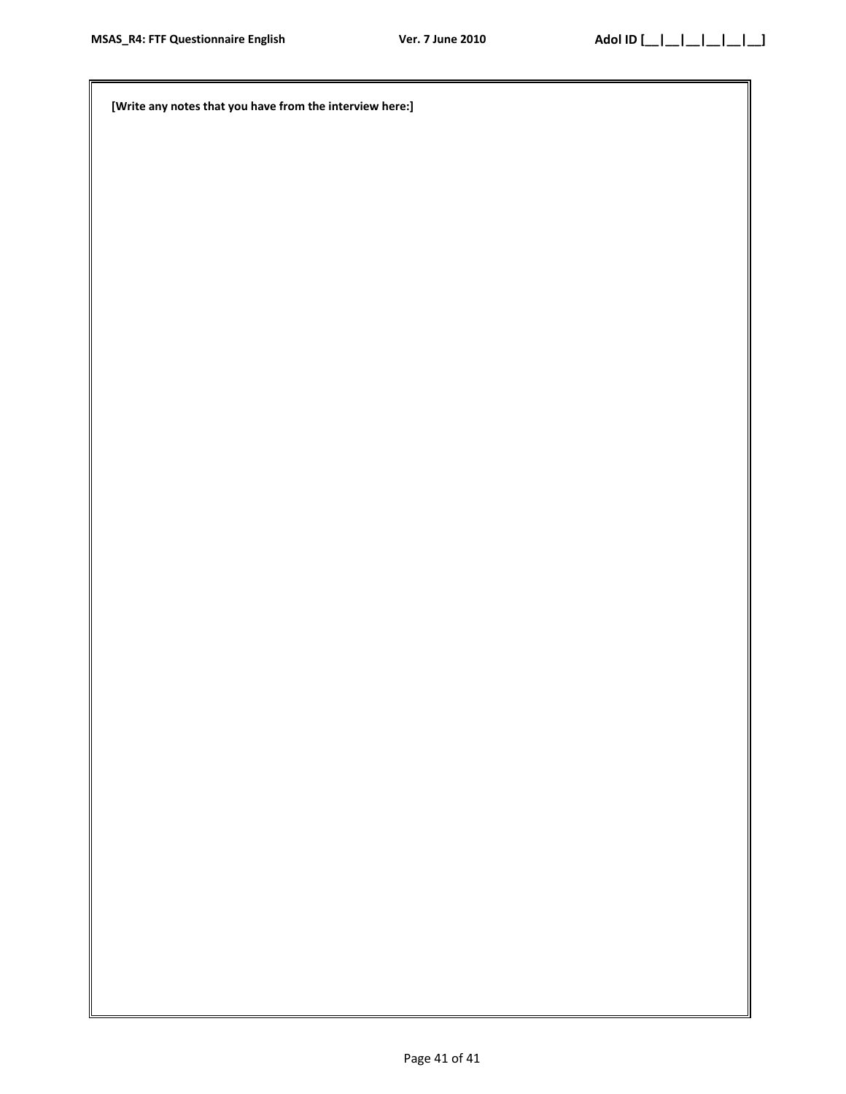**[Write any notes that you have from the interview here:]**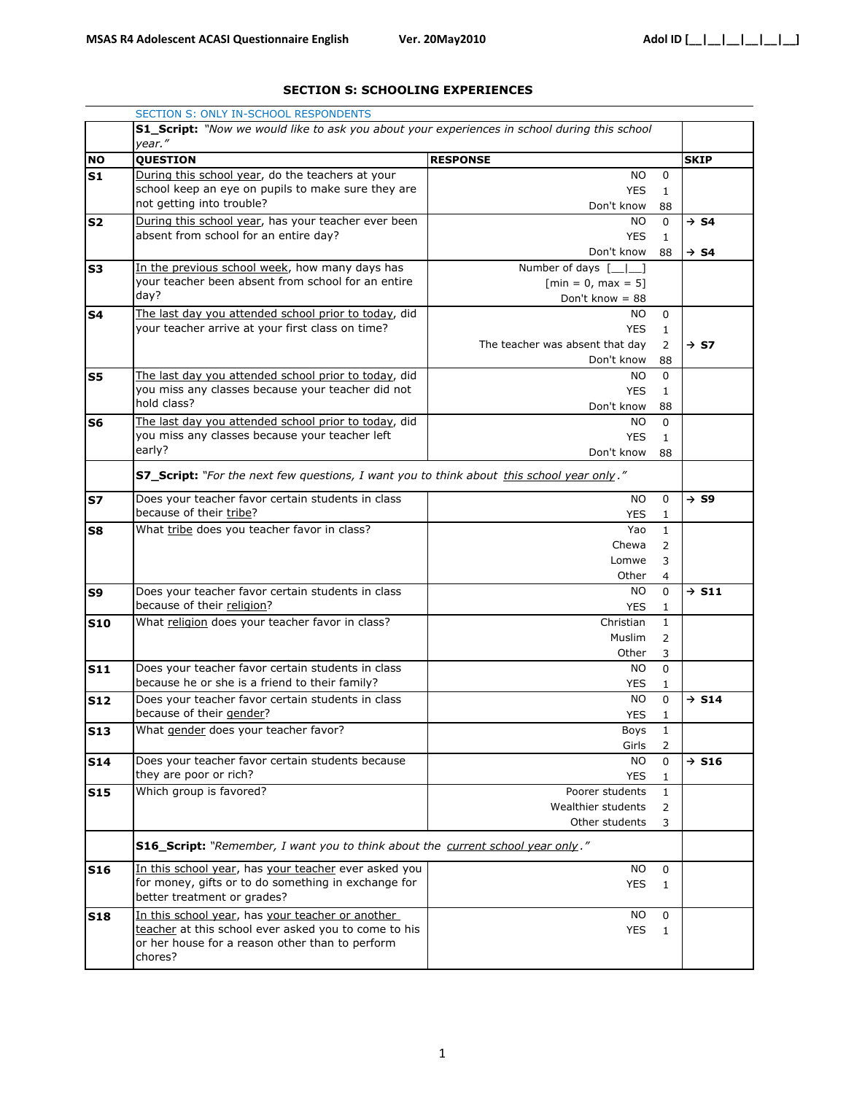#### **SECTION S: SCHOOLING EXPERIENCES**

|                           | SECTION S: ONLY IN-SCHOOL RESPONDENTS                                                                |                                 |                     |                   |
|---------------------------|------------------------------------------------------------------------------------------------------|---------------------------------|---------------------|-------------------|
|                           | <b>S1_Script:</b> "Now we would like to ask you about your experiences in school during this school  |                                 |                     |                   |
|                           | year."                                                                                               |                                 |                     |                   |
| <b>NO</b>                 | <b>QUESTION</b>                                                                                      | <b>RESPONSE</b>                 |                     | <b>SKIP</b>       |
| S1                        | During this school year, do the teachers at your                                                     | NO.                             | 0                   |                   |
|                           | school keep an eye on pupils to make sure they are                                                   | <b>YES</b>                      | $\mathbf{1}$        |                   |
|                           | not getting into trouble?                                                                            | Don't know                      | 88                  |                   |
| <b>S2</b>                 | During this school year, has your teacher ever been                                                  | NO.                             | $\Omega$            | $\rightarrow$ S4  |
|                           | absent from school for an entire day?                                                                | <b>YES</b>                      | 1                   |                   |
|                           |                                                                                                      | Don't know                      | 88                  | $\rightarrow$ S4  |
| S3                        | In the previous school week, how many days has<br>your teacher been absent from school for an entire | Number of days [<br>$\perp$ 1   |                     |                   |
|                           | day?                                                                                                 | $[min = 0, max = 5]$            |                     |                   |
|                           |                                                                                                      | Don't know = $88$               |                     |                   |
| <b>S4</b>                 | The last day you attended school prior to today, did                                                 | NO.                             | 0                   |                   |
|                           | your teacher arrive at your first class on time?                                                     | <b>YES</b>                      | $\mathbf{1}$        |                   |
|                           |                                                                                                      | The teacher was absent that day | 2                   | $\rightarrow$ S7  |
|                           |                                                                                                      | Don't know                      | 88                  |                   |
| S5                        | The last day you attended school prior to today, did                                                 | NO.                             | 0                   |                   |
|                           | you miss any classes because your teacher did not<br>hold class?                                     | <b>YES</b>                      | $\mathbf{1}$        |                   |
|                           |                                                                                                      | Don't know                      | 88                  |                   |
| S6                        | The last day you attended school prior to today, did                                                 | NO.                             | 0                   |                   |
|                           | you miss any classes because your teacher left<br>early?                                             | <b>YES</b>                      | $\mathbf{1}$        |                   |
|                           |                                                                                                      | Don't know                      | 88                  |                   |
|                           | S7_Script: "For the next few questions, I want you to think about this school year only."            |                                 |                     |                   |
|                           |                                                                                                      |                                 |                     |                   |
| <b>S7</b>                 | Does your teacher favor certain students in class                                                    | <b>NO</b>                       | 0                   | $\rightarrow$ S9  |
|                           | because of their tribe?                                                                              | <b>YES</b>                      | $\mathbf{1}$        |                   |
| S8                        | What tribe does you teacher favor in class?                                                          | Yao                             | $\mathbf{1}$        |                   |
|                           |                                                                                                      | Chewa                           | 2                   |                   |
|                           |                                                                                                      | Lomwe                           | 3                   |                   |
|                           |                                                                                                      | Other                           | 4                   |                   |
| S9                        | Does your teacher favor certain students in class<br>because of their religion?                      | NO.                             | 0                   | $\rightarrow$ S11 |
|                           |                                                                                                      | <b>YES</b>                      | 1                   |                   |
| <b>S10</b>                | What religion does your teacher favor in class?                                                      | Christian                       | $\mathbf{1}$        |                   |
|                           |                                                                                                      | <b>Muslim</b>                   | 2                   |                   |
|                           |                                                                                                      | Other                           | 3                   |                   |
| <b>S11</b>                | Does your teacher favor certain students in class<br>because he or she is a friend to their family?  | NO.<br><b>YES</b>               | 0                   |                   |
|                           | Does your teacher favor certain students in class                                                    | <b>NO</b>                       | 1<br>0              | $\rightarrow$ S14 |
| <b>S12</b>                | because of their gender?                                                                             | YES                             |                     |                   |
|                           | What gender does your teacher favor?                                                                 |                                 | 1<br>$\overline{1}$ |                   |
| $\overline{\textbf{S13}}$ |                                                                                                      | Boys<br>Girls                   | $\overline{2}$      |                   |
| <b>S14</b>                | Does your teacher favor certain students because                                                     | NO.                             | 0                   | $\rightarrow$ S16 |
|                           | they are poor or rich?                                                                               | YES                             |                     |                   |
|                           | Which group is favored?                                                                              | Poorer students                 | 1<br>1              |                   |
| <b>S15</b>                |                                                                                                      | Wealthier students              | $\overline{2}$      |                   |
|                           |                                                                                                      | Other students                  | 3                   |                   |
|                           |                                                                                                      |                                 |                     |                   |
|                           | S16_Script: "Remember, I want you to think about the current school year only."                      |                                 |                     |                   |
| <b>S16</b>                | In this school year, has your teacher ever asked you                                                 | NO.                             | 0                   |                   |
|                           | for money, gifts or to do something in exchange for                                                  | <b>YES</b>                      | $\mathbf{1}$        |                   |
|                           | better treatment or grades?                                                                          |                                 |                     |                   |
| <b>S18</b>                | In this school year, has your teacher or another                                                     | ΝO                              | 0                   |                   |
|                           | teacher at this school ever asked you to come to his                                                 | <b>YES</b>                      | $\mathbf{1}$        |                   |
|                           | or her house for a reason other than to perform                                                      |                                 |                     |                   |
|                           | chores?                                                                                              |                                 |                     |                   |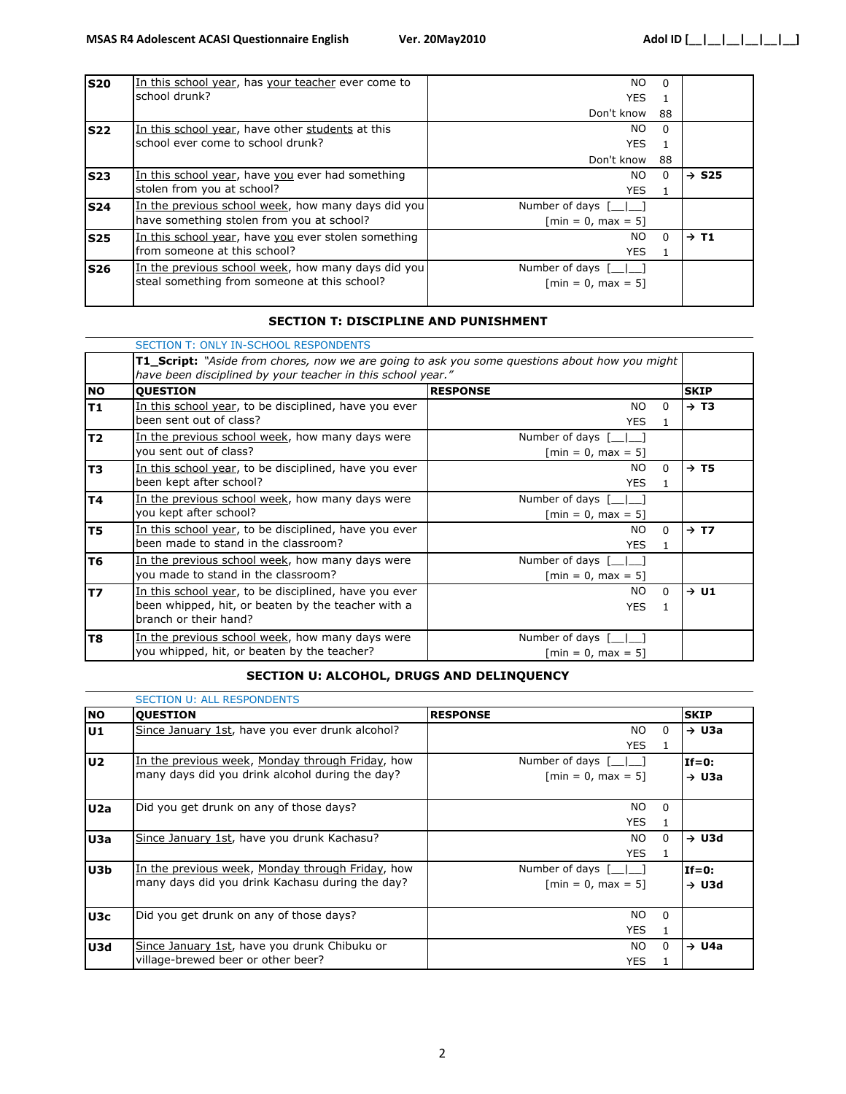| <b>S20</b> | In this school year, has your teacher ever come to  | NO.                                                   | $\Omega$ |                   |
|------------|-----------------------------------------------------|-------------------------------------------------------|----------|-------------------|
|            | school drunk?                                       | <b>YES</b>                                            |          |                   |
|            |                                                     | Don't know                                            | 88       |                   |
| <b>S22</b> | In this school year, have other students at this    | NO.                                                   | $\Omega$ |                   |
|            | school ever come to school drunk?                   | <b>YES</b>                                            |          |                   |
|            |                                                     | Don't know                                            | 88       |                   |
| <b>S23</b> | In this school year, have you ever had something    | NO.                                                   | $\Omega$ | $\rightarrow$ S25 |
|            | stolen from you at school?                          | YES.                                                  | -1       |                   |
| <b>S24</b> | In the previous school week, how many days did you  | Number of days $\begin{bmatrix} 1 \\ 1 \end{bmatrix}$ |          |                   |
|            | have something stolen from you at school?           | $\lceil \text{min} = 0, \text{max} = 5 \rceil$        |          |                   |
| <b>S25</b> | In this school year, have you ever stolen something | NO.                                                   | $\Omega$ | $\rightarrow$ T1  |
|            | from someone at this school?                        | <b>YES</b>                                            |          |                   |
| <b>S26</b> | In the previous school week, how many days did you  | Number of days [<br>$\mathbf{L}$                      |          |                   |
|            | steal something from someone at this school?        | $\lceil \text{min} = 0, \text{max} = 5 \rceil$        |          |                   |
|            |                                                     |                                                       |          |                   |

#### **SECTION T: DISCIPLINE AND PUNISHMENT**

|                | <b>SECTION T: ONLY IN-SCHOOL RESPONDENTS</b>                                                                                                                        |                                                                    |                  |  |  |  |
|----------------|---------------------------------------------------------------------------------------------------------------------------------------------------------------------|--------------------------------------------------------------------|------------------|--|--|--|
|                | <b>T1_Script:</b> "Aside from chores, now we are going to ask you some questions about how you might<br>have been disciplined by your teacher in this school year." |                                                                    |                  |  |  |  |
| <b>NO</b>      | <b>QUESTION</b>                                                                                                                                                     | <b>RESPONSE</b>                                                    | <b>SKIP</b>      |  |  |  |
| <b>T1</b>      | In this school year, to be disciplined, have you ever<br>been sent out of class?                                                                                    | NO.<br><sup>0</sup><br><b>YES</b>                                  | $\rightarrow$ T3 |  |  |  |
| <b>T2</b>      | In the previous school week, how many days were<br>you sent out of class?                                                                                           | Number of days $\lceil \_ \_ \rceil$<br>$[min = 0, max = 5]$       |                  |  |  |  |
| T <sub>3</sub> | In this school year, to be disciplined, have you ever<br>been kept after school?                                                                                    | NO.<br>$\Omega$<br><b>YES</b><br>1                                 | $\rightarrow$ T5 |  |  |  |
| <b>T4</b>      | In the previous school week, how many days were<br>you kept after school?                                                                                           | Number of days $\lceil \_ \_ \rceil$<br>$[min = 0, max = 5]$       |                  |  |  |  |
| T <sub>5</sub> | In this school year, to be disciplined, have you ever<br>been made to stand in the classroom?                                                                       | NO.<br>$\Omega$<br><b>YES</b><br>1                                 | $\rightarrow$ T7 |  |  |  |
| T <sub>6</sub> | In the previous school week, how many days were<br>you made to stand in the classroom?                                                                              | Number of days $\lceil \_ \_ \rceil$<br>$[min = 0, max = 5]$       |                  |  |  |  |
| <b>T7</b>      | In this school year, to be disciplined, have you ever<br>been whipped, hit, or beaten by the teacher with a<br>branch or their hand?                                | NO.<br>$\Omega$<br><b>YES</b><br>1                                 | $\rightarrow$ U1 |  |  |  |
| T8             | In the previous school week, how many days were<br>you whipped, hit, or beaten by the teacher?                                                                      | Number of days [<br>$\lceil \text{min} = 0, \text{max} = 5 \rceil$ |                  |  |  |  |

### **SECTION U: ALCOHOL, DRUGS AND DELINQUENCY**

|                | <b>SECTION U: ALL RESPONDENTS</b>                        |                                                |                   |  |
|----------------|----------------------------------------------------------|------------------------------------------------|-------------------|--|
| <b>NO</b>      | <b>QUESTION</b>                                          | <b>RESPONSE</b>                                | <b>SKIP</b>       |  |
| U1             | Since January 1st, have you ever drunk alcohol?          | NO.<br>0                                       | $\rightarrow$ U3a |  |
|                |                                                          | <b>YES</b><br>1                                |                   |  |
| U <sub>2</sub> | In the previous week, Monday through Friday, how         | Number of days [   ]                           | $If=0:$           |  |
|                | many days did you drink alcohol during the day?          | $\lceil \text{min} = 0, \text{max} = 5 \rceil$ | $\rightarrow$ U3a |  |
| U2a            | Did you get drunk on any of those days?                  | NO.<br>$\Omega$                                |                   |  |
|                |                                                          | <b>YES</b><br>1.                               |                   |  |
| U3a            | Since January 1st, have you drunk Kachasu?               | NO.<br><sup>n</sup>                            | $\rightarrow$ U3d |  |
|                |                                                          | <b>YES</b><br>1                                |                   |  |
| U3b            | <u>In the previous week, Monday through Friday</u> , how | Number of days $\lceil \_ \_ \rceil$           | $If=0:$           |  |
|                | many days did you drink Kachasu during the day?          | $\lceil \text{min} = 0, \text{max} = 5 \rceil$ | $\rightarrow$ U3d |  |
|                | Did you get drunk on any of those days?                  | <b>NO</b><br>$\Omega$                          |                   |  |
| U3c            |                                                          |                                                |                   |  |
|                |                                                          | <b>YES</b><br>1                                |                   |  |
| U3d            | Since January 1st, have you drunk Chibuku or             | NO.<br>0                                       | $\rightarrow$ U4a |  |
|                | village-brewed beer or other beer?                       | <b>YES</b>                                     |                   |  |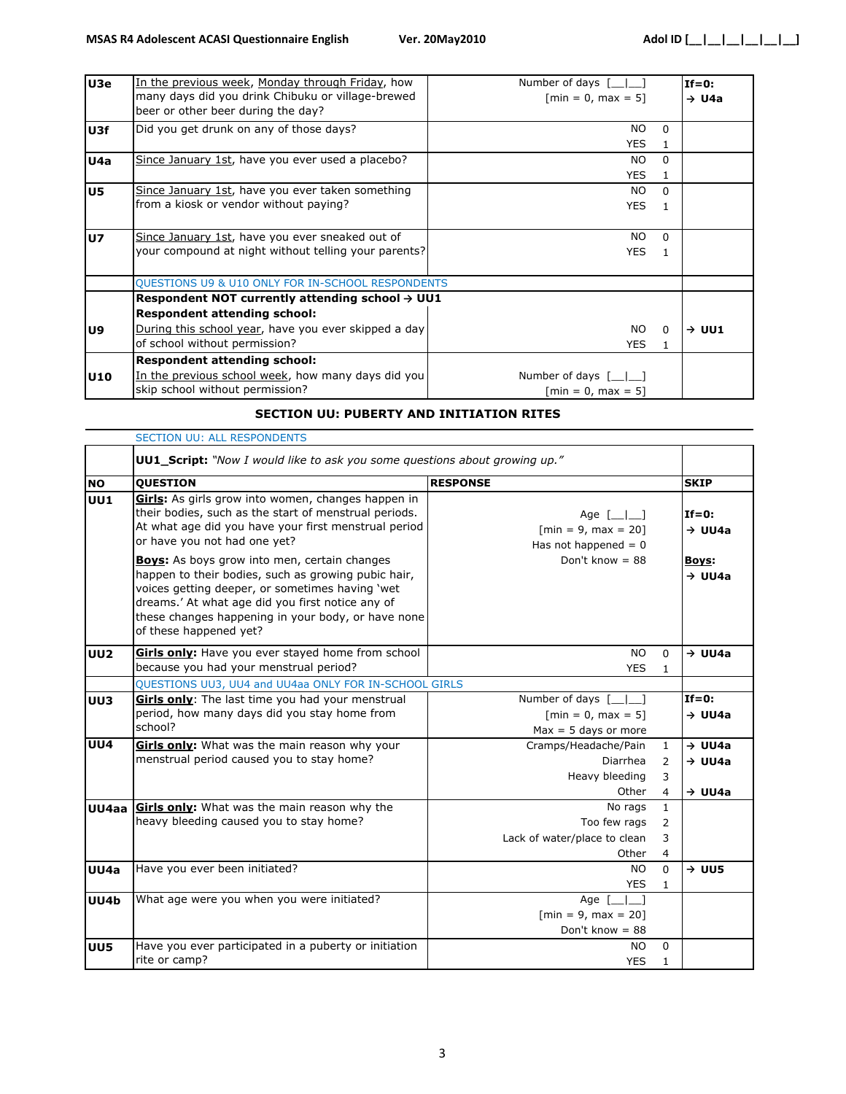| U3e            | In the previous week, Monday through Friday, how<br>many days did you drink Chibuku or village-brewed<br>beer or other beer during the day?                                                 | Number of days $[\_]$<br>$\lceil \text{min} = 0, \text{max} = 5 \rceil$ | $If=0:$<br>$\rightarrow$ U4a |
|----------------|---------------------------------------------------------------------------------------------------------------------------------------------------------------------------------------------|-------------------------------------------------------------------------|------------------------------|
| U3f            | Did you get drunk on any of those days?                                                                                                                                                     | <b>NO</b><br><sup>0</sup><br><b>YES</b>                                 |                              |
| U4a            | Since January 1st, have you ever used a placebo?                                                                                                                                            | <b>NO</b><br><sup>0</sup><br><b>YES</b>                                 |                              |
| U5             | Since January 1st, have you ever taken something<br>from a kiosk or vendor without paying?                                                                                                  | NO.<br>$\Omega$<br><b>YES</b>                                           |                              |
| U <sub>7</sub> | Since January 1st, have you ever sneaked out of<br>your compound at night without telling your parents?                                                                                     | NO.<br><sup>n</sup><br><b>YES</b>                                       |                              |
|                | <b>QUESTIONS U9 &amp; U10 ONLY FOR IN-SCHOOL RESPONDENTS</b>                                                                                                                                |                                                                         |                              |
| U9             | Respondent NOT currently attending school $\rightarrow$ UU1<br><b>Respondent attending school:</b><br>During this school year, have you ever skipped a day<br>of school without permission? | NO.<br><sup>n</sup><br><b>YES</b>                                       | $\rightarrow$ UU1            |
| U10            | <b>Respondent attending school:</b><br>In the previous school week, how many days did you<br>skip school without permission?                                                                | Number of days [__ _]<br>$[min = 0, max = 5]$                           |                              |

#### **SECTION UU: PUBERTY AND INITIATION RITES**

|            | <b>SECTION UU: ALL RESPONDENTS</b>                                                                                                                                                                                                                                                                |                                                                                                                                                            |                                |                                |  |
|------------|---------------------------------------------------------------------------------------------------------------------------------------------------------------------------------------------------------------------------------------------------------------------------------------------------|------------------------------------------------------------------------------------------------------------------------------------------------------------|--------------------------------|--------------------------------|--|
|            | <b>UU1_Script:</b> "Now I would like to ask you some questions about growing up."                                                                                                                                                                                                                 |                                                                                                                                                            |                                |                                |  |
| <b>NO</b>  | <b>QUESTION</b>                                                                                                                                                                                                                                                                                   | <b>RESPONSE</b>                                                                                                                                            |                                | <b>SKIP</b>                    |  |
| <b>UU1</b> | Girls: As girls grow into women, changes happen in<br>their bodies, such as the start of menstrual periods.<br>At what age did you have your first menstrual period<br>or have you not had one yet?                                                                                               | Age $\begin{bmatrix} \begin{array}{ c c } \hline \end{array} & \end{bmatrix}$<br>$\lceil \text{min} = 9, \text{max} = 20 \rceil$<br>Has not happened $= 0$ |                                | $If=0$ :<br>$\rightarrow$ UU4a |  |
|            | <b>Boys:</b> As boys grow into men, certain changes<br>happen to their bodies, such as growing pubic hair,<br>voices getting deeper, or sometimes having 'wet<br>dreams.' At what age did you first notice any of<br>these changes happening in your body, or have none<br>of these happened yet? | Don't know = $88$                                                                                                                                          |                                | Boys:<br>$\rightarrow$ UU4a    |  |
| <b>UU2</b> | Girls only: Have you ever stayed home from school<br>because you had your menstrual period?                                                                                                                                                                                                       | <b>NO</b><br><b>YES</b>                                                                                                                                    | $\Omega$<br>$\mathbf{1}$       | $\rightarrow$ UU4a             |  |
|            | QUESTIONS UU3, UU4 and UU4aa ONLY FOR IN-SCHOOL GIRLS                                                                                                                                                                                                                                             |                                                                                                                                                            |                                |                                |  |
| UU3        | Girls only: The last time you had your menstrual                                                                                                                                                                                                                                                  | Number of days $\lceil \_ \_ \rceil$                                                                                                                       |                                | $If=0:$                        |  |
|            | period, how many days did you stay home from                                                                                                                                                                                                                                                      | $\lceil \text{min} = 0, \text{max} = 5 \rceil$                                                                                                             |                                | $\rightarrow$ UU4a             |  |
|            | school?                                                                                                                                                                                                                                                                                           | $Max = 5$ days or more                                                                                                                                     |                                |                                |  |
| <b>UU4</b> | Girls only: What was the main reason why your                                                                                                                                                                                                                                                     | Cramps/Headache/Pain                                                                                                                                       | $\mathbf{1}$                   | $\rightarrow$ UU4a             |  |
|            | menstrual period caused you to stay home?                                                                                                                                                                                                                                                         | Diarrhea                                                                                                                                                   | 2                              | $\rightarrow$ UU4a             |  |
|            |                                                                                                                                                                                                                                                                                                   | Heavy bleeding                                                                                                                                             | 3                              |                                |  |
|            |                                                                                                                                                                                                                                                                                                   | Other                                                                                                                                                      | 4                              | $\rightarrow$ UU4a             |  |
| UU4aa      | <b>Girls only:</b> What was the main reason why the<br>heavy bleeding caused you to stay home?                                                                                                                                                                                                    | No rags<br>Too few rags                                                                                                                                    | $\mathbf{1}$<br>$\overline{2}$ |                                |  |
|            |                                                                                                                                                                                                                                                                                                   | Lack of water/place to clean                                                                                                                               | 3                              |                                |  |
|            |                                                                                                                                                                                                                                                                                                   | Other                                                                                                                                                      | 4                              |                                |  |
| UU4a       | Have you ever been initiated?                                                                                                                                                                                                                                                                     | <b>NO</b>                                                                                                                                                  | $\Omega$                       | $\rightarrow$ UU5              |  |
|            |                                                                                                                                                                                                                                                                                                   | <b>YES</b>                                                                                                                                                 | $\mathbf{1}$                   |                                |  |
| UU4b       | What age were you when you were initiated?                                                                                                                                                                                                                                                        | Age [<br>$\blacksquare$                                                                                                                                    |                                |                                |  |
|            |                                                                                                                                                                                                                                                                                                   | $[min = 9, max = 20]$                                                                                                                                      |                                |                                |  |
|            |                                                                                                                                                                                                                                                                                                   | Don't know $= 88$                                                                                                                                          |                                |                                |  |
| <b>UU5</b> | Have you ever participated in a puberty or initiation                                                                                                                                                                                                                                             | <b>NO</b>                                                                                                                                                  | $\Omega$                       |                                |  |
|            | rite or camp?                                                                                                                                                                                                                                                                                     | <b>YES</b>                                                                                                                                                 | $\mathbf{1}$                   |                                |  |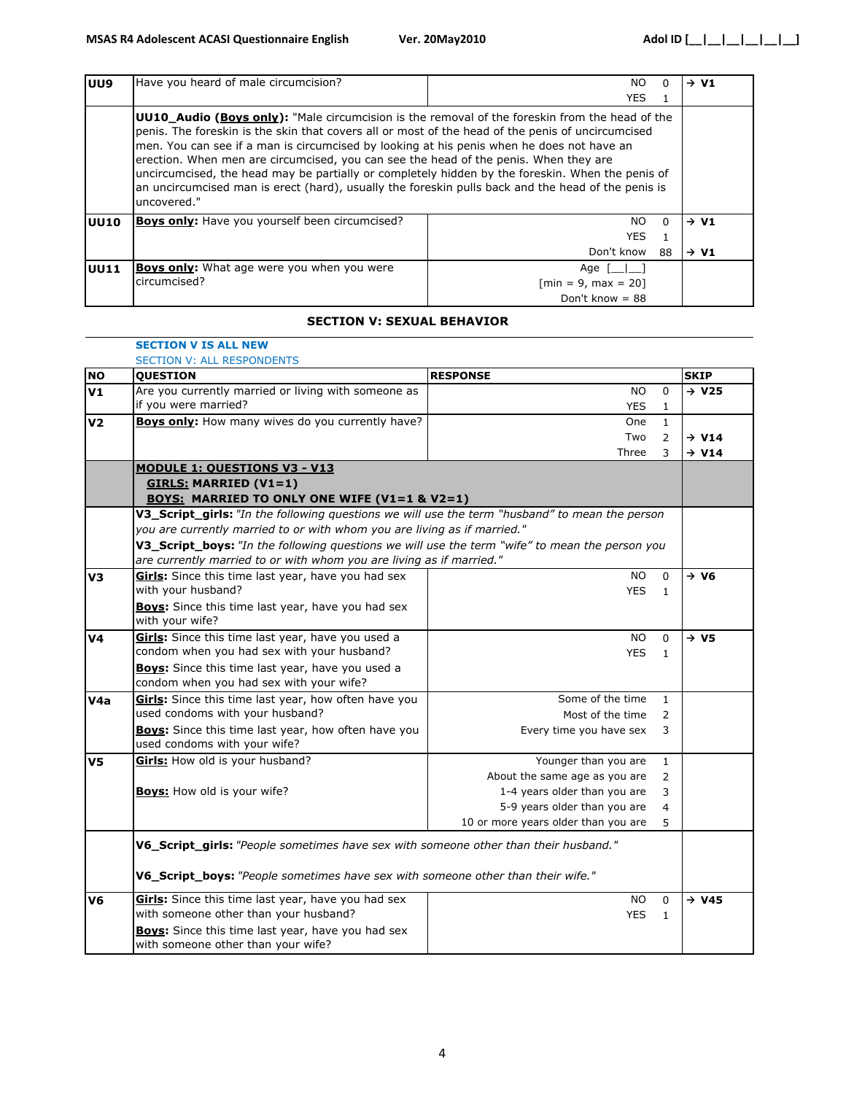| UU9         | Have you heard of male circumcision?                                                                                                                                                                                                                                                                                                                                                                                                                                                                                                                                                                                     | NO.                                             | $\rightarrow VI$ |
|-------------|--------------------------------------------------------------------------------------------------------------------------------------------------------------------------------------------------------------------------------------------------------------------------------------------------------------------------------------------------------------------------------------------------------------------------------------------------------------------------------------------------------------------------------------------------------------------------------------------------------------------------|-------------------------------------------------|------------------|
|             |                                                                                                                                                                                                                                                                                                                                                                                                                                                                                                                                                                                                                          | YES.<br>1.                                      |                  |
|             | <b>UU10 Audio (Boys only):</b> "Male circumcision is the removal of the foreskin from the head of the<br>penis. The foreskin is the skin that covers all or most of the head of the penis of uncircumcised<br>men. You can see if a man is circumcised by looking at his penis when he does not have an<br>erection. When men are circumcised, you can see the head of the penis. When they are<br>uncircumcised, the head may be partially or completely hidden by the foreskin. When the penis of<br>an uncircumcised man is erect (hard), usually the foreskin pulls back and the head of the penis is<br>uncovered." |                                                 |                  |
| UU10        | <b>Boys only:</b> Have you yourself been circumcised?                                                                                                                                                                                                                                                                                                                                                                                                                                                                                                                                                                    | NO.<br>$\Omega$<br><b>YES</b>                   | $\rightarrow VI$ |
|             |                                                                                                                                                                                                                                                                                                                                                                                                                                                                                                                                                                                                                          | Don't know<br>88                                | $\rightarrow$ V1 |
| <b>UU11</b> | <b>Boys only:</b> What age were you when you were                                                                                                                                                                                                                                                                                                                                                                                                                                                                                                                                                                        | Age [                                           |                  |
|             | circumcised?                                                                                                                                                                                                                                                                                                                                                                                                                                                                                                                                                                                                             | $\lceil \text{min} = 9, \text{max} = 20 \rceil$ |                  |
|             |                                                                                                                                                                                                                                                                                                                                                                                                                                                                                                                                                                                                                          | Don't know = $88$                               |                  |

#### **SECTION V: SEXUAL BEHAVIOR**

|           | <b>SECTION V IS ALL NEW</b>                                                                    |                                                 |                   |
|-----------|------------------------------------------------------------------------------------------------|-------------------------------------------------|-------------------|
|           | <b>SECTION V: ALL RESPONDENTS</b>                                                              |                                                 |                   |
| <b>NO</b> | <b>QUESTION</b>                                                                                | <b>RESPONSE</b>                                 | <b>SKIP</b>       |
| V1        | Are you currently married or living with someone as                                            | NO.<br>$\Omega$                                 | $\rightarrow$ V25 |
|           | if you were married?                                                                           | <b>YES</b><br>$\mathbf{1}$                      |                   |
| V2        | <b>Boys only:</b> How many wives do you currently have?                                        | One<br>$\mathbf{1}$                             |                   |
|           |                                                                                                | Two<br>2                                        | $\rightarrow$ V14 |
|           |                                                                                                | Three<br>3                                      | $\rightarrow$ V14 |
|           | <b>MODULE 1: QUESTIONS V3 - V13</b>                                                            |                                                 |                   |
|           | <b>GIRLS: MARRIED (V1=1)</b>                                                                   |                                                 |                   |
|           | <b>BOYS: MARRIED TO ONLY ONE WIFE (V1=1 &amp; V2=1)</b>                                        |                                                 |                   |
|           | V3_Script_girls: "In the following questions we will use the term "husband" to mean the person |                                                 |                   |
|           | you are currently married to or with whom you are living as if married."                       |                                                 |                   |
|           | V3_Script_boys: "In the following questions we will use the term "wife" to mean the person you |                                                 |                   |
|           | are currently married to or with whom you are living as if married."                           |                                                 |                   |
| V3        | Girls: Since this time last year, have you had sex                                             | <b>NO</b><br>$\mathbf{0}$                       | $\rightarrow$ V6  |
|           | with your husband?                                                                             | <b>YES</b><br>$\mathbf{1}$                      |                   |
|           | <b>Boys:</b> Since this time last year, have you had sex                                       |                                                 |                   |
|           | with your wife?                                                                                |                                                 |                   |
| ٧4        | Girls: Since this time last year, have you used a                                              | NO.<br>$\Omega$                                 | $\rightarrow$ V5  |
|           | condom when you had sex with your husband?                                                     | <b>YES</b><br>$\mathbf{1}$                      |                   |
|           | <b>Boys:</b> Since this time last year, have you used a                                        |                                                 |                   |
|           | condom when you had sex with your wife?                                                        |                                                 |                   |
| V4a       | Girls: Since this time last year, how often have you                                           | Some of the time<br>$\mathbf{1}$                |                   |
|           | used condoms with your husband?                                                                | Most of the time<br>$\overline{2}$              |                   |
|           | <b>Boys:</b> Since this time last year, how often have you                                     | Every time you have sex<br>3                    |                   |
|           | used condoms with your wife?                                                                   |                                                 |                   |
| V5        | Girls: How old is your husband?                                                                | Younger than you are<br>$\mathbf{1}$            |                   |
|           |                                                                                                | About the same age as you are<br>$\overline{2}$ |                   |
|           | <b>Boys:</b> How old is your wife?                                                             | 1-4 years older than you are<br>3               |                   |
|           |                                                                                                | 5-9 years older than you are<br>$\overline{4}$  |                   |
|           |                                                                                                | 10 or more years older than you are<br>5.       |                   |
|           |                                                                                                |                                                 |                   |
|           | V6_Script_girls: "People sometimes have sex with someone other than their husband."            |                                                 |                   |
|           |                                                                                                |                                                 |                   |
|           | V6_Script_boys: "People sometimes have sex with someone other than their wife."                |                                                 |                   |
| V6        | Girls: Since this time last year, have you had sex                                             | <b>NO</b><br>$\Omega$                           | $\rightarrow$ V45 |
|           | with someone other than your husband?                                                          | <b>YES</b><br>$\mathbf{1}$                      |                   |
|           | Boys: Since this time last year, have you had sex                                              |                                                 |                   |
|           | with someone other than your wife?                                                             |                                                 |                   |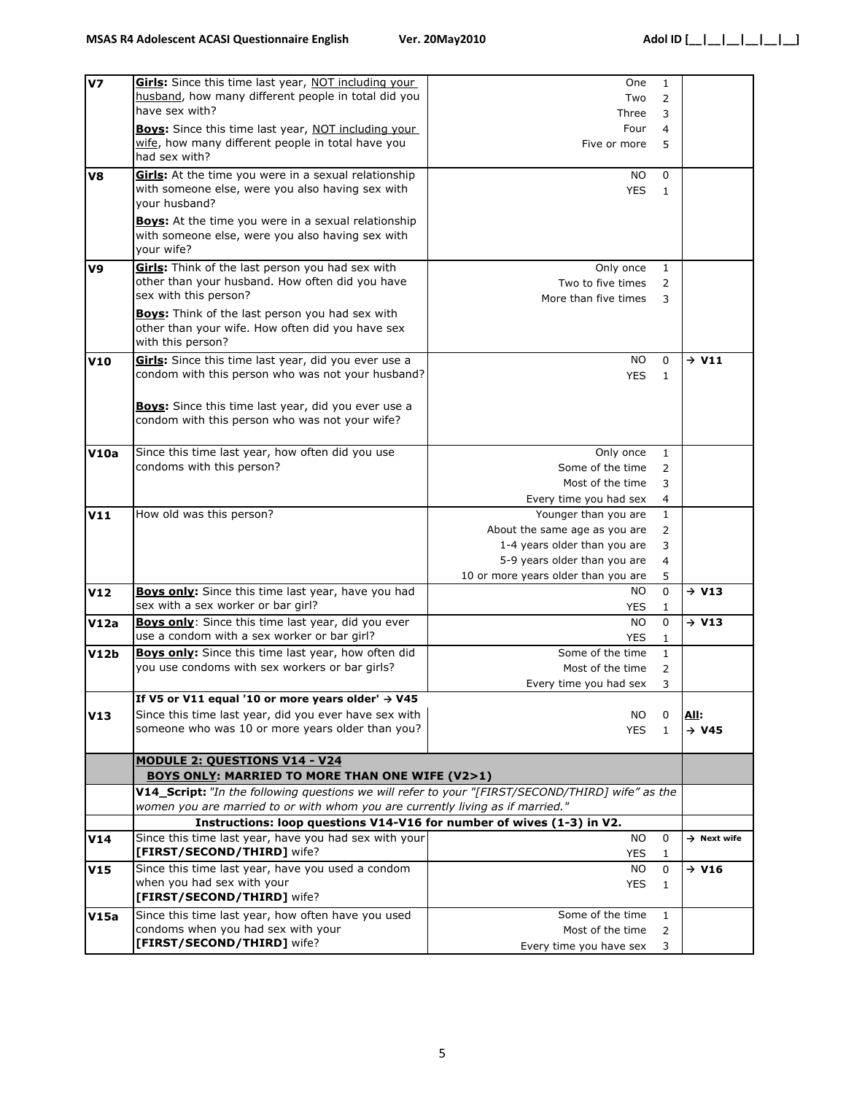| V <sub>7</sub> | Girls: Since this time last year, NOT including your                                             | One                                            | 1              |                         |
|----------------|--------------------------------------------------------------------------------------------------|------------------------------------------------|----------------|-------------------------|
|                | husband, how many different people in total did you                                              | Two                                            | $\overline{2}$ |                         |
|                | have sex with?                                                                                   | Three                                          | 3              |                         |
|                |                                                                                                  |                                                |                |                         |
|                | <b>Boys:</b> Since this time last year, NOT including your                                       | Four<br>$\overline{4}$                         |                |                         |
|                | wife, how many different people in total have you                                                | Five or more                                   | 5              |                         |
|                | had sex with?                                                                                    |                                                |                |                         |
| V8             | Girls: At the time you were in a sexual relationship                                             | NO.<br>0                                       |                |                         |
|                | with someone else, were you also having sex with                                                 | <b>YES</b>                                     | $\mathbf{1}$   |                         |
|                | your husband?                                                                                    |                                                |                |                         |
|                |                                                                                                  |                                                |                |                         |
|                | <b>Boys:</b> At the time you were in a sexual relationship                                       |                                                |                |                         |
|                | with someone else, were you also having sex with                                                 |                                                |                |                         |
|                | your wife?                                                                                       |                                                |                |                         |
| V9             | Girls: Think of the last person you had sex with                                                 | Only once                                      | $\mathbf{1}$   |                         |
|                | other than your husband. How often did you have                                                  | Two to five times                              |                |                         |
|                | sex with this person?                                                                            |                                                | 2              |                         |
|                |                                                                                                  | More than five times                           | 3              |                         |
|                | <b>Boys:</b> Think of the last person you had sex with                                           |                                                |                |                         |
|                | other than your wife. How often did you have sex                                                 |                                                |                |                         |
|                | with this person?                                                                                |                                                |                |                         |
| <b>V10</b>     | Girls: Since this time last year, did you ever use a                                             | <b>NO</b><br>$\Omega$                          |                | $\rightarrow$ V11       |
|                | condom with this person who was not your husband?                                                | <b>YES</b><br>$\mathbf{1}$                     |                |                         |
|                |                                                                                                  |                                                |                |                         |
|                |                                                                                                  |                                                |                |                         |
|                | Boys: Since this time last year, did you ever use a                                              |                                                |                |                         |
|                | condom with this person who was not your wife?                                                   |                                                |                |                         |
|                |                                                                                                  |                                                |                |                         |
| V10a           | Since this time last year, how often did you use                                                 | Only once                                      | $\mathbf{1}$   |                         |
|                | condoms with this person?                                                                        | Some of the time                               | $\overline{2}$ |                         |
|                |                                                                                                  |                                                |                |                         |
|                |                                                                                                  | Most of the time                               | 3              |                         |
|                |                                                                                                  | Every time you had sex                         | 4              |                         |
| V11            | How old was this person?                                                                         | Younger than you are                           | $\mathbf{1}$   |                         |
|                |                                                                                                  | About the same age as you are                  | 2              |                         |
|                |                                                                                                  | 1-4 years older than you are                   | 3              |                         |
|                |                                                                                                  | 5-9 years older than you are<br>$\overline{4}$ |                |                         |
|                |                                                                                                  | 10 or more years older than you are            | 5              |                         |
|                |                                                                                                  |                                                |                |                         |
| <b>V12</b>     | <b>Boys only:</b> Since this time last year, have you had                                        | NO.<br>$\Omega$                                |                | $\rightarrow$ V13       |
|                | sex with a sex worker or bar girl?                                                               | <b>YES</b><br>$\mathbf{1}$                     |                |                         |
| V12a           | Boys only: Since this time last year, did you ever                                               | NO.                                            | 0              | $\rightarrow$ V13       |
|                | use a condom with a sex worker or bar girl?                                                      | <b>YES</b>                                     | $\mathbf{1}$   |                         |
| V12b           | <b>Boys only:</b> Since this time last year, how often did                                       | Some of the time                               | $\mathbf{1}$   |                         |
|                | you use condoms with sex workers or bar girls?                                                   | Most of the time                               | $\overline{2}$ |                         |
|                |                                                                                                  | Every time you had sex                         | 3              |                         |
|                |                                                                                                  |                                                |                |                         |
|                | If V5 or V11 equal '10 or more years older' $\rightarrow$ V45                                    |                                                |                |                         |
| V13            | Since this time last year, did you ever have sex with                                            | NO.<br>0                                       |                | <u>All:</u>             |
|                | someone who was 10 or more years older than you?                                                 | <b>YES</b>                                     | $\mathbf{1}$   | $\rightarrow$ V45       |
|                |                                                                                                  |                                                |                |                         |
|                | <b>MODULE 2: QUESTIONS V14 - V24</b>                                                             |                                                |                |                         |
|                | <b>BOYS ONLY: MARRIED TO MORE THAN ONE WIFE (V2&gt;1)</b>                                        |                                                |                |                         |
|                | V14_Script: "In the following questions we will refer to your "[FIRST/SECOND/THIRD] wife" as the |                                                |                |                         |
|                | women you are married to or with whom you are currently living as if married."                   |                                                |                |                         |
|                | Instructions: loop questions V14-V16 for number of wives (1-3) in V2.                            |                                                |                |                         |
|                | Since this time last year, have you had sex with your                                            | <b>NO</b><br>0                                 |                | $\rightarrow$ Next wife |
| V14            | [FIRST/SECOND/THIRD] wife?                                                                       |                                                |                |                         |
|                |                                                                                                  | <b>YES</b><br>1                                |                |                         |
| V15            | Since this time last year, have you used a condom                                                | NO.                                            | 0              | $\rightarrow$ V16       |
|                | when you had sex with your                                                                       | <b>YES</b>                                     | $\mathbf{1}$   |                         |
|                | [FIRST/SECOND/THIRD] wife?                                                                       |                                                |                |                         |
| V15a           | Since this time last year, how often have you used                                               | Some of the time                               | $\mathbf{1}$   |                         |
|                | condoms when you had sex with your                                                               | Most of the time                               | 2              |                         |
|                | [FIRST/SECOND/THIRD] wife?                                                                       | Every time you have sex                        | 3              |                         |
|                |                                                                                                  |                                                |                |                         |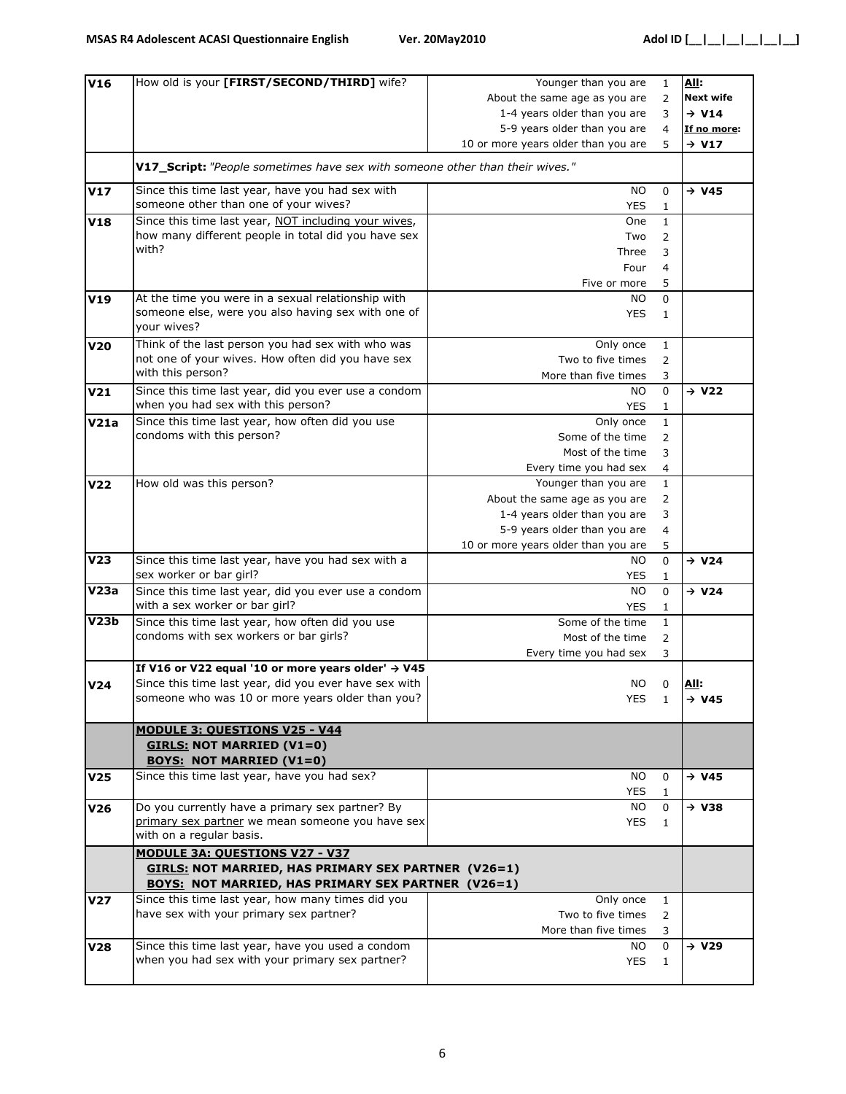| V16             | How old is your [FIRST/SECOND/THIRD] wife?                                    | Younger than you are                | $\mathbf{1}$      | <b>All:</b>       |
|-----------------|-------------------------------------------------------------------------------|-------------------------------------|-------------------|-------------------|
|                 |                                                                               | About the same age as you are       | 2                 | <b>Next wife</b>  |
|                 |                                                                               | 1-4 years older than you are        | 3                 | $\rightarrow$ V14 |
|                 |                                                                               | 5-9 years older than you are        | $\overline{4}$    | If no more:       |
|                 |                                                                               | 10 or more years older than you are | 5                 | $\rightarrow$ V17 |
|                 | V17_Script: "People sometimes have sex with someone other than their wives."  |                                     |                   |                   |
|                 |                                                                               |                                     |                   |                   |
| V17             | Since this time last year, have you had sex with                              | <b>NO</b>                           | 0                 | $\rightarrow$ V45 |
|                 | someone other than one of your wives?                                         | <b>YES</b>                          | $\mathbf{1}$      |                   |
| V18             | Since this time last year, NOT including your wives,                          | One                                 | $\mathbf{1}$      |                   |
|                 | how many different people in total did you have sex                           | Two                                 | 2                 |                   |
|                 | with?                                                                         | Three                               | 3                 |                   |
|                 |                                                                               | Four                                | 4                 |                   |
|                 |                                                                               | Five or more                        | 5                 |                   |
| V19             | At the time you were in a sexual relationship with                            | NO.                                 | 0                 |                   |
|                 | someone else, were you also having sex with one of<br>your wives?             | YES                                 | $\mathbf{1}$      |                   |
| <b>V20</b>      | Think of the last person you had sex with who was                             | Only once                           | $\mathbf{1}$      |                   |
|                 | not one of your wives. How often did you have sex                             | Two to five times                   | $\overline{2}$    |                   |
|                 | with this person?                                                             | More than five times                | 3                 |                   |
| V21             | Since this time last year, did you ever use a condom                          | NO.                                 | 0                 | $\rightarrow$ V22 |
|                 | when you had sex with this person?                                            | YES                                 | 1                 |                   |
| V21a            | Since this time last year, how often did you use                              | Only once                           | $\mathbf{1}$      |                   |
|                 | condoms with this person?                                                     | Some of the time                    | 2                 |                   |
|                 |                                                                               |                                     |                   |                   |
|                 |                                                                               | Most of the time                    | 3                 |                   |
|                 |                                                                               | Every time you had sex              | $\overline{4}$    |                   |
| V22             | How old was this person?                                                      | Younger than you are                | $\mathbf{1}$      |                   |
|                 |                                                                               | About the same age as you are       | 2                 |                   |
|                 |                                                                               | 1-4 years older than you are        | 3                 |                   |
|                 |                                                                               | 5-9 years older than you are        | $\overline{4}$    |                   |
|                 |                                                                               | 10 or more years older than you are | 5                 |                   |
| V23             | Since this time last year, have you had sex with a<br>sex worker or bar girl? | NO.<br><b>YES</b>                   | 0<br>$\mathbf{1}$ | $\rightarrow$ V24 |
| V23a            | Since this time last year, did you ever use a condom                          | <b>NO</b>                           | 0                 | $\rightarrow$ V24 |
|                 | with a sex worker or bar girl?                                                | <b>YES</b>                          | 1                 |                   |
| V23b            | Since this time last year, how often did you use                              | Some of the time                    | $\mathbf{1}$      |                   |
|                 | condoms with sex workers or bar girls?                                        | Most of the time                    | $\overline{2}$    |                   |
|                 |                                                                               | Every time you had sex              | 3                 |                   |
|                 | If V16 or V22 equal '10 or more years older' $\rightarrow$ V45                |                                     |                   |                   |
| V24             | Since this time last year, did you ever have sex with                         | NO.                                 | 0                 | <u>All:</u>       |
|                 | someone who was 10 or more years older than you?                              | YES                                 | $\overline{1}$    | $\rightarrow$ V45 |
|                 | <b>MODULE 3: QUESTIONS V25 - V44</b><br><b>GIRLS: NOT MARRIED (V1=0)</b>      |                                     |                   |                   |
|                 | <b>BOYS: NOT MARRIED (V1=0)</b>                                               |                                     |                   |                   |
| V <sub>25</sub> | Since this time last year, have you had sex?                                  | <b>NO</b><br><b>YES</b>             | 0<br>1            | $\rightarrow$ V45 |
| V26             | Do you currently have a primary sex partner? By                               | NO.                                 | 0                 | $\rightarrow$ V38 |
|                 | primary sex partner we mean someone you have sex                              | <b>YES</b>                          | $\mathbf{1}$      |                   |
|                 | with on a regular basis.                                                      |                                     |                   |                   |
|                 | <b>MODULE 3A: QUESTIONS V27 - V37</b>                                         |                                     |                   |                   |
|                 | <b>GIRLS: NOT MARRIED, HAS PRIMARY SEX PARTNER (V26=1)</b>                    |                                     |                   |                   |
|                 | <b>BOYS: NOT MARRIED, HAS PRIMARY SEX PARTNER (V26=1)</b>                     |                                     |                   |                   |
| V27             | Since this time last year, how many times did you                             | Only once                           | $\mathbf{1}$      |                   |
|                 | have sex with your primary sex partner?                                       | Two to five times                   | $\overline{2}$    |                   |
|                 |                                                                               | More than five times                | 3                 |                   |
| V28             | Since this time last year, have you used a condom                             | NO.                                 | 0                 | $\rightarrow$ V29 |
|                 | when you had sex with your primary sex partner?                               | <b>YES</b>                          | 1                 |                   |
|                 |                                                                               |                                     |                   |                   |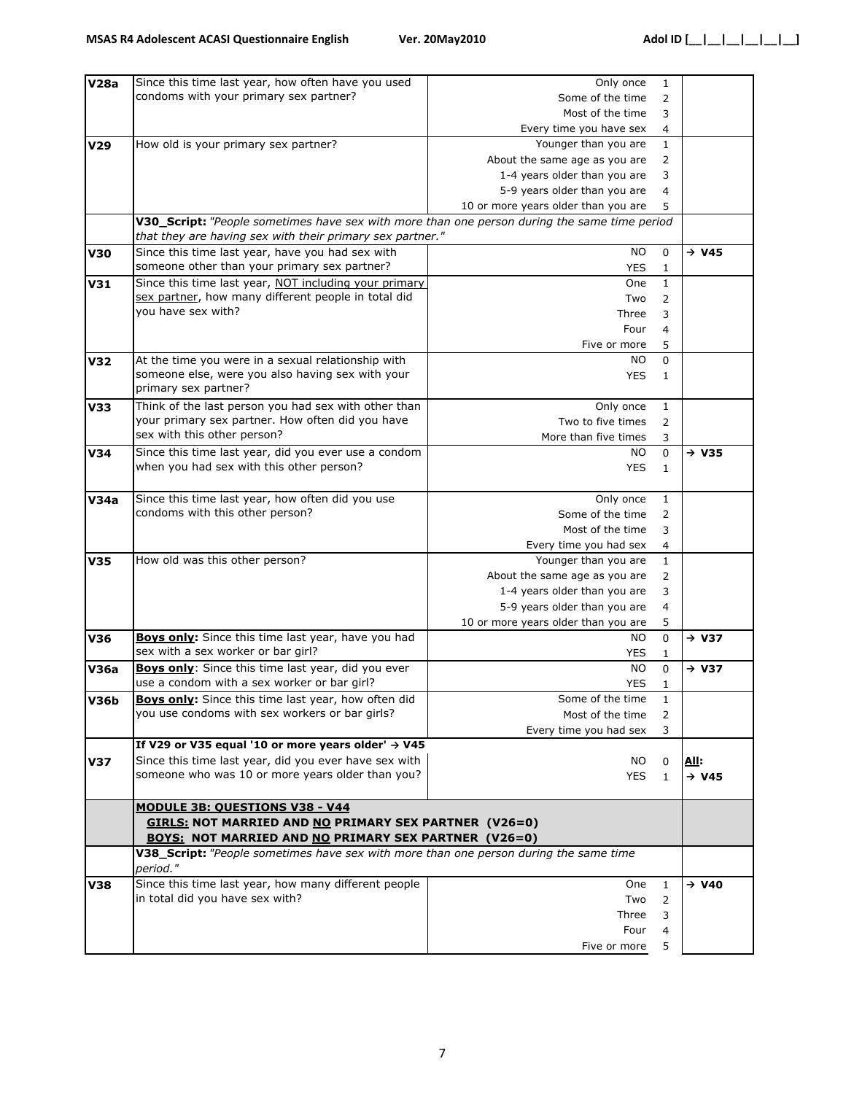| <b>V28a</b>     | Since this time last year, how often have you used                                           | Only once                           | 1              |                   |
|-----------------|----------------------------------------------------------------------------------------------|-------------------------------------|----------------|-------------------|
|                 | condoms with your primary sex partner?                                                       | Some of the time                    | $\overline{2}$ |                   |
|                 |                                                                                              | Most of the time                    | 3              |                   |
|                 |                                                                                              | Every time you have sex             | 4              |                   |
| V <sub>29</sub> | How old is your primary sex partner?                                                         | Younger than you are                | $\mathbf{1}$   |                   |
|                 |                                                                                              | About the same age as you are       | 2              |                   |
|                 |                                                                                              | 1-4 years older than you are        | 3              |                   |
|                 |                                                                                              | 5-9 years older than you are        | 4              |                   |
|                 |                                                                                              | 10 or more years older than you are | 5              |                   |
|                 | V30_Script: "People sometimes have sex with more than one person during the same time period |                                     |                |                   |
|                 | that they are having sex with their primary sex partner."                                    |                                     |                |                   |
| <b>V30</b>      | Since this time last year, have you had sex with                                             | <b>NO</b>                           | 0              | $\rightarrow$ V45 |
|                 | someone other than your primary sex partner?                                                 | <b>YES</b>                          | 1              |                   |
| V31             | Since this time last year, NOT including your primary                                        | One                                 | $\mathbf{1}$   |                   |
|                 | sex partner, how many different people in total did                                          | Two                                 | 2              |                   |
|                 | you have sex with?                                                                           | Three                               | 3              |                   |
|                 |                                                                                              | Four                                | 4              |                   |
|                 |                                                                                              | Five or more                        | 5              |                   |
| <b>V32</b>      | At the time you were in a sexual relationship with                                           | NO.                                 | $\mathbf 0$    |                   |
|                 | someone else, were you also having sex with your                                             | <b>YES</b>                          | $\mathbf{1}$   |                   |
|                 | primary sex partner?                                                                         |                                     |                |                   |
| <b>V33</b>      | Think of the last person you had sex with other than                                         | Only once                           | 1              |                   |
|                 | your primary sex partner. How often did you have                                             | Two to five times                   | $\overline{2}$ |                   |
|                 | sex with this other person?                                                                  | More than five times                | 3              |                   |
| <b>V34</b>      | Since this time last year, did you ever use a condom                                         | NO.                                 | 0              | $\rightarrow$ V35 |
|                 | when you had sex with this other person?                                                     | <b>YES</b>                          | $\mathbf{1}$   |                   |
|                 |                                                                                              |                                     |                |                   |
| V34a            | Since this time last year, how often did you use                                             | Only once                           | $\mathbf{1}$   |                   |
|                 | condoms with this other person?                                                              | Some of the time                    | 2              |                   |
|                 |                                                                                              | Most of the time                    | 3              |                   |
|                 |                                                                                              | Every time you had sex              | 4              |                   |
| <b>V35</b>      | How old was this other person?                                                               | Younger than you are                | $\mathbf{1}$   |                   |
|                 |                                                                                              | About the same age as you are       | 2              |                   |
|                 |                                                                                              | 1-4 years older than you are        | 3              |                   |
|                 |                                                                                              | 5-9 years older than you are        | 4              |                   |
|                 |                                                                                              | 10 or more years older than you are | 5              |                   |
| <b>V36</b>      | Boys only: Since this time last year, have you had                                           | NO.                                 | 0              | $\rightarrow$ V37 |
|                 | sex with a sex worker or bar girl?                                                           | YES                                 | 1              |                   |
| <b>V36a</b>     | Boys only: Since this time last year, did you ever                                           | <b>NO</b>                           | $\mathsf{O}$   | $\rightarrow$ V37 |
|                 | use a condom with a sex worker or bar girl?                                                  | <b>YES</b>                          | $\mathbf{1}$   |                   |
| V36b            | <b>Boys only:</b> Since this time last year, how often did                                   | Some of the time                    | 1              |                   |
|                 | you use condoms with sex workers or bar girls?                                               | Most of the time                    | $\overline{2}$ |                   |
|                 |                                                                                              | Every time you had sex              | 3              |                   |
|                 | If V29 or V35 equal '10 or more years older' $\rightarrow$ V45                               |                                     |                |                   |
| <b>V37</b>      | Since this time last year, did you ever have sex with                                        | NO.                                 | 0              | <u>All:</u>       |
|                 | someone who was 10 or more years older than you?                                             | <b>YES</b>                          | $\mathbf{1}$   | $\rightarrow$ V45 |
|                 |                                                                                              |                                     |                |                   |
|                 | <b>MODULE 3B: QUESTIONS V38 - V44</b>                                                        |                                     |                |                   |
|                 | <b>GIRLS: NOT MARRIED AND NO PRIMARY SEX PARTNER (V26=0)</b>                                 |                                     |                |                   |
|                 | <b>BOYS: NOT MARRIED AND NO PRIMARY SEX PARTNER (V26=0)</b>                                  |                                     |                |                   |
|                 | V38_Script: "People sometimes have sex with more than one person during the same time        |                                     |                |                   |
|                 | period."                                                                                     |                                     |                |                   |
| <b>V38</b>      | Since this time last year, how many different people                                         | One                                 | $\mathbf{1}$   | $\rightarrow$ V40 |
|                 | in total did you have sex with?                                                              | Two                                 | 2              |                   |
|                 |                                                                                              | Three                               | 3              |                   |
|                 |                                                                                              | Four                                | 4              |                   |
|                 |                                                                                              | Five or more                        | 5              |                   |
|                 |                                                                                              |                                     |                |                   |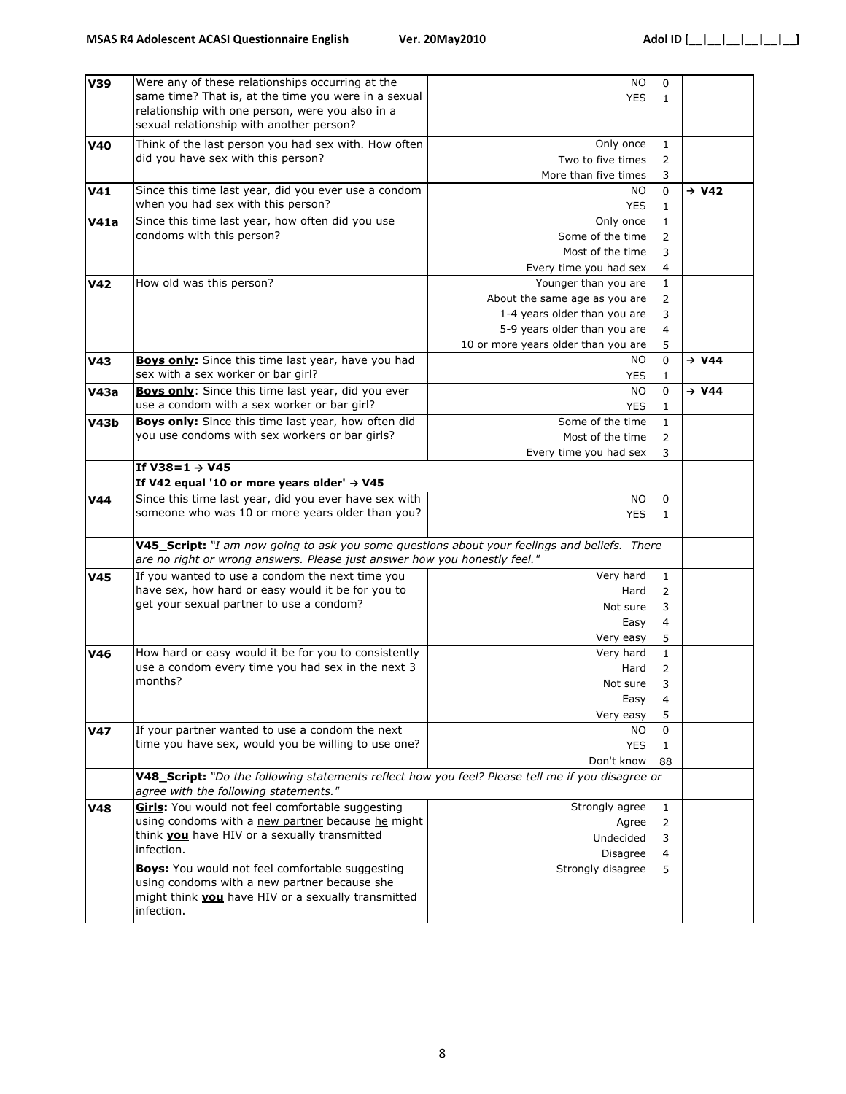| V39             | Were any of these relationships occurring at the<br>same time? That is, at the time you were in a sexual<br>relationship with one person, were you also in a              | <b>NO</b><br><b>YES</b>             | 0<br>$\mathbf{1}$ |                   |
|-----------------|---------------------------------------------------------------------------------------------------------------------------------------------------------------------------|-------------------------------------|-------------------|-------------------|
|                 | sexual relationship with another person?                                                                                                                                  |                                     |                   |                   |
| <b>V40</b>      | Think of the last person you had sex with. How often                                                                                                                      | Only once                           | $\mathbf{1}$      |                   |
|                 | did you have sex with this person?                                                                                                                                        | Two to five times                   | 2                 |                   |
|                 |                                                                                                                                                                           | More than five times                | 3                 |                   |
| V <sub>41</sub> | Since this time last year, did you ever use a condom                                                                                                                      | NO.                                 | $\Omega$          | $\rightarrow$ V42 |
|                 | when you had sex with this person?                                                                                                                                        | YES                                 | 1                 |                   |
| V41a            | Since this time last year, how often did you use                                                                                                                          | Only once                           | $\mathbf{1}$      |                   |
|                 | condoms with this person?                                                                                                                                                 | Some of the time                    | $\overline{2}$    |                   |
|                 |                                                                                                                                                                           | Most of the time                    | 3                 |                   |
|                 |                                                                                                                                                                           |                                     |                   |                   |
|                 |                                                                                                                                                                           | Every time you had sex              | $\overline{4}$    |                   |
| V <sub>42</sub> | How old was this person?                                                                                                                                                  | Younger than you are                | $\mathbf{1}$      |                   |
|                 |                                                                                                                                                                           | About the same age as you are       | 2                 |                   |
|                 |                                                                                                                                                                           | 1-4 years older than you are        | 3                 |                   |
|                 |                                                                                                                                                                           | 5-9 years older than you are        | 4                 |                   |
|                 |                                                                                                                                                                           | 10 or more years older than you are | 5                 |                   |
| V43             | Boys only: Since this time last year, have you had                                                                                                                        | NO.                                 | $\Omega$          | $\rightarrow$ V44 |
|                 | sex with a sex worker or bar girl?                                                                                                                                        | YES                                 | $\mathbf{1}$      |                   |
| <b>V43a</b>     | Boys only: Since this time last year, did you ever                                                                                                                        | NO.                                 | $\Omega$          | $\rightarrow$ V44 |
|                 | use a condom with a sex worker or bar girl?                                                                                                                               | <b>YES</b>                          | 1                 |                   |
| V43b            | <b>Boys only:</b> Since this time last year, how often did                                                                                                                | Some of the time                    | $\mathbf{1}$      |                   |
|                 | you use condoms with sex workers or bar girls?                                                                                                                            | Most of the time                    | 2                 |                   |
|                 |                                                                                                                                                                           |                                     |                   |                   |
|                 | If $V38=1 \rightarrow V45$                                                                                                                                                | Every time you had sex              | 3                 |                   |
|                 |                                                                                                                                                                           |                                     |                   |                   |
|                 | If V42 equal '10 or more years older' $\rightarrow$ V45                                                                                                                   |                                     |                   |                   |
| <b>V44</b>      | Since this time last year, did you ever have sex with                                                                                                                     | NO.                                 | 0                 |                   |
|                 | someone who was 10 or more years older than you?                                                                                                                          | <b>YES</b>                          | $\mathbf{1}$      |                   |
|                 |                                                                                                                                                                           |                                     |                   |                   |
|                 | V45_Script: "I am now going to ask you some questions about your feelings and beliefs. There<br>are no right or wrong answers. Please just answer how you honestly feel." |                                     |                   |                   |
| <b>V45</b>      | If you wanted to use a condom the next time you                                                                                                                           | Very hard                           | $\mathbf{1}$      |                   |
|                 | have sex, how hard or easy would it be for you to                                                                                                                         | Hard                                | 2                 |                   |
|                 | get your sexual partner to use a condom?                                                                                                                                  | Not sure                            | 3                 |                   |
|                 |                                                                                                                                                                           |                                     | 4                 |                   |
|                 |                                                                                                                                                                           | Easy                                |                   |                   |
|                 |                                                                                                                                                                           | Very easy                           | 5                 |                   |
| V46             | How hard or easy would it be for you to consistently                                                                                                                      | Very hard                           | $\mathbf{1}$      |                   |
|                 | use a condom every time you had sex in the next 3                                                                                                                         | Hard                                | $\overline{2}$    |                   |
|                 | months?                                                                                                                                                                   | Not sure                            | 3                 |                   |
|                 |                                                                                                                                                                           | Easy                                | 4                 |                   |
|                 |                                                                                                                                                                           | Very easy                           | 5                 |                   |
| <b>V47</b>      | If your partner wanted to use a condom the next                                                                                                                           | NO.                                 | 0                 |                   |
|                 | time you have sex, would you be willing to use one?                                                                                                                       | <b>YES</b>                          | $\mathbf{1}$      |                   |
|                 |                                                                                                                                                                           | Don't know                          | 88                |                   |
|                 | V48_Script: "Do the following statements reflect how you feel? Please tell me if you disagree or                                                                          |                                     |                   |                   |
|                 | agree with the following statements."                                                                                                                                     |                                     |                   |                   |
| V48             | Girls: You would not feel comfortable suggesting                                                                                                                          | Strongly agree                      | $\mathbf{1}$      |                   |
|                 | using condoms with a new partner because he might                                                                                                                         | Agree                               | $\overline{2}$    |                   |
|                 | think <b>you</b> have HIV or a sexually transmitted                                                                                                                       | Undecided                           | 3                 |                   |
|                 | infection.                                                                                                                                                                | Disagree                            | 4                 |                   |
|                 | <b>Boys:</b> You would not feel comfortable suggesting                                                                                                                    | Strongly disagree                   | 5                 |                   |
|                 | using condoms with a new partner because she                                                                                                                              |                                     |                   |                   |
|                 | might think <b>you</b> have HIV or a sexually transmitted                                                                                                                 |                                     |                   |                   |
|                 | infection.                                                                                                                                                                |                                     |                   |                   |
|                 |                                                                                                                                                                           |                                     |                   |                   |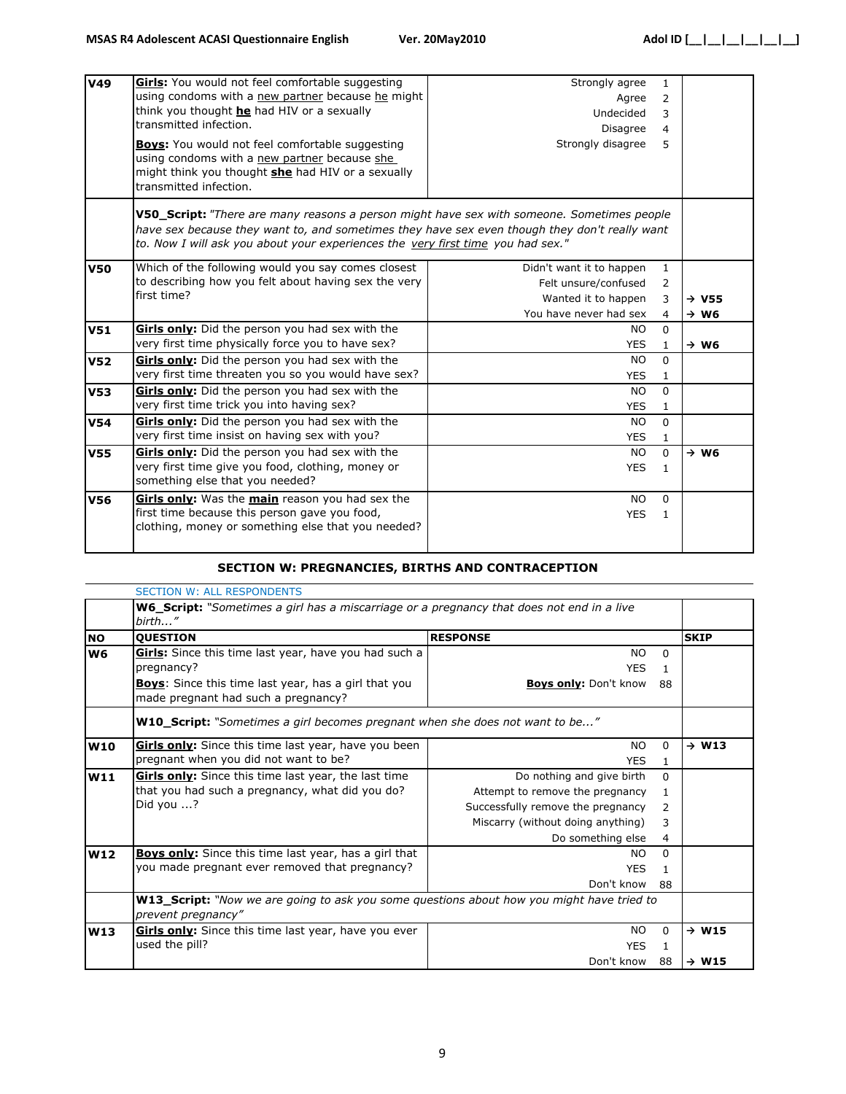| <b>V49</b>      | Girls: You would not feel comfortable suggesting<br>using condoms with a new partner because he might<br>think you thought he had HIV or a sexually<br>transmitted infection.<br><b>Boys:</b> You would not feel comfortable suggesting                                        | Strongly agree<br>Agree<br>Undecided<br>Disagree<br>Strongly disagree | $\mathbf{1}$<br>$\overline{2}$<br>3<br>$\overline{4}$<br>5 |                   |
|-----------------|--------------------------------------------------------------------------------------------------------------------------------------------------------------------------------------------------------------------------------------------------------------------------------|-----------------------------------------------------------------------|------------------------------------------------------------|-------------------|
|                 | using condoms with a new partner because she<br>might think you thought she had HIV or a sexually<br>transmitted infection.                                                                                                                                                    |                                                                       |                                                            |                   |
|                 | V50_Script: "There are many reasons a person might have sex with someone. Sometimes people<br>have sex because they want to, and sometimes they have sex even though they don't really want<br>to. Now I will ask you about your experiences the very first time you had sex." |                                                                       |                                                            |                   |
| <b>V50</b>      | Which of the following would you say comes closest                                                                                                                                                                                                                             | Didn't want it to happen                                              | $\mathbf{1}$                                               |                   |
|                 | to describing how you felt about having sex the very                                                                                                                                                                                                                           | Felt unsure/confused                                                  | 2                                                          |                   |
|                 | first time?                                                                                                                                                                                                                                                                    | Wanted it to happen                                                   | 3                                                          | $\rightarrow$ V55 |
|                 |                                                                                                                                                                                                                                                                                | You have never had sex                                                | 4                                                          | $\rightarrow$ W6  |
| <b>V51</b>      | Girls only: Did the person you had sex with the                                                                                                                                                                                                                                | <b>NO</b>                                                             | $\mathbf{0}$                                               |                   |
|                 | very first time physically force you to have sex?                                                                                                                                                                                                                              | <b>YES</b>                                                            | 1                                                          | $\rightarrow$ W6  |
| V <sub>52</sub> | Girls only: Did the person you had sex with the                                                                                                                                                                                                                                | NO.                                                                   | $\Omega$                                                   |                   |
|                 | very first time threaten you so you would have sex?                                                                                                                                                                                                                            | <b>YES</b>                                                            | $\mathbf{1}$                                               |                   |
| <b>V53</b>      | Girls only: Did the person you had sex with the                                                                                                                                                                                                                                | NO.                                                                   | $\Omega$                                                   |                   |
|                 | very first time trick you into having sex?                                                                                                                                                                                                                                     | <b>YES</b>                                                            | $\mathbf{1}$                                               |                   |
| <b>V54</b>      | Girls only: Did the person you had sex with the                                                                                                                                                                                                                                | <b>NO</b>                                                             | $\mathbf{0}$                                               |                   |
|                 | very first time insist on having sex with you?                                                                                                                                                                                                                                 | <b>YES</b>                                                            | $\mathbf{1}$                                               |                   |
| <b>V55</b>      | Girls only: Did the person you had sex with the                                                                                                                                                                                                                                | NO.                                                                   | $\Omega$                                                   | $\rightarrow$ W6  |
|                 | very first time give you food, clothing, money or<br>something else that you needed?                                                                                                                                                                                           | <b>YES</b>                                                            | $\mathbf{1}$                                               |                   |
| <b>V56</b>      | <b>Girls only:</b> Was the <b>main</b> reason you had sex the                                                                                                                                                                                                                  | NO.                                                                   | $\mathbf{0}$                                               |                   |
|                 | first time because this person gave you food,<br>clothing, money or something else that you needed?                                                                                                                                                                            | <b>YES</b>                                                            | $\mathbf{1}$                                               |                   |

#### **SECTION W: PREGNANCIES, BIRTHS AND CONTRACEPTION**

|            | <b>SECTION W: ALL RESPONDENTS</b>                                                                                      |                                   |              |                   |
|------------|------------------------------------------------------------------------------------------------------------------------|-----------------------------------|--------------|-------------------|
|            | <b>W6_Script:</b> "Sometimes a girl has a miscarriage or a pregnancy that does not end in a live<br>birth"             |                                   |              |                   |
| <b>NO</b>  | <b>QUESTION</b>                                                                                                        | <b>RESPONSE</b>                   |              | <b>SKIP</b>       |
| W6         | Girls: Since this time last year, have you had such a<br>pregnancy?                                                    | <b>NO</b><br><b>YES</b>           | $\Omega$     |                   |
|            | <b>Boys:</b> Since this time last year, has a girl that you<br>made pregnant had such a pregnancy?                     | <b>Boys only: Don't know</b>      | 88           |                   |
|            | <b>W10_Script:</b> "Sometimes a girl becomes pregnant when she does not want to be"                                    |                                   |              |                   |
| <b>W10</b> | Girls only: Since this time last year, have you been                                                                   | NO.                               | $\Omega$     | $\rightarrow$ W13 |
|            | pregnant when you did not want to be?                                                                                  | <b>YES</b>                        | 1            |                   |
| W11        | Girls only: Since this time last year, the last time                                                                   | Do nothing and give birth         | <sup>0</sup> |                   |
|            | that you had such a pregnancy, what did you do?                                                                        | Attempt to remove the pregnancy   | 1.           |                   |
|            | Did you ?                                                                                                              | Successfully remove the pregnancy | 2            |                   |
|            |                                                                                                                        | Miscarry (without doing anything) | 3            |                   |
|            |                                                                                                                        | Do something else                 | 4            |                   |
| W12        | <b>Boys only:</b> Since this time last year, has a girl that                                                           | NO.                               | $\Omega$     |                   |
|            | you made pregnant ever removed that pregnancy?                                                                         | <b>YES</b>                        |              |                   |
|            |                                                                                                                        | Don't know                        | 88           |                   |
|            | <b>W13_Script:</b> "Now we are going to ask you some questions about how you might have tried to<br>prevent pregnancy" |                                   |              |                   |
| W13        | Girls only: Since this time last year, have you ever                                                                   | NO.                               | 0            | $\rightarrow$ W15 |
|            | used the pill?                                                                                                         | <b>YES</b>                        | 1            |                   |
|            |                                                                                                                        | Don't know                        | 88           | $\rightarrow$ W15 |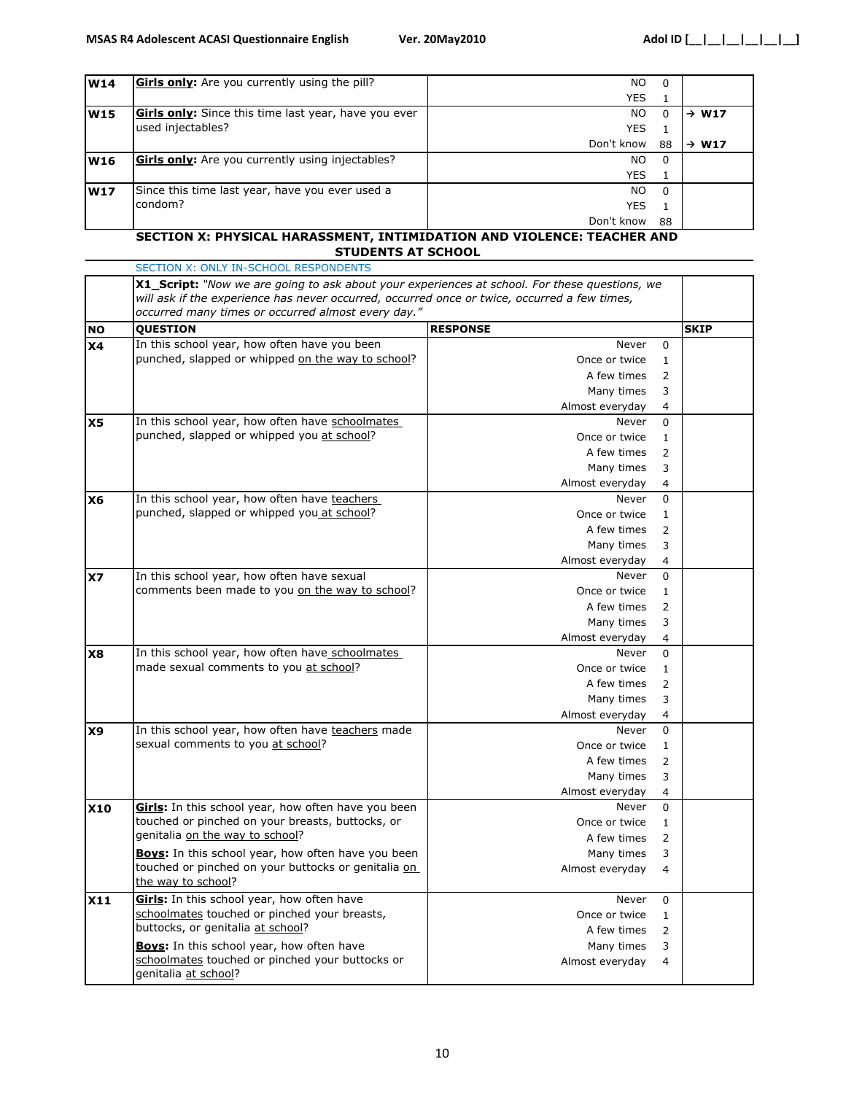| <b>W14</b> | <b>Girls only:</b> Are you currently using the pill?        | NO.        | $\Omega$ |                   |
|------------|-------------------------------------------------------------|------------|----------|-------------------|
|            |                                                             | <b>YES</b> |          |                   |
| <b>W15</b> | <b>Girls only:</b> Since this time last year, have you ever | NO.        |          | $\rightarrow$ W17 |
|            | used injectables?                                           | <b>YES</b> |          |                   |
|            |                                                             | Don't know | 88       | $\rightarrow$ W17 |
| <b>W16</b> | <b>Girls only:</b> Are you currently using injectables?     | NO.        | 0        |                   |
|            |                                                             | <b>YES</b> |          |                   |
| <b>W17</b> | Since this time last year, have you ever used a             | NO.        | - 0      |                   |
|            | condom?                                                     | <b>YES</b> |          |                   |
|            |                                                             | Don't know | 88       |                   |

#### SECTION X: ONLY IN-SCHOOL RESPONDENTS **SECTION X: PHYSlCAL HARASSMENT, INTIMIDATION AND VIOLENCE: TEACHER AND STUDENTS AT SCHOOL**

|                | <b>X1_Script:</b> "Now we are going to ask about your experiences at school. For these questions, we<br>will ask if the experience has never occurred, occurred once or twice, occurred a few times, |                                   |             |  |  |
|----------------|------------------------------------------------------------------------------------------------------------------------------------------------------------------------------------------------------|-----------------------------------|-------------|--|--|
|                |                                                                                                                                                                                                      |                                   |             |  |  |
|                | occurred many times or occurred almost every day."                                                                                                                                                   |                                   |             |  |  |
| <b>NO</b>      | <b>QUESTION</b>                                                                                                                                                                                      | <b>RESPONSE</b>                   | <b>SKIP</b> |  |  |
| X <sub>4</sub> | In this school year, how often have you been                                                                                                                                                         | Never<br>$\mathbf 0$              |             |  |  |
|                | punched, slapped or whipped on the way to school?                                                                                                                                                    | Once or twice<br>1                |             |  |  |
|                |                                                                                                                                                                                                      | A few times<br>2                  |             |  |  |
|                |                                                                                                                                                                                                      | Many times<br>3                   |             |  |  |
|                |                                                                                                                                                                                                      | $\overline{4}$<br>Almost everyday |             |  |  |
| X <sub>5</sub> | In this school year, how often have schoolmates                                                                                                                                                      | $\mathbf 0$<br>Never              |             |  |  |
|                | punched, slapped or whipped you at school?                                                                                                                                                           | Once or twice<br>$\mathbf{1}$     |             |  |  |
|                |                                                                                                                                                                                                      | A few times<br>2                  |             |  |  |
|                |                                                                                                                                                                                                      | Many times<br>3                   |             |  |  |
|                |                                                                                                                                                                                                      | $\overline{4}$<br>Almost everyday |             |  |  |
| X <sub>6</sub> | In this school year, how often have teachers                                                                                                                                                         | $\mathbf 0$<br>Never              |             |  |  |
|                | punched, slapped or whipped you at school?                                                                                                                                                           | Once or twice<br>$\mathbf{1}$     |             |  |  |
|                |                                                                                                                                                                                                      | A few times<br>2                  |             |  |  |
|                |                                                                                                                                                                                                      | 3<br>Many times                   |             |  |  |
|                |                                                                                                                                                                                                      | $\overline{4}$<br>Almost everyday |             |  |  |
|                | In this school year, how often have sexual                                                                                                                                                           | Never<br>$\mathbf 0$              |             |  |  |
| <b>X7</b>      | comments been made to you on the way to school?                                                                                                                                                      |                                   |             |  |  |
|                |                                                                                                                                                                                                      | Once or twice<br>$\mathbf{1}$     |             |  |  |
|                |                                                                                                                                                                                                      | A few times<br>2                  |             |  |  |
|                |                                                                                                                                                                                                      | Many times<br>3                   |             |  |  |
|                |                                                                                                                                                                                                      | $\overline{4}$<br>Almost everyday |             |  |  |
| <b>X8</b>      | In this school year, how often have schoolmates                                                                                                                                                      | $\mathbf 0$<br>Never              |             |  |  |
|                | made sexual comments to you at school?                                                                                                                                                               | Once or twice<br>$\mathbf{1}$     |             |  |  |
|                |                                                                                                                                                                                                      | A few times<br>2                  |             |  |  |
|                |                                                                                                                                                                                                      | 3<br>Many times                   |             |  |  |
|                |                                                                                                                                                                                                      | $\overline{4}$<br>Almost everyday |             |  |  |
| X9             | In this school year, how often have teachers made                                                                                                                                                    | Never<br>$\mathbf 0$              |             |  |  |
|                | sexual comments to you at school?                                                                                                                                                                    | Once or twice<br>$\mathbf{1}$     |             |  |  |
|                |                                                                                                                                                                                                      | A few times<br>2                  |             |  |  |
|                |                                                                                                                                                                                                      | Many times<br>3                   |             |  |  |
|                |                                                                                                                                                                                                      | $\overline{4}$<br>Almost everyday |             |  |  |
| <b>X10</b>     | Girls: In this school year, how often have you been                                                                                                                                                  | $\Omega$<br>Never                 |             |  |  |
|                | touched or pinched on your breasts, buttocks, or                                                                                                                                                     | Once or twice<br>$\mathbf{1}$     |             |  |  |
|                | genitalia on the way to school?                                                                                                                                                                      | A few times<br>$\overline{2}$     |             |  |  |
|                | <b>Boys:</b> In this school year, how often have you been                                                                                                                                            | Many times<br>3                   |             |  |  |
|                | touched or pinched on your buttocks or genitalia on                                                                                                                                                  | Almost everyday<br>$\overline{4}$ |             |  |  |
|                | the way to school?                                                                                                                                                                                   |                                   |             |  |  |
| X11            | Girls: In this school year, how often have                                                                                                                                                           | Never<br>$\mathbf 0$              |             |  |  |
|                | schoolmates touched or pinched your breasts,                                                                                                                                                         | Once or twice<br>$\mathbf{1}$     |             |  |  |
|                | buttocks, or genitalia at school?                                                                                                                                                                    | $\overline{2}$<br>A few times     |             |  |  |
|                | Boys: In this school year, how often have                                                                                                                                                            | Many times<br>3                   |             |  |  |
|                | schoolmates touched or pinched your buttocks or                                                                                                                                                      | Almost everyday<br>$\overline{4}$ |             |  |  |
|                | genitalia at school?                                                                                                                                                                                 |                                   |             |  |  |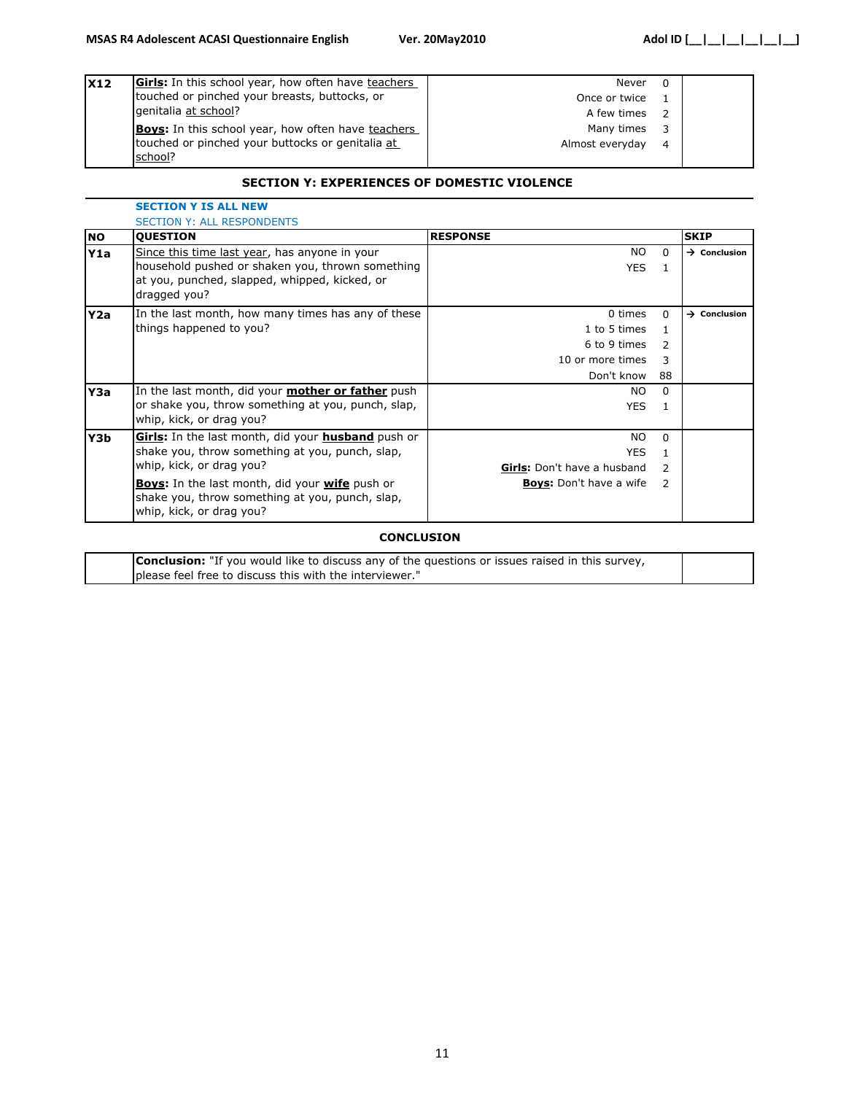| <b>X12</b> | <b>Girls:</b> In this school year, how often have teachers  | Never           | $\Omega$       |  |
|------------|-------------------------------------------------------------|-----------------|----------------|--|
|            | touched or pinched your breasts, buttocks, or               | Once or twice   |                |  |
|            | genitalia at school?                                        | A few times     |                |  |
|            | <b>Boys:</b> In this school year, how often have teachers   | Many times      | 3              |  |
|            | touched or pinched your buttocks or genitalia at<br>school? | Almost everyday | $\overline{4}$ |  |

#### **SECTION Y: EXPERIENCES OF DOMESTIC VIOLENCE**

|           | <b>SECTION Y IS ALL NEW</b>                                                                                                                 |                                    |               |                          |  |  |
|-----------|---------------------------------------------------------------------------------------------------------------------------------------------|------------------------------------|---------------|--------------------------|--|--|
|           | <b>SECTION Y: ALL RESPONDENTS</b>                                                                                                           |                                    |               |                          |  |  |
| <b>NO</b> | <b>QUESTION</b>                                                                                                                             | <b>RESPONSE</b>                    |               | <b>SKIP</b>              |  |  |
| Y1a       | Since this time last year, has anyone in your                                                                                               | NO.                                | $\Omega$      | $\rightarrow$ Conclusion |  |  |
|           | household pushed or shaken you, thrown something<br>at you, punched, slapped, whipped, kicked, or<br>dragged you?                           | <b>YES</b>                         |               |                          |  |  |
| Y2a       | In the last month, how many times has any of these                                                                                          | 0 times                            | $\Omega$      | $\rightarrow$ Conclusion |  |  |
|           | things happened to you?                                                                                                                     | 1 to 5 times                       | 1.            |                          |  |  |
|           |                                                                                                                                             | 6 to 9 times                       | $\mathcal{L}$ |                          |  |  |
|           |                                                                                                                                             | 10 or more times                   | 3             |                          |  |  |
|           |                                                                                                                                             | Don't know                         | 88            |                          |  |  |
| Y3a       | In the last month, did your <b>mother or father</b> push                                                                                    | NO.                                | $\Omega$      |                          |  |  |
|           | or shake you, throw something at you, punch, slap,<br>whip, kick, or drag you?                                                              | YES.                               |               |                          |  |  |
| Y3b       | Girls: In the last month, did your husband push or                                                                                          | NO.                                | $\Omega$      |                          |  |  |
|           | shake you, throw something at you, punch, slap,                                                                                             | <b>YES</b>                         | 1.            |                          |  |  |
|           | whip, kick, or drag you?                                                                                                                    | <b>Girls:</b> Don't have a husband | $\mathcal{L}$ |                          |  |  |
|           | <b>Boys:</b> In the last month, did your <b>wife</b> push or<br>shake you, throw something at you, punch, slap,<br>whip, kick, or drag you? | <b>Boys:</b> Don't have a wife     | $\mathcal{L}$ |                          |  |  |

#### **CONCLUSION**

| <b>Conclusion:</b> "If you would like to discuss any of the questions or issues raised in this survey, |  |
|--------------------------------------------------------------------------------------------------------|--|
| please feel free to discuss this with the interviewer."                                                |  |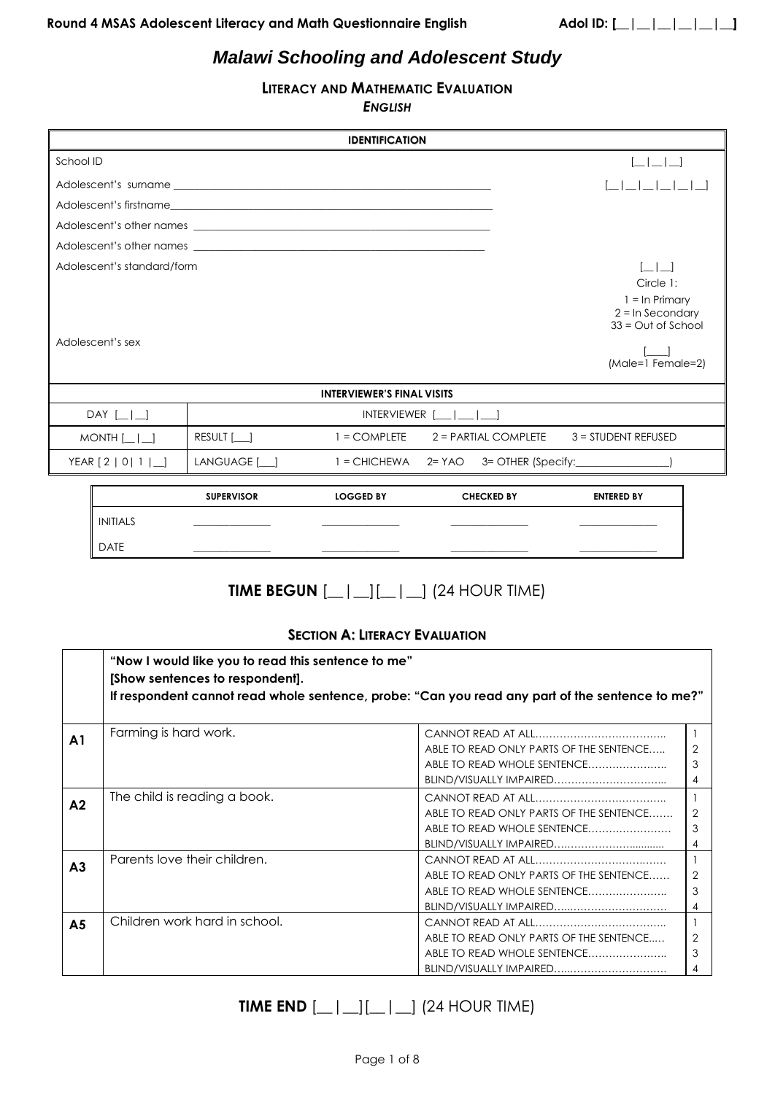# *Malawi Schooling and Adolescent Study*

# **LITERACY AND MATHEMATIC EVALUATION**

*ENGLISH*

|                            |                   | <b>IDENTIFICATION</b>             |                                       |                                          |
|----------------------------|-------------------|-----------------------------------|---------------------------------------|------------------------------------------|
| School ID                  |                   |                                   |                                       | $\sim$ 1 $\sim$ 1 $\sim$                 |
|                            |                   |                                   |                                       |                                          |
|                            |                   |                                   |                                       |                                          |
|                            |                   |                                   |                                       |                                          |
|                            |                   |                                   |                                       |                                          |
| Adolescent's standard/form |                   |                                   |                                       | $\begin{array}{ccc} \end{array}$         |
|                            |                   |                                   |                                       | Circle 1:                                |
|                            |                   |                                   |                                       | $1 = \ln$ Primary<br>$2 = \ln$ Secondary |
|                            |                   |                                   |                                       | $33 = Out of School$                     |
| Adolescent's sex           |                   |                                   |                                       |                                          |
|                            |                   |                                   |                                       | (Male=1 Female=2)                        |
|                            |                   |                                   |                                       |                                          |
|                            |                   | <b>INTERVIEWER'S FINAL VISITS</b> |                                       |                                          |
| DAY $\left[\_\right]$      |                   |                                   | $INTERVIEWER$ $ $ $ $                 |                                          |
| $MONTH$ $\Box$             | RESULT [          |                                   | $1 = COMPLETE$ $2 = PARTIAL COMPLETE$ | 3 = STUDENT REFUSED                      |
| YEAR [2   0  1   _ ]       | LANGUAGE [__]     |                                   |                                       |                                          |
|                            | <b>SUPERVISOR</b> | <b>LOGGED BY</b>                  | <b>CHECKED BY</b>                     | <b>ENTERED BY</b>                        |

|             | <b>SUPERVISOR</b> | <b>LOGGED BY</b> | <b>CHECKED BY</b> | <b>ENTERED BY</b> |  |
|-------------|-------------------|------------------|-------------------|-------------------|--|
| INITIALS    |                   |                  |                   |                   |  |
| <b>DATE</b> |                   |                  |                   |                   |  |
|             |                   |                  |                   |                   |  |

# **TIME BEGUN** [\_\_|\_\_][\_\_|\_\_] (24 HOUR TIME)

# **SECTION A: LITERACY EVALUATION**

|                | "Now I would like you to read this sentence to me"<br>[Show sentences to respondent].<br>If respondent cannot read whole sentence, probe: "Can you read any part of the sentence to me?" |                                                                                                |                         |
|----------------|------------------------------------------------------------------------------------------------------------------------------------------------------------------------------------------|------------------------------------------------------------------------------------------------|-------------------------|
| A <sub>1</sub> | Farming is hard work.                                                                                                                                                                    | ABLE TO READ ONLY PARTS OF THE SENTENCE<br>ABLE TO READ WHOLE SENTENCE                         | 3<br>4                  |
| A <sub>2</sub> | The child is reading a book.                                                                                                                                                             | ABLE TO READ ONLY PARTS OF THE SENTENCE<br>ABLE TO READ WHOLE SENTENCE                         | $\mathcal{P}$<br>3<br>4 |
| A <sub>3</sub> | Parents love their children.                                                                                                                                                             | $CANNOT$ RFAD AT ALL<br>ABLE TO READ ONLY PARTS OF THE SENTENCE<br>ABLE TO READ WHOLE SENTENCE | 2<br>3<br>4             |
| A <sub>5</sub> | Children work hard in school.                                                                                                                                                            | ABLE TO READ ONLY PARTS OF THE SENTENCE<br>ABLE TO READ WHOLE SENTENCE                         | 2<br>3                  |

# **TIME END**  $[\_ | \_ ][\_ | \_ ]$  (24 HOUR TIME)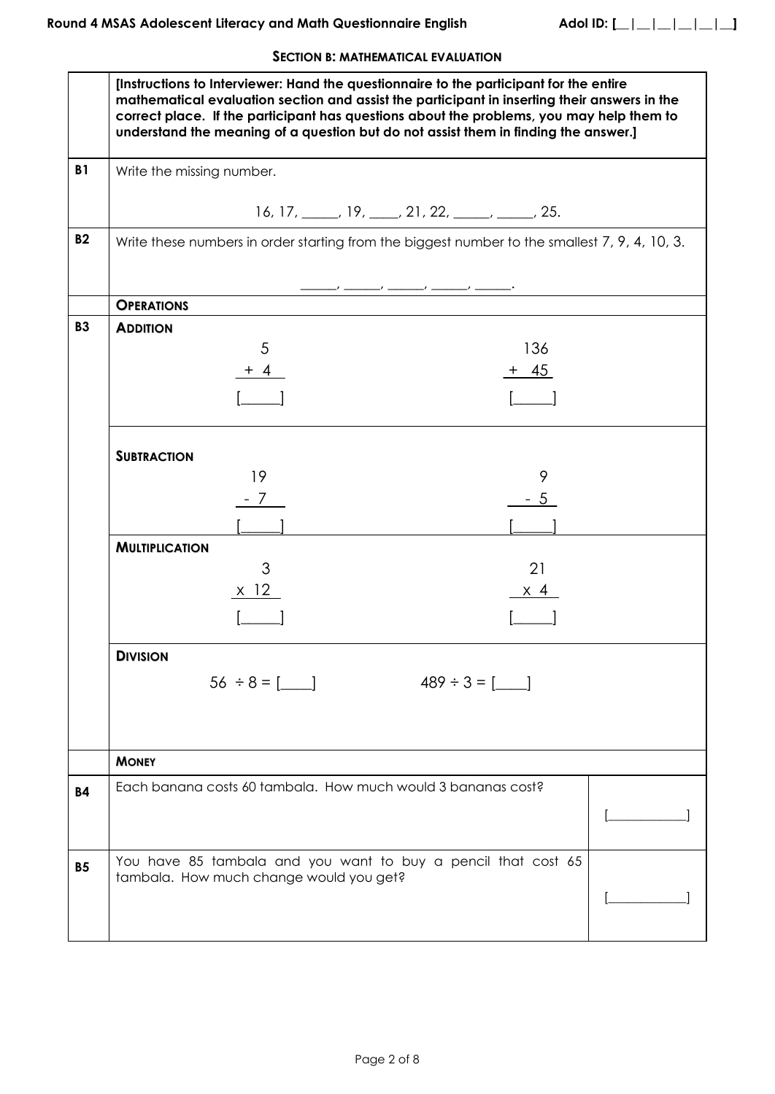# **SECTION B: MATHEMATICAL EVALUATION**

|           | [Instructions to Interviewer: Hand the questionnaire to the participant for the entire<br>mathematical evaluation section and assist the participant in inserting their answers in the<br>correct place. If the participant has questions about the problems, you may help them to<br>understand the meaning of a question but do not assist them in finding the answer.] |  |
|-----------|---------------------------------------------------------------------------------------------------------------------------------------------------------------------------------------------------------------------------------------------------------------------------------------------------------------------------------------------------------------------------|--|
| <b>B1</b> | Write the missing number.                                                                                                                                                                                                                                                                                                                                                 |  |
|           | $16, 17, \_\_\_\$ , $19, \_\_\_\$ , $21, 22, \_\_\_\_\_\_\$ , $25.$                                                                                                                                                                                                                                                                                                       |  |
| <b>B2</b> | Write these numbers in order starting from the biggest number to the smallest 7, 9, 4, 10, 3.                                                                                                                                                                                                                                                                             |  |
|           | <b>OPERATIONS</b>                                                                                                                                                                                                                                                                                                                                                         |  |
| <b>B3</b> | <b>ADDITION</b>                                                                                                                                                                                                                                                                                                                                                           |  |
|           | 136<br>5                                                                                                                                                                                                                                                                                                                                                                  |  |
|           | $+ 45$<br>$+4$                                                                                                                                                                                                                                                                                                                                                            |  |
|           |                                                                                                                                                                                                                                                                                                                                                                           |  |
|           | <b>SUBTRACTION</b>                                                                                                                                                                                                                                                                                                                                                        |  |
|           | 19<br>9                                                                                                                                                                                                                                                                                                                                                                   |  |
|           | - 7<br>- 5                                                                                                                                                                                                                                                                                                                                                                |  |
|           |                                                                                                                                                                                                                                                                                                                                                                           |  |
|           | <b>MULTIPLICATION</b><br>3<br>21                                                                                                                                                                                                                                                                                                                                          |  |
|           | $x$ 12<br>$\times$ 4                                                                                                                                                                                                                                                                                                                                                      |  |
|           |                                                                                                                                                                                                                                                                                                                                                                           |  |
|           | <b>DIVISION</b>                                                                                                                                                                                                                                                                                                                                                           |  |
|           | $56 \div 8 = 1$<br>$489 \div 3 = 1$                                                                                                                                                                                                                                                                                                                                       |  |
|           | <b>MONEY</b>                                                                                                                                                                                                                                                                                                                                                              |  |
| <b>B4</b> | Each banana costs 60 tambala. How much would 3 bananas cost?                                                                                                                                                                                                                                                                                                              |  |
|           |                                                                                                                                                                                                                                                                                                                                                                           |  |
| <b>B5</b> | You have 85 tambala and you want to buy a pencil that cost 65                                                                                                                                                                                                                                                                                                             |  |
|           | tambala. How much change would you get?                                                                                                                                                                                                                                                                                                                                   |  |
|           |                                                                                                                                                                                                                                                                                                                                                                           |  |
|           |                                                                                                                                                                                                                                                                                                                                                                           |  |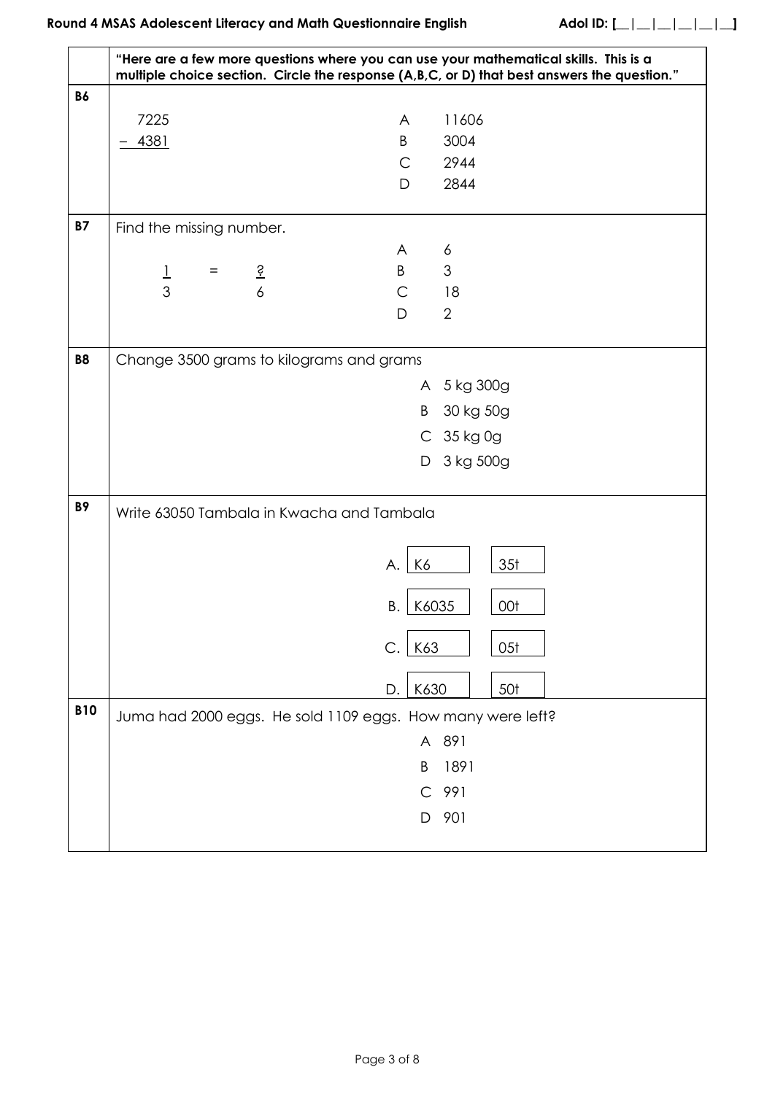|            | "Here are a few more questions where you can use your mathematical skills. This is a |                     | multiple choice section. Circle the response (A,B,C, or D) that best answers the question." |
|------------|--------------------------------------------------------------------------------------|---------------------|---------------------------------------------------------------------------------------------|
| <b>B6</b>  |                                                                                      |                     |                                                                                             |
|            | 7225                                                                                 | A                   | 11606                                                                                       |
|            | 4381                                                                                 | B                   | 3004                                                                                        |
|            |                                                                                      | $\mathsf{C}$        | 2944                                                                                        |
|            |                                                                                      | D                   | 2844                                                                                        |
| <b>B7</b>  | Find the missing number.                                                             |                     |                                                                                             |
|            |                                                                                      | A                   | 6                                                                                           |
|            | $rac{6}{3}$<br>$\frac{1}{3}$<br>$=$                                                  | B                   | 3                                                                                           |
|            |                                                                                      | $\mathsf{C}$        | 18                                                                                          |
|            |                                                                                      | D                   | 2                                                                                           |
| <b>B8</b>  | Change 3500 grams to kilograms and grams                                             |                     |                                                                                             |
|            |                                                                                      |                     | A 5 kg 300g                                                                                 |
|            |                                                                                      | B.                  | 30 kg 50g                                                                                   |
|            |                                                                                      |                     | C 35 kg 0g                                                                                  |
|            |                                                                                      | D                   | 3 kg 500g                                                                                   |
|            |                                                                                      |                     |                                                                                             |
| <b>B9</b>  | Write 63050 Tambala in Kwacha and Tambala                                            |                     |                                                                                             |
|            |                                                                                      | K6<br>А.            | 35 <sub>t</sub>                                                                             |
|            |                                                                                      |                     |                                                                                             |
|            |                                                                                      | K6035<br>Β.         | 00t                                                                                         |
|            |                                                                                      | K63<br>$\mathsf{C}$ | 05 <sub>t</sub>                                                                             |
|            |                                                                                      | K630<br>D.          | 50 <sup>t</sup>                                                                             |
| <b>B10</b> | Juma had 2000 eggs. He sold 1109 eggs. How many were left?                           |                     |                                                                                             |
|            |                                                                                      |                     | A 891                                                                                       |
|            |                                                                                      |                     |                                                                                             |
|            |                                                                                      | B                   | 1891                                                                                        |
|            |                                                                                      | $\mathsf{C}$        | 991                                                                                         |
|            |                                                                                      | D                   | 901                                                                                         |
|            |                                                                                      |                     |                                                                                             |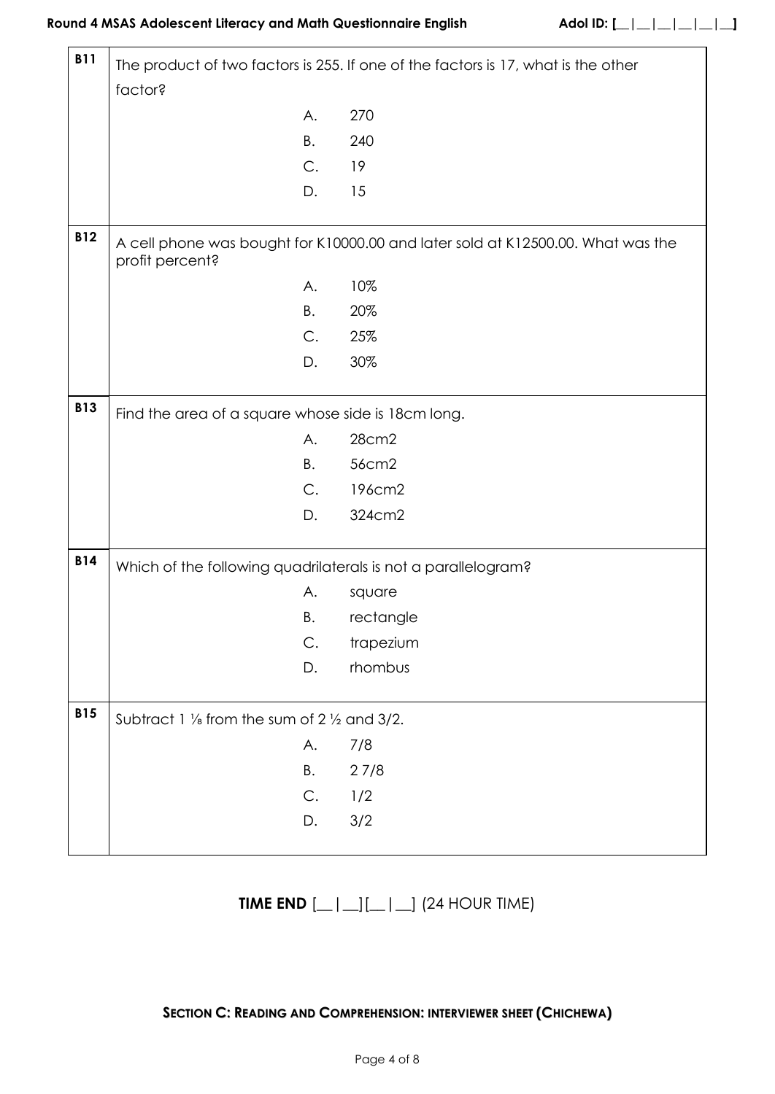ŗ

| <b>B11</b> | The product of two factors is 255. If one of the factors is 17, what is the other |                                                                                 |  |  |  |  |
|------------|-----------------------------------------------------------------------------------|---------------------------------------------------------------------------------|--|--|--|--|
|            | factor?                                                                           |                                                                                 |  |  |  |  |
|            | Α.                                                                                | 270                                                                             |  |  |  |  |
|            | B.                                                                                | 240                                                                             |  |  |  |  |
|            | C.                                                                                | 19                                                                              |  |  |  |  |
|            | D.                                                                                | 15                                                                              |  |  |  |  |
|            |                                                                                   |                                                                                 |  |  |  |  |
| <b>B12</b> | profit percent?                                                                   | A cell phone was bought for K10000.00 and later sold at K12500.00. What was the |  |  |  |  |
|            | Α.                                                                                | 10%                                                                             |  |  |  |  |
|            | В.                                                                                | 20%                                                                             |  |  |  |  |
|            | C.                                                                                | 25%                                                                             |  |  |  |  |
|            | D.                                                                                | 30%                                                                             |  |  |  |  |
| <b>B13</b> | Find the area of a square whose side is 18cm long.                                |                                                                                 |  |  |  |  |
|            | А.                                                                                | 28cm2                                                                           |  |  |  |  |
|            | В.                                                                                | 56cm2                                                                           |  |  |  |  |
|            | C.                                                                                | 196cm2                                                                          |  |  |  |  |
|            | D.                                                                                | 324cm2                                                                          |  |  |  |  |
| <b>B14</b> | Which of the following quadrilaterals is not a parallelogram?                     |                                                                                 |  |  |  |  |
|            | А.                                                                                | square                                                                          |  |  |  |  |
|            | Β.                                                                                | rectangle                                                                       |  |  |  |  |
|            | C.                                                                                | trapezium                                                                       |  |  |  |  |
|            | D.                                                                                | rhombus                                                                         |  |  |  |  |
| <b>B15</b> | Subtract 1 1/ <sub>s</sub> from the sum of 2 1/2 and 3/2.                         |                                                                                 |  |  |  |  |
|            | A.                                                                                |                                                                                 |  |  |  |  |
|            |                                                                                   | 7/8                                                                             |  |  |  |  |
|            | Β.                                                                                | 27/8                                                                            |  |  |  |  |
|            | С.                                                                                | 1/2                                                                             |  |  |  |  |
|            | D.                                                                                | 3/2                                                                             |  |  |  |  |

# **TIME END** [\_\_|\_\_][\_\_|\_\_] (24 HOUR TIME)

# **SECTION C: READING AND COMPREHENSION: INTERVIEWER SHEET (CHICHEWA)**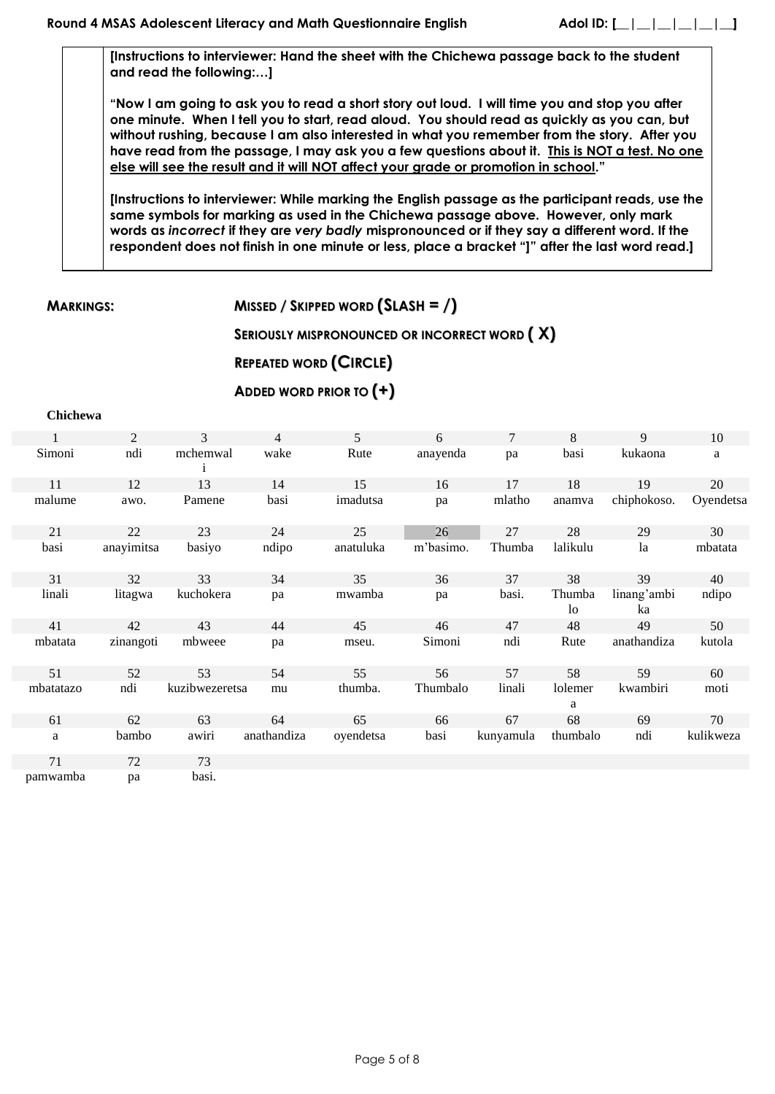**[Instructions to interviewer: Hand the sheet with the Chichewa passage back to the student and read the following:…]**

**"Now I am going to ask you to read a short story out loud. I will time you and stop you after one minute. When I tell you to start, read aloud. You should read as quickly as you can, but without rushing, because I am also interested in what you remember from the story. After you have read from the passage, I may ask you a few questions about it. This is NOT a test. No one else will see the result and it will NOT affect your grade or promotion in school."**

**[Instructions to interviewer: While marking the English passage as the participant reads, use the same symbols for marking as used in the Chichewa passage above. However, only mark words as** *incorrect* **if they are** *very badly* **mispronounced or if they say a different word. If the respondent does not finish in one minute or less, place a bracket "]" after the last word read.]**

**MARKINGS: MISSED / SKIPPED WORD (SLASH = /)**

# **SERIOUSLY MISPRONOUNCED OR INCORRECT WORD ( X)**

# **REPEATED WORD (CIRCLE)**

# **ADDED WORD PRIOR TO (+)**

#### **Chichewa**

| 1         | 2          | 3              | $\overline{4}$ | 5         | 6         | 7         | 8                        | 9                 | 10        |
|-----------|------------|----------------|----------------|-----------|-----------|-----------|--------------------------|-------------------|-----------|
| Simoni    | ndi        | mchemwal       | wake           | Rute      | anayenda  | pa        | basi                     | kukaona           | a         |
| 11        | 12         | 13             | 14             | 15        | 16        | 17        | 18                       | 19                | 20        |
| malume    | awo.       | Pamene         | basi           | imadutsa  | pa        | mlatho    | anamva                   | chiphokoso.       | Oyendetsa |
| 21        | 22         | 23             | 24             | 25        | 26        | 27        | 28                       | 29                | 30        |
| basi      | anayimitsa | basiyo         | ndipo          | anatuluka | m'basimo. | Thumba    | lalikulu                 | 1a                | mbatata   |
| 31        | 32         | 33             | 34             | 35        | 36        | 37        | 38                       | 39                | 40        |
| linali    | litagwa    | kuchokera      | pa             | mwamba    | pa        | basi.     | Thumba<br>1 <sub>o</sub> | linang'ambi<br>ka | ndipo     |
| 41        | 42         | 43             | 44             | 45        | 46        | 47        | 48                       | 49                | 50        |
| mbatata   | zinangoti  | mbweee         | pa             | mseu.     | Simoni    | ndi       | Rute                     | anathandiza       | kutola    |
| 51        | 52         | 53             | 54             | 55        | 56        | 57        | 58                       | 59                | 60        |
| mbatatazo | ndi        | kuzibwezeretsa | mu             | thumba.   | Thumbalo  | linali    | lolemer<br>a             | kwambiri          | moti      |
| 61        | 62         | 63             | 64             | 65        | 66        | 67        | 68                       | 69                | 70        |
| a         | bambo      | awiri          | anathandiza    | oyendetsa | basi      | kunyamula | thumbalo                 | ndi               | kulikweza |
| 71        | 72         | 73             |                |           |           |           |                          |                   |           |

pamwamba pa basi.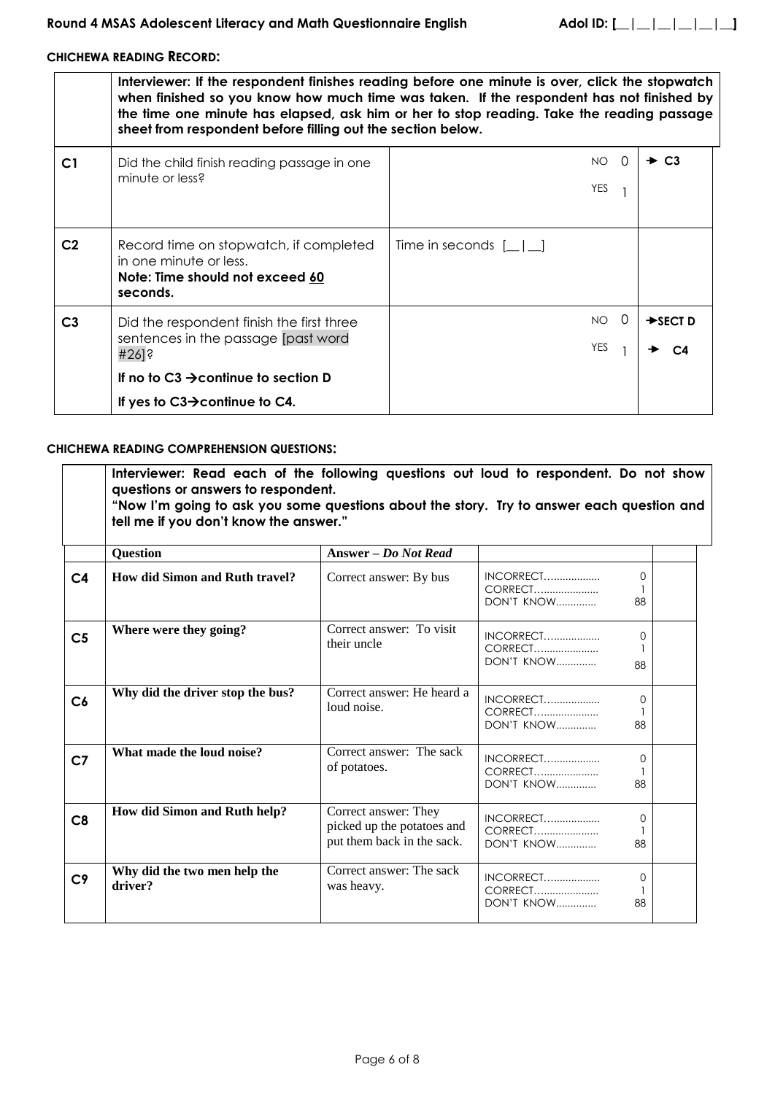## **CHICHEWA READING RECORD:**

|                | Interviewer: If the respondent finishes reading before one minute is over, click the stopwatch<br>when finished so you know how much time was taken. If the respondent has not finished by<br>the time one minute has elapsed, ask him or her to stop reading. Take the reading passage<br>sheet from respondent before filling out the section below. |                              |                       |  |  |  |  |
|----------------|--------------------------------------------------------------------------------------------------------------------------------------------------------------------------------------------------------------------------------------------------------------------------------------------------------------------------------------------------------|------------------------------|-----------------------|--|--|--|--|
| C <sub>1</sub> | Did the child finish reading passage in one<br>minute or less?                                                                                                                                                                                                                                                                                         | $NO$ $O$<br>YES              | $\div$ C <sub>3</sub> |  |  |  |  |
| C <sub>2</sub> | Record time on stopwatch, if completed<br>in one minute or less.<br>Note: Time should not exceed 60<br>seconds.                                                                                                                                                                                                                                        | Time in seconds $[\_   \_ ]$ |                       |  |  |  |  |
| C <sub>3</sub> | Did the respondent finish the first three<br>sentences in the passage [past word<br>$#26$ ]?                                                                                                                                                                                                                                                           | $NO$ $O$<br>YES              | $\rightarrow$ SECT D  |  |  |  |  |
|                | If no to C3 $\rightarrow$ continue to section D<br>If yes to $C3\rightarrow$ continue to C4.                                                                                                                                                                                                                                                           |                              |                       |  |  |  |  |

### **CHICHEWA READING COMPREHENSION QUESTIONS:**

|                | Interviewer: Read each of the following questions out loud to respondent. Do not show<br>questions or answers to respondent.<br>"Now I'm going to ask you some questions about the story. Try to answer each question and<br>tell me if you don't know the answer." |                                                                                  |                                           |                |
|----------------|---------------------------------------------------------------------------------------------------------------------------------------------------------------------------------------------------------------------------------------------------------------------|----------------------------------------------------------------------------------|-------------------------------------------|----------------|
|                | <b>Question</b>                                                                                                                                                                                                                                                     | Answer – Do Not Read                                                             |                                           |                |
| C <sub>4</sub> | <b>How did Simon and Ruth travel?</b>                                                                                                                                                                                                                               | Correct answer: By bus                                                           | CORRECT<br>DON'T KNOW                     | $\Omega$<br>88 |
| C <sub>5</sub> | Where were they going?                                                                                                                                                                                                                                              | Correct answer: To visit<br>their uncle                                          | INCORRECT<br>CORRECT<br>DON'T KNOW        | $\Omega$<br>88 |
| C6             | Why did the driver stop the bus?                                                                                                                                                                                                                                    | Correct answer: He heard a<br>loud noise.                                        | INCORRECT<br>CORRECT<br>DON'T KNOW        | $\Omega$<br>88 |
| C <sub>7</sub> | What made the loud noise?                                                                                                                                                                                                                                           | Correct answer: The sack<br>of potatoes.                                         | INCORRECT<br>CORRECT<br><b>DON'T KNOW</b> | $\Omega$<br>88 |
| C8             | How did Simon and Ruth help?                                                                                                                                                                                                                                        | Correct answer: They<br>picked up the potatoes and<br>put them back in the sack. | INCORRECT<br>CORRECT<br>DON'T KNOW        | $\Omega$<br>88 |
| C <sub>9</sub> | Why did the two men help the<br>driver?                                                                                                                                                                                                                             | Correct answer: The sack<br>was heavy.                                           | INCORRECT<br>CORRECT<br>DON'T KNOW        | 0<br>88        |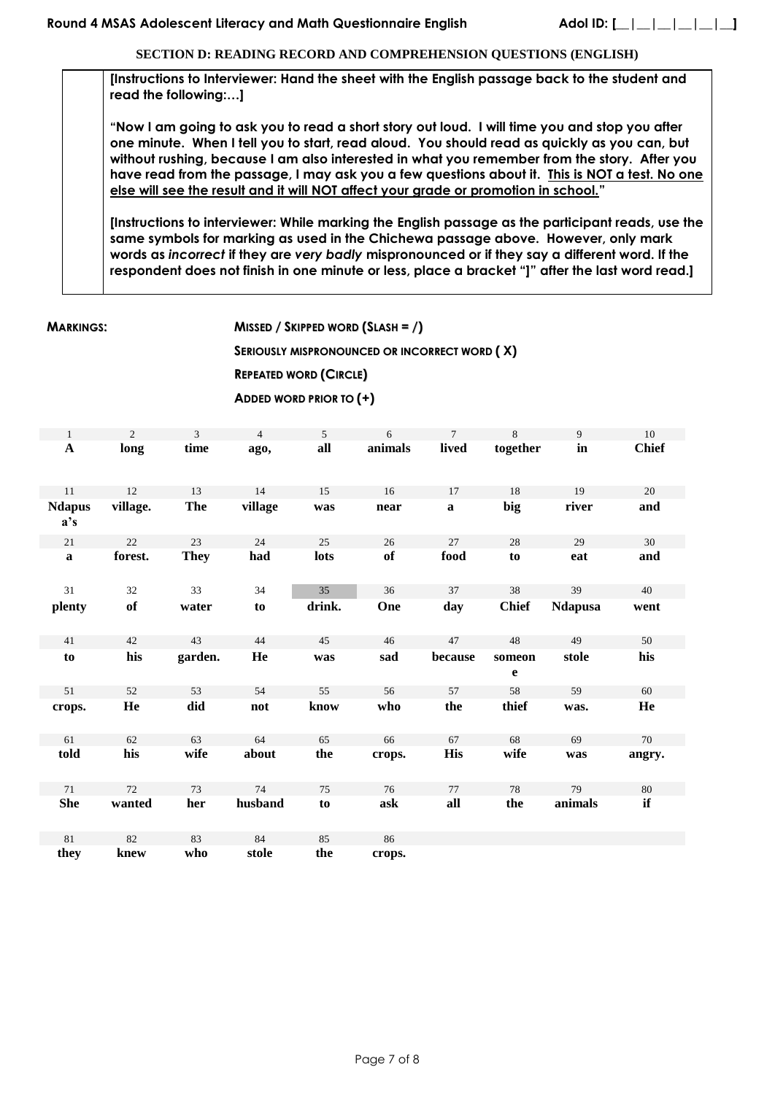**SECTION D: READING RECORD AND COMPREHENSION QUESTIONS (ENGLISH)**

**[Instructions to Interviewer: Hand the sheet with the English passage back to the student and read the following:…]**

**"Now I am going to ask you to read a short story out loud. I will time you and stop you after one minute. When I tell you to start, read aloud. You should read as quickly as you can, but without rushing, because I am also interested in what you remember from the story. After you have read from the passage, I may ask you a few questions about it. This is NOT a test. No one else will see the result and it will NOT affect your grade or promotion in school."**

**[Instructions to interviewer: While marking the English passage as the participant reads, use the same symbols for marking as used in the Chichewa passage above. However, only mark words as** *incorrect* **if they are** *very badly* **mispronounced or if they say a different word. If the respondent does not finish in one minute or less, place a bracket "]" after the last word read.]**

**MARKINGS: MISSED / SKIPPED WORD (SLASH = /)**

**SERIOUSLY MISPRONOUNCED OR INCORRECT WORD ( X)**

**REPEATED WORD (CIRCLE)**

**ADDED WORD PRIOR TO (+)**

| $\mathbf{1}$         | $\overline{2}$ | 3           | $\overline{4}$ | 5      | 6       | $\overline{7}$ | 8            | 9              | 10           |
|----------------------|----------------|-------------|----------------|--------|---------|----------------|--------------|----------------|--------------|
| $\mathbf{A}$         | long           | time        | ago,           | all    | animals | lived          | together     | $\mathbf{in}$  | <b>Chief</b> |
|                      |                |             |                |        |         |                |              |                |              |
| 11                   | 12             | 13          | 14             | 15     | 16      | 17             | 18           | 19             | 20           |
| <b>Ndapus</b><br>a's | village.       | <b>The</b>  | village        | was    | near    | $\mathbf a$    | big          | river          | and          |
| 21                   | 22             | 23          | 24             | 25     | 26      | 27             | 28           | 29             | 30           |
| $\mathbf a$          | forest.        | <b>They</b> | had            | lots   | of      | food           | to           | eat            | and          |
|                      |                |             |                |        |         |                |              |                |              |
| 31                   | 32             | 33          | 34             | 35     | 36      | 37             | 38           | 39             | 40           |
| plenty               | of             | water       | to             | drink. | One     | day            | <b>Chief</b> | <b>Ndapusa</b> | went         |
|                      |                |             |                |        |         |                |              |                |              |
| 41                   | 42             | 43          | 44             | 45     | 46      | 47             | 48           | 49             | 50           |
| to                   | his            | garden.     | He             | was    | sad     | because        | someon       | stole          | his          |
|                      |                |             |                |        |         |                | e            |                |              |
| 51                   | 52             | 53          | 54             | 55     | 56      | 57             | 58           | 59             | 60           |
| crops.               | He             | did         | not            | know   | who     | the            | thief        | was.           | He           |
|                      |                |             |                |        |         |                |              |                |              |
| 61                   | 62             | 63          | 64             | 65     | 66      | 67             | 68           | 69             | 70           |
| told                 | his            | wife        | about          | the    | crops.  | <b>His</b>     | wife         | was            | angry.       |
|                      |                |             |                |        |         |                |              |                |              |
| 71                   | 72             | 73          | 74             | 75     | 76      | 77             | 78           | 79             | 80           |
| <b>She</b>           | wanted         | her         | husband        | to     | ask     | all            | the          | animals        | if           |
|                      |                |             |                |        |         |                |              |                |              |
| 81                   | 82             | 83          | 84             | 85     | 86      |                |              |                |              |
| they                 | knew           | who         | stole          | the    | crops.  |                |              |                |              |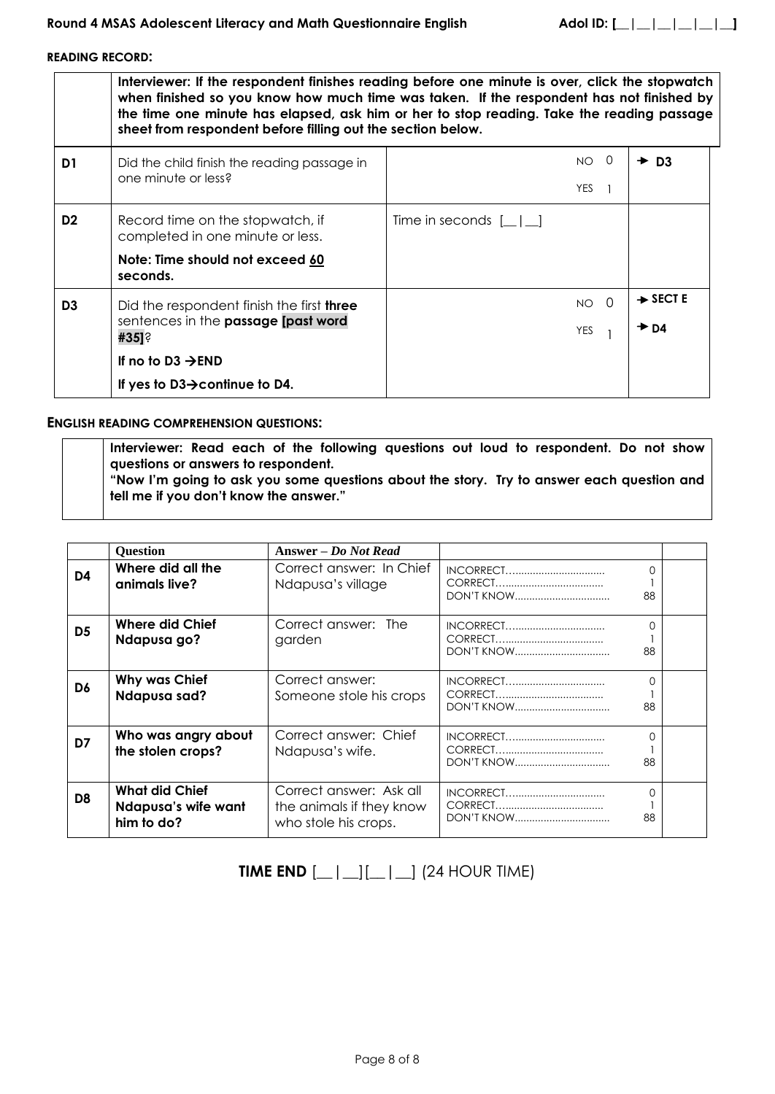**READING RECORD:**

**Interviewer: If the respondent finishes reading before one minute is over, click the stopwatch when finished so you know how much time was taken. If the respondent has not finished by the time one minute has elapsed, ask him or her to stop reading. Take the reading passage sheet from respondent before filling out the section below. D1** | Did the child finish the reading passage in one minute or less? NO 0 YES 1  $+$  D<sub>3</sub> **D2** Record time on the stopwatch, if completed in one minute or less. **Note: Time should not exceed 60 seconds.** Time in seconds  $[\_ | \_ ]$ **D3** Did the respondent finish the first **three** sentences in the **passage [past word #35]**? **If no to D3 → END If yes to D3→continue to D4.** NO 0 YES 1  $\rightarrow$  **SECT E**  $\rightarrow$  D4

### **ENGLISH READING COMPREHENSION QUESTIONS:**

**Interviewer: Read each of the following questions out loud to respondent. Do not show questions or answers to respondent. "Now I'm going to ask you some questions about the story. Try to answer each question and tell me if you don't know the answer."**

|                | <b>Question</b>                                            | Answer – Do Not Read                                                        |                   |         |  |
|----------------|------------------------------------------------------------|-----------------------------------------------------------------------------|-------------------|---------|--|
| D4             | Where did all the<br>animals live?                         | Correct answer: In Chief<br>Ndapusa's village                               | <b>DON'T KNOW</b> | 0<br>88 |  |
| D <sub>5</sub> | Where did Chief<br>Ndapusa go?                             | Correct answer: The<br>garden                                               |                   | O<br>88 |  |
| D6             | <b>Why was Chief</b><br><b>Ndapusa sad?</b>                | Correct answer:<br>Someone stole his crops                                  | <b>DON'T KNOW</b> | 0<br>88 |  |
| D7             | Who was angry about<br>the stolen crops?                   | Correct answer: Chief<br>Ndapusa's wife.                                    |                   | O<br>88 |  |
| D <sub>8</sub> | <b>What did Chief</b><br>Ndapusa's wife want<br>him to do? | Correct answer: Ask all<br>the animals if they know<br>who stole his crops. |                   | 0<br>88 |  |

# **TIME END**  $[\_ | \_ ][\_ | \_ ]$  (24 HOUR TIME)